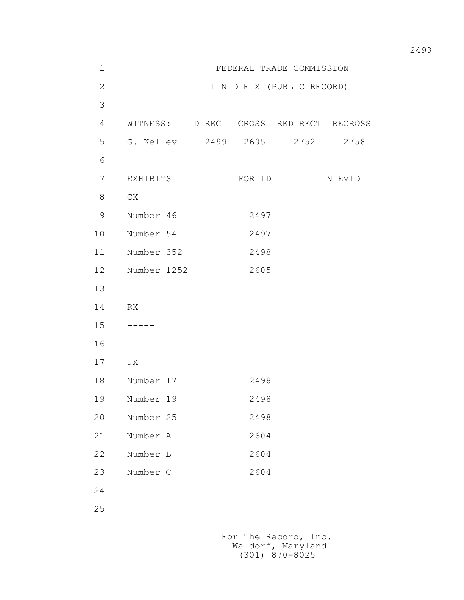| $\mathbf 1$    |             | FEDERAL TRADE COMMISSION               |         |
|----------------|-------------|----------------------------------------|---------|
| $\overline{2}$ |             | I N D E X (PUBLIC RECORD)              |         |
| $\mathfrak{Z}$ |             |                                        |         |
| 4              |             | WITNESS: DIRECT CROSS REDIRECT RECROSS |         |
| 5              |             | G. Kelley 2499 2605 2752 2758          |         |
| 6              |             |                                        |         |
| $\overline{7}$ | EXHIBITS    | FOR ID                                 | IN EVID |
| 8              | CX          |                                        |         |
| $\mathsf 9$    | Number 46   | 2497                                   |         |
| 10             | Number 54   | 2497                                   |         |
| 11             | Number 352  | 2498                                   |         |
| 12             | Number 1252 | 2605                                   |         |
| 13             |             |                                        |         |
| 14             | RX          |                                        |         |
| 15             |             |                                        |         |
| 16             |             |                                        |         |
| 17             | JX          |                                        |         |
| 18             | Number 17   | 2498                                   |         |
| 19             | Number 19   | 2498                                   |         |
| 20             | Number 25   | 2498                                   |         |
| 21             | Number A    | 2604                                   |         |
| 22             | Number B    | 2604                                   |         |
| 23             | Number C    | 2604                                   |         |
| 24             |             |                                        |         |
| $2\,5$         |             |                                        |         |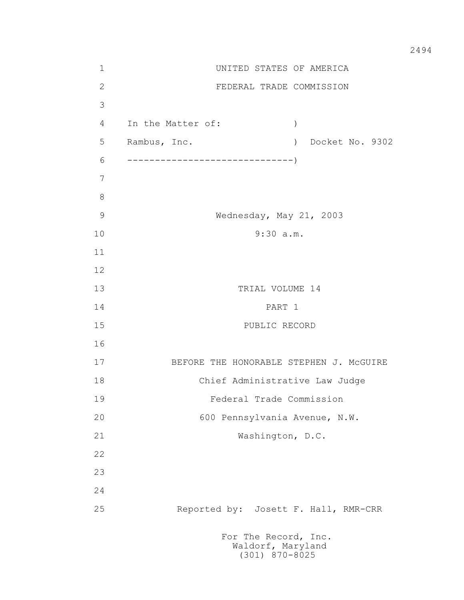1 UNITED STATES OF AMERICA 2 FEDERAL TRADE COMMISSION 3 4 In the Matter of: ) 5 Rambus, Inc. ) Docket No. 9302 6 ------------------------------) 7 8 9 Wednesday, May 21, 2003 10 9:30 a.m. 11 12 13 TRIAL VOLUME 14 14 PART 1 15 PUBLIC RECORD 16 17 BEFORE THE HONORABLE STEPHEN J. McGUIRE 18 Chief Administrative Law Judge 19 Federal Trade Commission 20 600 Pennsylvania Avenue, N.W. 21 Washington, D.C. 22 23 24 25 Reported by: Josett F. Hall, RMR-CRR For The Record, Inc.

 Waldorf, Maryland (301) 870-8025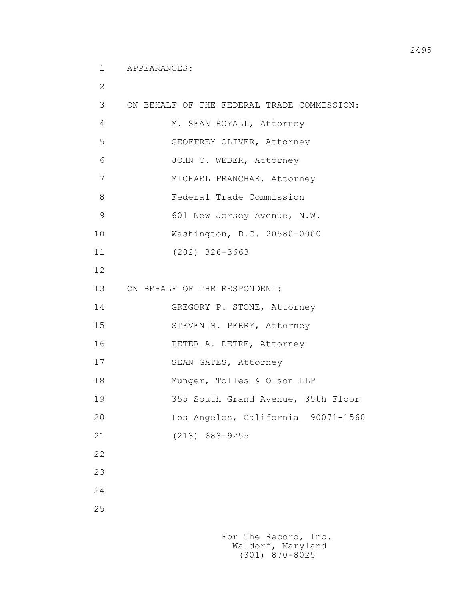1 APPEARANCES:

| $\mathbf{2}$  |                                            |
|---------------|--------------------------------------------|
| 3             | ON BEHALF OF THE FEDERAL TRADE COMMISSION: |
| 4             | M. SEAN ROYALL, Attorney                   |
| 5             | GEOFFREY OLIVER, Attorney                  |
| 6             | JOHN C. WEBER, Attorney                    |
| 7             | MICHAEL FRANCHAK, Attorney                 |
| 8             | Federal Trade Commission                   |
| $\mathcal{G}$ | 601 New Jersey Avenue, N.W.                |
| 10            | Washington, D.C. 20580-0000                |
| 11            | $(202)$ 326-3663                           |
| 12            |                                            |
| 13            | ON BEHALF OF THE RESPONDENT:               |
| 14            | GREGORY P. STONE, Attorney                 |
| 15            | STEVEN M. PERRY, Attorney                  |
| 16            | PETER A. DETRE, Attorney                   |
| 17            | SEAN GATES, Attorney                       |
| 18            | Munger, Tolles & Olson LLP                 |
| 19            | 355 South Grand Avenue, 35th Floor         |
| 20            | Los Angeles, California 90071-1560         |
| 21            | $(213)$ 683-9255                           |
| 22            |                                            |
| 23            |                                            |
| 24            |                                            |
| 25            |                                            |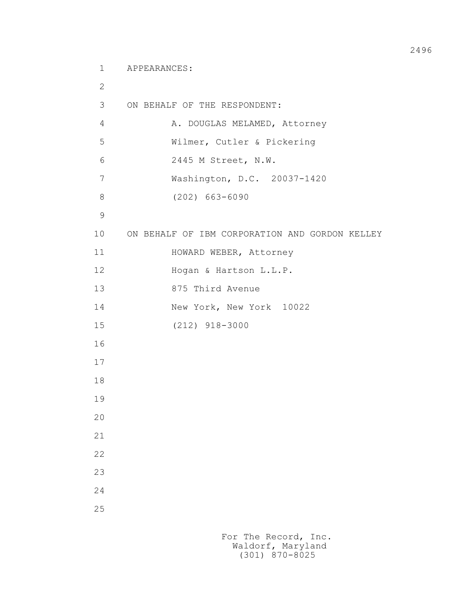1 APPEARANCES:

```
 2
         3 ON BEHALF OF THE RESPONDENT:
        4 A. DOUGLAS MELAMED, Attorney
         5 Wilmer, Cutler & Pickering
         6 2445 M Street, N.W.
         7 Washington, D.C. 20037-1420
         8 (202) 663-6090
9
         10 ON BEHALF OF IBM CORPORATION AND GORDON KELLEY
        11 HOWARD WEBER, Attorney
        12 Hogan & Hartson L.L.P.
         13 875 Third Avenue
         14 New York, New York 10022
         15 (212) 918-3000
         16
         17
         18
         19
         20
         21
         22
         23
         24
         25
```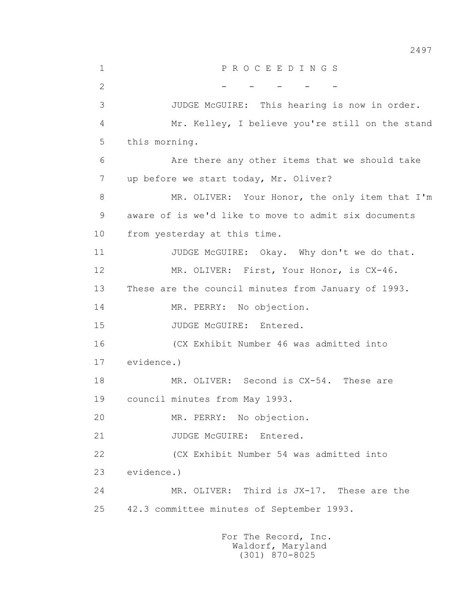1 P R O C E E D I N G S 2 - - - - - - - 3 JUDGE McGUIRE: This hearing is now in order. 4 Mr. Kelley, I believe you're still on the stand 5 this morning. 6 Are there any other items that we should take 7 up before we start today, Mr. Oliver? 8 MR. OLIVER: Your Honor, the only item that I'm 9 aware of is we'd like to move to admit six documents 10 from yesterday at this time. 11 JUDGE McGUIRE: Okay. Why don't we do that. 12 MR. OLIVER: First, Your Honor, is CX-46. 13 These are the council minutes from January of 1993. 14 MR. PERRY: No objection. 15 JUDGE McGUIRE: Entered. 16 (CX Exhibit Number 46 was admitted into 17 evidence.) 18 MR. OLIVER: Second is CX-54. These are 19 council minutes from May 1993. 20 MR. PERRY: No objection. 21 JUDGE McGUIRE: Entered. 22 (CX Exhibit Number 54 was admitted into 23 evidence.) 24 MR. OLIVER: Third is JX-17. These are the 25 42.3 committee minutes of September 1993.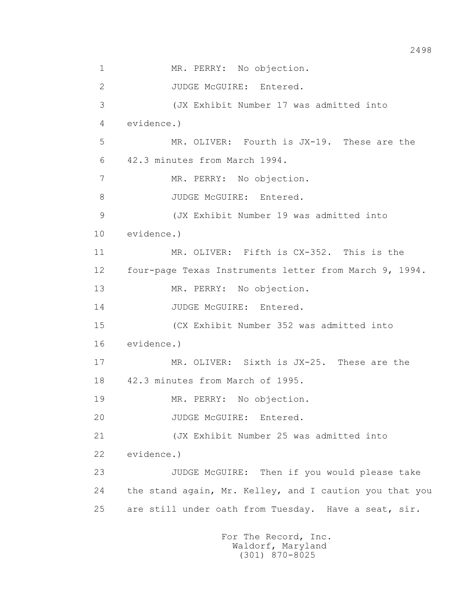1 MR. PERRY: No objection. 2 JUDGE McGUIRE: Entered. 3 (JX Exhibit Number 17 was admitted into 4 evidence.) 5 MR. OLIVER: Fourth is JX-19. These are the 6 42.3 minutes from March 1994. 7 MR. PERRY: No objection. 8 JUDGE McGUIRE: Entered. 9 (JX Exhibit Number 19 was admitted into 10 evidence.) 11 MR. OLIVER: Fifth is CX-352. This is the 12 four-page Texas Instruments letter from March 9, 1994. 13 MR. PERRY: No objection. 14 JUDGE McGUIRE: Entered. 15 (CX Exhibit Number 352 was admitted into 16 evidence.) 17 MR. OLIVER: Sixth is JX-25. These are the 18 42.3 minutes from March of 1995. 19 MR. PERRY: No objection. 20 JUDGE McGUIRE: Entered. 21 (JX Exhibit Number 25 was admitted into 22 evidence.) 23 JUDGE McGUIRE: Then if you would please take 24 the stand again, Mr. Kelley, and I caution you that you 25 are still under oath from Tuesday. Have a seat, sir.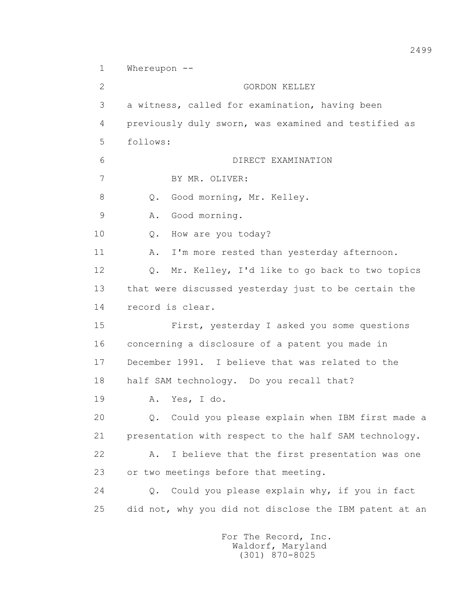1 Whereupon --

 2 GORDON KELLEY 3 a witness, called for examination, having been 4 previously duly sworn, was examined and testified as 5 follows: 6 DIRECT EXAMINATION 7 BY MR. OLIVER: 8 Q. Good morning, Mr. Kelley. 9 A. Good morning. 10 Q. How are you today? 11 A. I'm more rested than yesterday afternoon. 12 Q. Mr. Kelley, I'd like to go back to two topics 13 that were discussed yesterday just to be certain the 14 record is clear. 15 First, yesterday I asked you some questions 16 concerning a disclosure of a patent you made in 17 December 1991. I believe that was related to the 18 half SAM technology. Do you recall that? 19 A. Yes, I do. 20 Q. Could you please explain when IBM first made a 21 presentation with respect to the half SAM technology. 22 A. I believe that the first presentation was one 23 or two meetings before that meeting. 24 Q. Could you please explain why, if you in fact 25 did not, why you did not disclose the IBM patent at an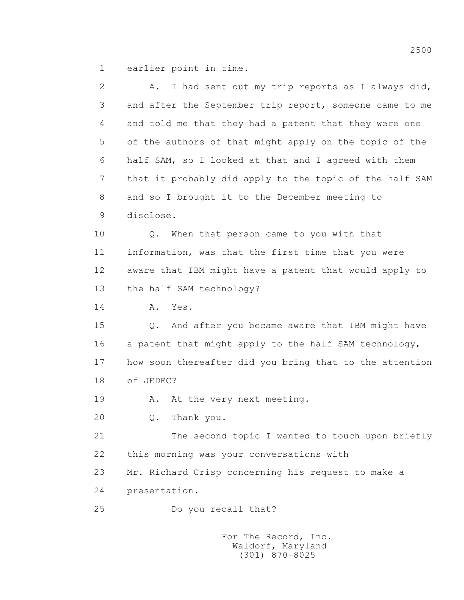1 earlier point in time.

(301) 870-8025

| $\mathbf{2}$ | I had sent out my trip reports as I always did,<br>Α.   |
|--------------|---------------------------------------------------------|
| 3            | and after the September trip report, someone came to me |
| 4            | and told me that they had a patent that they were one   |
| 5            | of the authors of that might apply on the topic of the  |
| 6            | half SAM, so I looked at that and I agreed with them    |
| 7            | that it probably did apply to the topic of the half SAM |
| 8            | and so I brought it to the December meeting to          |
| 9            | disclose.                                               |
| 10           | Q. When that person came to you with that               |
| 11           | information, was that the first time that you were      |
| 12           | aware that IBM might have a patent that would apply to  |
| 13           | the half SAM technology?                                |
| 14           | Yes.<br>Α.                                              |
| 15           | Q. And after you became aware that IBM might have       |
| 16           | a patent that might apply to the half SAM technology,   |
| 17           | how soon thereafter did you bring that to the attention |
| 18           | of JEDEC?                                               |
| 19           | At the very next meeting.<br>Α.                         |
| 20           | Thank you.<br>$\mathsf{Q}$ .                            |
| 21           | The second topic I wanted to touch upon briefly         |
| 22           | this morning was your conversations with                |
| 23           | Mr. Richard Crisp concerning his request to make a      |
| 24           | presentation.                                           |
| 25           | Do you recall that?                                     |
|              | For The Record, Inc.<br>Waldorf, Maryland               |

2500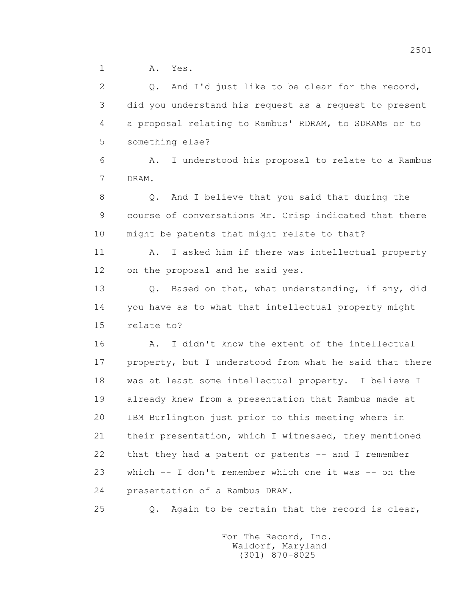1 A. Yes.

 2 Q. And I'd just like to be clear for the record, 3 did you understand his request as a request to present 4 a proposal relating to Rambus' RDRAM, to SDRAMs or to 5 something else? 6 A. I understood his proposal to relate to a Rambus 7 DRAM. 8 Q. And I believe that you said that during the 9 course of conversations Mr. Crisp indicated that there 10 might be patents that might relate to that? 11 A. I asked him if there was intellectual property 12 on the proposal and he said yes. 13 Q. Based on that, what understanding, if any, did 14 you have as to what that intellectual property might 15 relate to? 16 A. I didn't know the extent of the intellectual 17 property, but I understood from what he said that there 18 was at least some intellectual property. I believe I 19 already knew from a presentation that Rambus made at 20 IBM Burlington just prior to this meeting where in 21 their presentation, which I witnessed, they mentioned 22 that they had a patent or patents -- and I remember 23 which  $-$  I don't remember which one it was  $-$  on the 24 presentation of a Rambus DRAM.

25 Q. Again to be certain that the record is clear,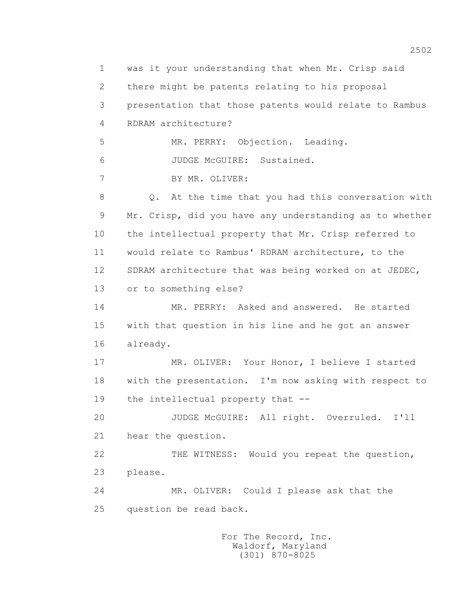1 was it your understanding that when Mr. Crisp said 2 there might be patents relating to his proposal 3 presentation that those patents would relate to Rambus 4 RDRAM architecture? 5 MR. PERRY: Objection. Leading. 6 JUDGE McGUIRE: Sustained. 7 BY MR. OLIVER: 8 Q. At the time that you had this conversation with 9 Mr. Crisp, did you have any understanding as to whether 10 the intellectual property that Mr. Crisp referred to 11 would relate to Rambus' RDRAM architecture, to the 12 SDRAM architecture that was being worked on at JEDEC, 13 or to something else? 14 MR. PERRY: Asked and answered. He started 15 with that question in his line and he got an answer 16 already. 17 MR. OLIVER: Your Honor, I believe I started 18 with the presentation. I'm now asking with respect to 19 the intellectual property that -- 20 JUDGE McGUIRE: All right. Overruled. I'll 21 hear the question. 22 THE WITNESS: Would you repeat the question, 23 please. 24 MR. OLIVER: Could I please ask that the 25 question be read back.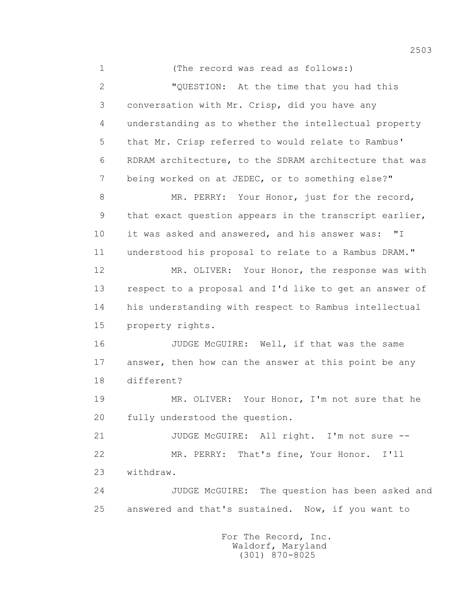1 (The record was read as follows:) 2 "QUESTION: At the time that you had this 3 conversation with Mr. Crisp, did you have any 4 understanding as to whether the intellectual property 5 that Mr. Crisp referred to would relate to Rambus' 6 RDRAM architecture, to the SDRAM architecture that was 7 being worked on at JEDEC, or to something else?" 8 MR. PERRY: Your Honor, just for the record, 9 that exact question appears in the transcript earlier, 10 it was asked and answered, and his answer was: "I 11 understood his proposal to relate to a Rambus DRAM." 12 MR. OLIVER: Your Honor, the response was with 13 respect to a proposal and I'd like to get an answer of 14 his understanding with respect to Rambus intellectual 15 property rights. 16 JUDGE McGUIRE: Well, if that was the same 17 answer, then how can the answer at this point be any 18 different? 19 MR. OLIVER: Your Honor, I'm not sure that he 20 fully understood the question. 21 JUDGE McGUIRE: All right. I'm not sure --

 22 MR. PERRY: That's fine, Your Honor. I'll 23 withdraw.

 24 JUDGE McGUIRE: The question has been asked and 25 answered and that's sustained. Now, if you want to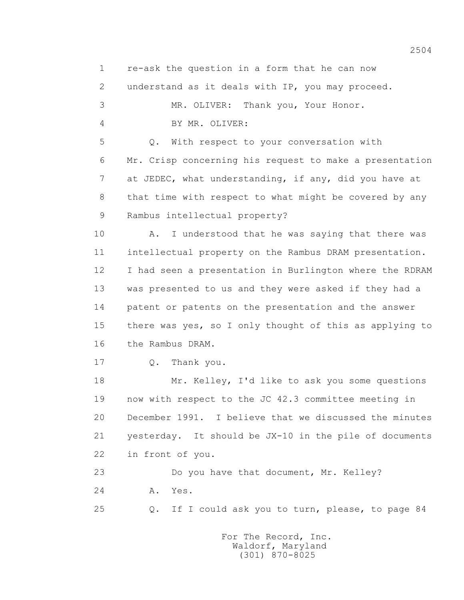1 re-ask the question in a form that he can now 2 understand as it deals with IP, you may proceed. 3 MR. OLIVER: Thank you, Your Honor. 4 BY MR. OLIVER: 5 Q. With respect to your conversation with 6 Mr. Crisp concerning his request to make a presentation 7 at JEDEC, what understanding, if any, did you have at 8 that time with respect to what might be covered by any 9 Rambus intellectual property? 10 A. I understood that he was saying that there was 11 intellectual property on the Rambus DRAM presentation. 12 I had seen a presentation in Burlington where the RDRAM 13 was presented to us and they were asked if they had a 14 patent or patents on the presentation and the answer 15 there was yes, so I only thought of this as applying to 16 the Rambus DRAM. 17 O. Thank you. 18 Mr. Kelley, I'd like to ask you some questions 19 now with respect to the JC 42.3 committee meeting in 20 December 1991. I believe that we discussed the minutes 21 yesterday. It should be JX-10 in the pile of documents 22 in front of you. 23 Do you have that document, Mr. Kelley? 24 **A.** Yes. 25 Q. If I could ask you to turn, please, to page 84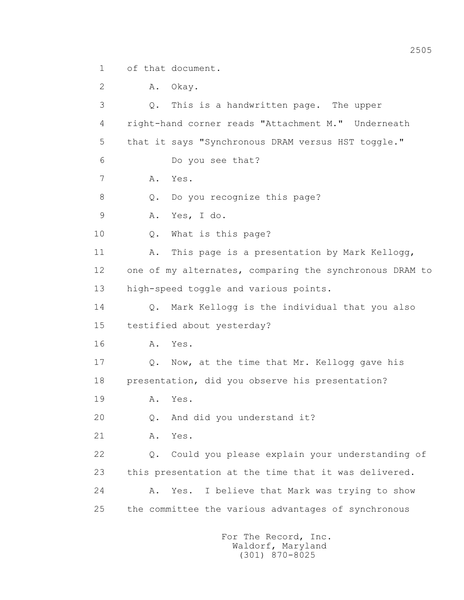1 of that document.

 2 A. Okay. 3 Q. This is a handwritten page. The upper 4 right-hand corner reads "Attachment M." Underneath 5 that it says "Synchronous DRAM versus HST toggle." 6 Do you see that? 7 A. Yes. 8 Q. Do you recognize this page? 9 A. Yes, I do. 10 Q. What is this page? 11 A. This page is a presentation by Mark Kellogg, 12 one of my alternates, comparing the synchronous DRAM to 13 high-speed toggle and various points. 14 Q. Mark Kellogg is the individual that you also 15 testified about yesterday? 16 **A.** Yes. 17 Q. Now, at the time that Mr. Kellogg gave his 18 presentation, did you observe his presentation? 19 **A.** Yes. 20 Q. And did you understand it? 21 A. Yes. 22 Q. Could you please explain your understanding of 23 this presentation at the time that it was delivered. 24 A. Yes. I believe that Mark was trying to show 25 the committee the various advantages of synchronous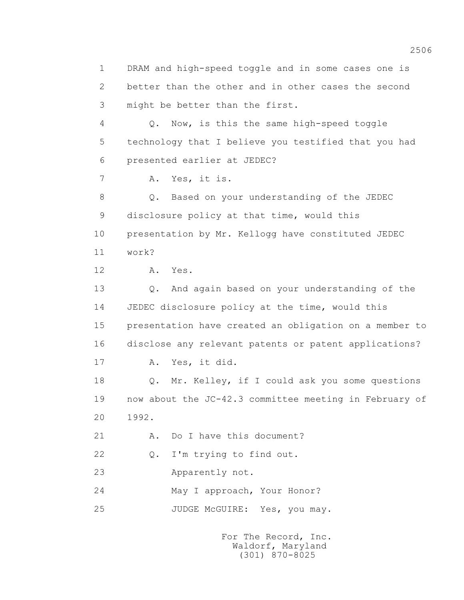1 DRAM and high-speed toggle and in some cases one is 2 better than the other and in other cases the second 3 might be better than the first. 4 Q. Now, is this the same high-speed toggle 5 technology that I believe you testified that you had 6 presented earlier at JEDEC? 7 A. Yes, it is. 8 Q. Based on your understanding of the JEDEC 9 disclosure policy at that time, would this 10 presentation by Mr. Kellogg have constituted JEDEC 11 work? 12 A. Yes. 13 Q. And again based on your understanding of the 14 JEDEC disclosure policy at the time, would this 15 presentation have created an obligation on a member to 16 disclose any relevant patents or patent applications? 17 A. Yes, it did. 18 Q. Mr. Kelley, if I could ask you some questions 19 now about the JC-42.3 committee meeting in February of 20 1992. 21 A. Do I have this document? 22 Q. I'm trying to find out. 23 Apparently not. 24 May I approach, Your Honor? 25 JUDGE McGUIRE: Yes, you may.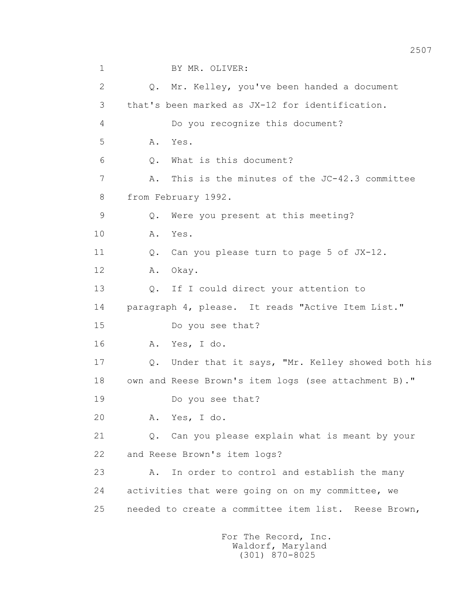1 BY MR. OLIVER: 2 Q. Mr. Kelley, you've been handed a document 3 that's been marked as JX-12 for identification. 4 Do you recognize this document? 5 A. Yes. 6 Q. What is this document? 7 A. This is the minutes of the JC-42.3 committee 8 from February 1992. 9 Q. Were you present at this meeting? 10 A. Yes. 11 Q. Can you please turn to page 5 of JX-12. 12 A. Okay. 13 Q. If I could direct your attention to 14 paragraph 4, please. It reads "Active Item List." 15 Do you see that? 16 A. Yes, I do. 17 Q. Under that it says, "Mr. Kelley showed both his 18 own and Reese Brown's item logs (see attachment B)." 19 Do you see that? 20 A. Yes, I do. 21 Q. Can you please explain what is meant by your 22 and Reese Brown's item logs? 23 A. In order to control and establish the many 24 activities that were going on on my committee, we 25 needed to create a committee item list. Reese Brown,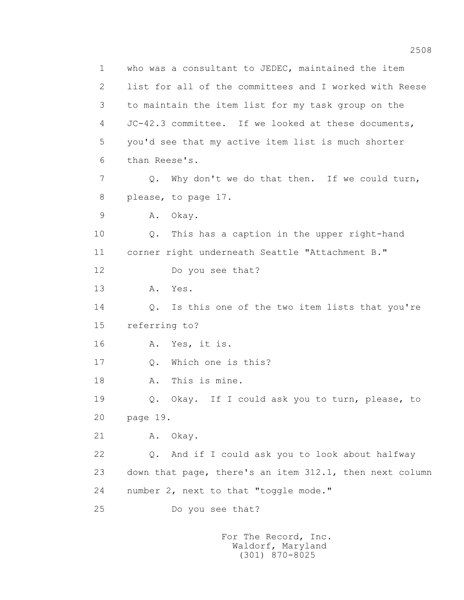1 who was a consultant to JEDEC, maintained the item 2 list for all of the committees and I worked with Reese 3 to maintain the item list for my task group on the 4 JC-42.3 committee. If we looked at these documents, 5 you'd see that my active item list is much shorter 6 than Reese's. 7 Q. Why don't we do that then. If we could turn, 8 please, to page 17. 9 A. Okay. 10 Q. This has a caption in the upper right-hand 11 corner right underneath Seattle "Attachment B." 12 Do you see that? 13 A. Yes. 14 Q. Is this one of the two item lists that you're 15 referring to? 16 A. Yes, it is. 17 Q. Which one is this? 18 A. This is mine. 19 Q. Okay. If I could ask you to turn, please, to 20 page 19. 21 A. Okay. 22 Q. And if I could ask you to look about halfway 23 down that page, there's an item 312.1, then next column 24 number 2, next to that "toggle mode." 25 Do you see that?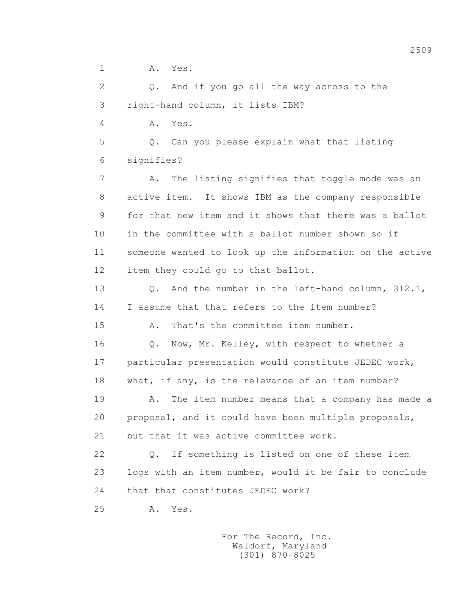1 A. Yes.

 2 Q. And if you go all the way across to the 3 right-hand column, it lists IBM?

4 A. Yes.

 5 Q. Can you please explain what that listing 6 signifies?

 7 A. The listing signifies that toggle mode was an 8 active item. It shows IBM as the company responsible 9 for that new item and it shows that there was a ballot 10 in the committee with a ballot number shown so if 11 someone wanted to look up the information on the active 12 item they could go to that ballot.

 13 Q. And the number in the left-hand column, 312.1, 14 I assume that that refers to the item number?

15 A. That's the committee item number.

16 0. Now, Mr. Kelley, with respect to whether a 17 particular presentation would constitute JEDEC work, 18 what, if any, is the relevance of an item number?

19 A. The item number means that a company has made a 20 proposal, and it could have been multiple proposals, 21 but that it was active committee work.

 22 Q. If something is listed on one of these item 23 logs with an item number, would it be fair to conclude 24 that that constitutes JEDEC work?

25 A. Yes.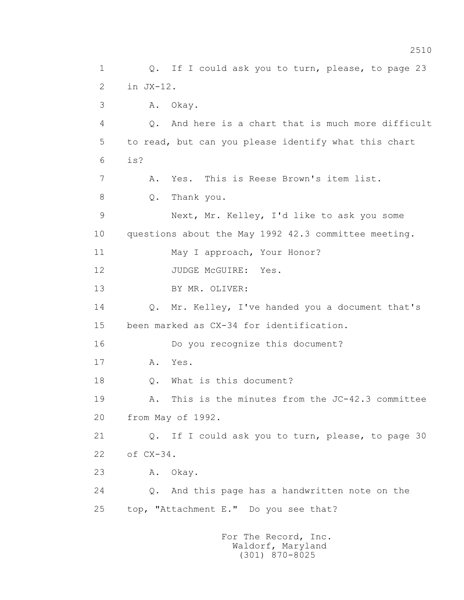1 Q. If I could ask you to turn, please, to page 23 2 in JX-12. 3 A. Okay. 4 Q. And here is a chart that is much more difficult 5 to read, but can you please identify what this chart  $6$  is? 7 A. Yes. This is Reese Brown's item list. 8 Q. Thank you. 9 Next, Mr. Kelley, I'd like to ask you some 10 questions about the May 1992 42.3 committee meeting. 11 May I approach, Your Honor? 12 JUDGE McGUIRE: Yes. 13 BY MR. OLIVER: 14 Q. Mr. Kelley, I've handed you a document that's 15 been marked as CX-34 for identification. 16 Do you recognize this document? 17 A. Yes. 18 0. What is this document? 19 A. This is the minutes from the JC-42.3 committee 20 from May of 1992. 21 Q. If I could ask you to turn, please, to page 30 22 of CX-34. 23 A. Okay. 24 Q. And this page has a handwritten note on the 25 top, "Attachment E." Do you see that? For The Record, Inc.

 Waldorf, Maryland (301) 870-8025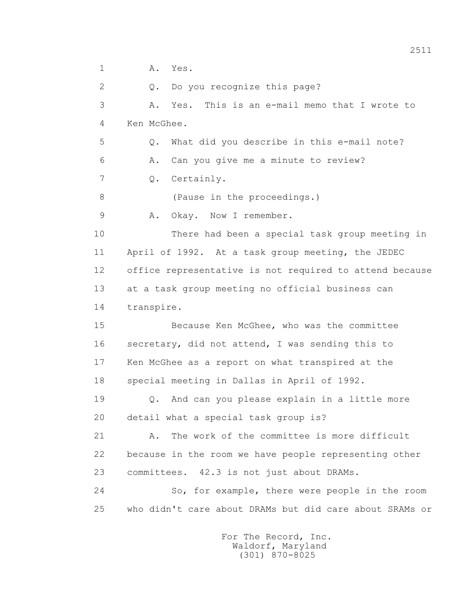1 A. Yes. 2 Q. Do you recognize this page? 3 A. Yes. This is an e-mail memo that I wrote to 4 Ken McGhee. 5 Q. What did you describe in this e-mail note? 6 A. Can you give me a minute to review? 7 Q. Certainly. 8 (Pause in the proceedings.) 9 A. Okay. Now I remember. 10 There had been a special task group meeting in 11 April of 1992. At a task group meeting, the JEDEC 12 office representative is not required to attend because 13 at a task group meeting no official business can 14 transpire. 15 Because Ken McGhee, who was the committee 16 secretary, did not attend, I was sending this to 17 Ken McGhee as a report on what transpired at the 18 special meeting in Dallas in April of 1992. 19 Q. And can you please explain in a little more 20 detail what a special task group is? 21 A. The work of the committee is more difficult 22 because in the room we have people representing other 23 committees. 42.3 is not just about DRAMs. 24 So, for example, there were people in the room 25 who didn't care about DRAMs but did care about SRAMs or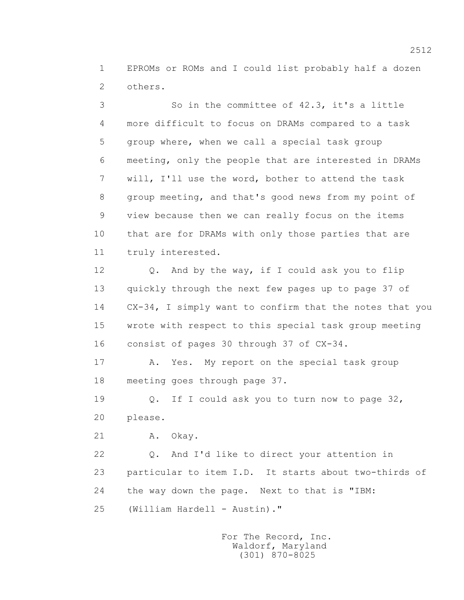1 EPROMs or ROMs and I could list probably half a dozen 2 others.

 3 So in the committee of 42.3, it's a little 4 more difficult to focus on DRAMs compared to a task 5 group where, when we call a special task group 6 meeting, only the people that are interested in DRAMs 7 will, I'll use the word, bother to attend the task 8 group meeting, and that's good news from my point of 9 view because then we can really focus on the items 10 that are for DRAMs with only those parties that are 11 truly interested.

 12 Q. And by the way, if I could ask you to flip 13 quickly through the next few pages up to page 37 of 14 CX-34, I simply want to confirm that the notes that you 15 wrote with respect to this special task group meeting 16 consist of pages 30 through 37 of CX-34.

 17 A. Yes. My report on the special task group 18 meeting goes through page 37.

 19 Q. If I could ask you to turn now to page 32, 20 please.

21 A. Okay.

 22 Q. And I'd like to direct your attention in 23 particular to item I.D. It starts about two-thirds of 24 the way down the page. Next to that is "IBM: 25 (William Hardell - Austin)."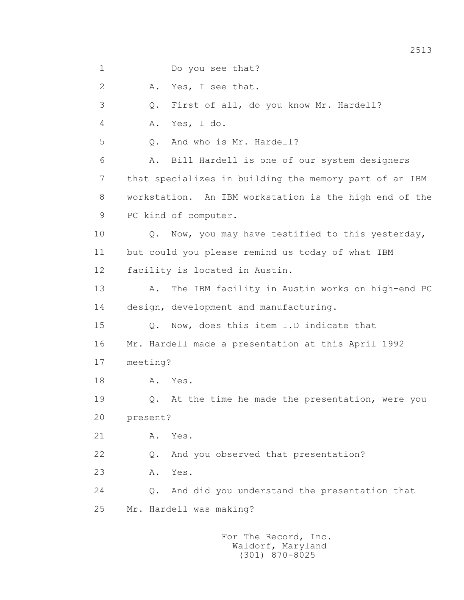1 Do you see that?

2 A. Yes, I see that.

3 Q. First of all, do you know Mr. Hardell?

4 A. Yes, I do.

5 0. And who is Mr. Hardell?

 6 A. Bill Hardell is one of our system designers 7 that specializes in building the memory part of an IBM 8 workstation. An IBM workstation is the high end of the 9 PC kind of computer.

 10 Q. Now, you may have testified to this yesterday, 11 but could you please remind us today of what IBM 12 facility is located in Austin.

 13 A. The IBM facility in Austin works on high-end PC 14 design, development and manufacturing.

 15 Q. Now, does this item I.D indicate that 16 Mr. Hardell made a presentation at this April 1992 17 meeting?

18 **A.** Yes.

19 Q. At the time he made the presentation, were you 20 present?

21 A. Yes.

22 Q. And you observed that presentation?

23 A. Yes.

 24 Q. And did you understand the presentation that 25 Mr. Hardell was making?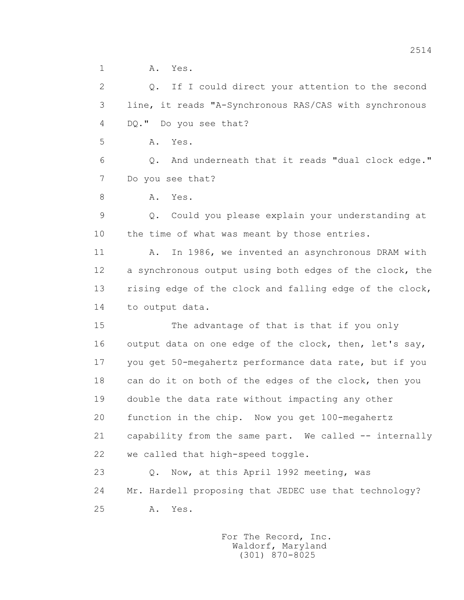1 A. Yes.

 2 Q. If I could direct your attention to the second 3 line, it reads "A-Synchronous RAS/CAS with synchronous 4 DQ." Do you see that?

5 A. Yes.

 6 Q. And underneath that it reads "dual clock edge." 7 Do you see that?

8 A. Yes.

 9 Q. Could you please explain your understanding at 10 the time of what was meant by those entries.

 11 A. In 1986, we invented an asynchronous DRAM with 12 a synchronous output using both edges of the clock, the 13 rising edge of the clock and falling edge of the clock, 14 to output data.

 15 The advantage of that is that if you only 16 output data on one edge of the clock, then, let's say, 17 you get 50-megahertz performance data rate, but if you 18 can do it on both of the edges of the clock, then you 19 double the data rate without impacting any other 20 function in the chip. Now you get 100-megahertz 21 capability from the same part. We called -- internally 22 we called that high-speed toggle.

23 O. Now, at this April 1992 meeting, was 24 Mr. Hardell proposing that JEDEC use that technology? 25 A. Yes.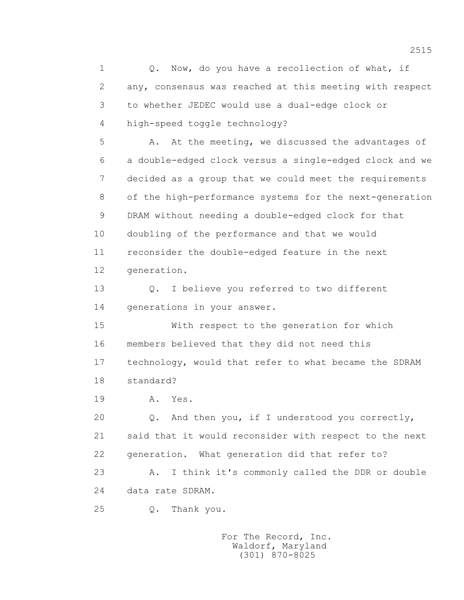1 0. Now, do you have a recollection of what, if 2 any, consensus was reached at this meeting with respect 3 to whether JEDEC would use a dual-edge clock or 4 high-speed toggle technology?

 5 A. At the meeting, we discussed the advantages of 6 a double-edged clock versus a single-edged clock and we 7 decided as a group that we could meet the requirements 8 of the high-performance systems for the next-generation 9 DRAM without needing a double-edged clock for that 10 doubling of the performance and that we would 11 reconsider the double-edged feature in the next 12 generation.

 13 Q. I believe you referred to two different 14 generations in your answer.

 15 With respect to the generation for which 16 members believed that they did not need this 17 technology, would that refer to what became the SDRAM 18 standard?

19 **A.** Yes.

 20 Q. And then you, if I understood you correctly, 21 said that it would reconsider with respect to the next 22 generation. What generation did that refer to? 23 A. I think it's commonly called the DDR or double

24 data rate SDRAM.

25 Q. Thank you.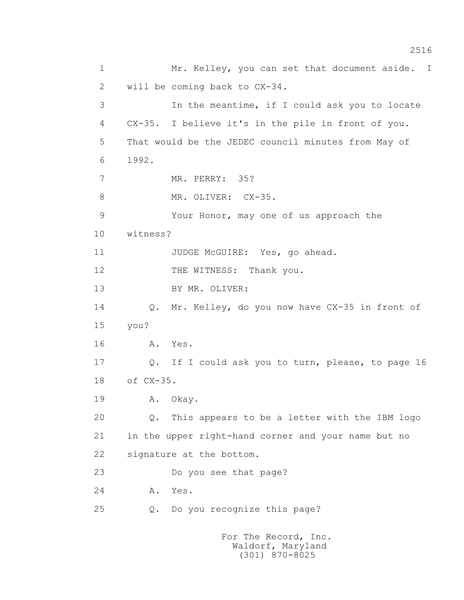1 Mr. Kelley, you can set that document aside. I 2 will be coming back to CX-34. 3 In the meantime, if I could ask you to locate 4 CX-35. I believe it's in the pile in front of you. 5 That would be the JEDEC council minutes from May of 6 1992. 7 MR. PERRY: 35? 8 MR. OLIVER: CX-35. 9 Your Honor, may one of us approach the 10 witness? 11 JUDGE McGUIRE: Yes, go ahead. 12 THE WITNESS: Thank you. 13 BY MR. OLIVER: 14 Q. Mr. Kelley, do you now have CX-35 in front of 15 you? 16 A. Yes. 17 Q. If I could ask you to turn, please, to page 16 18 of CX-35. 19 A. Okay. 20 Q. This appears to be a letter with the IBM logo 21 in the upper right-hand corner and your name but no 22 signature at the bottom. 23 Do you see that page? 24 A. Yes. 25 Q. Do you recognize this page? For The Record, Inc.

 Waldorf, Maryland (301) 870-8025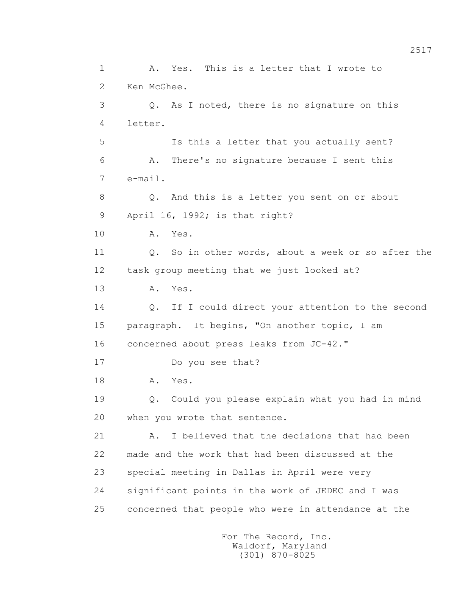1 A. Yes. This is a letter that I wrote to 2 Ken McGhee. 3 Q. As I noted, there is no signature on this 4 letter. 5 Is this a letter that you actually sent? 6 A. There's no signature because I sent this 7 e-mail. 8 Q. And this is a letter you sent on or about 9 April 16, 1992; is that right? 10 A. Yes. 11 0. So in other words, about a week or so after the 12 task group meeting that we just looked at? 13 A. Yes. 14 Q. If I could direct your attention to the second 15 paragraph. It begins, "On another topic, I am 16 concerned about press leaks from JC-42." 17 Do you see that? 18 **A.** Yes. 19 Q. Could you please explain what you had in mind 20 when you wrote that sentence. 21 A. I believed that the decisions that had been 22 made and the work that had been discussed at the 23 special meeting in Dallas in April were very 24 significant points in the work of JEDEC and I was 25 concerned that people who were in attendance at the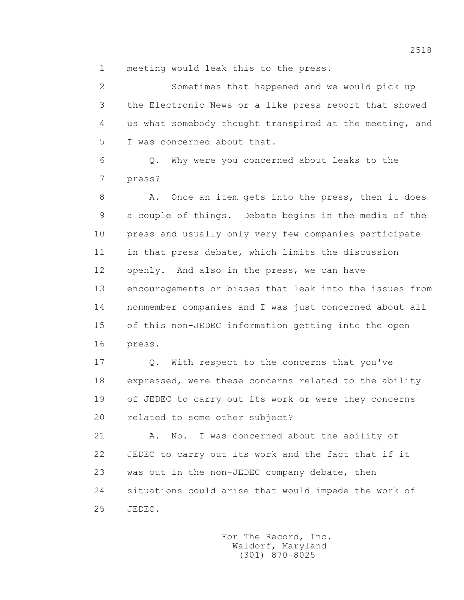1 meeting would leak this to the press.

 2 Sometimes that happened and we would pick up 3 the Electronic News or a like press report that showed 4 us what somebody thought transpired at the meeting, and 5 I was concerned about that.

 6 Q. Why were you concerned about leaks to the 7 press?

8 A. Once an item gets into the press, then it does 9 a couple of things. Debate begins in the media of the 10 press and usually only very few companies participate 11 in that press debate, which limits the discussion 12 openly. And also in the press, we can have 13 encouragements or biases that leak into the issues from 14 nonmember companies and I was just concerned about all 15 of this non-JEDEC information getting into the open 16 press.

17 0. With respect to the concerns that you've 18 expressed, were these concerns related to the ability 19 of JEDEC to carry out its work or were they concerns 20 related to some other subject?

 21 A. No. I was concerned about the ability of 22 JEDEC to carry out its work and the fact that if it 23 was out in the non-JEDEC company debate, then 24 situations could arise that would impede the work of 25 JEDEC.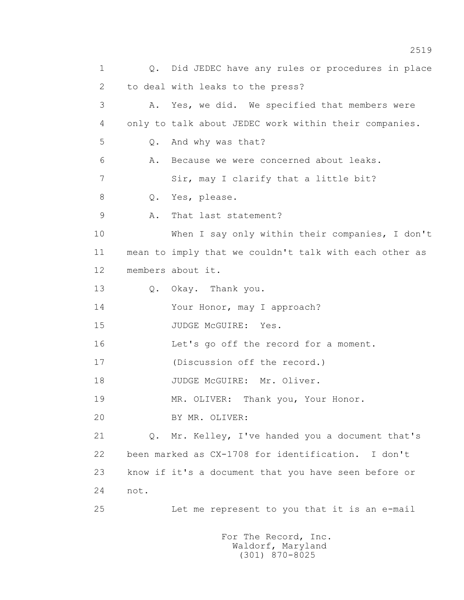1 Q. Did JEDEC have any rules or procedures in place 2 to deal with leaks to the press? 3 A. Yes, we did. We specified that members were 4 only to talk about JEDEC work within their companies. 5 Q. And why was that? 6 A. Because we were concerned about leaks. 7 Sir, may I clarify that a little bit? 8 Q. Yes, please. 9 A. That last statement? 10 When I say only within their companies, I don't 11 mean to imply that we couldn't talk with each other as 12 members about it. 13 Q. Okay. Thank you. 14 Your Honor, may I approach? 15 JUDGE McGUIRE: Yes. 16 Let's go off the record for a moment. 17 (Discussion off the record.) 18 JUDGE McGUIRE: Mr. Oliver. 19 MR. OLIVER: Thank you, Your Honor. 20 BY MR. OLIVER: 21 Q. Mr. Kelley, I've handed you a document that's 22 been marked as CX-1708 for identification. I don't 23 know if it's a document that you have seen before or 24 not. 25 Let me represent to you that it is an e-mail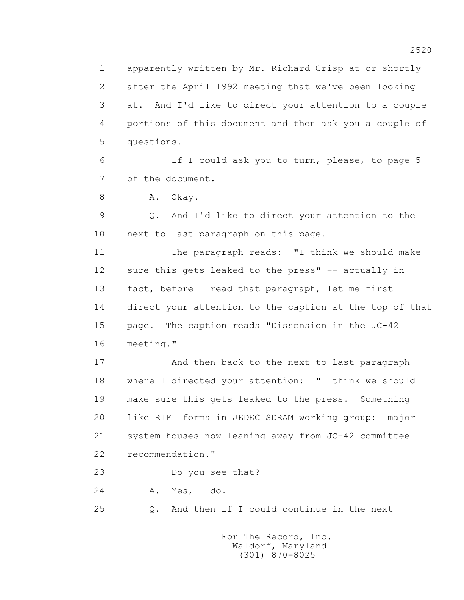1 apparently written by Mr. Richard Crisp at or shortly 2 after the April 1992 meeting that we've been looking 3 at. And I'd like to direct your attention to a couple 4 portions of this document and then ask you a couple of 5 questions.

 6 If I could ask you to turn, please, to page 5 7 of the document.

8 A. Okay.

 9 Q. And I'd like to direct your attention to the 10 next to last paragraph on this page.

 11 The paragraph reads: "I think we should make 12 sure this gets leaked to the press" -- actually in 13 fact, before I read that paragraph, let me first 14 direct your attention to the caption at the top of that 15 page. The caption reads "Dissension in the JC-42 16 meeting."

 17 And then back to the next to last paragraph 18 where I directed your attention: "I think we should 19 make sure this gets leaked to the press. Something 20 like RIFT forms in JEDEC SDRAM working group: major 21 system houses now leaning away from JC-42 committee 22 recommendation."

23 Do you see that?

24 A. Yes, I do.

25 Q. And then if I could continue in the next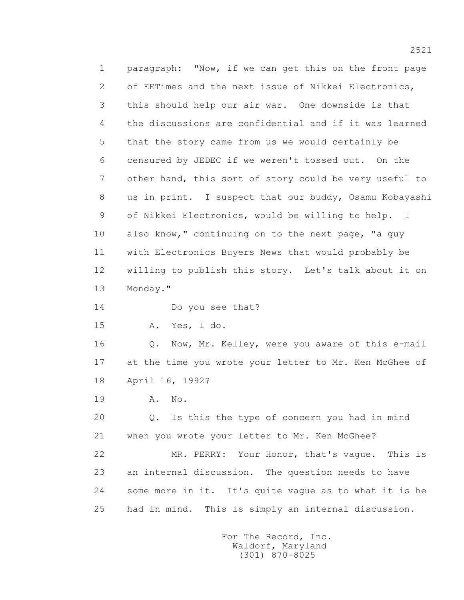1 paragraph: "Now, if we can get this on the front page 2 of EETimes and the next issue of Nikkei Electronics, 3 this should help our air war. One downside is that 4 the discussions are confidential and if it was learned 5 that the story came from us we would certainly be 6 censured by JEDEC if we weren't tossed out. On the 7 other hand, this sort of story could be very useful to 8 us in print. I suspect that our buddy, Osamu Kobayashi 9 of Nikkei Electronics, would be willing to help. I 10 also know," continuing on to the next page, "a guy 11 with Electronics Buyers News that would probably be 12 willing to publish this story. Let's talk about it on 13 Monday." 14 Do you see that? 15 A. Yes, I do. 16 Q. Now, Mr. Kelley, were you aware of this e-mail 17 at the time you wrote your letter to Mr. Ken McGhee of 18 April 16, 1992? 19 A. No. 20 Q. Is this the type of concern you had in mind 21 when you wrote your letter to Mr. Ken McGhee? 22 MR. PERRY: Your Honor, that's vague. This is 23 an internal discussion. The question needs to have

25 had in mind. This is simply an internal discussion.

24 some more in it. It's quite vague as to what it is he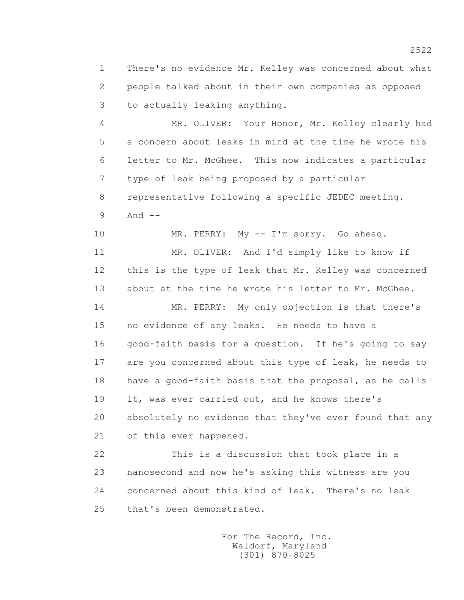1 There's no evidence Mr. Kelley was concerned about what 2 people talked about in their own companies as opposed 3 to actually leaking anything.

 4 MR. OLIVER: Your Honor, Mr. Kelley clearly had 5 a concern about leaks in mind at the time he wrote his 6 letter to Mr. McGhee. This now indicates a particular 7 type of leak being proposed by a particular 8 representative following a specific JEDEC meeting. 9 And --

10 MR. PERRY: My -- I'm sorry. Go ahead.

 11 MR. OLIVER: And I'd simply like to know if 12 this is the type of leak that Mr. Kelley was concerned 13 about at the time he wrote his letter to Mr. McGhee.

 14 MR. PERRY: My only objection is that there's 15 no evidence of any leaks. He needs to have a 16 good-faith basis for a question. If he's going to say 17 are you concerned about this type of leak, he needs to 18 have a good-faith basis that the proposal, as he calls 19 it, was ever carried out, and he knows there's 20 absolutely no evidence that they've ever found that any 21 of this ever happened.

 22 This is a discussion that took place in a 23 nanosecond and now he's asking this witness are you 24 concerned about this kind of leak. There's no leak 25 that's been demonstrated.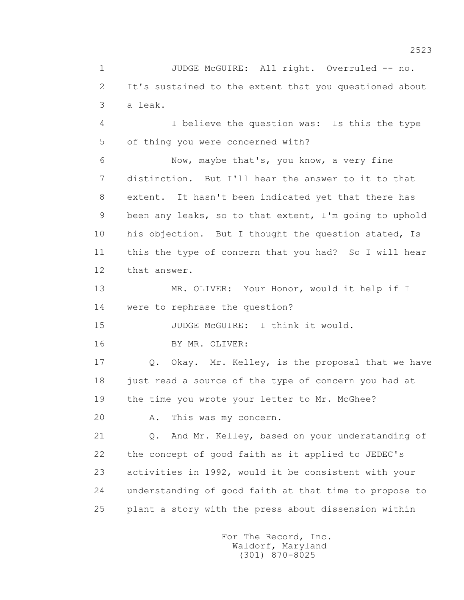1 JUDGE McGUIRE: All right. Overruled -- no. 2 It's sustained to the extent that you questioned about 3 a leak.

 4 I believe the question was: Is this the type 5 of thing you were concerned with?

 6 Now, maybe that's, you know, a very fine 7 distinction. But I'll hear the answer to it to that 8 extent. It hasn't been indicated yet that there has 9 been any leaks, so to that extent, I'm going to uphold 10 his objection. But I thought the question stated, Is 11 this the type of concern that you had? So I will hear 12 that answer.

 13 MR. OLIVER: Your Honor, would it help if I 14 were to rephrase the question?

15 JUDGE McGUIRE: I think it would.

16 BY MR. OLIVER:

 17 Q. Okay. Mr. Kelley, is the proposal that we have 18 just read a source of the type of concern you had at 19 the time you wrote your letter to Mr. McGhee?

20 A. This was my concern.

 21 Q. And Mr. Kelley, based on your understanding of 22 the concept of good faith as it applied to JEDEC's 23 activities in 1992, would it be consistent with your 24 understanding of good faith at that time to propose to 25 plant a story with the press about dissension within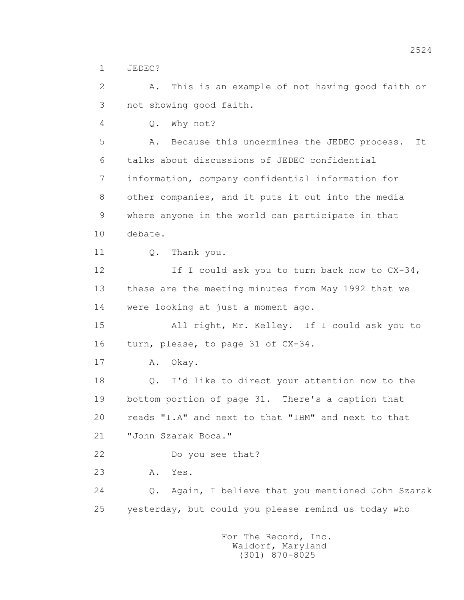1 JEDEC?

 2 A. This is an example of not having good faith or 3 not showing good faith.

4 Q. Why not?

 5 A. Because this undermines the JEDEC process. It 6 talks about discussions of JEDEC confidential 7 information, company confidential information for 8 other companies, and it puts it out into the media 9 where anyone in the world can participate in that 10 debate.

11 0. Thank you.

12 If I could ask you to turn back now to CX-34, 13 these are the meeting minutes from May 1992 that we 14 were looking at just a moment ago.

 15 All right, Mr. Kelley. If I could ask you to 16 turn, please, to page 31 of CX-34.

17 A. Okay.

 18 Q. I'd like to direct your attention now to the 19 bottom portion of page 31. There's a caption that 20 reads "I.A" and next to that "IBM" and next to that 21 "John Szarak Boca."

22 Do you see that?

23 A. Yes.

 24 Q. Again, I believe that you mentioned John Szarak 25 yesterday, but could you please remind us today who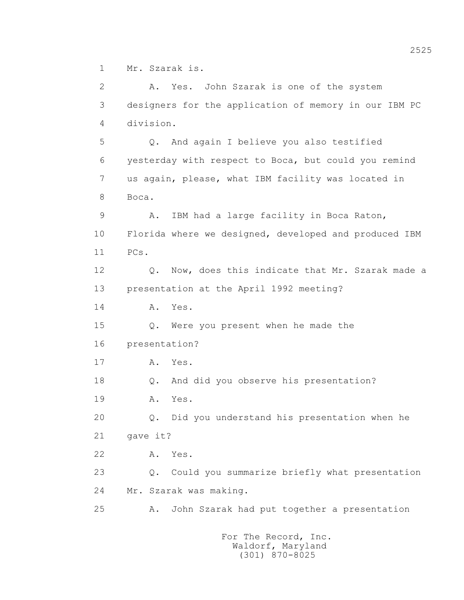1 Mr. Szarak is.

 2 A. Yes. John Szarak is one of the system 3 designers for the application of memory in our IBM PC 4 division. 5 Q. And again I believe you also testified 6 yesterday with respect to Boca, but could you remind 7 us again, please, what IBM facility was located in 8 Boca. 9 A. IBM had a large facility in Boca Raton, 10 Florida where we designed, developed and produced IBM 11 PCs. 12 Q. Now, does this indicate that Mr. Szarak made a 13 presentation at the April 1992 meeting? 14 A. Yes. 15 Q. Were you present when he made the 16 presentation? 17 A. Yes. 18 Q. And did you observe his presentation? 19 A. Yes. 20 Q. Did you understand his presentation when he 21 gave it? 22 A. Yes. 23 Q. Could you summarize briefly what presentation 24 Mr. Szarak was making. 25 A. John Szarak had put together a presentation For The Record, Inc.

 Waldorf, Maryland (301) 870-8025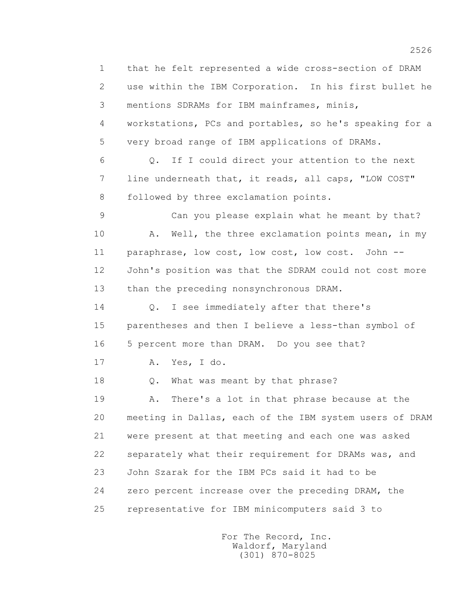1 that he felt represented a wide cross-section of DRAM 2 use within the IBM Corporation. In his first bullet he 3 mentions SDRAMs for IBM mainframes, minis, 4 workstations, PCs and portables, so he's speaking for a 5 very broad range of IBM applications of DRAMs. 6 Q. If I could direct your attention to the next 7 line underneath that, it reads, all caps, "LOW COST" 8 followed by three exclamation points. 9 Can you please explain what he meant by that? 10 A. Well, the three exclamation points mean, in my 11 paraphrase, low cost, low cost, low cost. John -- 12 John's position was that the SDRAM could not cost more 13 than the preceding nonsynchronous DRAM. 14 Q. I see immediately after that there's 15 parentheses and then I believe a less-than symbol of 16 5 percent more than DRAM. Do you see that? 17 A. Yes, I do. 18 Q. What was meant by that phrase? 19 A. There's a lot in that phrase because at the 20 meeting in Dallas, each of the IBM system users of DRAM 21 were present at that meeting and each one was asked 22 separately what their requirement for DRAMs was, and 23 John Szarak for the IBM PCs said it had to be 24 zero percent increase over the preceding DRAM, the 25 representative for IBM minicomputers said 3 to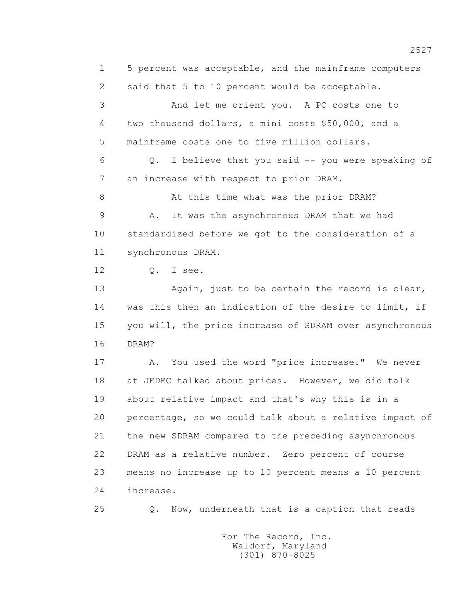1 5 percent was acceptable, and the mainframe computers 2 said that 5 to 10 percent would be acceptable. 3 And let me orient you. A PC costs one to 4 two thousand dollars, a mini costs \$50,000, and a 5 mainframe costs one to five million dollars. 6 Q. I believe that you said -- you were speaking of 7 an increase with respect to prior DRAM. 8 At this time what was the prior DRAM? 9 A. It was the asynchronous DRAM that we had 10 standardized before we got to the consideration of a 11 synchronous DRAM. 12 Q. I see. 13 Again, just to be certain the record is clear, 14 was this then an indication of the desire to limit, if 15 you will, the price increase of SDRAM over asynchronous 16 DRAM? 17 A. You used the word "price increase." We never 18 at JEDEC talked about prices. However, we did talk 19 about relative impact and that's why this is in a 20 percentage, so we could talk about a relative impact of 21 the new SDRAM compared to the preceding asynchronous 22 DRAM as a relative number. Zero percent of course 23 means no increase up to 10 percent means a 10 percent 24 increase.

25 Q. Now, underneath that is a caption that reads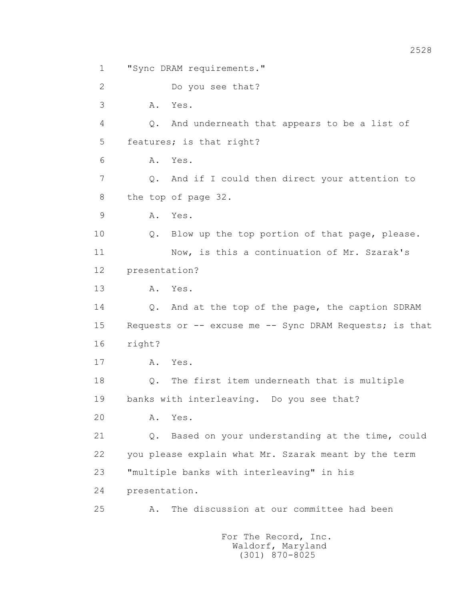2 Do you see that? 3 A. Yes. 4 Q. And underneath that appears to be a list of 5 features; is that right? 6 A. Yes. 7 Q. And if I could then direct your attention to 8 the top of page 32. 9 A. Yes. 10 Q. Blow up the top portion of that page, please. 11 Now, is this a continuation of Mr. Szarak's 12 presentation? 13 A. Yes. 14 Q. And at the top of the page, the caption SDRAM 15 Requests or -- excuse me -- Sync DRAM Requests; is that 16 right? 17 A. Yes. 18 Q. The first item underneath that is multiple 19 banks with interleaving. Do you see that? 20 A. Yes. 21 Q. Based on your understanding at the time, could 22 you please explain what Mr. Szarak meant by the term 23 "multiple banks with interleaving" in his 24 presentation. 25 A. The discussion at our committee had been

1 "Sync DRAM requirements."

 For The Record, Inc. Waldorf, Maryland (301) 870-8025

2528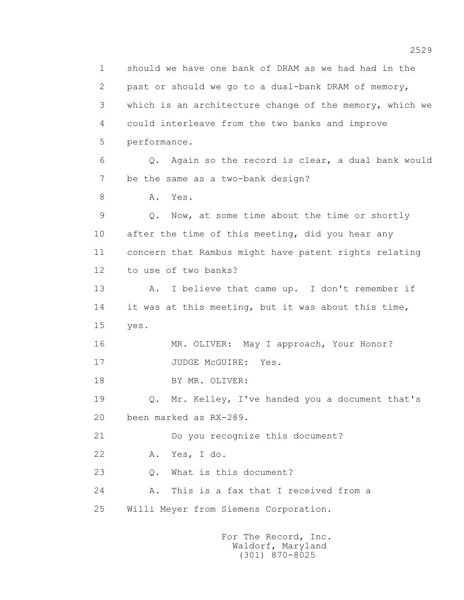1 should we have one bank of DRAM as we had had in the 2 past or should we go to a dual-bank DRAM of memory, 3 which is an architecture change of the memory, which we 4 could interleave from the two banks and improve 5 performance. 6 Q. Again so the record is clear, a dual bank would 7 be the same as a two-bank design? 8 A. Yes. 9 Q. Now, at some time about the time or shortly 10 after the time of this meeting, did you hear any 11 concern that Rambus might have patent rights relating 12 to use of two banks? 13 A. I believe that came up. I don't remember if 14 it was at this meeting, but it was about this time, 15 yes. 16 MR. OLIVER: May I approach, Your Honor? 17 JUDGE McGUIRE: Yes. 18 BY MR. OLIVER: 19 Q. Mr. Kelley, I've handed you a document that's 20 been marked as RX-289. 21 Do you recognize this document? 22 A. Yes, I do. 23 Q. What is this document? 24 A. This is a fax that I received from a 25 Willi Meyer from Siemens Corporation. For The Record, Inc.

 Waldorf, Maryland (301) 870-8025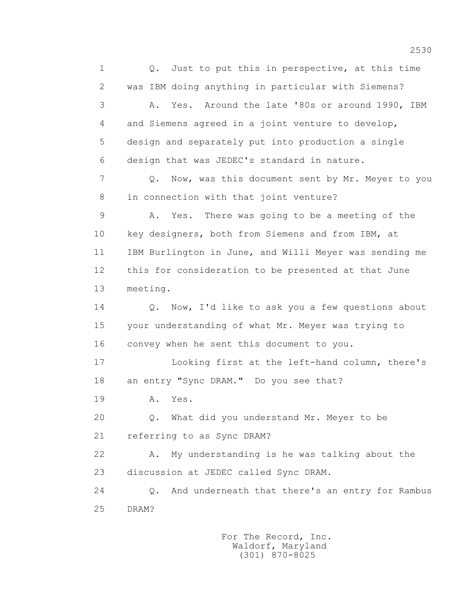1 0. Just to put this in perspective, at this time 2 was IBM doing anything in particular with Siemens? 3 A. Yes. Around the late '80s or around 1990, IBM 4 and Siemens agreed in a joint venture to develop, 5 design and separately put into production a single 6 design that was JEDEC's standard in nature. 7 Q. Now, was this document sent by Mr. Meyer to you 8 in connection with that joint venture? 9 A. Yes. There was going to be a meeting of the 10 key designers, both from Siemens and from IBM, at 11 IBM Burlington in June, and Willi Meyer was sending me 12 this for consideration to be presented at that June 13 meeting. 14 Q. Now, I'd like to ask you a few questions about 15 your understanding of what Mr. Meyer was trying to 16 convey when he sent this document to you. 17 Looking first at the left-hand column, there's 18 an entry "Sync DRAM." Do you see that? 19 **A.** Yes. 20 Q. What did you understand Mr. Meyer to be 21 referring to as Sync DRAM? 22 A. My understanding is he was talking about the 23 discussion at JEDEC called Sync DRAM. 24 Q. And underneath that there's an entry for Rambus 25 DRAM?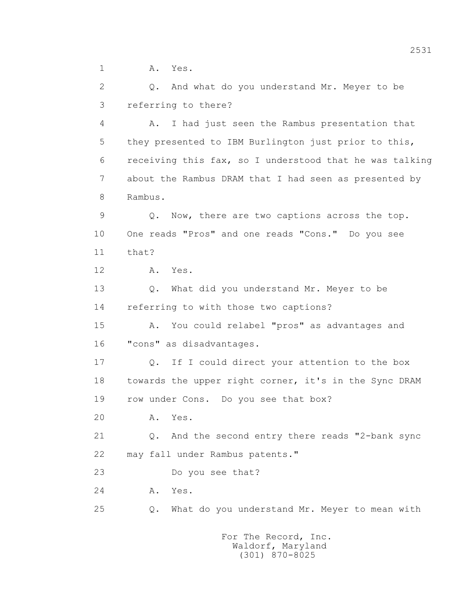1 A. Yes.

 2 Q. And what do you understand Mr. Meyer to be 3 referring to there?

 4 A. I had just seen the Rambus presentation that 5 they presented to IBM Burlington just prior to this, 6 receiving this fax, so I understood that he was talking 7 about the Rambus DRAM that I had seen as presented by 8 Rambus.

 9 Q. Now, there are two captions across the top. 10 One reads "Pros" and one reads "Cons." Do you see 11 that?

12 A. Yes.

 13 Q. What did you understand Mr. Meyer to be 14 referring to with those two captions?

 15 A. You could relabel "pros" as advantages and 16 "cons" as disadvantages.

 17 Q. If I could direct your attention to the box 18 towards the upper right corner, it's in the Sync DRAM 19 row under Cons. Do you see that box?

20 A. Yes.

 21 Q. And the second entry there reads "2-bank sync 22 may fall under Rambus patents."

23 Do you see that?

24 A. Yes.

25 Q. What do you understand Mr. Meyer to mean with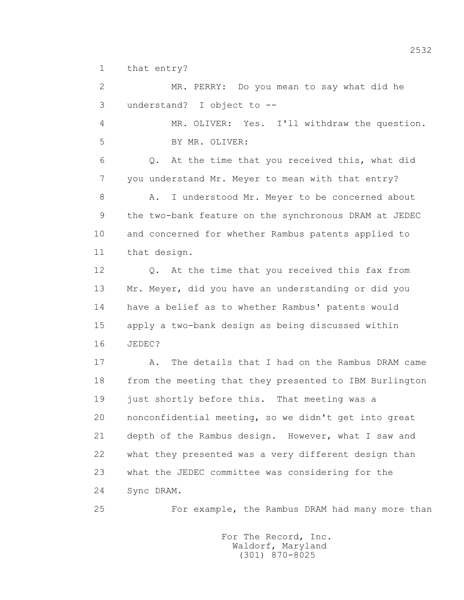1 that entry?

 2 MR. PERRY: Do you mean to say what did he 3 understand? I object to -- 4 MR. OLIVER: Yes. I'll withdraw the question. 5 BY MR. OLIVER: 6 Q. At the time that you received this, what did 7 you understand Mr. Meyer to mean with that entry? 8 A. I understood Mr. Meyer to be concerned about 9 the two-bank feature on the synchronous DRAM at JEDEC 10 and concerned for whether Rambus patents applied to 11 that design. 12 Q. At the time that you received this fax from 13 Mr. Meyer, did you have an understanding or did you 14 have a belief as to whether Rambus' patents would 15 apply a two-bank design as being discussed within 16 JEDEC? 17 A. The details that I had on the Rambus DRAM came 18 from the meeting that they presented to IBM Burlington 19 just shortly before this. That meeting was a 20 nonconfidential meeting, so we didn't get into great 21 depth of the Rambus design. However, what I saw and 22 what they presented was a very different design than 23 what the JEDEC committee was considering for the 24 Sync DRAM.

25 For example, the Rambus DRAM had many more than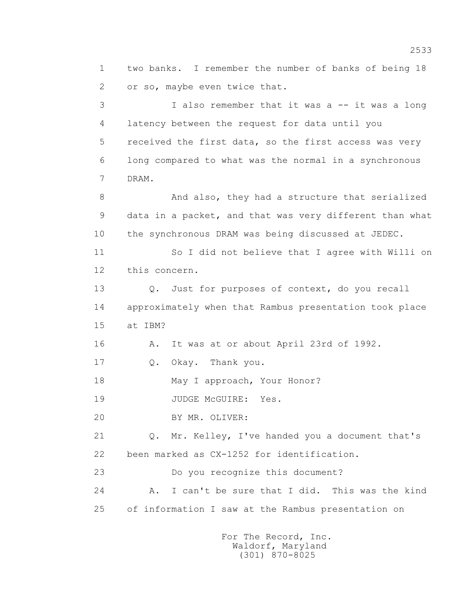1 two banks. I remember the number of banks of being 18 2 or so, maybe even twice that.

3 I also remember that it was a -- it was a long 4 latency between the request for data until you 5 received the first data, so the first access was very 6 long compared to what was the normal in a synchronous 7 DRAM.

 8 And also, they had a structure that serialized 9 data in a packet, and that was very different than what 10 the synchronous DRAM was being discussed at JEDEC.

 11 So I did not believe that I agree with Willi on 12 this concern.

 13 Q. Just for purposes of context, do you recall 14 approximately when that Rambus presentation took place 15 at IBM?

16 A. It was at or about April 23rd of 1992.

17 0. Okay. Thank you.

18 May I approach, Your Honor?

19 JUDGE McGUIRE: Yes.

20 BY MR. OLIVER:

 21 Q. Mr. Kelley, I've handed you a document that's 22 been marked as CX-1252 for identification.

23 Do you recognize this document?

 24 A. I can't be sure that I did. This was the kind 25 of information I saw at the Rambus presentation on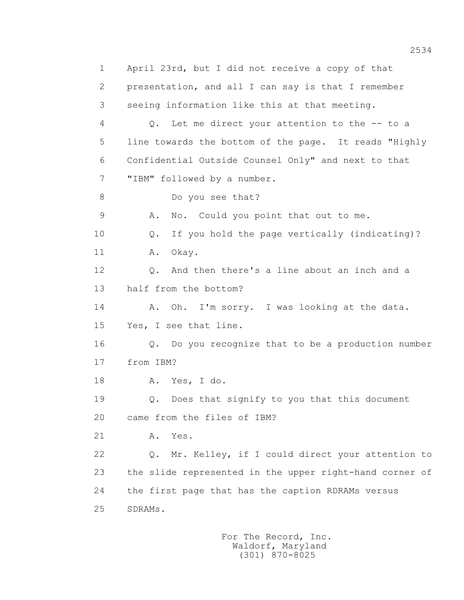1 April 23rd, but I did not receive a copy of that 2 presentation, and all I can say is that I remember 3 seeing information like this at that meeting. 4 Q. Let me direct your attention to the -- to a 5 line towards the bottom of the page. It reads "Highly 6 Confidential Outside Counsel Only" and next to that 7 "IBM" followed by a number. 8 Do you see that? 9 A. No. Could you point that out to me. 10 Q. If you hold the page vertically (indicating)? 11 A. Okay. 12 Q. And then there's a line about an inch and a 13 half from the bottom? 14 A. Oh. I'm sorry. I was looking at the data. 15 Yes, I see that line. 16 Q. Do you recognize that to be a production number 17 from IBM? 18 A. Yes, I do. 19 Q. Does that signify to you that this document 20 came from the files of IBM? 21 A. Yes. 22 Q. Mr. Kelley, if I could direct your attention to 23 the slide represented in the upper right-hand corner of 24 the first page that has the caption RDRAMs versus 25 SDRAMs.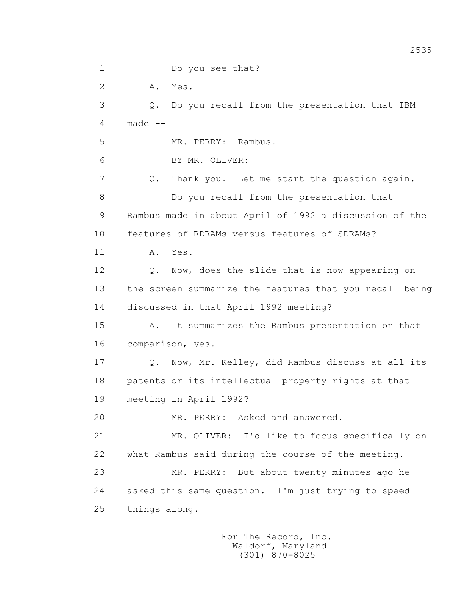1 Do you see that? 2 A. Yes. 3 Q. Do you recall from the presentation that IBM  $4$  made  $-$  5 MR. PERRY: Rambus. 6 BY MR. OLIVER: 7 Q. Thank you. Let me start the question again. 8 Do you recall from the presentation that 9 Rambus made in about April of 1992 a discussion of the 10 features of RDRAMs versus features of SDRAMs? 11 A. Yes. 12 Q. Now, does the slide that is now appearing on 13 the screen summarize the features that you recall being 14 discussed in that April 1992 meeting? 15 A. It summarizes the Rambus presentation on that 16 comparison, yes. 17 Q. Now, Mr. Kelley, did Rambus discuss at all its 18 patents or its intellectual property rights at that 19 meeting in April 1992? 20 MR. PERRY: Asked and answered. 21 MR. OLIVER: I'd like to focus specifically on 22 what Rambus said during the course of the meeting. 23 MR. PERRY: But about twenty minutes ago he 24 asked this same question. I'm just trying to speed 25 things along.

2535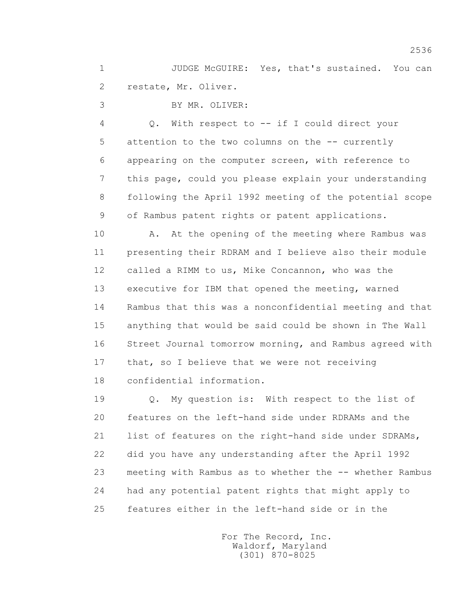1 JUDGE McGUIRE: Yes, that's sustained. You can 2 restate, Mr. Oliver.

3 BY MR. OLIVER:

 4 Q. With respect to -- if I could direct your 5 attention to the two columns on the -- currently 6 appearing on the computer screen, with reference to 7 this page, could you please explain your understanding 8 following the April 1992 meeting of the potential scope 9 of Rambus patent rights or patent applications.

10 A. At the opening of the meeting where Rambus was 11 presenting their RDRAM and I believe also their module 12 called a RIMM to us, Mike Concannon, who was the 13 executive for IBM that opened the meeting, warned 14 Rambus that this was a nonconfidential meeting and that 15 anything that would be said could be shown in The Wall 16 Street Journal tomorrow morning, and Rambus agreed with 17 that, so I believe that we were not receiving 18 confidential information.

 19 Q. My question is: With respect to the list of 20 features on the left-hand side under RDRAMs and the 21 list of features on the right-hand side under SDRAMs, 22 did you have any understanding after the April 1992 23 meeting with Rambus as to whether the -- whether Rambus 24 had any potential patent rights that might apply to 25 features either in the left-hand side or in the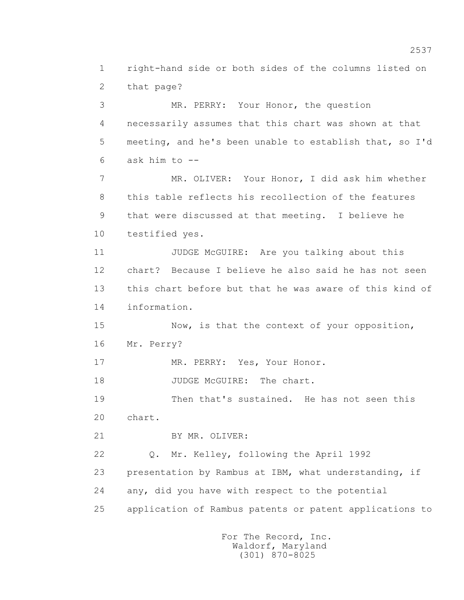1 right-hand side or both sides of the columns listed on 2 that page? 3 MR. PERRY: Your Honor, the question 4 necessarily assumes that this chart was shown at that 5 meeting, and he's been unable to establish that, so I'd  $6$  ask him to  $-$  7 MR. OLIVER: Your Honor, I did ask him whether 8 this table reflects his recollection of the features 9 that were discussed at that meeting. I believe he 10 testified yes. 11 JUDGE McGUIRE: Are you talking about this 12 chart? Because I believe he also said he has not seen 13 this chart before but that he was aware of this kind of 14 information. 15 Now, is that the context of your opposition, 16 Mr. Perry? 17 MR. PERRY: Yes, Your Honor. 18 JUDGE McGUIRE: The chart. 19 Then that's sustained. He has not seen this 20 chart. 21 BY MR. OLIVER: 22 Q. Mr. Kelley, following the April 1992 23 presentation by Rambus at IBM, what understanding, if 24 any, did you have with respect to the potential 25 application of Rambus patents or patent applications to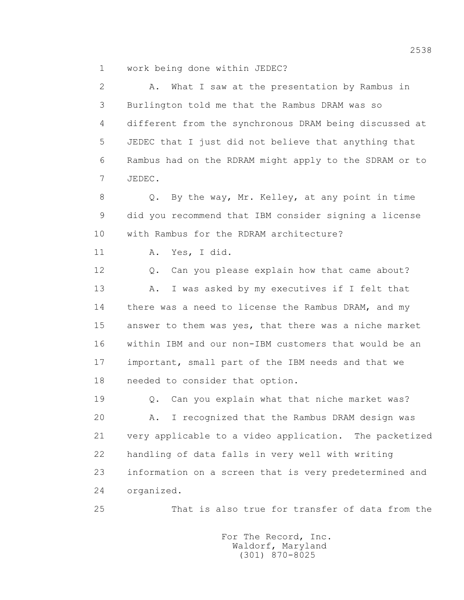1 work being done within JEDEC?

 2 A. What I saw at the presentation by Rambus in 3 Burlington told me that the Rambus DRAM was so 4 different from the synchronous DRAM being discussed at 5 JEDEC that I just did not believe that anything that 6 Rambus had on the RDRAM might apply to the SDRAM or to 7 JEDEC.

 8 Q. By the way, Mr. Kelley, at any point in time 9 did you recommend that IBM consider signing a license 10 with Rambus for the RDRAM architecture?

11 A. Yes, I did.

12 Q. Can you please explain how that came about? 13 A. I was asked by my executives if I felt that 14 there was a need to license the Rambus DRAM, and my 15 answer to them was yes, that there was a niche market 16 within IBM and our non-IBM customers that would be an 17 important, small part of the IBM needs and that we 18 needed to consider that option.

 19 Q. Can you explain what that niche market was? 20 A. I recognized that the Rambus DRAM design was 21 very applicable to a video application. The packetized 22 handling of data falls in very well with writing 23 information on a screen that is very predetermined and 24 organized.

25 That is also true for transfer of data from the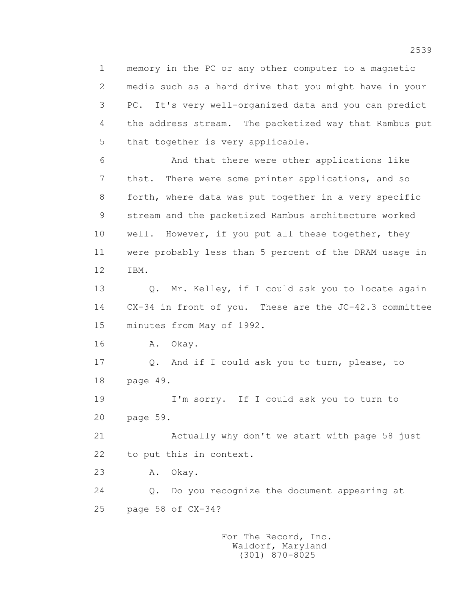1 memory in the PC or any other computer to a magnetic 2 media such as a hard drive that you might have in your 3 PC. It's very well-organized data and you can predict 4 the address stream. The packetized way that Rambus put 5 that together is very applicable.

 6 And that there were other applications like 7 that. There were some printer applications, and so 8 forth, where data was put together in a very specific 9 stream and the packetized Rambus architecture worked 10 well. However, if you put all these together, they 11 were probably less than 5 percent of the DRAM usage in 12 IBM.

 13 Q. Mr. Kelley, if I could ask you to locate again 14 CX-34 in front of you. These are the JC-42.3 committee 15 minutes from May of 1992.

16 A. Okay.

 17 Q. And if I could ask you to turn, please, to 18 page 49.

 19 I'm sorry. If I could ask you to turn to 20 page 59.

 21 Actually why don't we start with page 58 just 22 to put this in context.

23 A. Okay.

 24 Q. Do you recognize the document appearing at 25 page 58 of CX-34?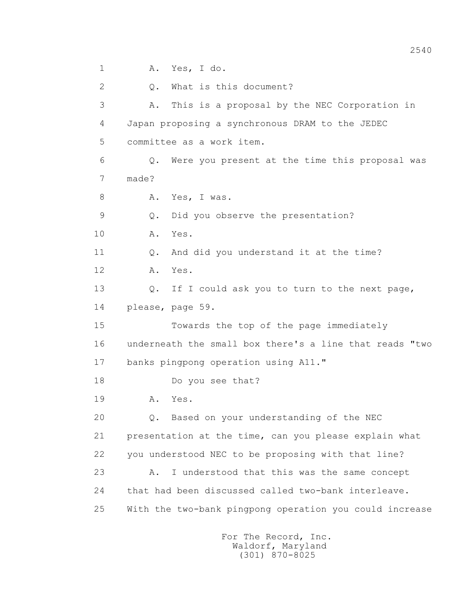1 A. Yes, I do. 2 Q. What is this document? 3 A. This is a proposal by the NEC Corporation in 4 Japan proposing a synchronous DRAM to the JEDEC 5 committee as a work item. 6 Q. Were you present at the time this proposal was 7 made? 8 A. Yes, I was. 9 Q. Did you observe the presentation? 10 A. Yes. 11 0. And did you understand it at the time? 12 A. Yes. 13 0. If I could ask you to turn to the next page, 14 please, page 59. 15 Towards the top of the page immediately 16 underneath the small box there's a line that reads "two 17 banks pingpong operation using A11." 18 Do you see that? 19 **A.** Yes. 20 Q. Based on your understanding of the NEC 21 presentation at the time, can you please explain what 22 you understood NEC to be proposing with that line? 23 A. I understood that this was the same concept 24 that had been discussed called two-bank interleave. 25 With the two-bank pingpong operation you could increase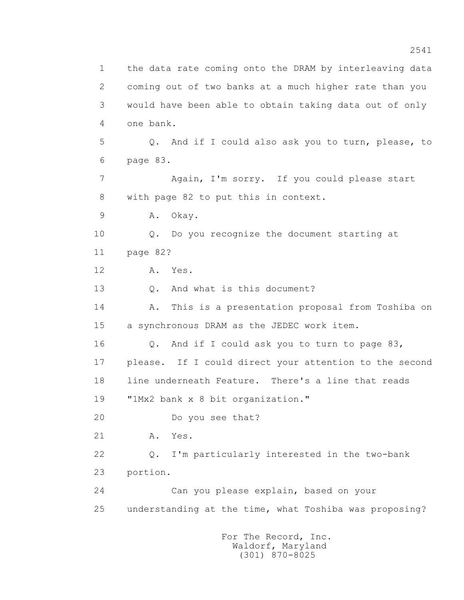1 the data rate coming onto the DRAM by interleaving data 2 coming out of two banks at a much higher rate than you 3 would have been able to obtain taking data out of only 4 one bank. 5 Q. And if I could also ask you to turn, please, to 6 page 83. 7 Again, I'm sorry. If you could please start 8 with page 82 to put this in context. 9 A. Okay. 10 Q. Do you recognize the document starting at 11 page 82? 12 A. Yes. 13 0. And what is this document? 14 A. This is a presentation proposal from Toshiba on 15 a synchronous DRAM as the JEDEC work item. 16 Q. And if I could ask you to turn to page 83, 17 please. If I could direct your attention to the second 18 line underneath Feature. There's a line that reads 19 "1Mx2 bank x 8 bit organization." 20 Do you see that? 21 A. Yes. 22 Q. I'm particularly interested in the two-bank 23 portion. 24 Can you please explain, based on your 25 understanding at the time, what Toshiba was proposing? For The Record, Inc.

 Waldorf, Maryland (301) 870-8025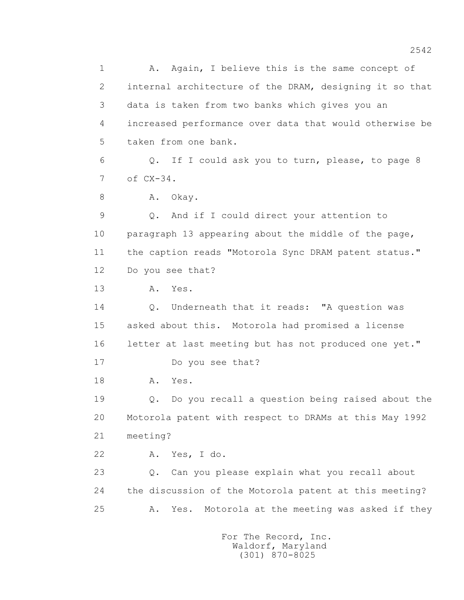1 A. Again, I believe this is the same concept of 2 internal architecture of the DRAM, designing it so that 3 data is taken from two banks which gives you an 4 increased performance over data that would otherwise be 5 taken from one bank. 6 Q. If I could ask you to turn, please, to page 8 7 of CX-34. 8 A. Okay. 9 Q. And if I could direct your attention to 10 paragraph 13 appearing about the middle of the page, 11 the caption reads "Motorola Sync DRAM patent status." 12 Do you see that? 13 A. Yes. 14 Q. Underneath that it reads: "A question was 15 asked about this. Motorola had promised a license 16 letter at last meeting but has not produced one yet." 17 Do you see that? 18 **A.** Yes. 19 Q. Do you recall a question being raised about the 20 Motorola patent with respect to DRAMs at this May 1992 21 meeting? 22 A. Yes, I do. 23 Q. Can you please explain what you recall about 24 the discussion of the Motorola patent at this meeting? 25 A. Yes. Motorola at the meeting was asked if they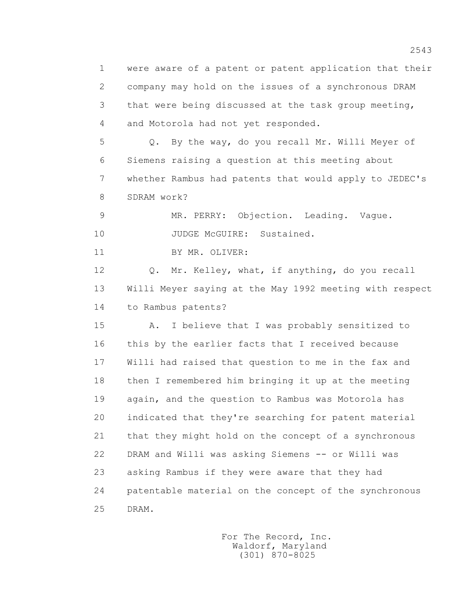1 were aware of a patent or patent application that their 2 company may hold on the issues of a synchronous DRAM 3 that were being discussed at the task group meeting, 4 and Motorola had not yet responded. 5 Q. By the way, do you recall Mr. Willi Meyer of 6 Siemens raising a question at this meeting about 7 whether Rambus had patents that would apply to JEDEC's 8 SDRAM work? 9 MR. PERRY: Objection. Leading. Vague. 10 JUDGE McGUIRE: Sustained. 11 BY MR. OLIVER: 12 Q. Mr. Kelley, what, if anything, do you recall 13 Willi Meyer saying at the May 1992 meeting with respect 14 to Rambus patents? 15 A. I believe that I was probably sensitized to 16 this by the earlier facts that I received because 17 Willi had raised that question to me in the fax and 18 then I remembered him bringing it up at the meeting 19 again, and the question to Rambus was Motorola has 20 indicated that they're searching for patent material 21 that they might hold on the concept of a synchronous 22 DRAM and Willi was asking Siemens -- or Willi was 23 asking Rambus if they were aware that they had 24 patentable material on the concept of the synchronous 25 DRAM.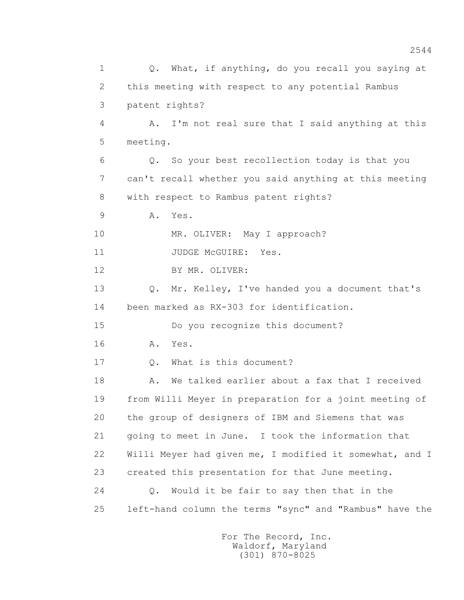1 0. What, if anything, do you recall you saying at 2 this meeting with respect to any potential Rambus 3 patent rights? 4 A. I'm not real sure that I said anything at this 5 meeting. 6 Q. So your best recollection today is that you 7 can't recall whether you said anything at this meeting 8 with respect to Rambus patent rights? 9 A. Yes. 10 MR. OLIVER: May I approach? 11 JUDGE McGUIRE: Yes. 12 BY MR. OLIVER: 13 Q. Mr. Kelley, I've handed you a document that's 14 been marked as RX-303 for identification. 15 Do you recognize this document? 16 **A.** Yes. 17 Q. What is this document? 18 A. We talked earlier about a fax that I received 19 from Willi Meyer in preparation for a joint meeting of 20 the group of designers of IBM and Siemens that was 21 going to meet in June. I took the information that 22 Willi Meyer had given me, I modified it somewhat, and I 23 created this presentation for that June meeting. 24 Q. Would it be fair to say then that in the 25 left-hand column the terms "sync" and "Rambus" have the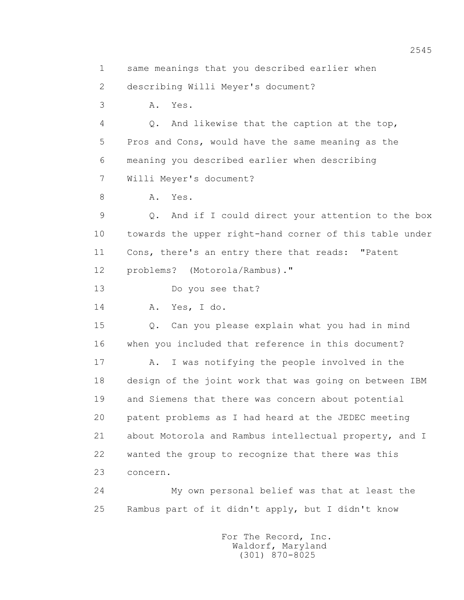1 same meanings that you described earlier when

2 describing Willi Meyer's document?

3 A. Yes.

 4 Q. And likewise that the caption at the top, 5 Pros and Cons, would have the same meaning as the 6 meaning you described earlier when describing 7 Willi Meyer's document?

8 A. Yes.

 9 Q. And if I could direct your attention to the box 10 towards the upper right-hand corner of this table under 11 Cons, there's an entry there that reads: "Patent 12 problems? (Motorola/Rambus)."

13 Do you see that?

14 A. Yes, I do.

 15 Q. Can you please explain what you had in mind 16 when you included that reference in this document?

 17 A. I was notifying the people involved in the 18 design of the joint work that was going on between IBM 19 and Siemens that there was concern about potential 20 patent problems as I had heard at the JEDEC meeting 21 about Motorola and Rambus intellectual property, and I 22 wanted the group to recognize that there was this 23 concern.

 24 My own personal belief was that at least the 25 Rambus part of it didn't apply, but I didn't know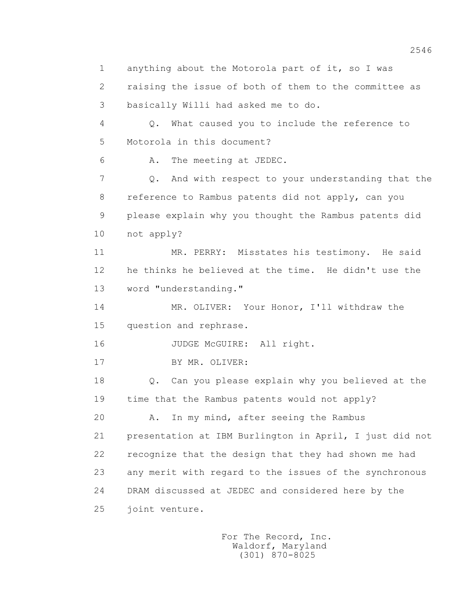2546 1 anything about the Motorola part of it, so I was 2 raising the issue of both of them to the committee as 3 basically Willi had asked me to do. 4 Q. What caused you to include the reference to 5 Motorola in this document? 6 A. The meeting at JEDEC. 7 Q. And with respect to your understanding that the 8 reference to Rambus patents did not apply, can you 9 please explain why you thought the Rambus patents did 10 not apply? 11 MR. PERRY: Misstates his testimony. He said 12 he thinks he believed at the time. He didn't use the 13 word "understanding." 14 MR. OLIVER: Your Honor, I'll withdraw the 15 question and rephrase. 16 JUDGE McGUIRE: All right.

17 BY MR. OLIVER:

 18 Q. Can you please explain why you believed at the 19 time that the Rambus patents would not apply?

 20 A. In my mind, after seeing the Rambus 21 presentation at IBM Burlington in April, I just did not 22 recognize that the design that they had shown me had 23 any merit with regard to the issues of the synchronous 24 DRAM discussed at JEDEC and considered here by the 25 joint venture.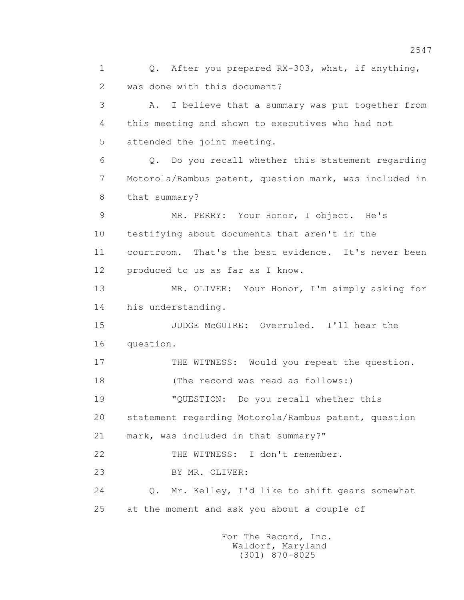1 0. After you prepared RX-303, what, if anything, 2 was done with this document? 3 A. I believe that a summary was put together from 4 this meeting and shown to executives who had not 5 attended the joint meeting. 6 Q. Do you recall whether this statement regarding 7 Motorola/Rambus patent, question mark, was included in 8 that summary? 9 MR. PERRY: Your Honor, I object. He's 10 testifying about documents that aren't in the 11 courtroom. That's the best evidence. It's never been 12 produced to us as far as I know. 13 MR. OLIVER: Your Honor, I'm simply asking for 14 his understanding. 15 JUDGE McGUIRE: Overruled. I'll hear the 16 question. 17 THE WITNESS: Would you repeat the question. 18 (The record was read as follows:) 19 "QUESTION: Do you recall whether this 20 statement regarding Motorola/Rambus patent, question 21 mark, was included in that summary?" 22 THE WITNESS: I don't remember. 23 BY MR. OLIVER: 24 Q. Mr. Kelley, I'd like to shift gears somewhat 25 at the moment and ask you about a couple of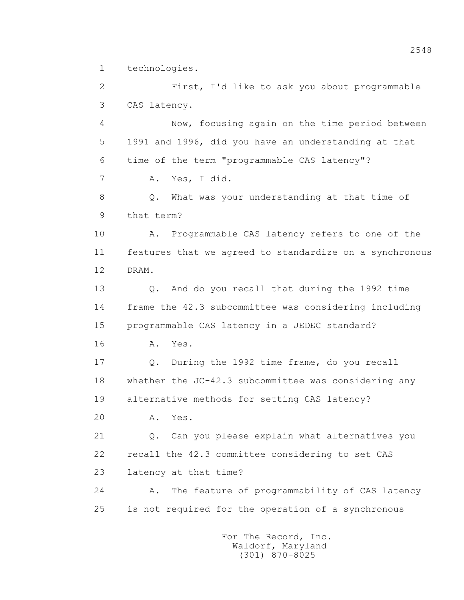1 technologies.

 2 First, I'd like to ask you about programmable 3 CAS latency.

 4 Now, focusing again on the time period between 5 1991 and 1996, did you have an understanding at that 6 time of the term "programmable CAS latency"? 7 A. Yes, I did. 8 Q. What was your understanding at that time of

9 that term?

 10 A. Programmable CAS latency refers to one of the 11 features that we agreed to standardize on a synchronous 12 DRAM.

 13 Q. And do you recall that during the 1992 time 14 frame the 42.3 subcommittee was considering including 15 programmable CAS latency in a JEDEC standard?

16 A. Yes.

 17 Q. During the 1992 time frame, do you recall 18 whether the JC-42.3 subcommittee was considering any 19 alternative methods for setting CAS latency?

20 A. Yes.

 21 Q. Can you please explain what alternatives you 22 recall the 42.3 committee considering to set CAS 23 latency at that time?

 24 A. The feature of programmability of CAS latency 25 is not required for the operation of a synchronous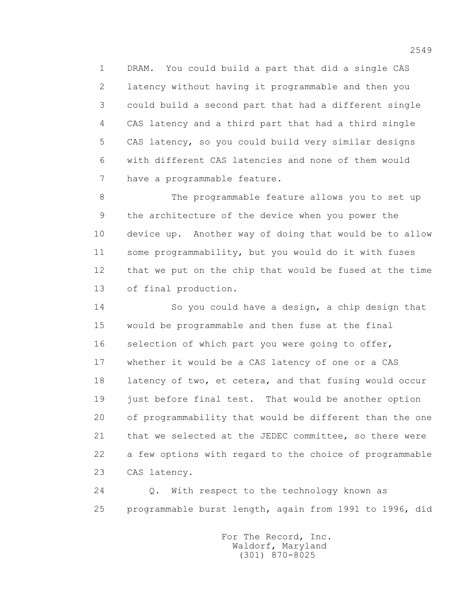1 DRAM. You could build a part that did a single CAS 2 latency without having it programmable and then you 3 could build a second part that had a different single 4 CAS latency and a third part that had a third single 5 CAS latency, so you could build very similar designs 6 with different CAS latencies and none of them would 7 have a programmable feature.

 8 The programmable feature allows you to set up 9 the architecture of the device when you power the 10 device up. Another way of doing that would be to allow 11 some programmability, but you would do it with fuses 12 that we put on the chip that would be fused at the time 13 of final production.

 14 So you could have a design, a chip design that 15 would be programmable and then fuse at the final 16 selection of which part you were going to offer, 17 whether it would be a CAS latency of one or a CAS 18 latency of two, et cetera, and that fusing would occur 19 just before final test. That would be another option 20 of programmability that would be different than the one 21 that we selected at the JEDEC committee, so there were 22 a few options with regard to the choice of programmable 23 CAS latency.

 24 Q. With respect to the technology known as 25 programmable burst length, again from 1991 to 1996, did

> For The Record, Inc. Waldorf, Maryland (301) 870-8025

2549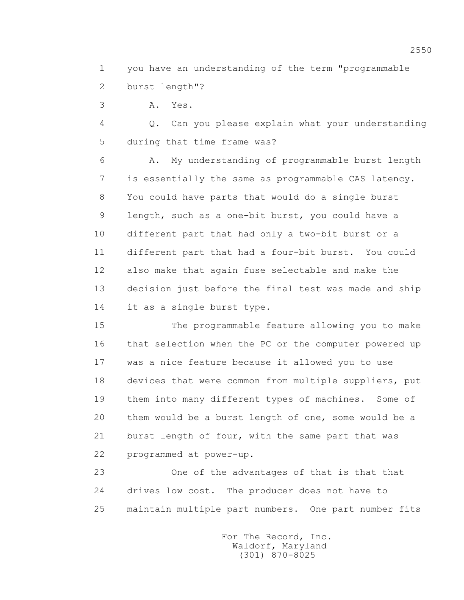1 you have an understanding of the term "programmable 2 burst length"?

3 A. Yes.

 4 Q. Can you please explain what your understanding 5 during that time frame was?

 6 A. My understanding of programmable burst length 7 is essentially the same as programmable CAS latency. 8 You could have parts that would do a single burst 9 length, such as a one-bit burst, you could have a 10 different part that had only a two-bit burst or a 11 different part that had a four-bit burst. You could 12 also make that again fuse selectable and make the 13 decision just before the final test was made and ship 14 it as a single burst type.

 15 The programmable feature allowing you to make 16 that selection when the PC or the computer powered up 17 was a nice feature because it allowed you to use 18 devices that were common from multiple suppliers, put 19 them into many different types of machines. Some of 20 them would be a burst length of one, some would be a 21 burst length of four, with the same part that was 22 programmed at power-up.

 23 One of the advantages of that is that that 24 drives low cost. The producer does not have to 25 maintain multiple part numbers. One part number fits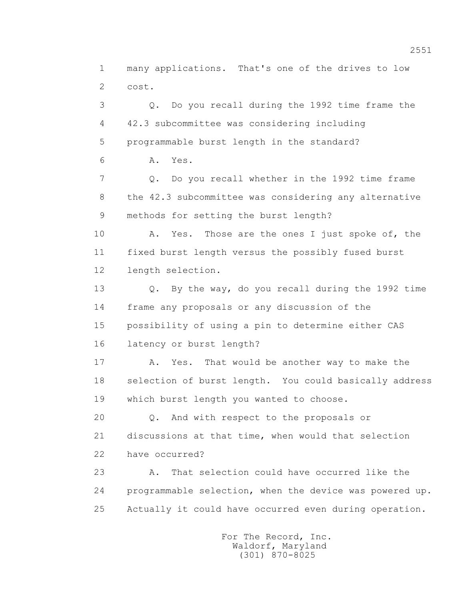1 many applications. That's one of the drives to low 2 cost.

 3 Q. Do you recall during the 1992 time frame the 4 42.3 subcommittee was considering including 5 programmable burst length in the standard? 6 A. Yes. 7 Q. Do you recall whether in the 1992 time frame 8 the 42.3 subcommittee was considering any alternative 9 methods for setting the burst length? 10 A. Yes. Those are the ones I just spoke of, the 11 fixed burst length versus the possibly fused burst 12 length selection. 13 Q. By the way, do you recall during the 1992 time 14 frame any proposals or any discussion of the 15 possibility of using a pin to determine either CAS 16 latency or burst length? 17 A. Yes. That would be another way to make the 18 selection of burst length. You could basically address 19 which burst length you wanted to choose. 20 0. And with respect to the proposals or 21 discussions at that time, when would that selection 22 have occurred? 23 A. That selection could have occurred like the

 24 programmable selection, when the device was powered up. 25 Actually it could have occurred even during operation.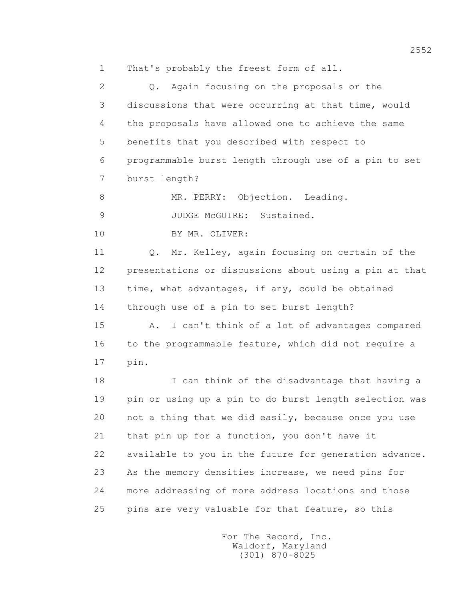1 That's probably the freest form of all.

 2 Q. Again focusing on the proposals or the 3 discussions that were occurring at that time, would 4 the proposals have allowed one to achieve the same 5 benefits that you described with respect to 6 programmable burst length through use of a pin to set 7 burst length?

8 MR. PERRY: Objection. Leading.

9 JUDGE McGUIRE: Sustained.

10 BY MR. OLIVER:

 11 Q. Mr. Kelley, again focusing on certain of the 12 presentations or discussions about using a pin at that 13 time, what advantages, if any, could be obtained 14 through use of a pin to set burst length?

 15 A. I can't think of a lot of advantages compared 16 to the programmable feature, which did not require a 17 pin.

 18 I can think of the disadvantage that having a 19 pin or using up a pin to do burst length selection was 20 not a thing that we did easily, because once you use 21 that pin up for a function, you don't have it 22 available to you in the future for generation advance. 23 As the memory densities increase, we need pins for 24 more addressing of more address locations and those 25 pins are very valuable for that feature, so this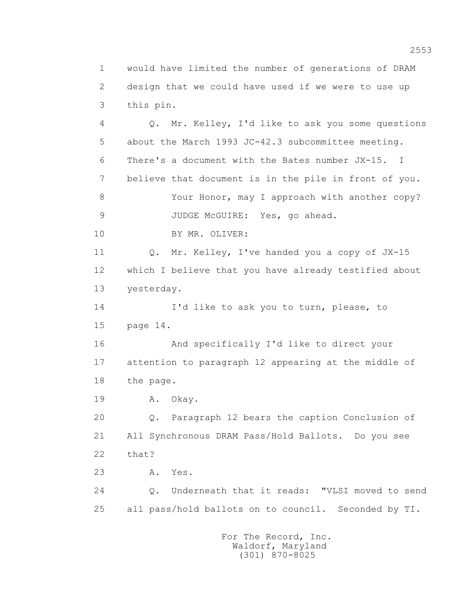1 would have limited the number of generations of DRAM 2 design that we could have used if we were to use up 3 this pin.

 4 Q. Mr. Kelley, I'd like to ask you some questions 5 about the March 1993 JC-42.3 subcommittee meeting. 6 There's a document with the Bates number JX-15. I 7 believe that document is in the pile in front of you. 8 Your Honor, may I approach with another copy? 9 JUDGE McGUIRE: Yes, go ahead. 10 BY MR. OLIVER: 11 Q. Mr. Kelley, I've handed you a copy of JX-15 12 which I believe that you have already testified about 13 yesterday. 14 I'd like to ask you to turn, please, to 15 page 14. 16 And specifically I'd like to direct your 17 attention to paragraph 12 appearing at the middle of 18 the page. 19 A. Okay. 20 Q. Paragraph 12 bears the caption Conclusion of 21 All Synchronous DRAM Pass/Hold Ballots. Do you see 22 that? 23 A. Yes. 24 Q. Underneath that it reads: "VLSI moved to send 25 all pass/hold ballots on to council. Seconded by TI.

> For The Record, Inc. Waldorf, Maryland (301) 870-8025

2553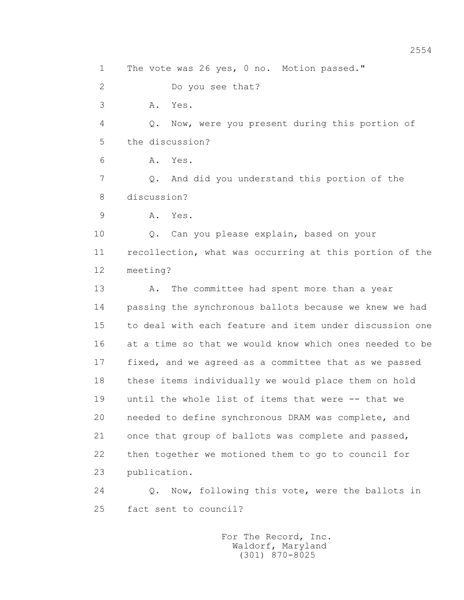1 The vote was 26 yes, 0 no. Motion passed." 2 Do you see that? 3 A. Yes. 4 Q. Now, were you present during this portion of 5 the discussion? 6 A. Yes. 7 Q. And did you understand this portion of the 8 discussion? 9 A. Yes. 10 Q. Can you please explain, based on your 11 recollection, what was occurring at this portion of the 12 meeting? 13 A. The committee had spent more than a year 14 passing the synchronous ballots because we knew we had 15 to deal with each feature and item under discussion one 16 at a time so that we would know which ones needed to be 17 fixed, and we agreed as a committee that as we passed 18 these items individually we would place them on hold 19 until the whole list of items that were -- that we 20 needed to define synchronous DRAM was complete, and 21 once that group of ballots was complete and passed, 22 then together we motioned them to go to council for 23 publication. 24 Q. Now, following this vote, were the ballots in 25 fact sent to council?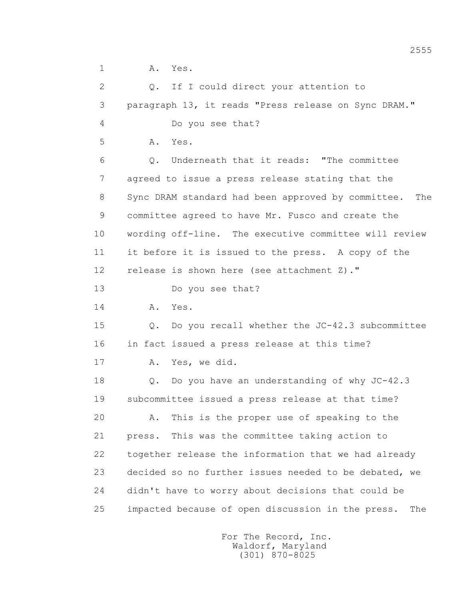1 A. Yes.

 2 Q. If I could direct your attention to 3 paragraph 13, it reads "Press release on Sync DRAM." 4 Do you see that? 5 A. Yes. 6 Q. Underneath that it reads: "The committee 7 agreed to issue a press release stating that the 8 Sync DRAM standard had been approved by committee. The 9 committee agreed to have Mr. Fusco and create the 10 wording off-line. The executive committee will review 11 it before it is issued to the press. A copy of the 12 release is shown here (see attachment Z)." 13 Do you see that? 14 A. Yes. 15 Q. Do you recall whether the JC-42.3 subcommittee 16 in fact issued a press release at this time? 17 A. Yes, we did. 18 Q. Do you have an understanding of why JC-42.3 19 subcommittee issued a press release at that time? 20 A. This is the proper use of speaking to the 21 press. This was the committee taking action to 22 together release the information that we had already 23 decided so no further issues needed to be debated, we 24 didn't have to worry about decisions that could be 25 impacted because of open discussion in the press. The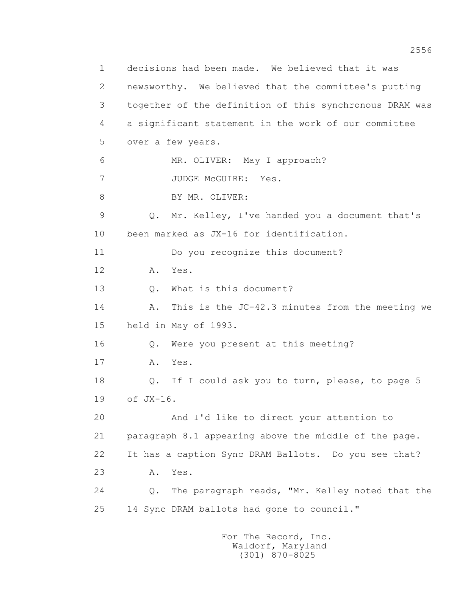1 decisions had been made. We believed that it was 2 newsworthy. We believed that the committee's putting 3 together of the definition of this synchronous DRAM was 4 a significant statement in the work of our committee 5 over a few years. 6 MR. OLIVER: May I approach? 7 JUDGE McGUIRE: Yes. 8 BY MR. OLIVER: 9 Q. Mr. Kelley, I've handed you a document that's 10 been marked as JX-16 for identification. 11 Do you recognize this document? 12 A. Yes. 13 0. What is this document? 14 A. This is the JC-42.3 minutes from the meeting we 15 held in May of 1993. 16 Q. Were you present at this meeting? 17 A. Yes. 18 Q. If I could ask you to turn, please, to page 5 19 of JX-16. 20 And I'd like to direct your attention to 21 paragraph 8.1 appearing above the middle of the page. 22 It has a caption Sync DRAM Ballots. Do you see that? 23 A. Yes. 24 Q. The paragraph reads, "Mr. Kelley noted that the 25 14 Sync DRAM ballots had gone to council."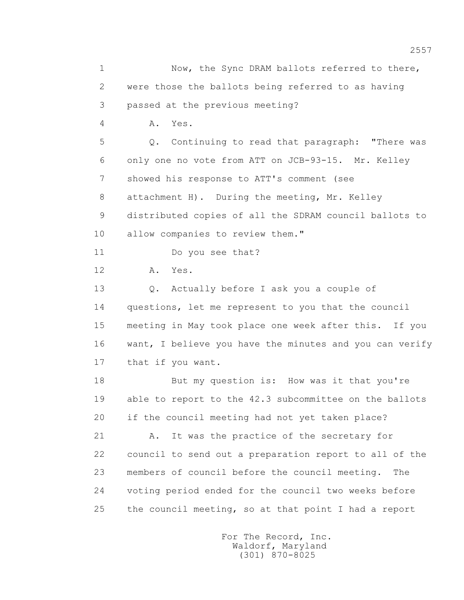1 Now, the Sync DRAM ballots referred to there, 2 were those the ballots being referred to as having 3 passed at the previous meeting? 4 A. Yes. 5 Q. Continuing to read that paragraph: "There was 6 only one no vote from ATT on JCB-93-15. Mr. Kelley 7 showed his response to ATT's comment (see 8 attachment H). During the meeting, Mr. Kelley 9 distributed copies of all the SDRAM council ballots to 10 allow companies to review them." 11 Do you see that? 12 A. Yes. 13 Q. Actually before I ask you a couple of 14 questions, let me represent to you that the council 15 meeting in May took place one week after this. If you 16 want, I believe you have the minutes and you can verify 17 that if you want. 18 But my question is: How was it that you're 19 able to report to the 42.3 subcommittee on the ballots 20 if the council meeting had not yet taken place? 21 A. It was the practice of the secretary for 22 council to send out a preparation report to all of the 23 members of council before the council meeting. The 24 voting period ended for the council two weeks before 25 the council meeting, so at that point I had a report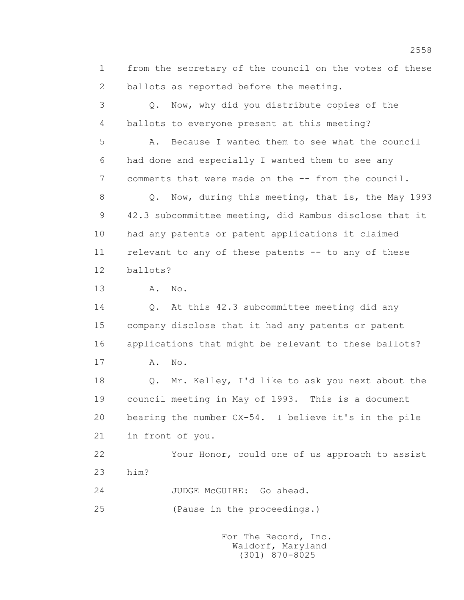1 from the secretary of the council on the votes of these 2 ballots as reported before the meeting.

 3 Q. Now, why did you distribute copies of the 4 ballots to everyone present at this meeting?

 5 A. Because I wanted them to see what the council 6 had done and especially I wanted them to see any 7 comments that were made on the -- from the council.

 8 Q. Now, during this meeting, that is, the May 1993 9 42.3 subcommittee meeting, did Rambus disclose that it 10 had any patents or patent applications it claimed 11 relevant to any of these patents -- to any of these 12 ballots?

13 A. No.

 14 Q. At this 42.3 subcommittee meeting did any 15 company disclose that it had any patents or patent 16 applications that might be relevant to these ballots? 17 A. No.

> 18 Q. Mr. Kelley, I'd like to ask you next about the 19 council meeting in May of 1993. This is a document 20 bearing the number CX-54. I believe it's in the pile 21 in front of you.

> 22 Your Honor, could one of us approach to assist 23 him?

24 JUDGE McGUIRE: Go ahead.

25 (Pause in the proceedings.)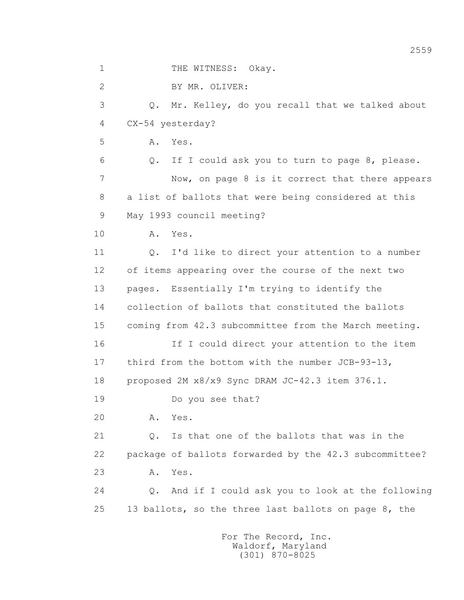1 THE WITNESS: Okay. 2 BY MR. OLIVER: 3 Q. Mr. Kelley, do you recall that we talked about 4 CX-54 yesterday? 5 A. Yes. 6 Q. If I could ask you to turn to page 8, please. 7 Now, on page 8 is it correct that there appears 8 a list of ballots that were being considered at this 9 May 1993 council meeting? 10 A. Yes. 11 Q. I'd like to direct your attention to a number 12 of items appearing over the course of the next two 13 pages. Essentially I'm trying to identify the 14 collection of ballots that constituted the ballots 15 coming from 42.3 subcommittee from the March meeting. 16 If I could direct your attention to the item 17 third from the bottom with the number JCB-93-13, 18 proposed 2M x8/x9 Sync DRAM JC-42.3 item 376.1. 19 Do you see that? 20 A. Yes. 21 0. Is that one of the ballots that was in the 22 package of ballots forwarded by the 42.3 subcommittee? 23 A. Yes. 24 Q. And if I could ask you to look at the following 25 13 ballots, so the three last ballots on page 8, the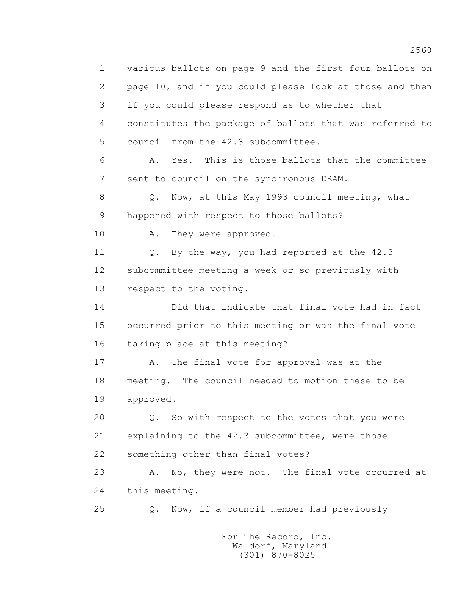1 various ballots on page 9 and the first four ballots on 2 page 10, and if you could please look at those and then 3 if you could please respond as to whether that 4 constitutes the package of ballots that was referred to 5 council from the 42.3 subcommittee. 6 A. Yes. This is those ballots that the committee 7 sent to council on the synchronous DRAM. 8 Q. Now, at this May 1993 council meeting, what 9 happened with respect to those ballots? 10 A. They were approved. 11 0. By the way, you had reported at the 42.3 12 subcommittee meeting a week or so previously with 13 respect to the voting. 14 Did that indicate that final vote had in fact 15 occurred prior to this meeting or was the final vote 16 taking place at this meeting? 17 A. The final vote for approval was at the 18 meeting. The council needed to motion these to be 19 approved. 20 Q. So with respect to the votes that you were 21 explaining to the 42.3 subcommittee, were those 22 something other than final votes? 23 A. No, they were not. The final vote occurred at 24 this meeting. 25 Q. Now, if a council member had previously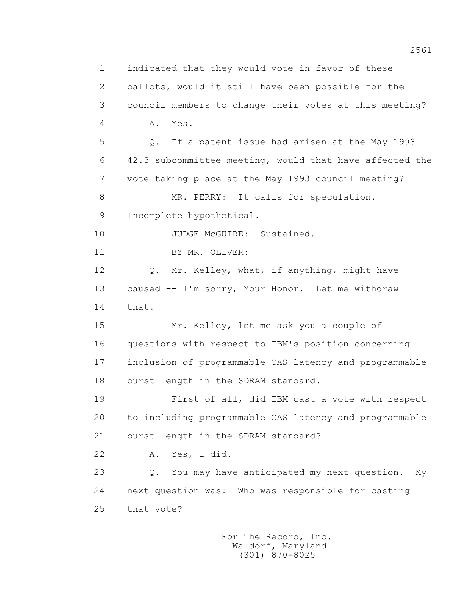1 indicated that they would vote in favor of these 2 ballots, would it still have been possible for the 3 council members to change their votes at this meeting? 4 A. Yes. 5 Q. If a patent issue had arisen at the May 1993 6 42.3 subcommittee meeting, would that have affected the 7 vote taking place at the May 1993 council meeting? 8 MR. PERRY: It calls for speculation. 9 Incomplete hypothetical. 10 JUDGE McGUIRE: Sustained. 11 BY MR. OLIVER: 12 Q. Mr. Kelley, what, if anything, might have 13 caused -- I'm sorry, Your Honor. Let me withdraw 14 that. 15 Mr. Kelley, let me ask you a couple of 16 questions with respect to IBM's position concerning 17 inclusion of programmable CAS latency and programmable 18 burst length in the SDRAM standard. 19 First of all, did IBM cast a vote with respect 20 to including programmable CAS latency and programmable 21 burst length in the SDRAM standard? 22 A. Yes, I did. 23 Q. You may have anticipated my next question. My 24 next question was: Who was responsible for casting 25 that vote?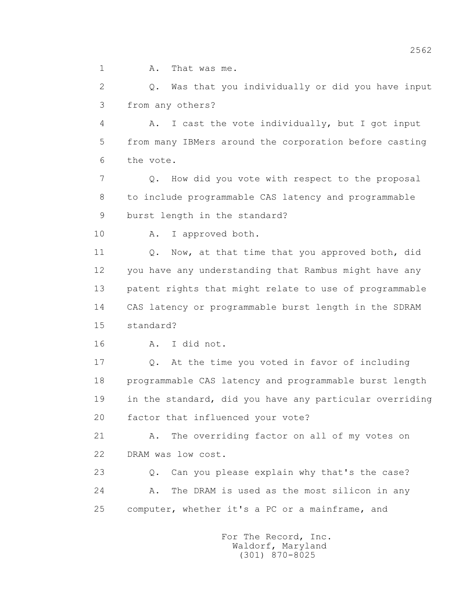1 A. That was me.

 2 Q. Was that you individually or did you have input 3 from any others?

 4 A. I cast the vote individually, but I got input 5 from many IBMers around the corporation before casting 6 the vote.

 7 Q. How did you vote with respect to the proposal 8 to include programmable CAS latency and programmable 9 burst length in the standard?

10 A. I approved both.

11 0. Now, at that time that you approved both, did 12 you have any understanding that Rambus might have any 13 patent rights that might relate to use of programmable 14 CAS latency or programmable burst length in the SDRAM 15 standard?

16 A. I did not.

 17 Q. At the time you voted in favor of including 18 programmable CAS latency and programmable burst length 19 in the standard, did you have any particular overriding 20 factor that influenced your vote?

 21 A. The overriding factor on all of my votes on 22 DRAM was low cost.

 23 Q. Can you please explain why that's the case? 24 A. The DRAM is used as the most silicon in any 25 computer, whether it's a PC or a mainframe, and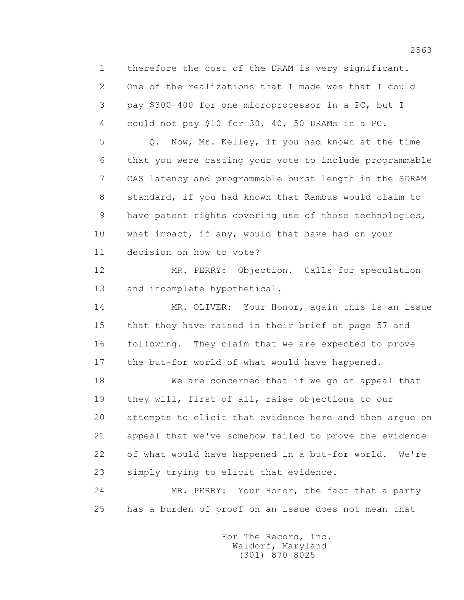1 therefore the cost of the DRAM is very significant. 2 One of the realizations that I made was that I could 3 pay \$300-400 for one microprocessor in a PC, but I 4 could not pay \$10 for 30, 40, 50 DRAMs in a PC.

 5 Q. Now, Mr. Kelley, if you had known at the time 6 that you were casting your vote to include programmable 7 CAS latency and programmable burst length in the SDRAM 8 standard, if you had known that Rambus would claim to 9 have patent rights covering use of those technologies, 10 what impact, if any, would that have had on your 11 decision on how to vote?

 12 MR. PERRY: Objection. Calls for speculation 13 and incomplete hypothetical.

 14 MR. OLIVER: Your Honor, again this is an issue 15 that they have raised in their brief at page 57 and 16 following. They claim that we are expected to prove 17 the but-for world of what would have happened.

 18 We are concerned that if we go on appeal that 19 they will, first of all, raise objections to our 20 attempts to elicit that evidence here and then argue on 21 appeal that we've somehow failed to prove the evidence 22 of what would have happened in a but-for world. We're 23 simply trying to elicit that evidence.

 24 MR. PERRY: Your Honor, the fact that a party 25 has a burden of proof on an issue does not mean that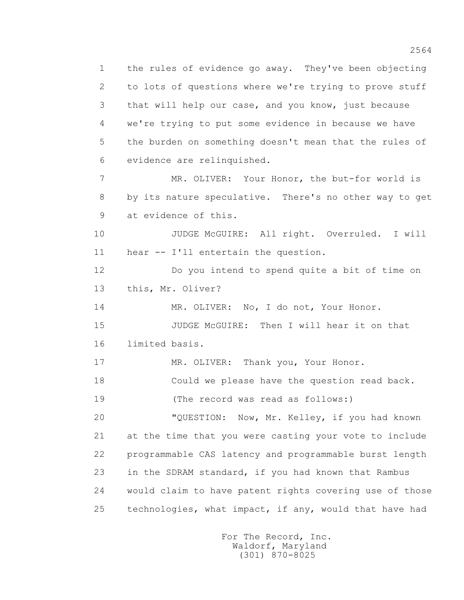1 the rules of evidence go away. They've been objecting 2 to lots of questions where we're trying to prove stuff 3 that will help our case, and you know, just because 4 we're trying to put some evidence in because we have 5 the burden on something doesn't mean that the rules of 6 evidence are relinquished. 7 MR. OLIVER: Your Honor, the but-for world is 8 by its nature speculative. There's no other way to get 9 at evidence of this. 10 JUDGE McGUIRE: All right. Overruled. I will 11 hear -- I'll entertain the question. 12 Do you intend to spend quite a bit of time on 13 this, Mr. Oliver? 14 MR. OLIVER: No, I do not, Your Honor. 15 JUDGE McGUIRE: Then I will hear it on that 16 limited basis. 17 MR. OLIVER: Thank you, Your Honor. 18 Could we please have the question read back. 19 (The record was read as follows:) 20 "QUESTION: Now, Mr. Kelley, if you had known 21 at the time that you were casting your vote to include 22 programmable CAS latency and programmable burst length 23 in the SDRAM standard, if you had known that Rambus 24 would claim to have patent rights covering use of those

25 technologies, what impact, if any, would that have had

 For The Record, Inc. Waldorf, Maryland (301) 870-8025

2564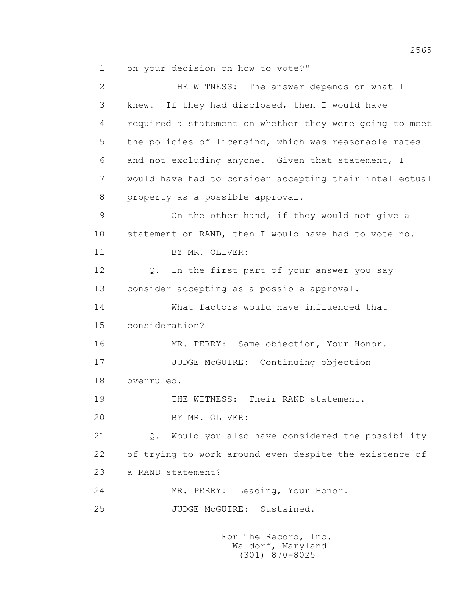1 on your decision on how to vote?"

2 THE WITNESS: The answer depends on what I 3 knew. If they had disclosed, then I would have 4 required a statement on whether they were going to meet 5 the policies of licensing, which was reasonable rates 6 and not excluding anyone. Given that statement, I 7 would have had to consider accepting their intellectual 8 property as a possible approval. 9 On the other hand, if they would not give a 10 statement on RAND, then I would have had to vote no. 11 BY MR. OLIVER: 12 Q. In the first part of your answer you say 13 consider accepting as a possible approval. 14 What factors would have influenced that 15 consideration? 16 MR. PERRY: Same objection, Your Honor. 17 JUDGE McGUIRE: Continuing objection 18 overruled. 19 THE WITNESS: Their RAND statement. 20 BY MR. OLIVER: 21 Q. Would you also have considered the possibility 22 of trying to work around even despite the existence of 23 a RAND statement? 24 MR. PERRY: Leading, Your Honor. 25 JUDGE McGUIRE: Sustained.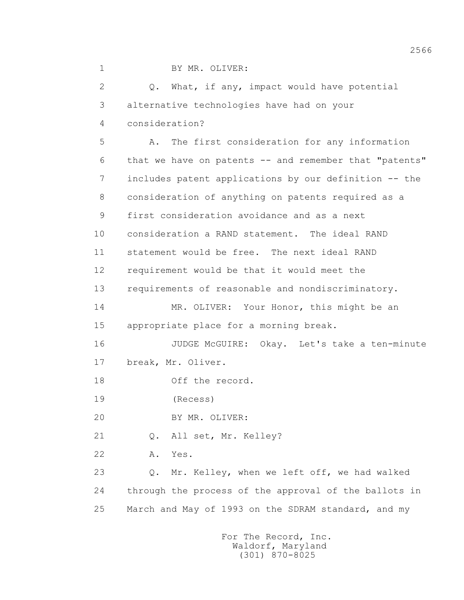| 2  | Q. What, if any, impact would have potential                 |
|----|--------------------------------------------------------------|
| 3  | alternative technologies have had on your                    |
| 4  | consideration?                                               |
| 5  | The first consideration for any information<br>Α.            |
| 6  | that we have on patents -- and remember that "patents"       |
| 7  | includes patent applications by our definition -- the        |
| 8  | consideration of anything on patents required as a           |
| 9  | first consideration avoidance and as a next                  |
| 10 | consideration a RAND statement. The ideal RAND               |
| 11 | statement would be free. The next ideal RAND                 |
| 12 | requirement would be that it would meet the                  |
| 13 | requirements of reasonable and nondiscriminatory.            |
| 14 | MR. OLIVER: Your Honor, this might be an                     |
| 15 | appropriate place for a morning break.                       |
| 16 | JUDGE McGUIRE: Okay. Let's take a ten-minute                 |
| 17 | break, Mr. Oliver.                                           |
| 18 | Off the record.                                              |
| 19 | (Recess)                                                     |
| 20 | BY MR. OLIVER:                                               |
| 21 | All set, Mr. Kelley?<br>Q.                                   |
| 22 | Yes.<br>Α.                                                   |
| 23 | Mr. Kelley, when we left off, we had walked<br>$\mathbb Q$ . |
| 24 | through the process of the approval of the ballots in        |
| 25 | March and May of 1993 on the SDRAM standard, and my          |
|    |                                                              |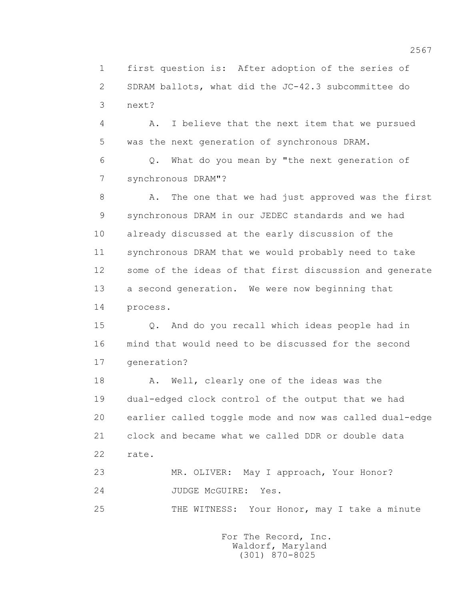1 first question is: After adoption of the series of 2 SDRAM ballots, what did the JC-42.3 subcommittee do 3 next?

 4 A. I believe that the next item that we pursued 5 was the next generation of synchronous DRAM.

 6 Q. What do you mean by "the next generation of 7 synchronous DRAM"?

 8 A. The one that we had just approved was the first 9 synchronous DRAM in our JEDEC standards and we had 10 already discussed at the early discussion of the 11 synchronous DRAM that we would probably need to take 12 some of the ideas of that first discussion and generate 13 a second generation. We were now beginning that 14 process.

 15 Q. And do you recall which ideas people had in 16 mind that would need to be discussed for the second 17 generation?

18 A. Well, clearly one of the ideas was the 19 dual-edged clock control of the output that we had 20 earlier called toggle mode and now was called dual-edge 21 clock and became what we called DDR or double data 22 rate.

 23 MR. OLIVER: May I approach, Your Honor? 24 JUDGE McGUIRE: Yes.

25 THE WITNESS: Your Honor, may I take a minute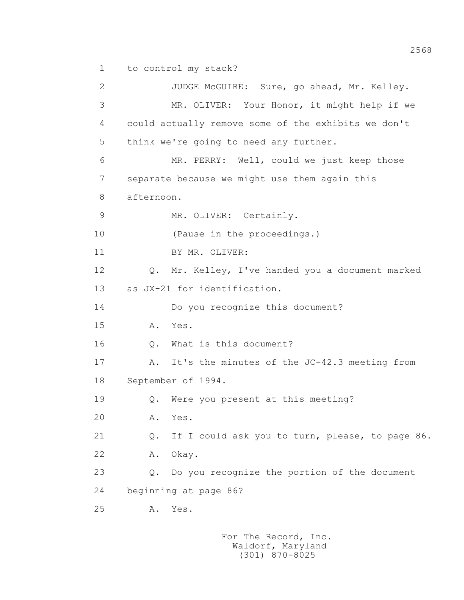1 to control my stack?

 2 JUDGE McGUIRE: Sure, go ahead, Mr. Kelley. 3 MR. OLIVER: Your Honor, it might help if we 4 could actually remove some of the exhibits we don't 5 think we're going to need any further. 6 MR. PERRY: Well, could we just keep those 7 separate because we might use them again this 8 afternoon. 9 MR. OLIVER: Certainly. 10 (Pause in the proceedings.) 11 BY MR. OLIVER: 12 Q. Mr. Kelley, I've handed you a document marked 13 as JX-21 for identification. 14 Do you recognize this document? 15 A. Yes. 16 0. What is this document? 17 A. It's the minutes of the JC-42.3 meeting from 18 September of 1994. 19 Q. Were you present at this meeting? 20 A. Yes. 21 Q. If I could ask you to turn, please, to page 86. 22 A. Okay. 23 Q. Do you recognize the portion of the document 24 beginning at page 86? 25 A. Yes.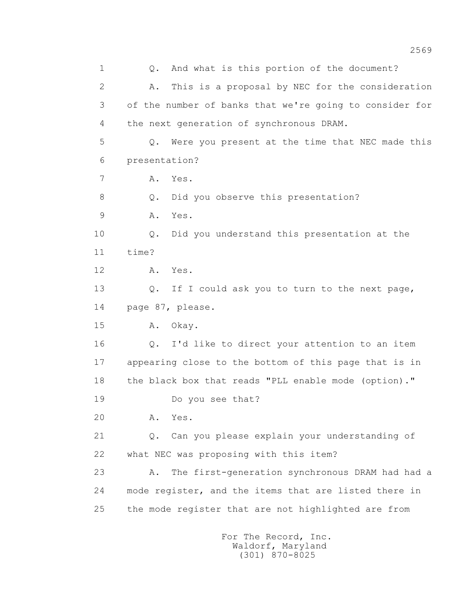1 0. And what is this portion of the document? 2 A. This is a proposal by NEC for the consideration 3 of the number of banks that we're going to consider for 4 the next generation of synchronous DRAM. 5 Q. Were you present at the time that NEC made this 6 presentation? 7 A. Yes. 8 Q. Did you observe this presentation? 9 A. Yes. 10 Q. Did you understand this presentation at the 11 time? 12 A. Yes. 13 Q. If I could ask you to turn to the next page, 14 page 87, please. 15 A. Okay. 16 Q. I'd like to direct your attention to an item 17 appearing close to the bottom of this page that is in 18 the black box that reads "PLL enable mode (option)." 19 Do you see that? 20 A. Yes. 21 Q. Can you please explain your understanding of 22 what NEC was proposing with this item? 23 A. The first-generation synchronous DRAM had had a 24 mode register, and the items that are listed there in 25 the mode register that are not highlighted are from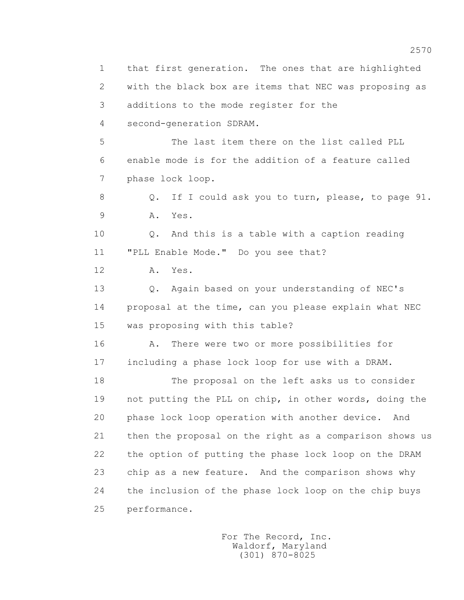1 that first generation. The ones that are highlighted 2 with the black box are items that NEC was proposing as 3 additions to the mode register for the 4 second-generation SDRAM. 5 The last item there on the list called PLL 6 enable mode is for the addition of a feature called 7 phase lock loop. 8 Q. If I could ask you to turn, please, to page 91. 9 A. Yes. 10 Q. And this is a table with a caption reading 11 "PLL Enable Mode." Do you see that? 12 A. Yes. 13 Q. Again based on your understanding of NEC's 14 proposal at the time, can you please explain what NEC 15 was proposing with this table? 16 A. There were two or more possibilities for 17 including a phase lock loop for use with a DRAM. 18 The proposal on the left asks us to consider 19 not putting the PLL on chip, in other words, doing the 20 phase lock loop operation with another device. And 21 then the proposal on the right as a comparison shows us 22 the option of putting the phase lock loop on the DRAM 23 chip as a new feature. And the comparison shows why 24 the inclusion of the phase lock loop on the chip buys 25 performance.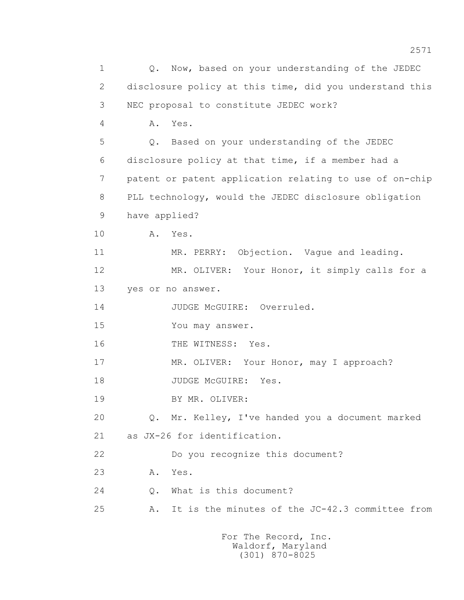1 Q. Now, based on your understanding of the JEDEC 2 disclosure policy at this time, did you understand this 3 NEC proposal to constitute JEDEC work? 4 A. Yes. 5 Q. Based on your understanding of the JEDEC 6 disclosure policy at that time, if a member had a 7 patent or patent application relating to use of on-chip 8 PLL technology, would the JEDEC disclosure obligation 9 have applied? 10 A. Yes. 11 MR. PERRY: Objection. Vaque and leading. 12 MR. OLIVER: Your Honor, it simply calls for a 13 yes or no answer. 14 JUDGE McGUIRE: Overruled. 15 You may answer. 16 THE WITNESS: Yes. 17 MR. OLIVER: Your Honor, may I approach? 18 JUDGE McGUIRE: Yes. 19 BY MR. OLIVER: 20 Q. Mr. Kelley, I've handed you a document marked 21 as JX-26 for identification. 22 Do you recognize this document? 23 A. Yes. 24 Q. What is this document? 25 A. It is the minutes of the JC-42.3 committee from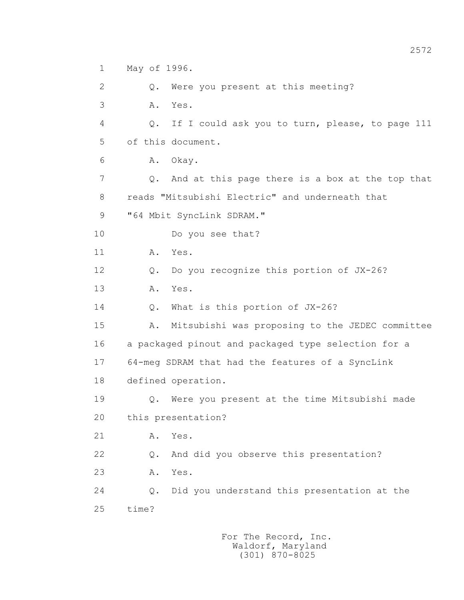1 May of 1996.

 2 Q. Were you present at this meeting? 3 A. Yes. 4 Q. If I could ask you to turn, please, to page 111 5 of this document. 6 A. Okay. 7 Q. And at this page there is a box at the top that 8 reads "Mitsubishi Electric" and underneath that 9 "64 Mbit SyncLink SDRAM." 10 Do you see that? 11 A. Yes. 12 Q. Do you recognize this portion of JX-26? 13 A. Yes. 14 Q. What is this portion of JX-26? 15 A. Mitsubishi was proposing to the JEDEC committee 16 a packaged pinout and packaged type selection for a 17 64-meg SDRAM that had the features of a SyncLink 18 defined operation. 19 Q. Were you present at the time Mitsubishi made 20 this presentation? 21 A. Yes. 22 Q. And did you observe this presentation? 23 A. Yes. 24 Q. Did you understand this presentation at the 25 time?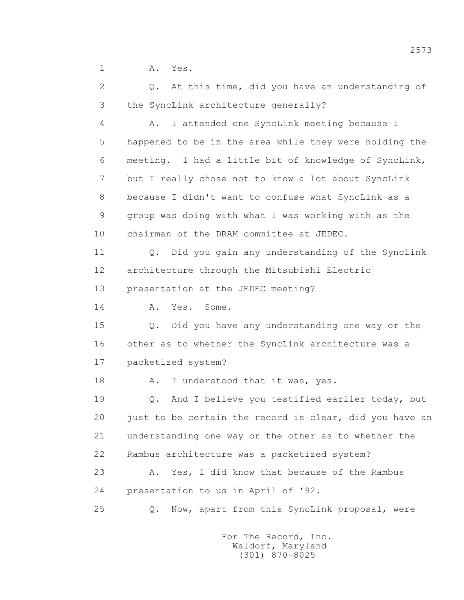1 A. Yes.

 2 Q. At this time, did you have an understanding of 3 the SyncLink architecture generally?

 4 A. I attended one SyncLink meeting because I 5 happened to be in the area while they were holding the 6 meeting. I had a little bit of knowledge of SyncLink, 7 but I really chose not to know a lot about SyncLink 8 because I didn't want to confuse what SyncLink as a 9 group was doing with what I was working with as the 10 chairman of the DRAM committee at JEDEC.

 11 Q. Did you gain any understanding of the SyncLink 12 architecture through the Mitsubishi Electric 13 presentation at the JEDEC meeting?

14 A. Yes. Some.

 15 Q. Did you have any understanding one way or the 16 other as to whether the SyncLink architecture was a 17 packetized system?

18 A. I understood that it was, yes.

 19 Q. And I believe you testified earlier today, but 20 just to be certain the record is clear, did you have an 21 understanding one way or the other as to whether the 22 Rambus architecture was a packetized system?

23 A. Yes, I did know that because of the Rambus 24 presentation to us in April of '92.

25 Q. Now, apart from this SyncLink proposal, were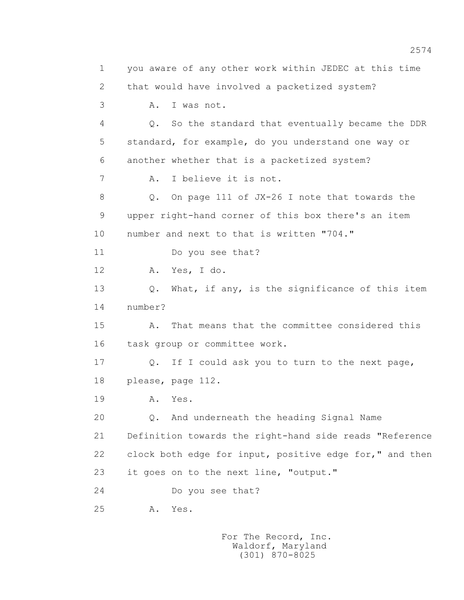1 you aware of any other work within JEDEC at this time 2 that would have involved a packetized system? 3 A. I was not. 4 Q. So the standard that eventually became the DDR 5 standard, for example, do you understand one way or 6 another whether that is a packetized system? 7 A. I believe it is not. 8 Q. On page 111 of JX-26 I note that towards the 9 upper right-hand corner of this box there's an item 10 number and next to that is written "704." 11 Do you see that? 12 A. Yes, I do. 13 0. What, if any, is the significance of this item 14 number? 15 A. That means that the committee considered this 16 task group or committee work. 17 Q. If I could ask you to turn to the next page, 18 please, page 112. 19 **A.** Yes. 20 Q. And underneath the heading Signal Name 21 Definition towards the right-hand side reads "Reference 22 clock both edge for input, positive edge for," and then 23 it goes on to the next line, "output." 24 Do you see that? 25 A. Yes.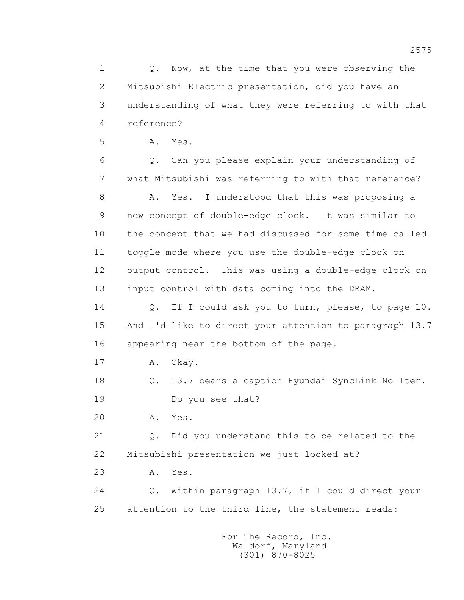1 0. Now, at the time that you were observing the 2 Mitsubishi Electric presentation, did you have an 3 understanding of what they were referring to with that 4 reference?

5 A. Yes.

 6 Q. Can you please explain your understanding of 7 what Mitsubishi was referring to with that reference?

8 A. Yes. I understood that this was proposing a 9 new concept of double-edge clock. It was similar to 10 the concept that we had discussed for some time called 11 toggle mode where you use the double-edge clock on 12 output control. This was using a double-edge clock on 13 input control with data coming into the DRAM.

 14 Q. If I could ask you to turn, please, to page 10. 15 And I'd like to direct your attention to paragraph 13.7 16 appearing near the bottom of the page.

17 A. Okay.

 18 Q. 13.7 bears a caption Hyundai SyncLink No Item. 19 Do you see that?

20 A. Yes.

 21 Q. Did you understand this to be related to the 22 Mitsubishi presentation we just looked at?

23 A. Yes.

 24 Q. Within paragraph 13.7, if I could direct your 25 attention to the third line, the statement reads: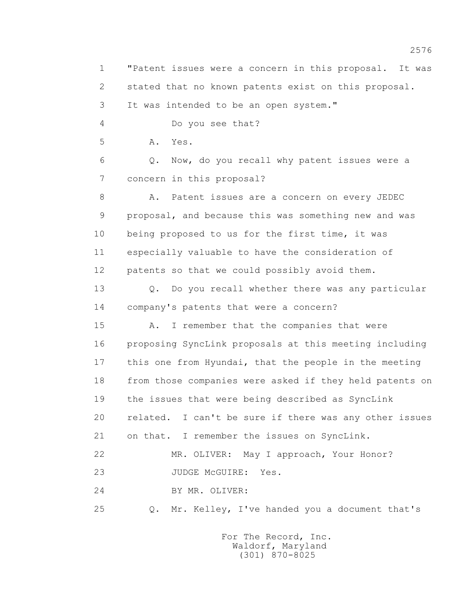1 "Patent issues were a concern in this proposal. It was 2 stated that no known patents exist on this proposal. 3 It was intended to be an open system." 4 Do you see that? 5 A. Yes. 6 Q. Now, do you recall why patent issues were a 7 concern in this proposal? 8 A. Patent issues are a concern on every JEDEC 9 proposal, and because this was something new and was 10 being proposed to us for the first time, it was 11 especially valuable to have the consideration of 12 patents so that we could possibly avoid them. 13 Q. Do you recall whether there was any particular 14 company's patents that were a concern? 15 A. I remember that the companies that were 16 proposing SyncLink proposals at this meeting including 17 this one from Hyundai, that the people in the meeting 18 from those companies were asked if they held patents on 19 the issues that were being described as SyncLink 20 related. I can't be sure if there was any other issues 21 on that. I remember the issues on SyncLink. 22 MR. OLIVER: May I approach, Your Honor? 23 JUDGE McGUIRE: Yes. 24 BY MR. OLIVER: 25 Q. Mr. Kelley, I've handed you a document that's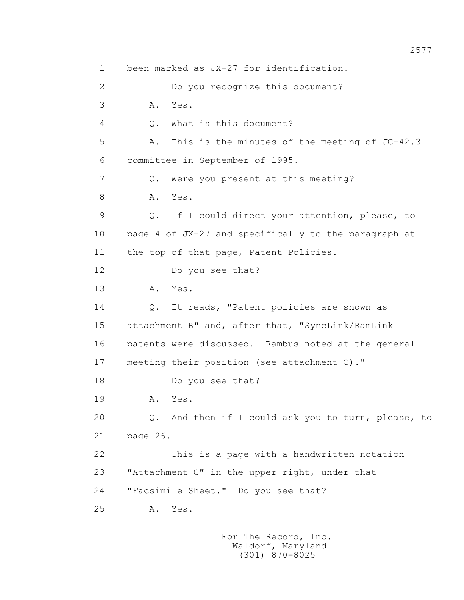1 been marked as JX-27 for identification. 2 Do you recognize this document? 3 A. Yes. 4 Q. What is this document? 5 A. This is the minutes of the meeting of JC-42.3 6 committee in September of 1995. 7 Q. Were you present at this meeting? 8 A. Yes. 9 Q. If I could direct your attention, please, to 10 page 4 of JX-27 and specifically to the paragraph at 11 the top of that page, Patent Policies. 12 Do you see that? 13 A. Yes. 14 Q. It reads, "Patent policies are shown as 15 attachment B" and, after that, "SyncLink/RamLink 16 patents were discussed. Rambus noted at the general 17 meeting their position (see attachment C)." 18 Do you see that? 19 **A.** Yes. 20 Q. And then if I could ask you to turn, please, to 21 page 26. 22 This is a page with a handwritten notation 23 "Attachment C" in the upper right, under that 24 "Facsimile Sheet." Do you see that? 25 A. Yes.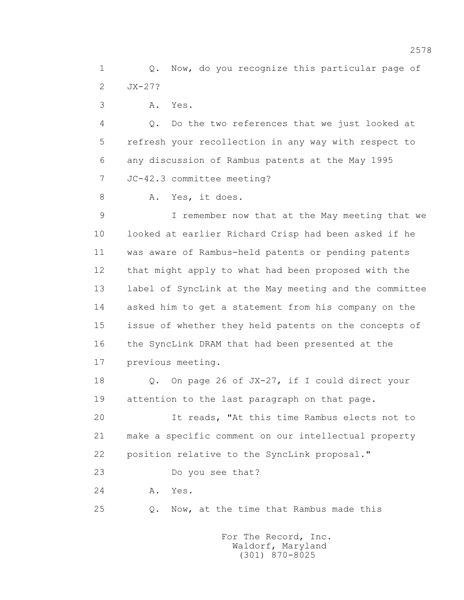1 0. Now, do you recognize this particular page of 2 JX-27?

3 A. Yes.

 4 Q. Do the two references that we just looked at 5 refresh your recollection in any way with respect to 6 any discussion of Rambus patents at the May 1995 7 JC-42.3 committee meeting?

8 A. Yes, it does.

 9 I remember now that at the May meeting that we 10 looked at earlier Richard Crisp had been asked if he 11 was aware of Rambus-held patents or pending patents 12 that might apply to what had been proposed with the 13 label of SyncLink at the May meeting and the committee 14 asked him to get a statement from his company on the 15 issue of whether they held patents on the concepts of 16 the SyncLink DRAM that had been presented at the 17 previous meeting.

 18 Q. On page 26 of JX-27, if I could direct your 19 attention to the last paragraph on that page.

 20 It reads, "At this time Rambus elects not to 21 make a specific comment on our intellectual property 22 position relative to the SyncLink proposal."

23 Do you see that?

24 **A.** Yes.

25 Q. Now, at the time that Rambus made this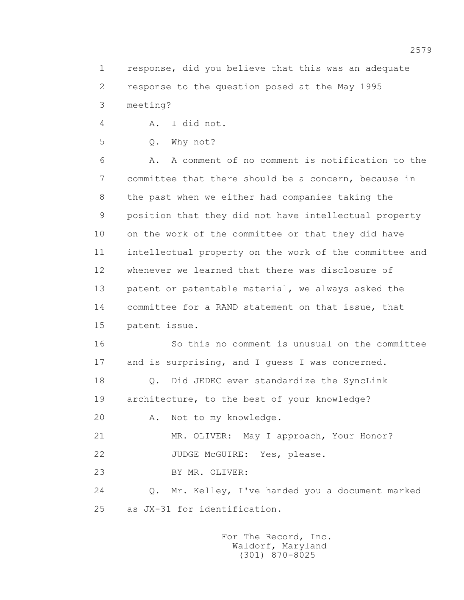1 response, did you believe that this was an adequate 2 response to the question posed at the May 1995 3 meeting?

4 A. I did not.

5 Q. Why not?

 6 A. A comment of no comment is notification to the 7 committee that there should be a concern, because in 8 the past when we either had companies taking the 9 position that they did not have intellectual property 10 on the work of the committee or that they did have 11 intellectual property on the work of the committee and 12 whenever we learned that there was disclosure of 13 patent or patentable material, we always asked the 14 committee for a RAND statement on that issue, that 15 patent issue.

 16 So this no comment is unusual on the committee 17 and is surprising, and I guess I was concerned.

 18 Q. Did JEDEC ever standardize the SyncLink 19 architecture, to the best of your knowledge?

20 A. Not to my knowledge.

21 MR. OLIVER: May I approach, Your Honor?

22 JUDGE McGUIRE: Yes, please.

23 BY MR. OLIVER:

 24 Q. Mr. Kelley, I've handed you a document marked 25 as JX-31 for identification.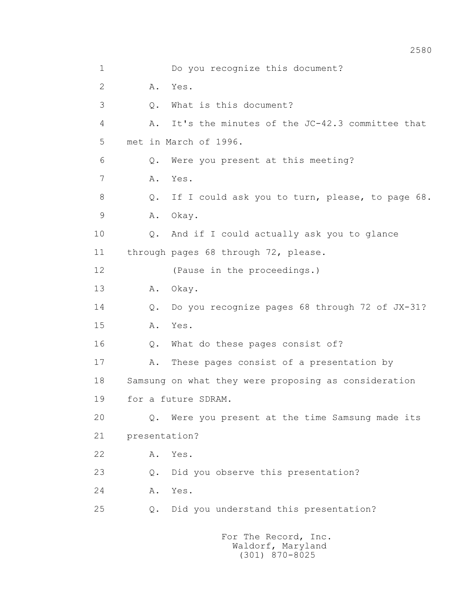| $\mathbf 1$    |               | Do you recognize this document?                      |
|----------------|---------------|------------------------------------------------------|
| $\overline{2}$ | Α.            | Yes.                                                 |
| 3              | $Q$ .         | What is this document?                               |
| 4              | Α.            | It's the minutes of the JC-42.3 committee that       |
| 5              |               | met in March of 1996.                                |
| 6              | Q.            | Were you present at this meeting?                    |
| 7              | Α.            | Yes.                                                 |
| 8              | Q.            | If I could ask you to turn, please, to page 68.      |
| $\mathcal{G}$  | Α.            | Okay.                                                |
| 10             |               | Q. And if I could actually ask you to glance         |
| 11             |               | through pages 68 through 72, please.                 |
| 12             |               | (Pause in the proceedings.)                          |
| 13             | Α.            | Okay.                                                |
| 14             | $Q$ .         | Do you recognize pages 68 through 72 of JX-31?       |
| 15             | Α.            | Yes.                                                 |
| 16             | $\mathbb Q$ . | What do these pages consist of?                      |
| 17             | Α.            | These pages consist of a presentation by             |
| 18             |               | Samsung on what they were proposing as consideration |
| 19             |               | for a future SDRAM.                                  |
| 20             |               | Q. Were you present at the time Samsung made its     |
| 21             | presentation? |                                                      |
| 22             | Α.            | Yes.                                                 |
| 23             | Q.            | Did you observe this presentation?                   |
| 24             | Α.            | Yes.                                                 |
| 25             | Q.            | Did you understand this presentation?                |
|                |               |                                                      |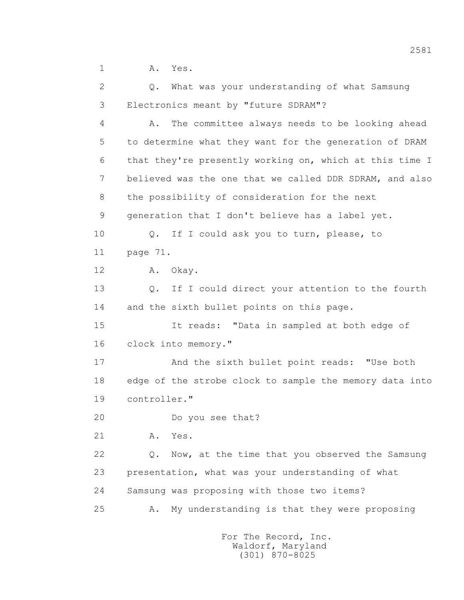1 A. Yes.

 2 Q. What was your understanding of what Samsung 3 Electronics meant by "future SDRAM"?

 4 A. The committee always needs to be looking ahead 5 to determine what they want for the generation of DRAM 6 that they're presently working on, which at this time I 7 believed was the one that we called DDR SDRAM, and also 8 the possibility of consideration for the next 9 generation that I don't believe has a label yet. 10 Q. If I could ask you to turn, please, to 11 page 71. 12 A. Okay. 13 Q. If I could direct your attention to the fourth 14 and the sixth bullet points on this page. 15 It reads: "Data in sampled at both edge of 16 clock into memory." 17 And the sixth bullet point reads: "Use both 18 edge of the strobe clock to sample the memory data into 19 controller." 20 Do you see that? 21 A. Yes. 22 Q. Now, at the time that you observed the Samsung 23 presentation, what was your understanding of what 24 Samsung was proposing with those two items? 25 A. My understanding is that they were proposing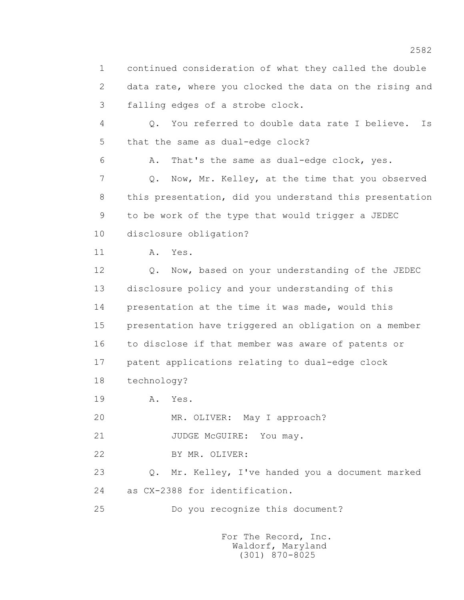1 continued consideration of what they called the double 2 data rate, where you clocked the data on the rising and 3 falling edges of a strobe clock.

 4 Q. You referred to double data rate I believe. Is 5 that the same as dual-edge clock?

6 A. That's the same as dual-edge clock, yes.

 7 Q. Now, Mr. Kelley, at the time that you observed 8 this presentation, did you understand this presentation 9 to be work of the type that would trigger a JEDEC 10 disclosure obligation?

11 A. Yes.

 12 Q. Now, based on your understanding of the JEDEC 13 disclosure policy and your understanding of this 14 presentation at the time it was made, would this 15 presentation have triggered an obligation on a member 16 to disclose if that member was aware of patents or 17 patent applications relating to dual-edge clock 18 technology?

19 **A.** Yes.

20 MR. OLIVER: May I approach?

21 JUDGE McGUIRE: You may.

22 BY MR. OLIVER:

 23 Q. Mr. Kelley, I've handed you a document marked 24 as CX-2388 for identification.

25 Do you recognize this document?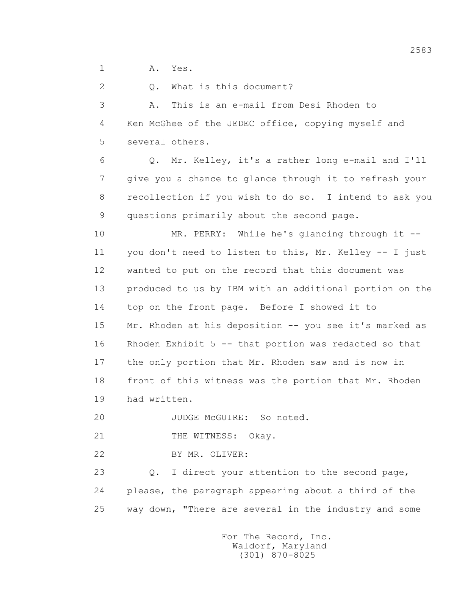1 A. Yes.

 2 Q. What is this document? 3 A. This is an e-mail from Desi Rhoden to

 4 Ken McGhee of the JEDEC office, copying myself and 5 several others.

 6 Q. Mr. Kelley, it's a rather long e-mail and I'll 7 give you a chance to glance through it to refresh your 8 recollection if you wish to do so. I intend to ask you 9 questions primarily about the second page.

 10 MR. PERRY: While he's glancing through it -- 11 you don't need to listen to this, Mr. Kelley -- I just 12 wanted to put on the record that this document was 13 produced to us by IBM with an additional portion on the 14 top on the front page. Before I showed it to 15 Mr. Rhoden at his deposition -- you see it's marked as 16 Rhoden Exhibit 5 -- that portion was redacted so that 17 the only portion that Mr. Rhoden saw and is now in 18 front of this witness was the portion that Mr. Rhoden 19 had written.

20 JUDGE McGUIRE: So noted.

21 THE WITNESS: Okay.

22 BY MR. OLIVER:

23 0. I direct your attention to the second page, 24 please, the paragraph appearing about a third of the 25 way down, "There are several in the industry and some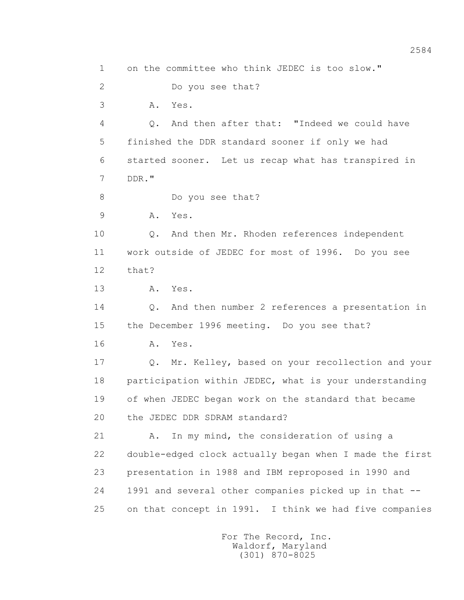1 on the committee who think JEDEC is too slow." 2 Do you see that? 3 A. Yes. 4 Q. And then after that: "Indeed we could have 5 finished the DDR standard sooner if only we had 6 started sooner. Let us recap what has transpired in 7 DDR." 8 Do you see that? 9 A. Yes. 10 0. And then Mr. Rhoden references independent 11 work outside of JEDEC for most of 1996. Do you see 12 that? 13 A. Yes. 14 Q. And then number 2 references a presentation in 15 the December 1996 meeting. Do you see that? 16 **A.** Yes. 17 Q. Mr. Kelley, based on your recollection and your 18 participation within JEDEC, what is your understanding 19 of when JEDEC began work on the standard that became 20 the JEDEC DDR SDRAM standard? 21 A. In my mind, the consideration of using a 22 double-edged clock actually began when I made the first 23 presentation in 1988 and IBM reproposed in 1990 and 24 1991 and several other companies picked up in that -- 25 on that concept in 1991. I think we had five companies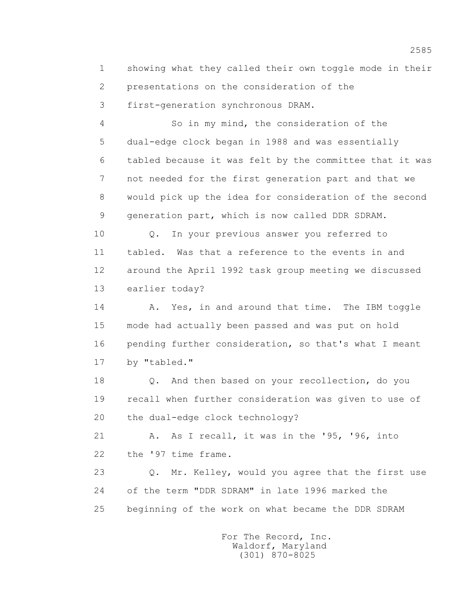1 showing what they called their own toggle mode in their 2 presentations on the consideration of the 3 first-generation synchronous DRAM.

 4 So in my mind, the consideration of the 5 dual-edge clock began in 1988 and was essentially 6 tabled because it was felt by the committee that it was 7 not needed for the first generation part and that we 8 would pick up the idea for consideration of the second 9 generation part, which is now called DDR SDRAM.

 10 Q. In your previous answer you referred to 11 tabled. Was that a reference to the events in and 12 around the April 1992 task group meeting we discussed 13 earlier today?

14 A. Yes, in and around that time. The IBM toggle 15 mode had actually been passed and was put on hold 16 pending further consideration, so that's what I meant 17 by "tabled."

 18 Q. And then based on your recollection, do you 19 recall when further consideration was given to use of 20 the dual-edge clock technology?

 21 A. As I recall, it was in the '95, '96, into 22 the '97 time frame.

 23 Q. Mr. Kelley, would you agree that the first use 24 of the term "DDR SDRAM" in late 1996 marked the 25 beginning of the work on what became the DDR SDRAM

> For The Record, Inc. Waldorf, Maryland (301) 870-8025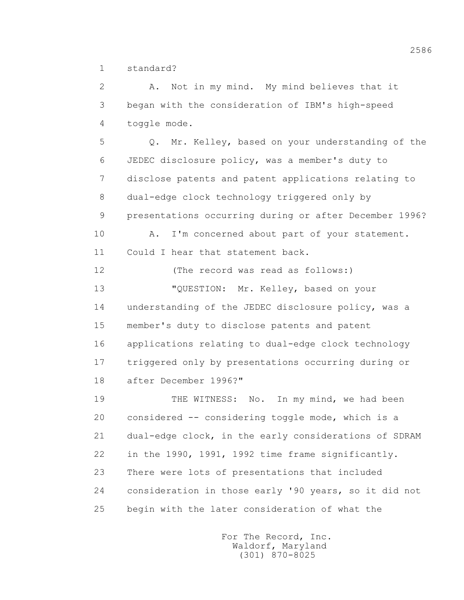1 standard?

 2 A. Not in my mind. My mind believes that it 3 began with the consideration of IBM's high-speed 4 toggle mode. 5 Q. Mr. Kelley, based on your understanding of the 6 JEDEC disclosure policy, was a member's duty to 7 disclose patents and patent applications relating to 8 dual-edge clock technology triggered only by 9 presentations occurring during or after December 1996? 10 A. I'm concerned about part of your statement. 11 Could I hear that statement back. 12 (The record was read as follows:) 13 "QUESTION: Mr. Kelley, based on your 14 understanding of the JEDEC disclosure policy, was a 15 member's duty to disclose patents and patent 16 applications relating to dual-edge clock technology 17 triggered only by presentations occurring during or 18 after December 1996?" 19 THE WITNESS: No. In my mind, we had been 20 considered -- considering toggle mode, which is a 21 dual-edge clock, in the early considerations of SDRAM 22 in the 1990, 1991, 1992 time frame significantly. 23 There were lots of presentations that included 24 consideration in those early '90 years, so it did not 25 begin with the later consideration of what the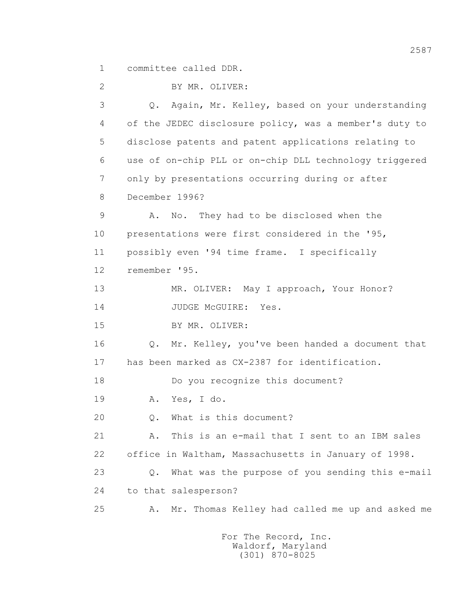1 committee called DDR.

 2 BY MR. OLIVER: 3 Q. Again, Mr. Kelley, based on your understanding 4 of the JEDEC disclosure policy, was a member's duty to 5 disclose patents and patent applications relating to 6 use of on-chip PLL or on-chip DLL technology triggered 7 only by presentations occurring during or after 8 December 1996? 9 A. No. They had to be disclosed when the 10 presentations were first considered in the '95, 11 possibly even '94 time frame. I specifically 12 remember '95. 13 MR. OLIVER: May I approach, Your Honor? 14 JUDGE McGUIRE: Yes. 15 BY MR. OLIVER: 16 Q. Mr. Kelley, you've been handed a document that 17 has been marked as CX-2387 for identification. 18 Do you recognize this document? 19 A. Yes, I do. 20 Q. What is this document? 21 A. This is an e-mail that I sent to an IBM sales 22 office in Waltham, Massachusetts in January of 1998. 23 Q. What was the purpose of you sending this e-mail 24 to that salesperson? 25 A. Mr. Thomas Kelley had called me up and asked me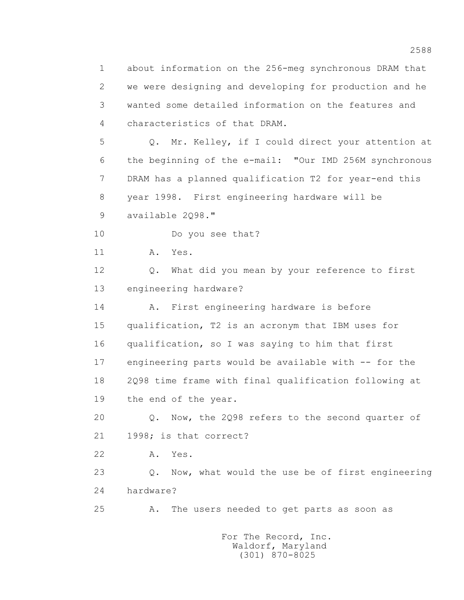1 about information on the 256-meg synchronous DRAM that 2 we were designing and developing for production and he 3 wanted some detailed information on the features and 4 characteristics of that DRAM. 5 Q. Mr. Kelley, if I could direct your attention at 6 the beginning of the e-mail: "Our IMD 256M synchronous 7 DRAM has a planned qualification T2 for year-end this 8 year 1998. First engineering hardware will be 9 available 2Q98." 10 Do you see that? 11 A. Yes. 12 Q. What did you mean by your reference to first 13 engineering hardware? 14 A. First engineering hardware is before 15 qualification, T2 is an acronym that IBM uses for 16 qualification, so I was saying to him that first 17 engineering parts would be available with -- for the 18 2Q98 time frame with final qualification following at 19 the end of the year. 20 Q. Now, the 2Q98 refers to the second quarter of 21 1998; is that correct? 22 A. Yes. 23 Q. Now, what would the use be of first engineering 24 hardware? 25 A. The users needed to get parts as soon as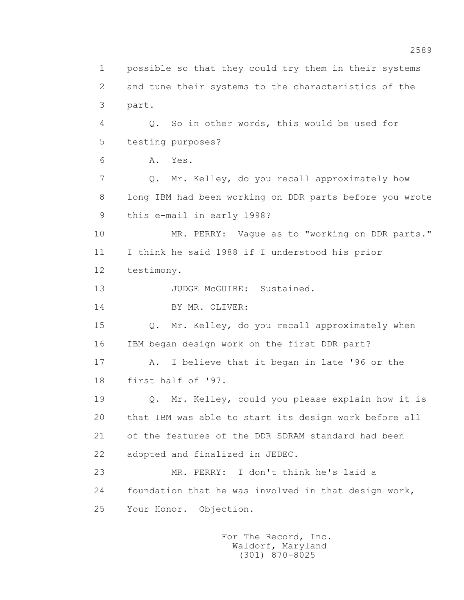1 possible so that they could try them in their systems 2 and tune their systems to the characteristics of the 3 part. 4 Q. So in other words, this would be used for 5 testing purposes? 6 A. Yes. 7 Q. Mr. Kelley, do you recall approximately how 8 long IBM had been working on DDR parts before you wrote 9 this e-mail in early 1998? 10 MR. PERRY: Vague as to "working on DDR parts." 11 I think he said 1988 if I understood his prior 12 testimony. 13 JUDGE McGUIRE: Sustained. 14 BY MR. OLIVER: 15 Q. Mr. Kelley, do you recall approximately when 16 IBM began design work on the first DDR part? 17 A. I believe that it began in late '96 or the 18 first half of '97. 19 Q. Mr. Kelley, could you please explain how it is 20 that IBM was able to start its design work before all 21 of the features of the DDR SDRAM standard had been 22 adopted and finalized in JEDEC. 23 MR. PERRY: I don't think he's laid a 24 foundation that he was involved in that design work, 25 Your Honor. Objection.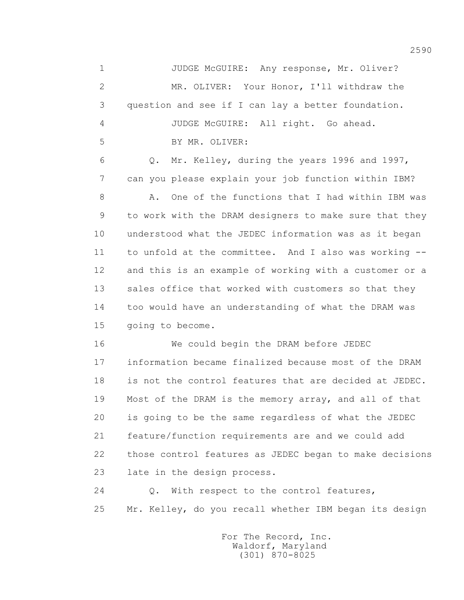1 JUDGE McGUIRE: Any response, Mr. Oliver? 2 MR. OLIVER: Your Honor, I'll withdraw the 3 question and see if I can lay a better foundation. 4 JUDGE McGUIRE: All right. Go ahead. 5 BY MR. OLIVER: 6 Q. Mr. Kelley, during the years 1996 and 1997, 7 can you please explain your job function within IBM? 8 A. One of the functions that I had within IBM was 9 to work with the DRAM designers to make sure that they 10 understood what the JEDEC information was as it began 11 to unfold at the committee. And I also was working -- 12 and this is an example of working with a customer or a 13 sales office that worked with customers so that they 14 too would have an understanding of what the DRAM was 15 going to become. 16 We could begin the DRAM before JEDEC 17 information became finalized because most of the DRAM 18 is not the control features that are decided at JEDEC. 19 Most of the DRAM is the memory array, and all of that 20 is going to be the same regardless of what the JEDEC 21 feature/function requirements are and we could add 22 those control features as JEDEC began to make decisions 23 late in the design process.

 24 Q. With respect to the control features, 25 Mr. Kelley, do you recall whether IBM began its design

> For The Record, Inc. Waldorf, Maryland (301) 870-8025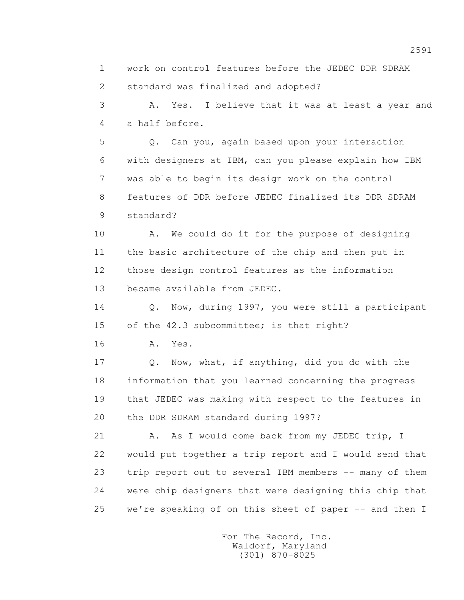1 work on control features before the JEDEC DDR SDRAM 2 standard was finalized and adopted?

 3 A. Yes. I believe that it was at least a year and 4 a half before.

 5 Q. Can you, again based upon your interaction 6 with designers at IBM, can you please explain how IBM 7 was able to begin its design work on the control 8 features of DDR before JEDEC finalized its DDR SDRAM 9 standard?

 10 A. We could do it for the purpose of designing 11 the basic architecture of the chip and then put in 12 those design control features as the information 13 became available from JEDEC.

 14 Q. Now, during 1997, you were still a participant 15 of the 42.3 subcommittee; is that right?

16 A. Yes.

 17 Q. Now, what, if anything, did you do with the 18 information that you learned concerning the progress 19 that JEDEC was making with respect to the features in 20 the DDR SDRAM standard during 1997?

21 A. As I would come back from my JEDEC trip, I 22 would put together a trip report and I would send that 23 trip report out to several IBM members -- many of them 24 were chip designers that were designing this chip that 25 we're speaking of on this sheet of paper -- and then I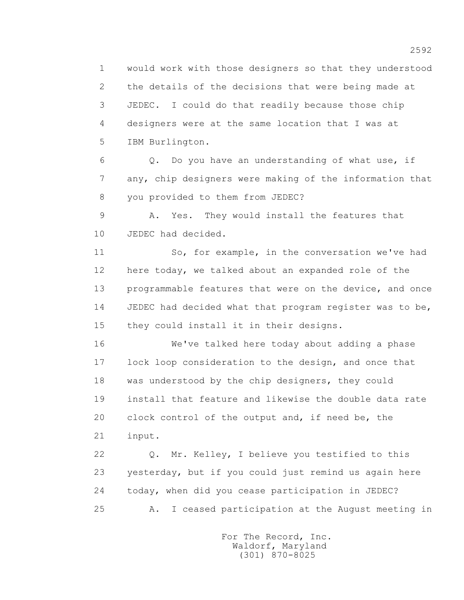1 would work with those designers so that they understood 2 the details of the decisions that were being made at 3 JEDEC. I could do that readily because those chip 4 designers were at the same location that I was at 5 IBM Burlington.

 6 Q. Do you have an understanding of what use, if 7 any, chip designers were making of the information that 8 you provided to them from JEDEC?

 9 A. Yes. They would install the features that 10 JEDEC had decided.

 11 So, for example, in the conversation we've had 12 here today, we talked about an expanded role of the 13 programmable features that were on the device, and once 14 JEDEC had decided what that program register was to be, 15 they could install it in their designs.

 16 We've talked here today about adding a phase 17 lock loop consideration to the design, and once that 18 was understood by the chip designers, they could 19 install that feature and likewise the double data rate 20 clock control of the output and, if need be, the 21 input.

 22 Q. Mr. Kelley, I believe you testified to this 23 yesterday, but if you could just remind us again here 24 today, when did you cease participation in JEDEC? 25 A. I ceased participation at the August meeting in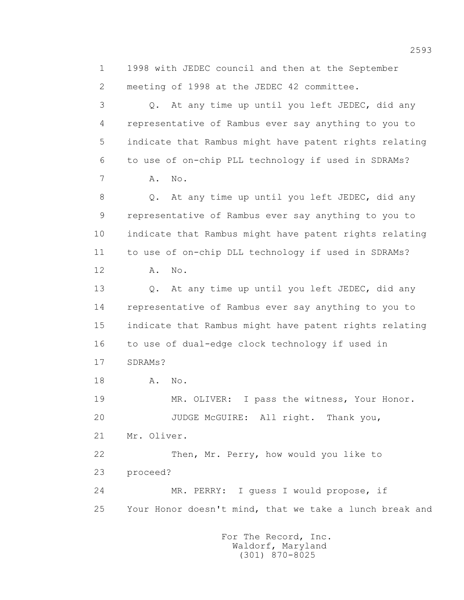1 1998 with JEDEC council and then at the September 2 meeting of 1998 at the JEDEC 42 committee. 3 Q. At any time up until you left JEDEC, did any 4 representative of Rambus ever say anything to you to 5 indicate that Rambus might have patent rights relating 6 to use of on-chip PLL technology if used in SDRAMs? 7 A. No. 8 Q. At any time up until you left JEDEC, did any 9 representative of Rambus ever say anything to you to 10 indicate that Rambus might have patent rights relating 11 to use of on-chip DLL technology if used in SDRAMs? 12 A. No. 13 Q. At any time up until you left JEDEC, did any 14 representative of Rambus ever say anything to you to 15 indicate that Rambus might have patent rights relating 16 to use of dual-edge clock technology if used in 17 SDRAMs? 18 A. No. 19 MR. OLIVER: I pass the witness, Your Honor. 20 JUDGE McGUIRE: All right. Thank you, 21 Mr. Oliver. 22 Then, Mr. Perry, how would you like to 23 proceed? 24 MR. PERRY: I guess I would propose, if 25 Your Honor doesn't mind, that we take a lunch break and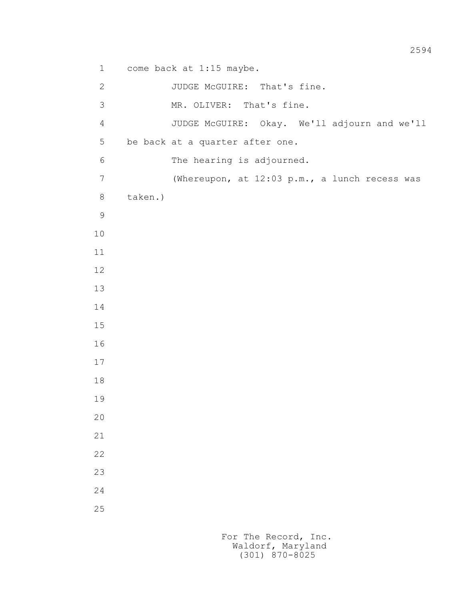1 come back at 1:15 maybe.

```
 2 JUDGE McGUIRE: That's fine. 
           3 MR. OLIVER: That's fine.
           4 JUDGE McGUIRE: Okay. We'll adjourn and we'll 
           5 be back at a quarter after one. 
           6 The hearing is adjourned. 
           7 (Whereupon, at 12:03 p.m., a lunch recess was 
           8 taken.)
9
          10
          11
          12
          13
          14
          15
          16
          17
          18
          19
          20
          21
          22
          23
          24
          25
```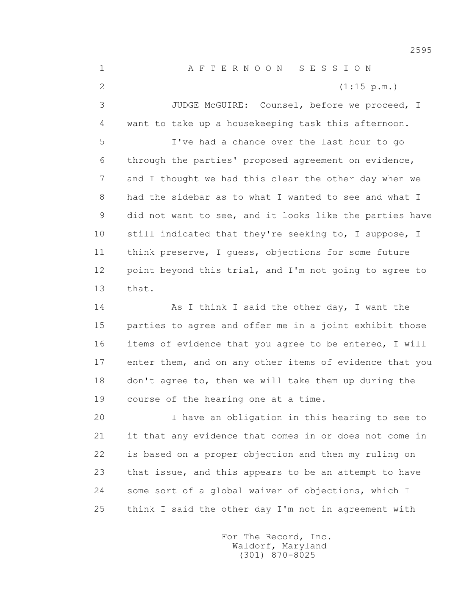1 A F T E R N O O N S E S S I O N 2 (1:15 p.m.) 3 JUDGE McGUIRE: Counsel, before we proceed, I 4 want to take up a housekeeping task this afternoon. 5 I've had a chance over the last hour to go 6 through the parties' proposed agreement on evidence, 7 and I thought we had this clear the other day when we 8 had the sidebar as to what I wanted to see and what I 9 did not want to see, and it looks like the parties have 10 still indicated that they're seeking to, I suppose, I 11 think preserve, I guess, objections for some future 12 point beyond this trial, and I'm not going to agree to 13 that. 14 As I think I said the other day, I want the

 15 parties to agree and offer me in a joint exhibit those 16 items of evidence that you agree to be entered, I will 17 enter them, and on any other items of evidence that you 18 don't agree to, then we will take them up during the 19 course of the hearing one at a time.

 20 I have an obligation in this hearing to see to 21 it that any evidence that comes in or does not come in 22 is based on a proper objection and then my ruling on 23 that issue, and this appears to be an attempt to have 24 some sort of a global waiver of objections, which I 25 think I said the other day I'm not in agreement with

> For The Record, Inc. Waldorf, Maryland (301) 870-8025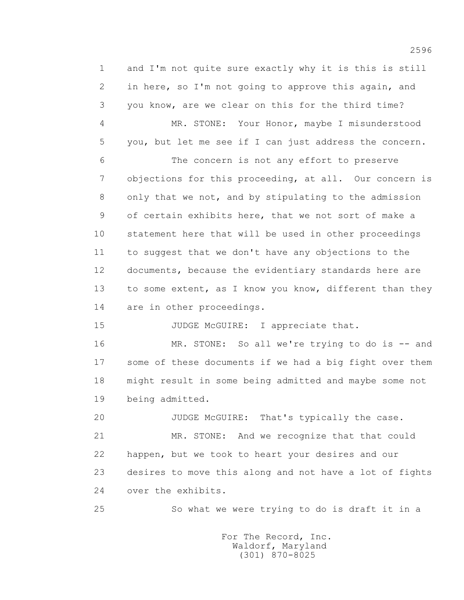1 and I'm not quite sure exactly why it is this is still 2 in here, so I'm not going to approve this again, and 3 you know, are we clear on this for the third time? 4 MR. STONE: Your Honor, maybe I misunderstood 5 you, but let me see if I can just address the concern. 6 The concern is not any effort to preserve 7 objections for this proceeding, at all. Our concern is 8 only that we not, and by stipulating to the admission 9 of certain exhibits here, that we not sort of make a 10 statement here that will be used in other proceedings 11 to suggest that we don't have any objections to the 12 documents, because the evidentiary standards here are 13 to some extent, as I know you know, different than they 14 are in other proceedings.

15 JUDGE McGUIRE: I appreciate that.

 16 MR. STONE: So all we're trying to do is -- and 17 some of these documents if we had a big fight over them 18 might result in some being admitted and maybe some not 19 being admitted.

 20 JUDGE McGUIRE: That's typically the case. 21 MR. STONE: And we recognize that that could 22 happen, but we took to heart your desires and our 23 desires to move this along and not have a lot of fights 24 over the exhibits.

25 So what we were trying to do is draft it in a

 For The Record, Inc. Waldorf, Maryland (301) 870-8025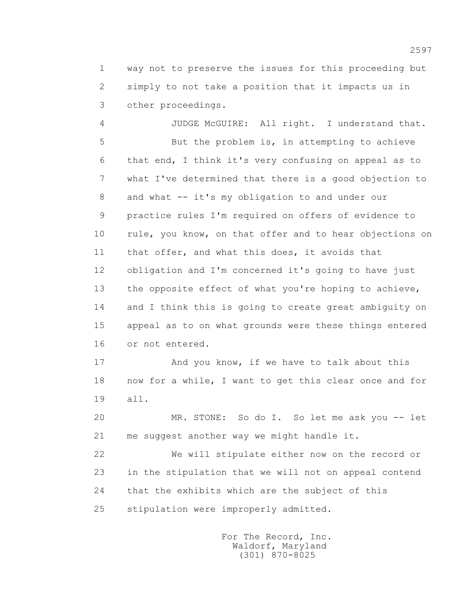1 way not to preserve the issues for this proceeding but 2 simply to not take a position that it impacts us in 3 other proceedings.

 4 JUDGE McGUIRE: All right. I understand that. 5 But the problem is, in attempting to achieve 6 that end, I think it's very confusing on appeal as to 7 what I've determined that there is a good objection to 8 and what -- it's my obligation to and under our 9 practice rules I'm required on offers of evidence to 10 rule, you know, on that offer and to hear objections on 11 that offer, and what this does, it avoids that 12 obligation and I'm concerned it's going to have just 13 the opposite effect of what you're hoping to achieve, 14 and I think this is going to create great ambiguity on 15 appeal as to on what grounds were these things entered 16 or not entered.

 17 And you know, if we have to talk about this 18 now for a while, I want to get this clear once and for 19 all.

 20 MR. STONE: So do I. So let me ask you -- let 21 me suggest another way we might handle it.

 22 We will stipulate either now on the record or 23 in the stipulation that we will not on appeal contend 24 that the exhibits which are the subject of this 25 stipulation were improperly admitted.

> For The Record, Inc. Waldorf, Maryland (301) 870-8025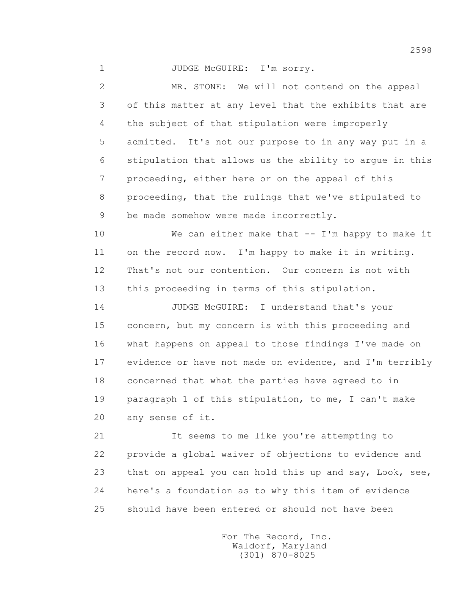1 JUDGE McGUIRE: I'm sorry.

 2 MR. STONE: We will not contend on the appeal 3 of this matter at any level that the exhibits that are 4 the subject of that stipulation were improperly 5 admitted. It's not our purpose to in any way put in a 6 stipulation that allows us the ability to argue in this 7 proceeding, either here or on the appeal of this 8 proceeding, that the rulings that we've stipulated to 9 be made somehow were made incorrectly.

 10 We can either make that -- I'm happy to make it 11 on the record now. I'm happy to make it in writing. 12 That's not our contention. Our concern is not with 13 this proceeding in terms of this stipulation.

 14 JUDGE McGUIRE: I understand that's your 15 concern, but my concern is with this proceeding and 16 what happens on appeal to those findings I've made on 17 evidence or have not made on evidence, and I'm terribly 18 concerned that what the parties have agreed to in 19 paragraph 1 of this stipulation, to me, I can't make 20 any sense of it.

 21 It seems to me like you're attempting to 22 provide a global waiver of objections to evidence and 23 that on appeal you can hold this up and say, Look, see, 24 here's a foundation as to why this item of evidence 25 should have been entered or should not have been

> For The Record, Inc. Waldorf, Maryland (301) 870-8025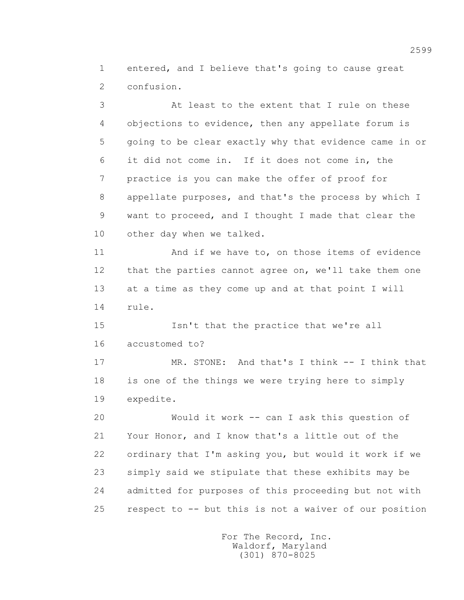1 entered, and I believe that's going to cause great 2 confusion.

 3 At least to the extent that I rule on these 4 objections to evidence, then any appellate forum is 5 going to be clear exactly why that evidence came in or 6 it did not come in. If it does not come in, the 7 practice is you can make the offer of proof for 8 appellate purposes, and that's the process by which I 9 want to proceed, and I thought I made that clear the 10 other day when we talked. 11 And if we have to, on those items of evidence 12 that the parties cannot agree on, we'll take them one 13 at a time as they come up and at that point I will 14 rule. 15 Isn't that the practice that we're all 16 accustomed to? 17 MR. STONE: And that's I think -- I think that 18 is one of the things we were trying here to simply 19 expedite.

 20 Would it work -- can I ask this question of 21 Your Honor, and I know that's a little out of the 22 ordinary that I'm asking you, but would it work if we 23 simply said we stipulate that these exhibits may be 24 admitted for purposes of this proceeding but not with 25 respect to -- but this is not a waiver of our position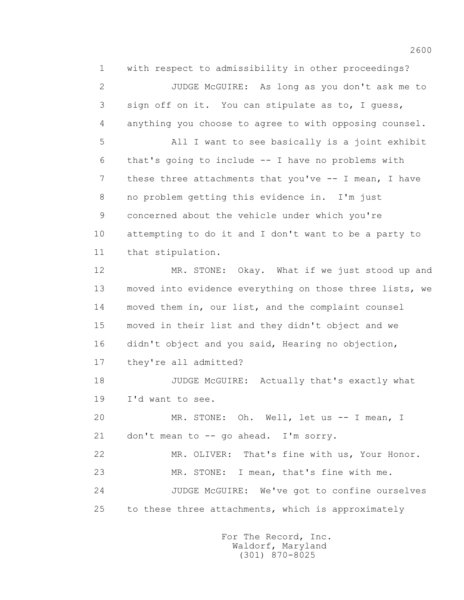1 with respect to admissibility in other proceedings? 2 JUDGE McGUIRE: As long as you don't ask me to 3 sign off on it. You can stipulate as to, I guess, 4 anything you choose to agree to with opposing counsel. 5 All I want to see basically is a joint exhibit 6 that's going to include -- I have no problems with 7 these three attachments that you've -- I mean, I have 8 no problem getting this evidence in. I'm just 9 concerned about the vehicle under which you're 10 attempting to do it and I don't want to be a party to 11 that stipulation. 12 MR. STONE: Okay. What if we just stood up and 13 moved into evidence everything on those three lists, we 14 moved them in, our list, and the complaint counsel 15 moved in their list and they didn't object and we 16 didn't object and you said, Hearing no objection, 17 they're all admitted? 18 JUDGE McGUIRE: Actually that's exactly what 19 I'd want to see. 20 MR. STONE: Oh. Well, let us -- I mean, I 21 don't mean to -- go ahead. I'm sorry. 22 MR. OLIVER: That's fine with us, Your Honor. 23 MR. STONE: I mean, that's fine with me. 24 JUDGE McGUIRE: We've got to confine ourselves 25 to these three attachments, which is approximately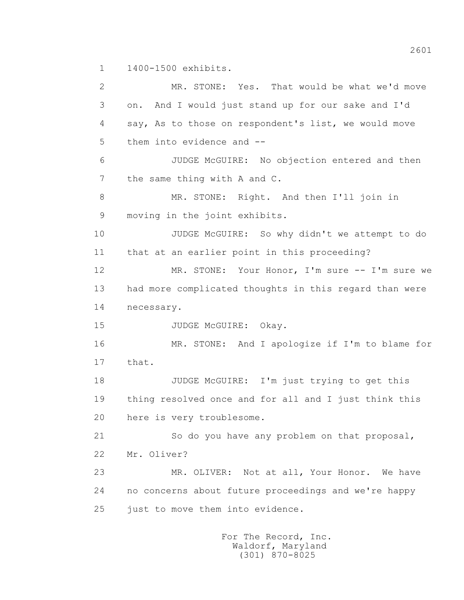1 1400-1500 exhibits.

 2 MR. STONE: Yes. That would be what we'd move 3 on. And I would just stand up for our sake and I'd 4 say, As to those on respondent's list, we would move 5 them into evidence and -- 6 JUDGE McGUIRE: No objection entered and then 7 the same thing with A and C. 8 MR. STONE: Right. And then I'll join in 9 moving in the joint exhibits. 10 JUDGE McGUIRE: So why didn't we attempt to do 11 that at an earlier point in this proceeding? 12 MR. STONE: Your Honor, I'm sure -- I'm sure we 13 had more complicated thoughts in this regard than were 14 necessary. 15 JUDGE McGUIRE: Okay. 16 MR. STONE: And I apologize if I'm to blame for 17 that. 18 JUDGE McGUIRE: I'm just trying to get this 19 thing resolved once and for all and I just think this 20 here is very troublesome. 21 So do you have any problem on that proposal, 22 Mr. Oliver? 23 MR. OLIVER: Not at all, Your Honor. We have 24 no concerns about future proceedings and we're happy 25 just to move them into evidence.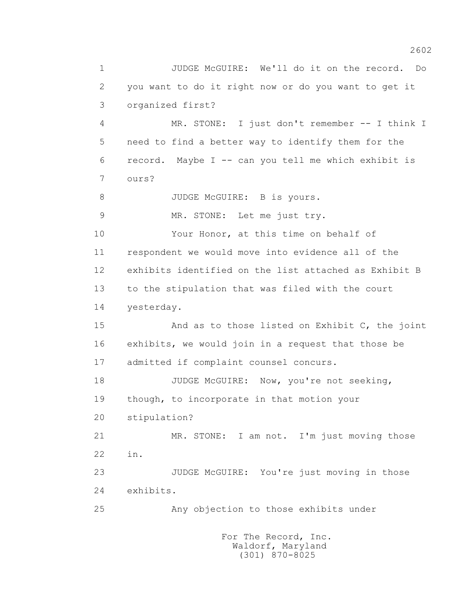1 JUDGE McGUIRE: We'll do it on the record. Do 2 you want to do it right now or do you want to get it 3 organized first? 4 MR. STONE: I just don't remember -- I think I 5 need to find a better way to identify them for the 6 record. Maybe I -- can you tell me which exhibit is 7 ours? 8 JUDGE McGUIRE: B is yours. 9 MR. STONE: Let me just try. 10 Your Honor, at this time on behalf of 11 respondent we would move into evidence all of the 12 exhibits identified on the list attached as Exhibit B 13 to the stipulation that was filed with the court 14 yesterday. 15 And as to those listed on Exhibit C, the joint 16 exhibits, we would join in a request that those be 17 admitted if complaint counsel concurs. 18 JUDGE McGUIRE: Now, you're not seeking, 19 though, to incorporate in that motion your 20 stipulation? 21 MR. STONE: I am not. I'm just moving those 22 in. 23 JUDGE McGUIRE: You're just moving in those 24 exhibits. 25 Any objection to those exhibits under For The Record, Inc.

> Waldorf, Maryland (301) 870-8025

2602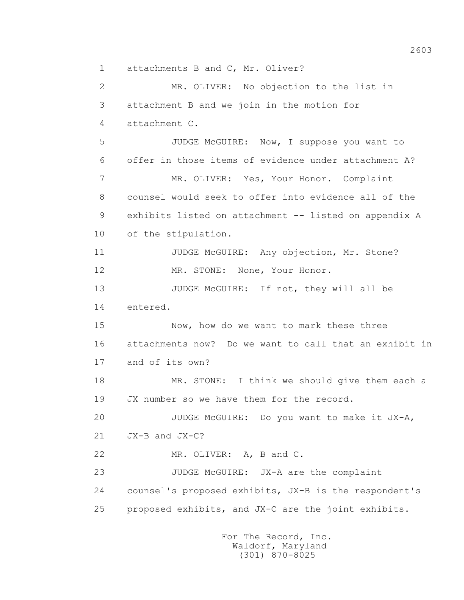1 attachments B and C, Mr. Oliver?

 2 MR. OLIVER: No objection to the list in 3 attachment B and we join in the motion for 4 attachment C. 5 JUDGE McGUIRE: Now, I suppose you want to 6 offer in those items of evidence under attachment A? 7 MR. OLIVER: Yes, Your Honor. Complaint 8 counsel would seek to offer into evidence all of the 9 exhibits listed on attachment -- listed on appendix A 10 of the stipulation. 11 JUDGE McGUIRE: Any objection, Mr. Stone? 12 MR. STONE: None, Your Honor. 13 JUDGE McGUIRE: If not, they will all be 14 entered. 15 Now, how do we want to mark these three 16 attachments now? Do we want to call that an exhibit in 17 and of its own? 18 MR. STONE: I think we should give them each a 19 JX number so we have them for the record. 20 JUDGE McGUIRE: Do you want to make it JX-A, 21 JX-B and JX-C? 22 MR. OLIVER: A, B and C. 23 JUDGE McGUIRE: JX-A are the complaint 24 counsel's proposed exhibits, JX-B is the respondent's 25 proposed exhibits, and JX-C are the joint exhibits.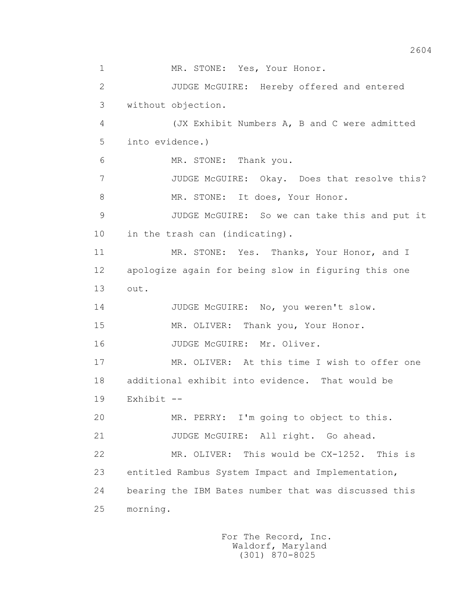1 MR. STONE: Yes, Your Honor. 2 JUDGE McGUIRE: Hereby offered and entered 3 without objection. 4 (JX Exhibit Numbers A, B and C were admitted 5 into evidence.) 6 MR. STONE: Thank you. 7 JUDGE McGUIRE: Okay. Does that resolve this? 8 MR. STONE: It does, Your Honor. 9 JUDGE McGUIRE: So we can take this and put it 10 in the trash can (indicating). 11 MR. STONE: Yes. Thanks, Your Honor, and I 12 apologize again for being slow in figuring this one 13 out. 14 JUDGE McGUIRE: No, you weren't slow. 15 MR. OLIVER: Thank you, Your Honor. 16 JUDGE McGUIRE: Mr. Oliver. 17 MR. OLIVER: At this time I wish to offer one 18 additional exhibit into evidence. That would be 19 Exhibit -- 20 MR. PERRY: I'm going to object to this. 21 JUDGE McGUIRE: All right. Go ahead. 22 MR. OLIVER: This would be CX-1252. This is 23 entitled Rambus System Impact and Implementation, 24 bearing the IBM Bates number that was discussed this 25 morning.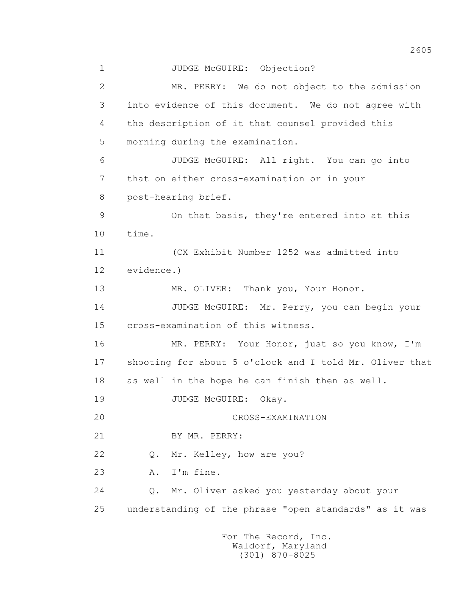1 JUDGE McGUIRE: Objection? 2 MR. PERRY: We do not object to the admission 3 into evidence of this document. We do not agree with 4 the description of it that counsel provided this 5 morning during the examination. 6 JUDGE McGUIRE: All right. You can go into 7 that on either cross-examination or in your 8 post-hearing brief. 9 On that basis, they're entered into at this 10 time. 11 (CX Exhibit Number 1252 was admitted into 12 evidence.) 13 MR. OLIVER: Thank you, Your Honor. 14 JUDGE McGUIRE: Mr. Perry, you can begin your 15 cross-examination of this witness. 16 MR. PERRY: Your Honor, just so you know, I'm 17 shooting for about 5 o'clock and I told Mr. Oliver that 18 as well in the hope he can finish then as well. 19 JUDGE McGUIRE: Okay. 20 CROSS-EXAMINATION 21 BY MR. PERRY: 22 Q. Mr. Kelley, how are you? 23 A. I'm fine. 24 Q. Mr. Oliver asked you yesterday about your 25 understanding of the phrase "open standards" as it was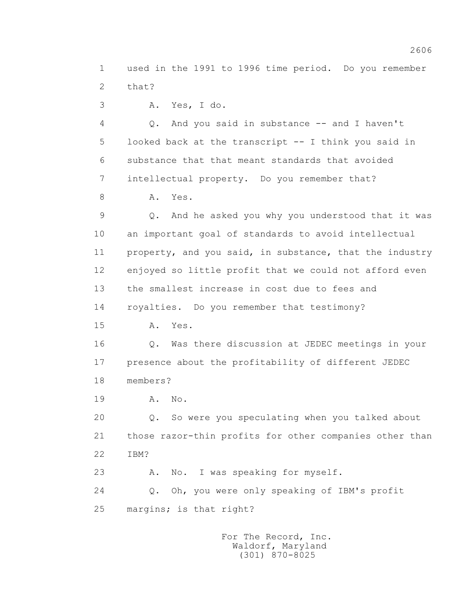1 used in the 1991 to 1996 time period. Do you remember 2 that?

3 A. Yes, I do.

4 Q. And you said in substance -- and I haven't 5 looked back at the transcript -- I think you said in 6 substance that that meant standards that avoided 7 intellectual property. Do you remember that?

8 A. Yes.

 9 Q. And he asked you why you understood that it was 10 an important goal of standards to avoid intellectual 11 property, and you said, in substance, that the industry 12 enjoyed so little profit that we could not afford even 13 the smallest increase in cost due to fees and 14 royalties. Do you remember that testimony?

15 A. Yes.

 16 Q. Was there discussion at JEDEC meetings in your 17 presence about the profitability of different JEDEC 18 members?

19 A. No.

 20 Q. So were you speculating when you talked about 21 those razor-thin profits for other companies other than 22 IBM?

23 A. No. I was speaking for myself.

 24 Q. Oh, you were only speaking of IBM's profit 25 margins; is that right?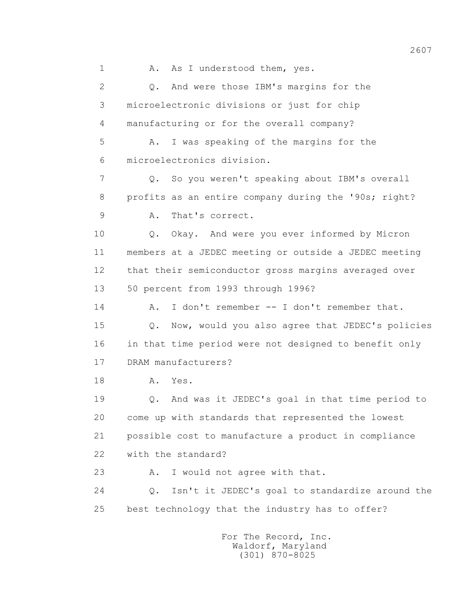1 A. As I understood them, yes. 2 Q. And were those IBM's margins for the 3 microelectronic divisions or just for chip 4 manufacturing or for the overall company? 5 A. I was speaking of the margins for the 6 microelectronics division. 7 Q. So you weren't speaking about IBM's overall 8 profits as an entire company during the '90s; right? 9 A. That's correct. 10 Q. Okay. And were you ever informed by Micron 11 members at a JEDEC meeting or outside a JEDEC meeting 12 that their semiconductor gross margins averaged over 13 50 percent from 1993 through 1996? 14 A. I don't remember -- I don't remember that. 15 Q. Now, would you also agree that JEDEC's policies 16 in that time period were not designed to benefit only 17 DRAM manufacturers? 18 **A.** Yes. 19 Q. And was it JEDEC's goal in that time period to 20 come up with standards that represented the lowest 21 possible cost to manufacture a product in compliance 22 with the standard? 23 A. I would not agree with that. 24 Q. Isn't it JEDEC's goal to standardize around the 25 best technology that the industry has to offer? For The Record, Inc.

 Waldorf, Maryland (301) 870-8025

2607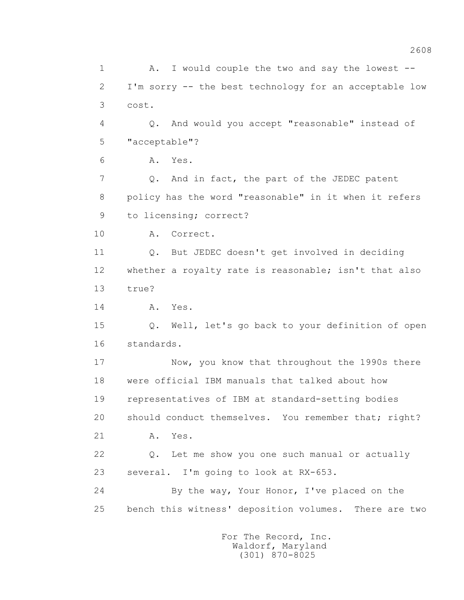1 A. I would couple the two and say the lowest -- 2 I'm sorry -- the best technology for an acceptable low 3 cost. 4 Q. And would you accept "reasonable" instead of 5 "acceptable"? 6 A. Yes. 7 Q. And in fact, the part of the JEDEC patent 8 policy has the word "reasonable" in it when it refers 9 to licensing; correct? 10 A. Correct. 11 Q. But JEDEC doesn't get involved in deciding 12 whether a royalty rate is reasonable; isn't that also 13 true? 14 A. Yes. 15 Q. Well, let's go back to your definition of open 16 standards. 17 Now, you know that throughout the 1990s there 18 were official IBM manuals that talked about how 19 representatives of IBM at standard-setting bodies 20 should conduct themselves. You remember that; right? 21 A. Yes. 22 Q. Let me show you one such manual or actually 23 several. I'm going to look at RX-653. 24 By the way, Your Honor, I've placed on the 25 bench this witness' deposition volumes. There are two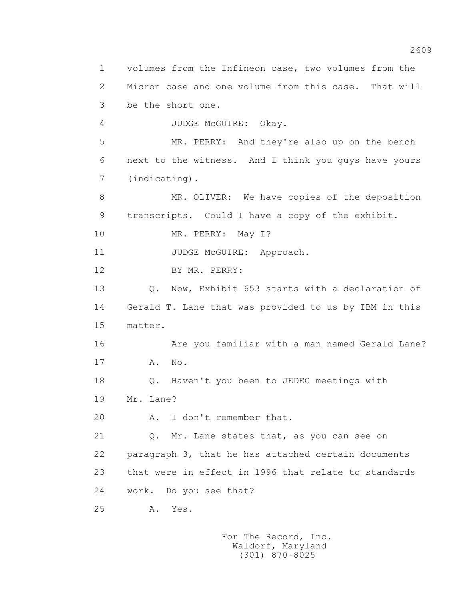1 volumes from the Infineon case, two volumes from the 2 Micron case and one volume from this case. That will 3 be the short one. 4 JUDGE McGUIRE: Okay. 5 MR. PERRY: And they're also up on the bench 6 next to the witness. And I think you guys have yours 7 (indicating). 8 MR. OLIVER: We have copies of the deposition 9 transcripts. Could I have a copy of the exhibit. 10 MR. PERRY: May I? 11 JUDGE McGUIRE: Approach. 12 BY MR. PERRY: 13 Q. Now, Exhibit 653 starts with a declaration of 14 Gerald T. Lane that was provided to us by IBM in this 15 matter. 16 Are you familiar with a man named Gerald Lane? 17 A. No. 18 Q. Haven't you been to JEDEC meetings with 19 Mr. Lane? 20 A. I don't remember that. 21 Q. Mr. Lane states that, as you can see on 22 paragraph 3, that he has attached certain documents 23 that were in effect in 1996 that relate to standards 24 work. Do you see that? 25 A. Yes.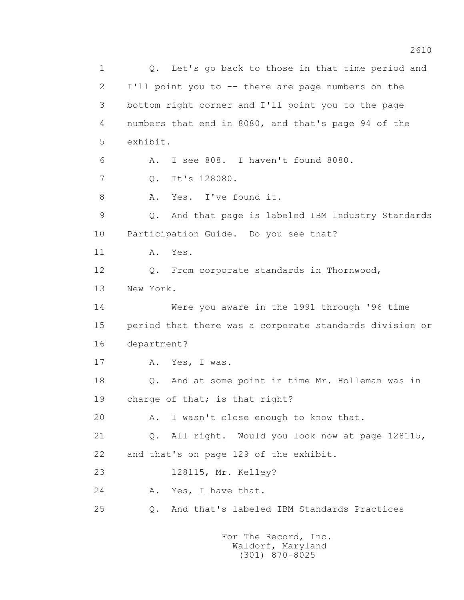1 Q. Let's go back to those in that time period and 2 I'll point you to -- there are page numbers on the 3 bottom right corner and I'll point you to the page 4 numbers that end in 8080, and that's page 94 of the 5 exhibit. 6 A. I see 808. I haven't found 8080. 7 Q. It's 128080. 8 A. Yes. I've found it. 9 Q. And that page is labeled IBM Industry Standards 10 Participation Guide. Do you see that? 11 A. Yes. 12 Q. From corporate standards in Thornwood, 13 New York. 14 Were you aware in the 1991 through '96 time 15 period that there was a corporate standards division or 16 department? 17 A. Yes, I was. 18 Q. And at some point in time Mr. Holleman was in 19 charge of that; is that right? 20 A. I wasn't close enough to know that. 21 Q. All right. Would you look now at page 128115, 22 and that's on page 129 of the exhibit. 23 128115, Mr. Kelley? 24 A. Yes, I have that. 25 Q. And that's labeled IBM Standards Practices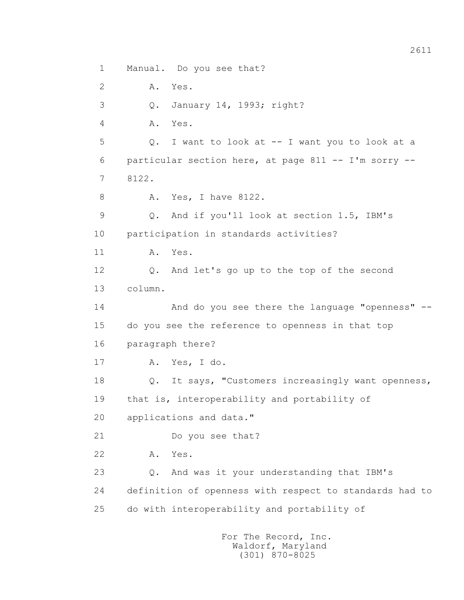1 Manual. Do you see that? 2 A. Yes. 3 Q. January 14, 1993; right? 4 A. Yes. 5 Q. I want to look at -- I want you to look at a 6 particular section here, at page 811 -- I'm sorry -- 7 8122. 8 A. Yes, I have 8122. 9 Q. And if you'll look at section 1.5, IBM's 10 participation in standards activities? 11 A. Yes. 12 Q. And let's go up to the top of the second 13 column. 14 And do you see there the language "openness" -- 15 do you see the reference to openness in that top 16 paragraph there? 17 A. Yes, I do. 18 Q. It says, "Customers increasingly want openness, 19 that is, interoperability and portability of 20 applications and data." 21 Do you see that? 22 A. Yes. 23 Q. And was it your understanding that IBM's 24 definition of openness with respect to standards had to 25 do with interoperability and portability of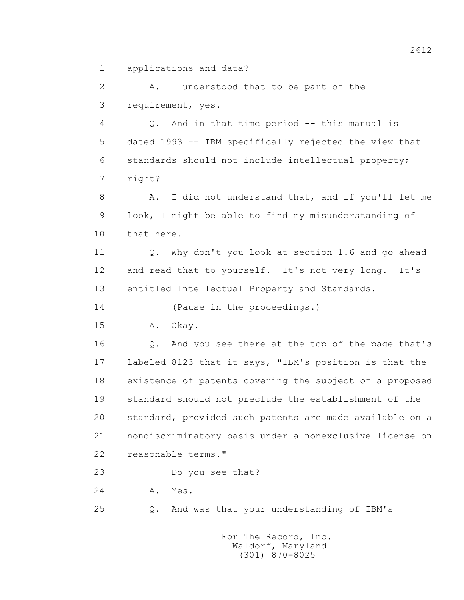1 applications and data?

 2 A. I understood that to be part of the 3 requirement, yes.

 4 Q. And in that time period -- this manual is 5 dated 1993 -- IBM specifically rejected the view that 6 standards should not include intellectual property; 7 right?

 8 A. I did not understand that, and if you'll let me 9 look, I might be able to find my misunderstanding of 10 that here.

 11 Q. Why don't you look at section 1.6 and go ahead 12 and read that to yourself. It's not very long. It's 13 entitled Intellectual Property and Standards.

14 (Pause in the proceedings.)

15 A. Okay.

 16 Q. And you see there at the top of the page that's 17 labeled 8123 that it says, "IBM's position is that the 18 existence of patents covering the subject of a proposed 19 standard should not preclude the establishment of the 20 standard, provided such patents are made available on a 21 nondiscriminatory basis under a nonexclusive license on 22 reasonable terms."

23 Do you see that?

24 **A.** Yes.

25 Q. And was that your understanding of IBM's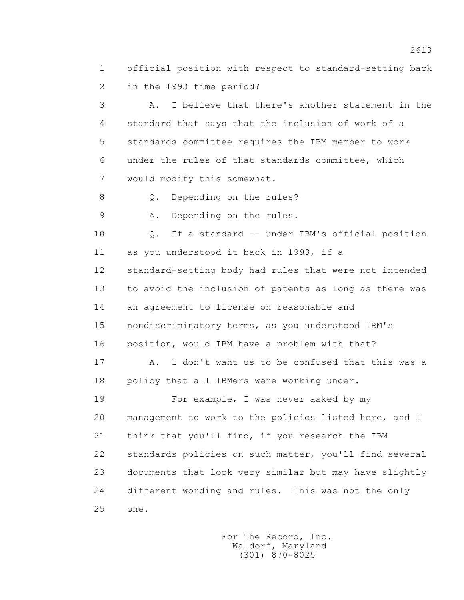1 official position with respect to standard-setting back 2 in the 1993 time period?

 3 A. I believe that there's another statement in the 4 standard that says that the inclusion of work of a 5 standards committee requires the IBM member to work 6 under the rules of that standards committee, which 7 would modify this somewhat.

8 Q. Depending on the rules?

9 A. Depending on the rules.

 10 Q. If a standard -- under IBM's official position 11 as you understood it back in 1993, if a 12 standard-setting body had rules that were not intended 13 to avoid the inclusion of patents as long as there was 14 an agreement to license on reasonable and 15 nondiscriminatory terms, as you understood IBM's 16 position, would IBM have a problem with that?

 17 A. I don't want us to be confused that this was a 18 policy that all IBMers were working under.

 19 For example, I was never asked by my 20 management to work to the policies listed here, and I 21 think that you'll find, if you research the IBM 22 standards policies on such matter, you'll find several 23 documents that look very similar but may have slightly 24 different wording and rules. This was not the only 25 one.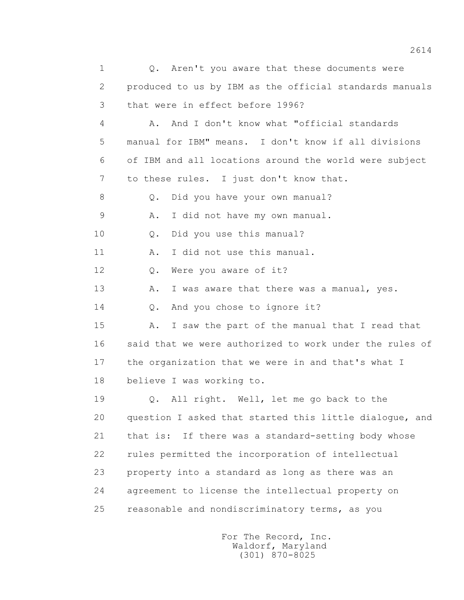1 0. Aren't you aware that these documents were 2 produced to us by IBM as the official standards manuals 3 that were in effect before 1996? 4 A. And I don't know what "official standards 5 manual for IBM" means. I don't know if all divisions 6 of IBM and all locations around the world were subject 7 to these rules. I just don't know that. 8 Q. Did you have your own manual? 9 A. I did not have my own manual. 10 Q. Did you use this manual? 11 A. I did not use this manual. 12 O. Were you aware of it? 13 A. I was aware that there was a manual, yes. 14 Q. And you chose to ignore it? 15 A. I saw the part of the manual that I read that 16 said that we were authorized to work under the rules of 17 the organization that we were in and that's what I 18 believe I was working to. 19 Q. All right. Well, let me go back to the 20 question I asked that started this little dialogue, and 21 that is: If there was a standard-setting body whose 22 rules permitted the incorporation of intellectual 23 property into a standard as long as there was an 24 agreement to license the intellectual property on 25 reasonable and nondiscriminatory terms, as you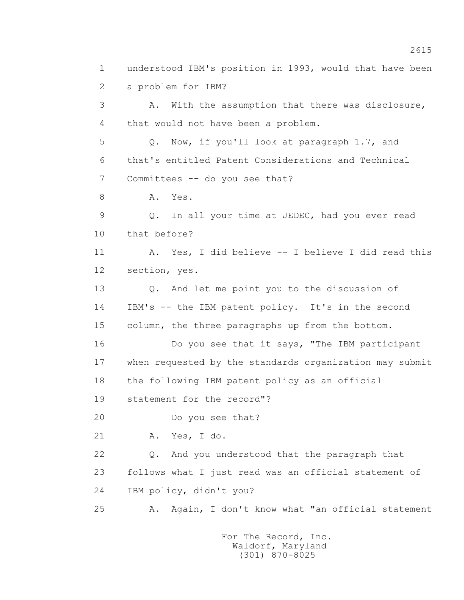1 understood IBM's position in 1993, would that have been 2 a problem for IBM? 3 A. With the assumption that there was disclosure, 4 that would not have been a problem. 5 Q. Now, if you'll look at paragraph 1.7, and 6 that's entitled Patent Considerations and Technical 7 Committees -- do you see that? 8 A. Yes. 9 Q. In all your time at JEDEC, had you ever read 10 that before? 11 A. Yes, I did believe -- I believe I did read this 12 section, yes. 13 Q. And let me point you to the discussion of 14 IBM's -- the IBM patent policy. It's in the second 15 column, the three paragraphs up from the bottom. 16 Do you see that it says, "The IBM participant 17 when requested by the standards organization may submit 18 the following IBM patent policy as an official 19 statement for the record"? 20 Do you see that? 21 A. Yes, I do. 22 Q. And you understood that the paragraph that 23 follows what I just read was an official statement of 24 IBM policy, didn't you? 25 A. Again, I don't know what "an official statement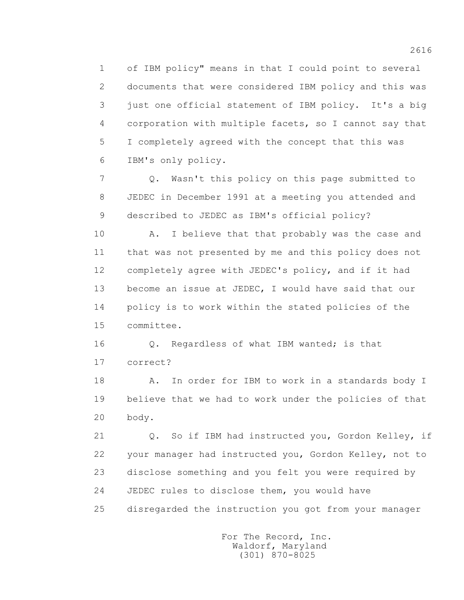1 of IBM policy" means in that I could point to several 2 documents that were considered IBM policy and this was 3 just one official statement of IBM policy. It's a big 4 corporation with multiple facets, so I cannot say that 5 I completely agreed with the concept that this was 6 IBM's only policy.

 7 Q. Wasn't this policy on this page submitted to 8 JEDEC in December 1991 at a meeting you attended and 9 described to JEDEC as IBM's official policy?

 10 A. I believe that that probably was the case and 11 that was not presented by me and this policy does not 12 completely agree with JEDEC's policy, and if it had 13 become an issue at JEDEC, I would have said that our 14 policy is to work within the stated policies of the 15 committee.

16 0. Regardless of what IBM wanted; is that 17 correct?

18 A. In order for IBM to work in a standards body I 19 believe that we had to work under the policies of that 20 body.

 21 Q. So if IBM had instructed you, Gordon Kelley, if 22 your manager had instructed you, Gordon Kelley, not to 23 disclose something and you felt you were required by 24 JEDEC rules to disclose them, you would have 25 disregarded the instruction you got from your manager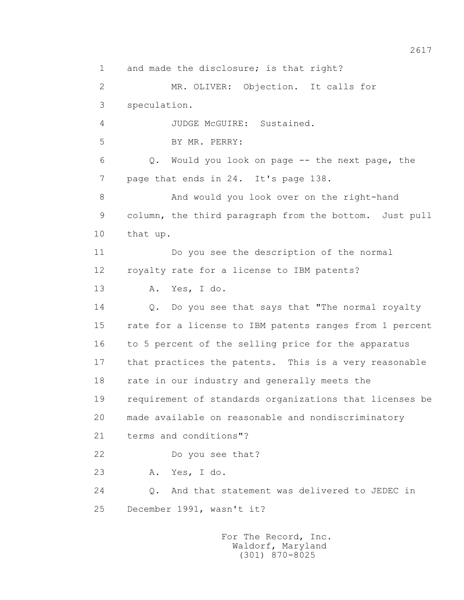1 and made the disclosure; is that right? 2 MR. OLIVER: Objection. It calls for 3 speculation. 4 JUDGE McGUIRE: Sustained. 5 BY MR. PERRY: 6 Q. Would you look on page -- the next page, the 7 page that ends in 24. It's page 138. 8 And would you look over on the right-hand 9 column, the third paragraph from the bottom. Just pull 10 that up. 11 Do you see the description of the normal 12 royalty rate for a license to IBM patents? 13 A. Yes, I do. 14 Q. Do you see that says that "The normal royalty 15 rate for a license to IBM patents ranges from 1 percent 16 to 5 percent of the selling price for the apparatus 17 that practices the patents. This is a very reasonable 18 rate in our industry and generally meets the 19 requirement of standards organizations that licenses be 20 made available on reasonable and nondiscriminatory 21 terms and conditions"? 22 Do you see that? 23 A. Yes, I do. 24 Q. And that statement was delivered to JEDEC in 25 December 1991, wasn't it?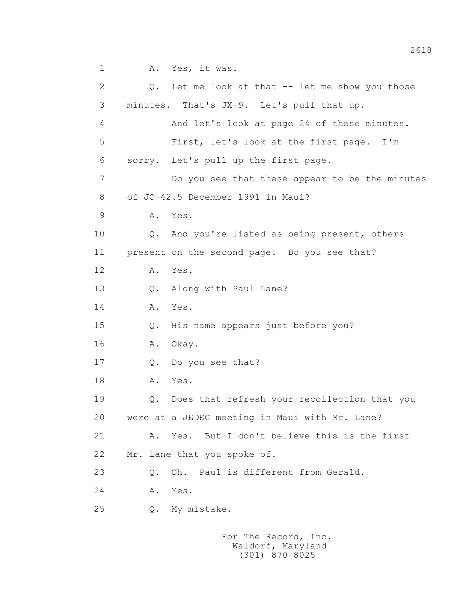2 Q. Let me look at that -- let me show you those 3 minutes. That's JX-9. Let's pull that up. 4 And let's look at page 24 of these minutes. 5 First, let's look at the first page. I'm 6 sorry. Let's pull up the first page. 7 Do you see that these appear to be the minutes 8 of JC-42.5 December 1991 in Maui? 9 A. Yes. 10 Q. And you're listed as being present, others 11 present on the second page. Do you see that? 12 A. Yes. 13 Q. Along with Paul Lane? 14 A. Yes. 15 Q. His name appears just before you? 16 A. Okay. 17 Q. Do you see that? 18 **A.** Yes. 19 Q. Does that refresh your recollection that you 20 were at a JEDEC meeting in Maui with Mr. Lane? 21 A. Yes. But I don't believe this is the first 22 Mr. Lane that you spoke of. 23 Q. Oh. Paul is different from Gerald. 24 A. Yes. 25 Q. My mistake.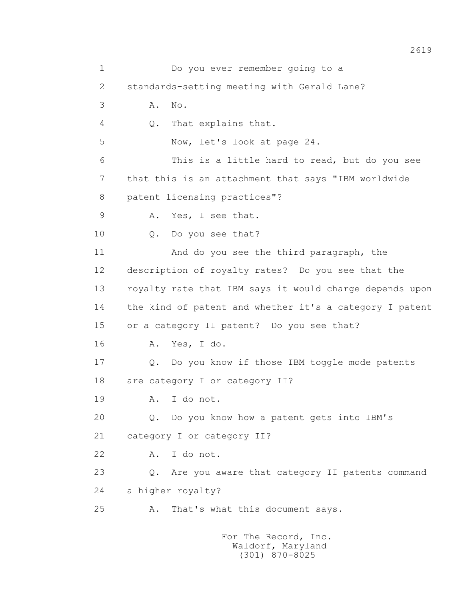1 Do you ever remember going to a 2 standards-setting meeting with Gerald Lane? 3 A. No. 4 Q. That explains that. 5 Now, let's look at page 24. 6 This is a little hard to read, but do you see 7 that this is an attachment that says "IBM worldwide 8 patent licensing practices"? 9 A. Yes, I see that. 10 Q. Do you see that? 11 And do you see the third paragraph, the 12 description of royalty rates? Do you see that the 13 royalty rate that IBM says it would charge depends upon 14 the kind of patent and whether it's a category I patent 15 or a category II patent? Do you see that? 16 A. Yes, I do. 17 Q. Do you know if those IBM toggle mode patents 18 are category I or category II? 19 A. I do not. 20 Q. Do you know how a patent gets into IBM's 21 category I or category II? 22 A. I do not. 23 Q. Are you aware that category II patents command 24 a higher royalty? 25 A. That's what this document says. For The Record, Inc.

 Waldorf, Maryland (301) 870-8025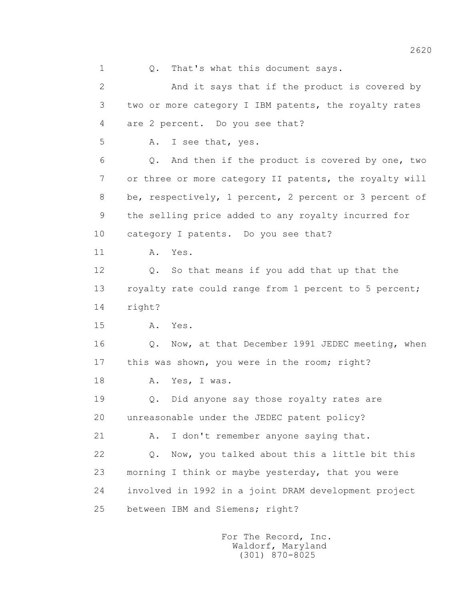1 0. That's what this document says.

 2 And it says that if the product is covered by 3 two or more category I IBM patents, the royalty rates 4 are 2 percent. Do you see that? 5 A. I see that, yes. 6 Q. And then if the product is covered by one, two 7 or three or more category II patents, the royalty will 8 be, respectively, 1 percent, 2 percent or 3 percent of 9 the selling price added to any royalty incurred for 10 category I patents. Do you see that? 11 A. Yes. 12 Q. So that means if you add that up that the 13 royalty rate could range from 1 percent to 5 percent; 14 right? 15 A. Yes. 16 Q. Now, at that December 1991 JEDEC meeting, when 17 this was shown, you were in the room; right? 18 A. Yes, I was. 19 Q. Did anyone say those royalty rates are 20 unreasonable under the JEDEC patent policy? 21 A. I don't remember anyone saying that. 22 Q. Now, you talked about this a little bit this 23 morning I think or maybe yesterday, that you were 24 involved in 1992 in a joint DRAM development project 25 between IBM and Siemens; right?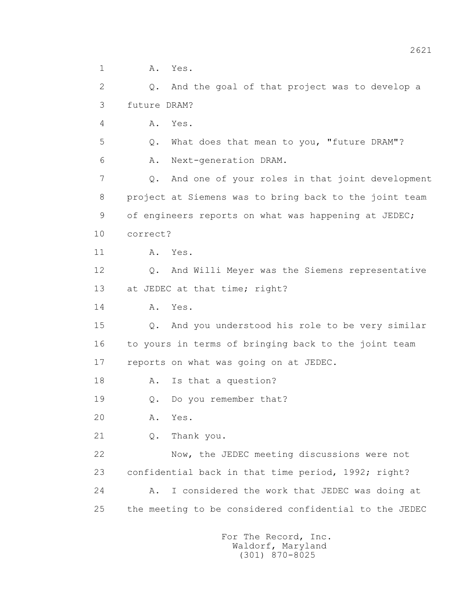1 A. Yes.

 2 Q. And the goal of that project was to develop a 3 future DRAM?

4 A. Yes.

 5 Q. What does that mean to you, "future DRAM"? 6 A. Next-generation DRAM.

 7 Q. And one of your roles in that joint development 8 project at Siemens was to bring back to the joint team 9 of engineers reports on what was happening at JEDEC; 10 correct?

11 A. Yes.

 12 Q. And Willi Meyer was the Siemens representative 13 at JEDEC at that time; right?

14 A. Yes.

 15 Q. And you understood his role to be very similar 16 to yours in terms of bringing back to the joint team 17 reports on what was going on at JEDEC.

18 A. Is that a question?

19 Q. Do you remember that?

20 A. Yes.

21 Q. Thank you.

 22 Now, the JEDEC meeting discussions were not 23 confidential back in that time period, 1992; right? 24 A. I considered the work that JEDEC was doing at 25 the meeting to be considered confidential to the JEDEC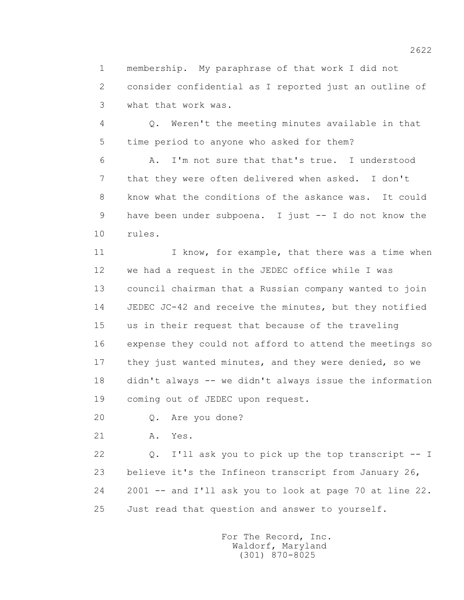1 membership. My paraphrase of that work I did not 2 consider confidential as I reported just an outline of 3 what that work was.

 4 Q. Weren't the meeting minutes available in that 5 time period to anyone who asked for them?

 6 A. I'm not sure that that's true. I understood 7 that they were often delivered when asked. I don't 8 know what the conditions of the askance was. It could 9 have been under subpoena. I just -- I do not know the 10 rules.

11 I know, for example, that there was a time when 12 we had a request in the JEDEC office while I was 13 council chairman that a Russian company wanted to join 14 JEDEC JC-42 and receive the minutes, but they notified 15 us in their request that because of the traveling 16 expense they could not afford to attend the meetings so 17 they just wanted minutes, and they were denied, so we 18 didn't always -- we didn't always issue the information 19 coming out of JEDEC upon request.

20 Q. Are you done?

21 A. Yes.

 22 Q. I'll ask you to pick up the top transcript -- I 23 believe it's the Infineon transcript from January 26, 24 2001 -- and I'll ask you to look at page 70 at line 22. 25 Just read that question and answer to yourself.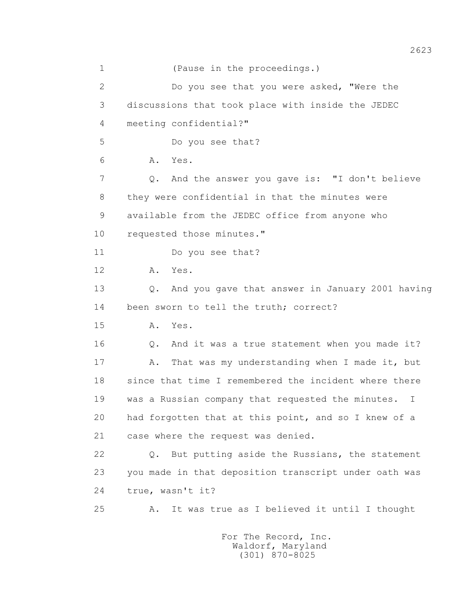1 (Pause in the proceedings.) 2 Do you see that you were asked, "Were the 3 discussions that took place with inside the JEDEC 4 meeting confidential?" 5 Do you see that? 6 A. Yes. 7 Q. And the answer you gave is: "I don't believe 8 they were confidential in that the minutes were 9 available from the JEDEC office from anyone who 10 requested those minutes." 11 Do you see that? 12 A. Yes. 13 Q. And you gave that answer in January 2001 having 14 been sworn to tell the truth; correct? 15 A. Yes. 16 0. And it was a true statement when you made it? 17 A. That was my understanding when I made it, but 18 since that time I remembered the incident where there 19 was a Russian company that requested the minutes. I 20 had forgotten that at this point, and so I knew of a 21 case where the request was denied. 22 Q. But putting aside the Russians, the statement 23 you made in that deposition transcript under oath was 24 true, wasn't it? 25 A. It was true as I believed it until I thought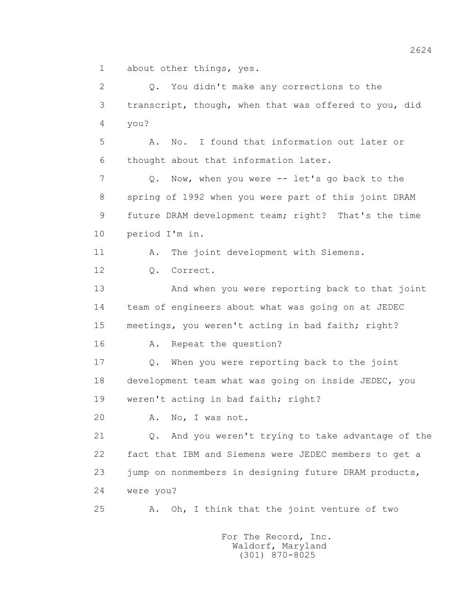1 about other things, yes.

 2 Q. You didn't make any corrections to the 3 transcript, though, when that was offered to you, did 4 you? 5 A. No. I found that information out later or 6 thought about that information later. 7 Q. Now, when you were -- let's go back to the 8 spring of 1992 when you were part of this joint DRAM 9 future DRAM development team; right? That's the time 10 period I'm in. 11 A. The joint development with Siemens. 12 Q. Correct. 13 And when you were reporting back to that joint 14 team of engineers about what was going on at JEDEC 15 meetings, you weren't acting in bad faith; right? 16 A. Repeat the question? 17 Q. When you were reporting back to the joint 18 development team what was going on inside JEDEC, you 19 weren't acting in bad faith; right? 20 A. No, I was not. 21 Q. And you weren't trying to take advantage of the 22 fact that IBM and Siemens were JEDEC members to get a 23 jump on nonmembers in designing future DRAM products, 24 were you? 25 A. Oh, I think that the joint venture of two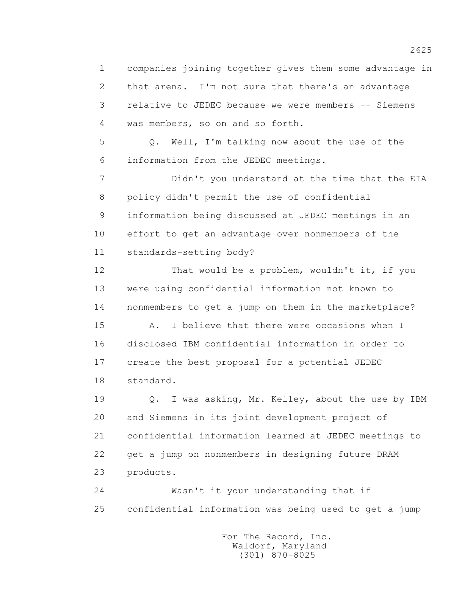1 companies joining together gives them some advantage in 2 that arena. I'm not sure that there's an advantage 3 relative to JEDEC because we were members -- Siemens 4 was members, so on and so forth.

 5 Q. Well, I'm talking now about the use of the 6 information from the JEDEC meetings.

 7 Didn't you understand at the time that the EIA 8 policy didn't permit the use of confidential 9 information being discussed at JEDEC meetings in an 10 effort to get an advantage over nonmembers of the 11 standards-setting body?

 12 That would be a problem, wouldn't it, if you 13 were using confidential information not known to 14 nonmembers to get a jump on them in the marketplace?

 15 A. I believe that there were occasions when I 16 disclosed IBM confidential information in order to 17 create the best proposal for a potential JEDEC 18 standard.

 19 Q. I was asking, Mr. Kelley, about the use by IBM 20 and Siemens in its joint development project of 21 confidential information learned at JEDEC meetings to 22 get a jump on nonmembers in designing future DRAM 23 products.

 24 Wasn't it your understanding that if 25 confidential information was being used to get a jump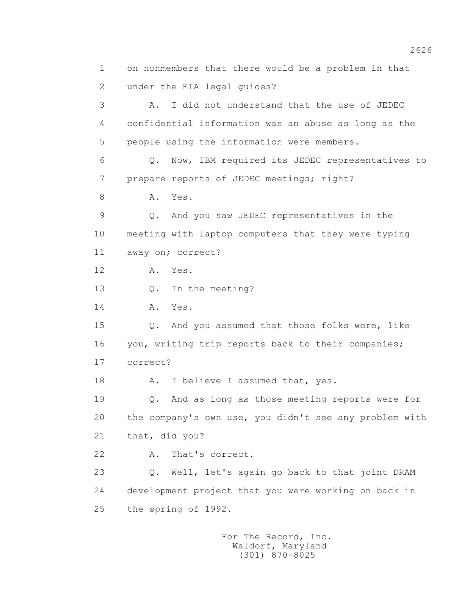1 on nonmembers that there would be a problem in that 2 under the EIA legal guides? 3 A. I did not understand that the use of JEDEC 4 confidential information was an abuse as long as the 5 people using the information were members. 6 Q. Now, IBM required its JEDEC representatives to 7 prepare reports of JEDEC meetings; right? 8 A. Yes. 9 Q. And you saw JEDEC representatives in the 10 meeting with laptop computers that they were typing 11 away on; correct? 12 A. Yes. 13 Q. In the meeting? 14 A. Yes. 15 Q. And you assumed that those folks were, like 16 you, writing trip reports back to their companies; 17 correct? 18 A. I believe I assumed that, yes. 19 Q. And as long as those meeting reports were for 20 the company's own use, you didn't see any problem with 21 that, did you? 22 A. That's correct. 23 Q. Well, let's again go back to that joint DRAM 24 development project that you were working on back in 25 the spring of 1992.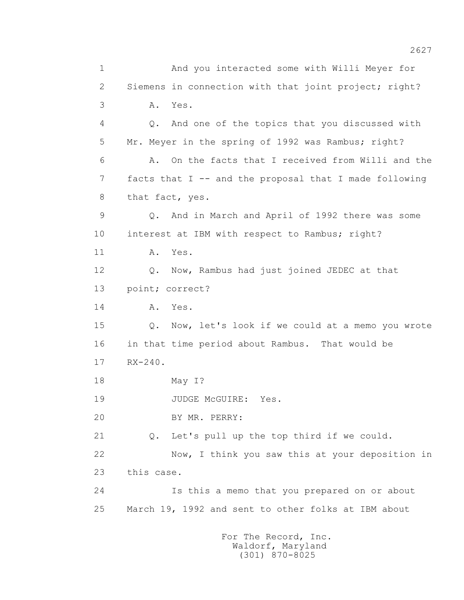1 And you interacted some with Willi Meyer for 2 Siemens in connection with that joint project; right? 3 A. Yes. 4 Q. And one of the topics that you discussed with 5 Mr. Meyer in the spring of 1992 was Rambus; right? 6 A. On the facts that I received from Willi and the 7 facts that I -- and the proposal that I made following 8 that fact, yes. 9 Q. And in March and April of 1992 there was some 10 interest at IBM with respect to Rambus; right? 11 A. Yes. 12 Q. Now, Rambus had just joined JEDEC at that 13 point; correct? 14 A. Yes. 15 Q. Now, let's look if we could at a memo you wrote 16 in that time period about Rambus. That would be 17 RX-240. 18 May I? 19 JUDGE McGUIRE: Yes. 20 BY MR. PERRY: 21 Q. Let's pull up the top third if we could. 22 Now, I think you saw this at your deposition in 23 this case. 24 Is this a memo that you prepared on or about 25 March 19, 1992 and sent to other folks at IBM about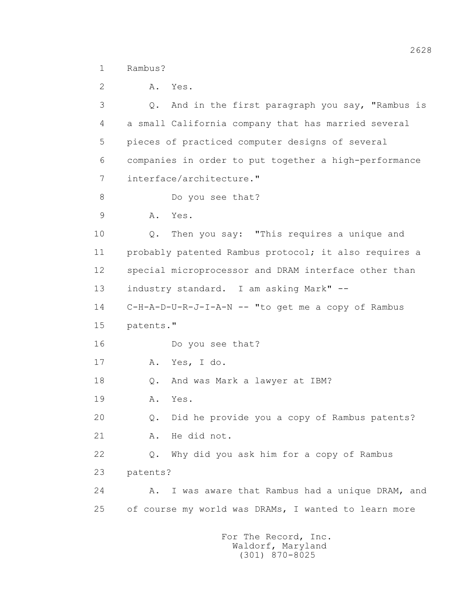1 Rambus?

| 2  | Α.        | Yes.                                                  |
|----|-----------|-------------------------------------------------------|
| 3  | Q.        | And in the first paragraph you say, "Rambus is        |
| 4  |           | a small California company that has married several   |
| 5  |           | pieces of practiced computer designs of several       |
| 6  |           | companies in order to put together a high-performance |
| 7  |           | interface/architecture."                              |
| 8  |           | Do you see that?                                      |
| 9  | Α.        | Yes.                                                  |
| 10 | Q.        | Then you say: "This requires a unique and             |
| 11 |           | probably patented Rambus protocol; it also requires a |
| 12 |           | special microprocessor and DRAM interface other than  |
| 13 |           | industry standard. I am asking Mark" --               |
| 14 |           | C-H-A-D-U-R-J-I-A-N -- "to get me a copy of Rambus    |
| 15 | patents." |                                                       |
| 16 |           | Do you see that?                                      |
| 17 | Α.        | Yes, I do.                                            |
| 18 | Q.        | And was Mark a lawyer at IBM?                         |
| 19 | Α.        | Yes.                                                  |
| 20 | Q.        | Did he provide you a copy of Rambus patents?          |
| 21 | Α.        | He did not.                                           |
| 22 | Q.        | Why did you ask him for a copy of Rambus              |
| 23 | patents?  |                                                       |
| 24 | Α.        | I was aware that Rambus had a unique DRAM, and        |
| 25 |           | of course my world was DRAMs, I wanted to learn more  |
|    |           |                                                       |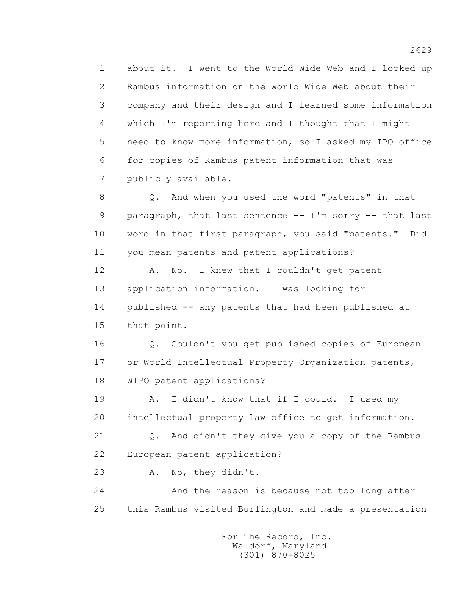1 about it. I went to the World Wide Web and I looked up 2 Rambus information on the World Wide Web about their 3 company and their design and I learned some information 4 which I'm reporting here and I thought that I might 5 need to know more information, so I asked my IPO office 6 for copies of Rambus patent information that was 7 publicly available.

 8 Q. And when you used the word "patents" in that 9 paragraph, that last sentence -- I'm sorry -- that last 10 word in that first paragraph, you said "patents." Did 11 you mean patents and patent applications?

12 A. No. I knew that I couldn't get patent 13 application information. I was looking for 14 published -- any patents that had been published at 15 that point.

 16 Q. Couldn't you get published copies of European 17 or World Intellectual Property Organization patents, 18 WIPO patent applications?

19 A. I didn't know that if I could. I used my 20 intellectual property law office to get information.

 21 Q. And didn't they give you a copy of the Rambus 22 European patent application?

23 A. No, they didn't.

 24 And the reason is because not too long after 25 this Rambus visited Burlington and made a presentation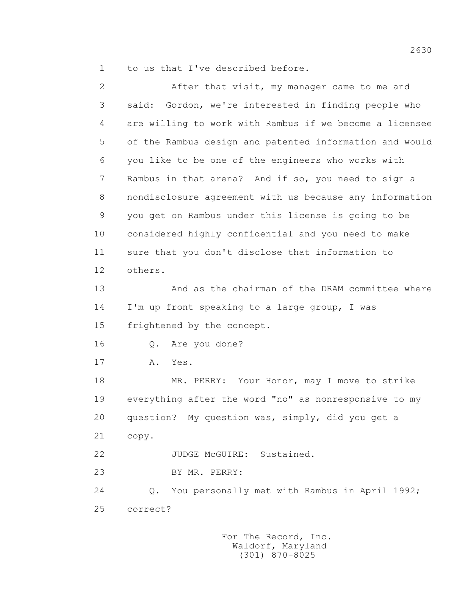1 to us that I've described before.

| $\overline{2}$ | After that visit, my manager came to me and                    |
|----------------|----------------------------------------------------------------|
| 3              | Gordon, we're interested in finding people who<br>said:        |
| 4              | are willing to work with Rambus if we become a licensee        |
| 5              | of the Rambus design and patented information and would        |
| 6              | you like to be one of the engineers who works with             |
| 7              | Rambus in that arena? And if so, you need to sign a            |
| 8              | nondisclosure agreement with us because any information        |
| $\mathsf 9$    | you get on Rambus under this license is going to be            |
| 10             | considered highly confidential and you need to make            |
| 11             | sure that you don't disclose that information to               |
| 12             | others.                                                        |
| 13             | And as the chairman of the DRAM committee where                |
| 14             | I'm up front speaking to a large group, I was                  |
| 15             | frightened by the concept.                                     |
| 16             | Are you done?<br>Q.                                            |
| 17             | Yes.<br>Α.                                                     |
| 18             | MR. PERRY: Your Honor, may I move to strike                    |
| 19             | everything after the word "no" as nonresponsive to my          |
| 20             | question? My question was, simply, did you get a               |
| 21             | copy.                                                          |
| 22             | JUDGE McGUIRE: Sustained.                                      |
| 23             | BY MR. PERRY:                                                  |
| 24             | You personally met with Rambus in April 1992;<br>$Q_{\bullet}$ |
| 25             | correct?                                                       |
|                |                                                                |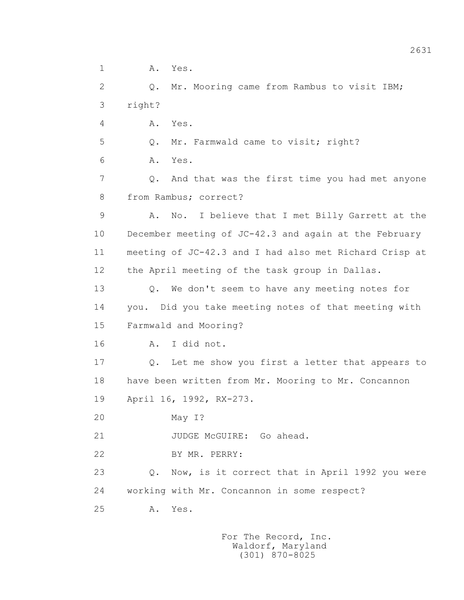1 A. Yes.

 2 Q. Mr. Mooring came from Rambus to visit IBM; 3 right?

4 A. Yes.

5 Q. Mr. Farmwald came to visit; right?

6 A. Yes.

 7 Q. And that was the first time you had met anyone 8 from Rambus; correct?

 9 A. No. I believe that I met Billy Garrett at the 10 December meeting of JC-42.3 and again at the February 11 meeting of JC-42.3 and I had also met Richard Crisp at 12 the April meeting of the task group in Dallas.

 13 Q. We don't seem to have any meeting notes for 14 you. Did you take meeting notes of that meeting with 15 Farmwald and Mooring?

16 A. I did not.

 17 Q. Let me show you first a letter that appears to 18 have been written from Mr. Mooring to Mr. Concannon 19 April 16, 1992, RX-273.

20 May I?

21 JUDGE McGUIRE: Go ahead.

22 BY MR. PERRY:

 23 Q. Now, is it correct that in April 1992 you were 24 working with Mr. Concannon in some respect?

25 A. Yes.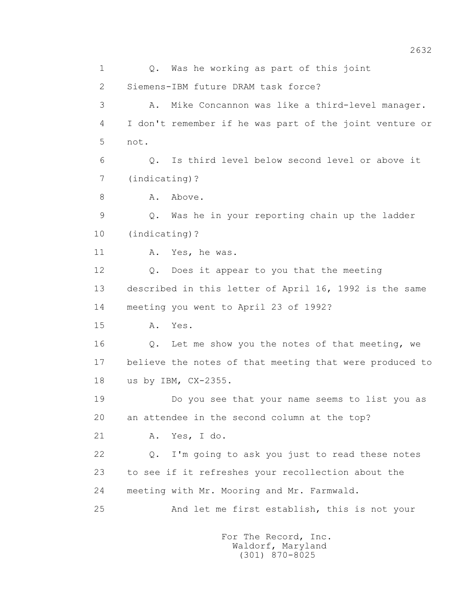1 0. Was he working as part of this joint 2 Siemens-IBM future DRAM task force? 3 A. Mike Concannon was like a third-level manager. 4 I don't remember if he was part of the joint venture or 5 not. 6 Q. Is third level below second level or above it 7 (indicating)? 8 A. Above. 9 Q. Was he in your reporting chain up the ladder 10 (indicating)? 11 A. Yes, he was. 12 Q. Does it appear to you that the meeting 13 described in this letter of April 16, 1992 is the same 14 meeting you went to April 23 of 1992? 15 A. Yes. 16 Q. Let me show you the notes of that meeting, we 17 believe the notes of that meeting that were produced to 18 us by IBM, CX-2355. 19 Do you see that your name seems to list you as 20 an attendee in the second column at the top? 21 A. Yes, I do. 22 Q. I'm going to ask you just to read these notes 23 to see if it refreshes your recollection about the 24 meeting with Mr. Mooring and Mr. Farmwald. 25 And let me first establish, this is not your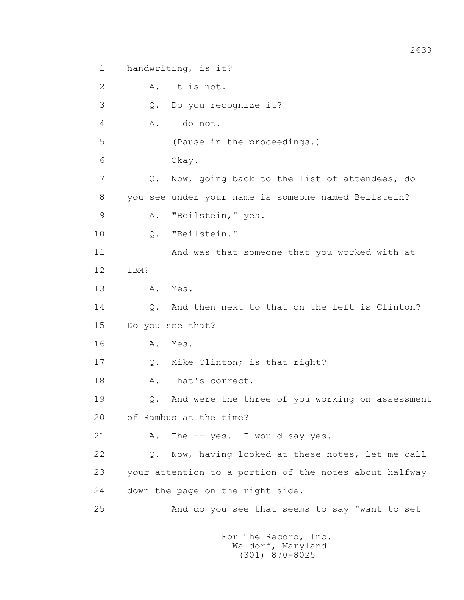1 handwriting, is it? 2 A. It is not. 3 Q. Do you recognize it? 4 A. I do not. 5 (Pause in the proceedings.) 6 Okay. 7 Q. Now, going back to the list of attendees, do 8 you see under your name is someone named Beilstein? 9 A. "Beilstein," yes. 10 Q. "Beilstein." 11 And was that someone that you worked with at 12 IBM? 13 A. Yes. 14 0. And then next to that on the left is Clinton? 15 Do you see that? 16 A. Yes. 17 Q. Mike Clinton; is that right? 18 A. That's correct. 19 Q. And were the three of you working on assessment 20 of Rambus at the time? 21 A. The -- yes. I would say yes. 22 Q. Now, having looked at these notes, let me call 23 your attention to a portion of the notes about halfway 24 down the page on the right side. 25 And do you see that seems to say "want to set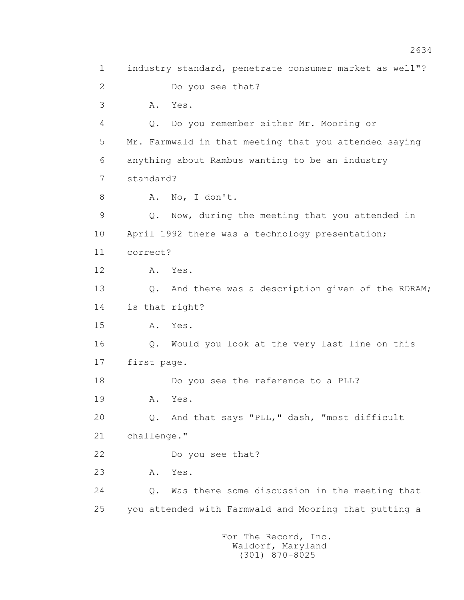1 industry standard, penetrate consumer market as well"? 2 Do you see that? 3 A. Yes. 4 Q. Do you remember either Mr. Mooring or 5 Mr. Farmwald in that meeting that you attended saying 6 anything about Rambus wanting to be an industry 7 standard? 8 A. No, I don't. 9 Q. Now, during the meeting that you attended in 10 April 1992 there was a technology presentation; 11 correct? 12 A. Yes. 13 Q. And there was a description given of the RDRAM; 14 is that right? 15 A. Yes. 16 Q. Would you look at the very last line on this 17 first page. 18 Do you see the reference to a PLL? 19 A. Yes. 20 Q. And that says "PLL," dash, "most difficult 21 challenge." 22 Do you see that? 23 A. Yes. 24 Q. Was there some discussion in the meeting that 25 you attended with Farmwald and Mooring that putting a For The Record, Inc.

 Waldorf, Maryland (301) 870-8025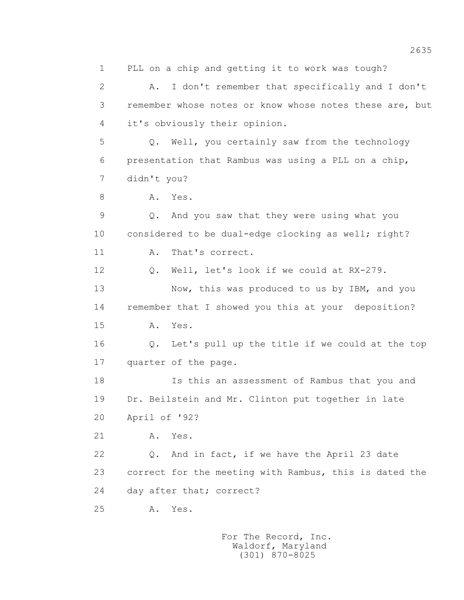1 PLL on a chip and getting it to work was tough? 2 A. I don't remember that specifically and I don't 3 remember whose notes or know whose notes these are, but 4 it's obviously their opinion. 5 Q. Well, you certainly saw from the technology 6 presentation that Rambus was using a PLL on a chip, 7 didn't you? 8 A. Yes. 9 Q. And you saw that they were using what you 10 considered to be dual-edge clocking as well; right? 11 A. That's correct. 12 Q. Well, let's look if we could at RX-279. 13 Now, this was produced to us by IBM, and you 14 remember that I showed you this at your deposition? 15 A. Yes. 16 Q. Let's pull up the title if we could at the top 17 quarter of the page. 18 Is this an assessment of Rambus that you and 19 Dr. Beilstein and Mr. Clinton put together in late 20 April of '92? 21 A. Yes. 22 Q. And in fact, if we have the April 23 date 23 correct for the meeting with Rambus, this is dated the 24 day after that; correct? 25 A. Yes.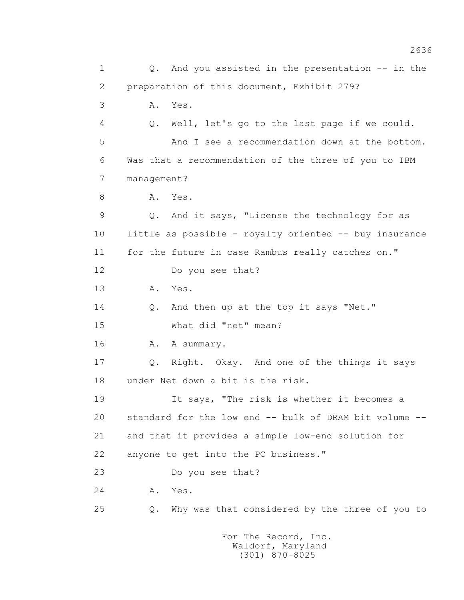1 0. And you assisted in the presentation -- in the 2 preparation of this document, Exhibit 279? 3 A. Yes. 4 Q. Well, let's go to the last page if we could. 5 And I see a recommendation down at the bottom. 6 Was that a recommendation of the three of you to IBM 7 management? 8 A. Yes. 9 Q. And it says, "License the technology for as 10 little as possible - royalty oriented -- buy insurance 11 for the future in case Rambus really catches on." 12 Do you see that? 13 A. Yes. 14 Q. And then up at the top it says "Net." 15 What did "net" mean? 16 A. A summary. 17 Q. Right. Okay. And one of the things it says 18 under Net down a bit is the risk. 19 It says, "The risk is whether it becomes a 20 standard for the low end -- bulk of DRAM bit volume -- 21 and that it provides a simple low-end solution for 22 anyone to get into the PC business." 23 Do you see that? 24 A. Yes. 25 Q. Why was that considered by the three of you to For The Record, Inc.

 Waldorf, Maryland (301) 870-8025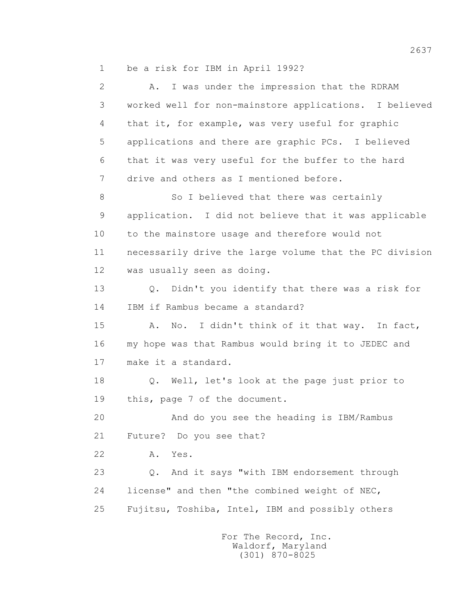1 be a risk for IBM in April 1992?

| $\overline{2}$ | A. I was under the impression that the RDRAM                   |
|----------------|----------------------------------------------------------------|
| 3              | worked well for non-mainstore applications. I believed         |
| 4              | that it, for example, was very useful for graphic              |
| 5              | applications and there are graphic PCs. I believed             |
| 6              | that it was very useful for the buffer to the hard             |
| 7              | drive and others as I mentioned before.                        |
| 8              | So I believed that there was certainly                         |
| 9              | application. I did not believe that it was applicable          |
| 10             | to the mainstore usage and therefore would not                 |
| 11             | necessarily drive the large volume that the PC division        |
| 12             | was usually seen as doing.                                     |
| 13             | Didn't you identify that there was a risk for<br>$Q_{\bullet}$ |
| 14             | IBM if Rambus became a standard?                               |
| 15             | No. I didn't think of it that way. In fact,<br>Α.              |
| 16             | my hope was that Rambus would bring it to JEDEC and            |
| 17             | make it a standard.                                            |
| 18             | Q. Well, let's look at the page just prior to                  |
| 19             | this, page 7 of the document.                                  |
| 20             | And do you see the heading is IBM/Rambus                       |
| 21             | Future? Do you see that?                                       |
| 22             | Yes.<br>Α.                                                     |
| 23             | And it says "with IBM endorsement through<br>$Q$ .             |
| 24             | license" and then "the combined weight of NEC,                 |
| 25             | Fujitsu, Toshiba, Intel, IBM and possibly others               |
|                |                                                                |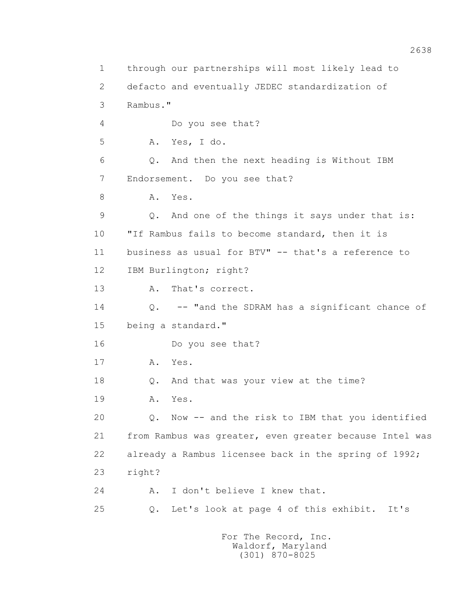1 through our partnerships will most likely lead to 2 defacto and eventually JEDEC standardization of 3 Rambus." 4 Do you see that? 5 A. Yes, I do. 6 Q. And then the next heading is Without IBM 7 Endorsement. Do you see that? 8 A. Yes. 9 Q. And one of the things it says under that is: 10 "If Rambus fails to become standard, then it is 11 business as usual for BTV" -- that's a reference to 12 IBM Burlington; right? 13 A. That's correct. 14 Q. -- "and the SDRAM has a significant chance of 15 being a standard." 16 Do you see that? 17 A. Yes. 18 Q. And that was your view at the time? 19 A. Yes. 20 Q. Now -- and the risk to IBM that you identified 21 from Rambus was greater, even greater because Intel was 22 already a Rambus licensee back in the spring of 1992; 23 right? 24 A. I don't believe I knew that. 25 Q. Let's look at page 4 of this exhibit. It's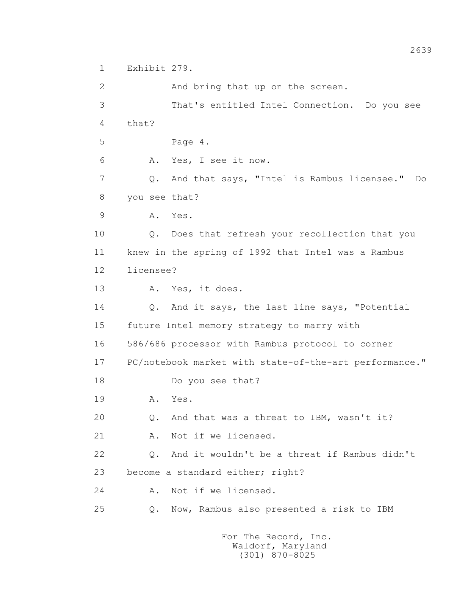1 Exhibit 279.

 2 And bring that up on the screen. 3 That's entitled Intel Connection. Do you see 4 that? 5 Page 4. 6 A. Yes, I see it now. 7 Q. And that says, "Intel is Rambus licensee." Do 8 you see that? 9 A. Yes. 10 Q. Does that refresh your recollection that you 11 knew in the spring of 1992 that Intel was a Rambus 12 licensee? 13 A. Yes, it does. 14 Q. And it says, the last line says, "Potential 15 future Intel memory strategy to marry with 16 586/686 processor with Rambus protocol to corner 17 PC/notebook market with state-of-the-art performance." 18 Do you see that? 19 **A.** Yes. 20 Q. And that was a threat to IBM, wasn't it? 21 A. Not if we licensed. 22 Q. And it wouldn't be a threat if Rambus didn't 23 become a standard either; right? 24 A. Not if we licensed. 25 Q. Now, Rambus also presented a risk to IBM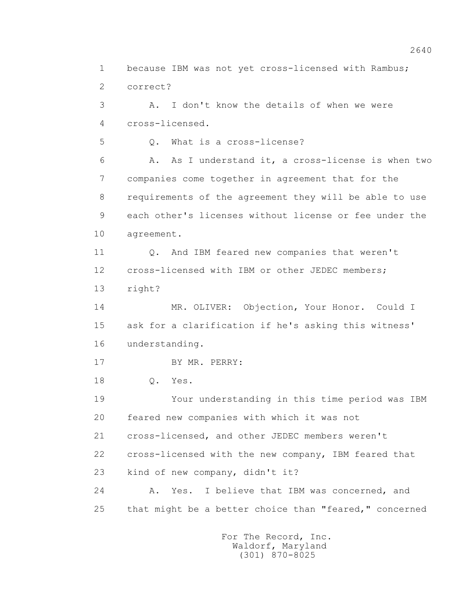1 because IBM was not yet cross-licensed with Rambus; 2 correct?

 3 A. I don't know the details of when we were 4 cross-licensed.

5 Q. What is a cross-license?

 6 A. As I understand it, a cross-license is when two 7 companies come together in agreement that for the 8 requirements of the agreement they will be able to use 9 each other's licenses without license or fee under the 10 agreement.

 11 Q. And IBM feared new companies that weren't 12 cross-licensed with IBM or other JEDEC members;

13 right?

 14 MR. OLIVER: Objection, Your Honor. Could I 15 ask for a clarification if he's asking this witness' 16 understanding.

17 BY MR. PERRY:

18 Q. Yes.

 19 Your understanding in this time period was IBM 20 feared new companies with which it was not

21 cross-licensed, and other JEDEC members weren't

22 cross-licensed with the new company, IBM feared that

23 kind of new company, didn't it?

 24 A. Yes. I believe that IBM was concerned, and 25 that might be a better choice than "feared," concerned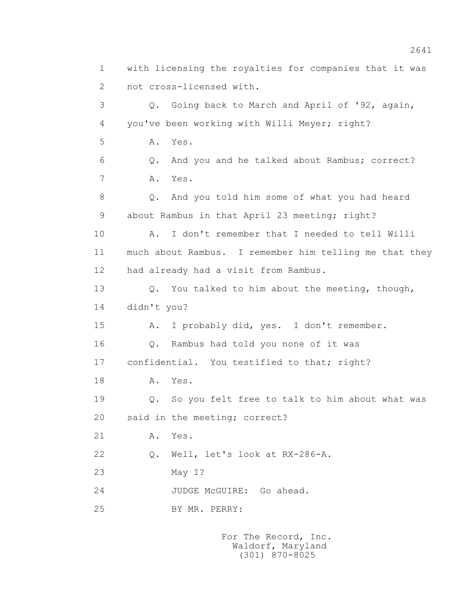1 with licensing the royalties for companies that it was 2 not cross-licensed with. 3 Q. Going back to March and April of '92, again, 4 you've been working with Willi Meyer; right? 5 A. Yes. 6 Q. And you and he talked about Rambus; correct? 7 A. Yes. 8 Q. And you told him some of what you had heard 9 about Rambus in that April 23 meeting; right? 10 A. I don't remember that I needed to tell Willi 11 much about Rambus. I remember him telling me that they 12 had already had a visit from Rambus. 13 Q. You talked to him about the meeting, though, 14 didn't you? 15 A. I probably did, yes. I don't remember. 16 Q. Rambus had told you none of it was 17 confidential. You testified to that; right? 18 **A.** Yes. 19 Q. So you felt free to talk to him about what was 20 said in the meeting; correct? 21 A. Yes. 22 Q. Well, let's look at RX-286-A. 23 May I? 24 JUDGE McGUIRE: Go ahead. 25 BY MR. PERRY: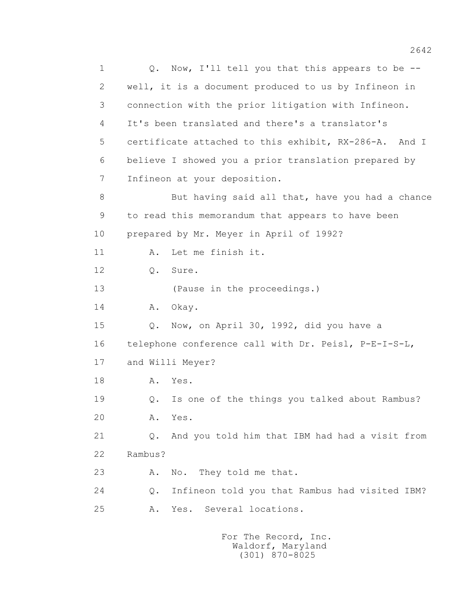1 Q. Now, I'll tell you that this appears to be -- 2 well, it is a document produced to us by Infineon in 3 connection with the prior litigation with Infineon. 4 It's been translated and there's a translator's 5 certificate attached to this exhibit, RX-286-A. And I 6 believe I showed you a prior translation prepared by 7 Infineon at your deposition. 8 But having said all that, have you had a chance 9 to read this memorandum that appears to have been 10 prepared by Mr. Meyer in April of 1992? 11 A. Let me finish it. 12 Q. Sure. 13 (Pause in the proceedings.) 14 A. Okay. 15 Q. Now, on April 30, 1992, did you have a 16 telephone conference call with Dr. Peisl, P-E-I-S-L, 17 and Willi Meyer? 18 **A.** Yes. 19 Q. Is one of the things you talked about Rambus? 20 A. Yes. 21 Q. And you told him that IBM had had a visit from 22 Rambus? 23 A. No. They told me that. 24 Q. Infineon told you that Rambus had visited IBM? 25 A. Yes. Several locations.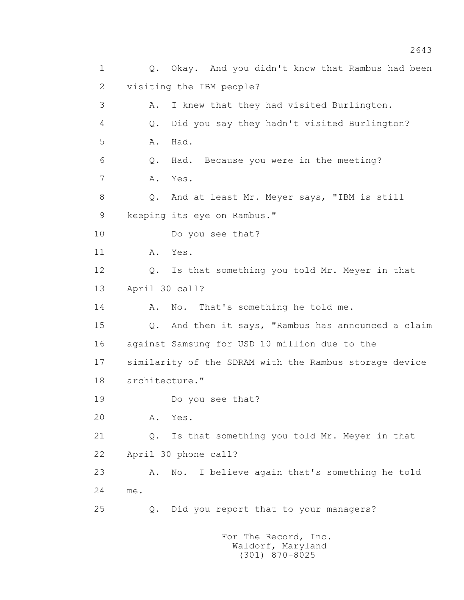1 Q. Okay. And you didn't know that Rambus had been 2 visiting the IBM people? 3 A. I knew that they had visited Burlington. 4 Q. Did you say they hadn't visited Burlington? 5 A. Had. 6 Q. Had. Because you were in the meeting? 7 A. Yes. 8 Q. And at least Mr. Meyer says, "IBM is still 9 keeping its eye on Rambus." 10 Do you see that? 11 A. Yes. 12 Q. Is that something you told Mr. Meyer in that 13 April 30 call? 14 A. No. That's something he told me. 15 Q. And then it says, "Rambus has announced a claim 16 against Samsung for USD 10 million due to the 17 similarity of the SDRAM with the Rambus storage device 18 architecture." 19 Do you see that? 20 A. Yes. 21 Q. Is that something you told Mr. Meyer in that 22 April 30 phone call? 23 A. No. I believe again that's something he told 24 me. 25 Q. Did you report that to your managers?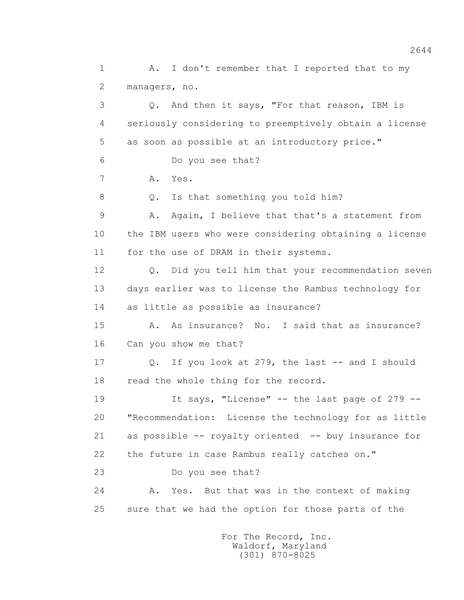1 A. I don't remember that I reported that to my 2 managers, no. 3 Q. And then it says, "For that reason, IBM is 4 seriously considering to preemptively obtain a license 5 as soon as possible at an introductory price." 6 Do you see that? 7 A. Yes. 8 Q. Is that something you told him? 9 A. Again, I believe that that's a statement from 10 the IBM users who were considering obtaining a license 11 for the use of DRAM in their systems. 12 Q. Did you tell him that your recommendation seven 13 days earlier was to license the Rambus technology for 14 as little as possible as insurance? 15 A. As insurance? No. I said that as insurance? 16 Can you show me that? 17 Q. If you look at 279, the last -- and I should 18 read the whole thing for the record. 19 It says, "License" -- the last page of 279 -- 20 "Recommendation: License the technology for as little 21 as possible -- royalty oriented -- buy insurance for 22 the future in case Rambus really catches on." 23 Do you see that? 24 A. Yes. But that was in the context of making 25 sure that we had the option for those parts of the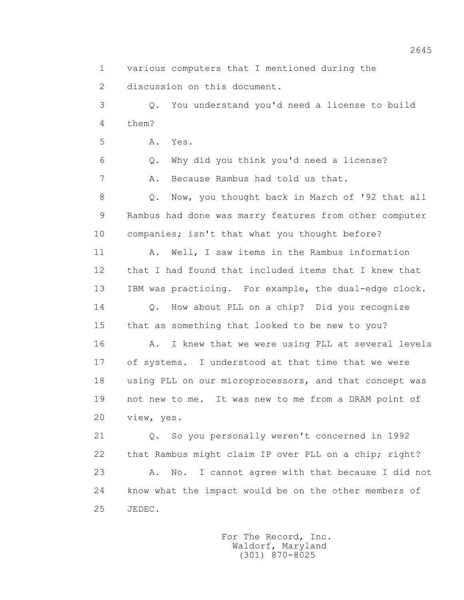1 various computers that I mentioned during the

2 discussion on this document.

 3 Q. You understand you'd need a license to build 4 them?

5 A. Yes.

6 Q. Why did you think you'd need a license?

7 A. Because Rambus had told us that.

 8 Q. Now, you thought back in March of '92 that all 9 Rambus had done was marry features from other computer 10 companies; isn't that what you thought before?

11 A. Well, I saw items in the Rambus information 12 that I had found that included items that I knew that 13 IBM was practicing. For example, the dual-edge clock.

 14 Q. How about PLL on a chip? Did you recognize 15 that as something that looked to be new to you?

16 A. I knew that we were using PLL at several levels 17 of systems. I understood at that time that we were 18 using PLL on our microprocessors, and that concept was 19 not new to me. It was new to me from a DRAM point of 20 view, yes.

 21 Q. So you personally weren't concerned in 1992 22 that Rambus might claim IP over PLL on a chip; right? 23 A. No. I cannot agree with that because I did not 24 know what the impact would be on the other members of 25 JEDEC.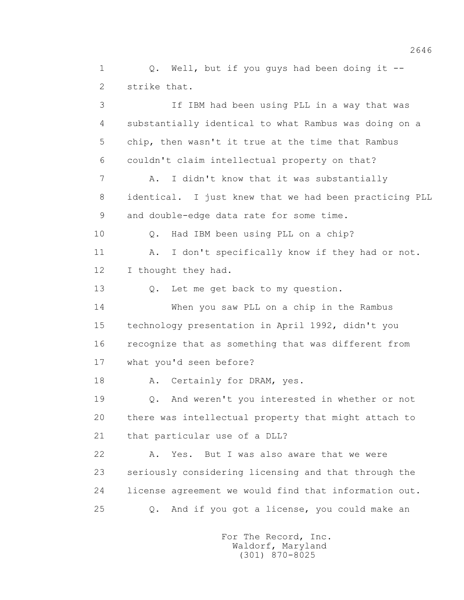1 Q. Well, but if you guys had been doing it -- 2 strike that. 3 If IBM had been using PLL in a way that was 4 substantially identical to what Rambus was doing on a 5 chip, then wasn't it true at the time that Rambus 6 couldn't claim intellectual property on that? 7 A. I didn't know that it was substantially

 8 identical. I just knew that we had been practicing PLL 9 and double-edge data rate for some time.

10 Q. Had IBM been using PLL on a chip?

 11 A. I don't specifically know if they had or not. 12 I thought they had.

13 Q. Let me get back to my question.

 14 When you saw PLL on a chip in the Rambus 15 technology presentation in April 1992, didn't you 16 recognize that as something that was different from 17 what you'd seen before?

18 A. Certainly for DRAM, yes.

 19 Q. And weren't you interested in whether or not 20 there was intellectual property that might attach to 21 that particular use of a DLL?

 22 A. Yes. But I was also aware that we were 23 seriously considering licensing and that through the 24 license agreement we would find that information out. 25 Q. And if you got a license, you could make an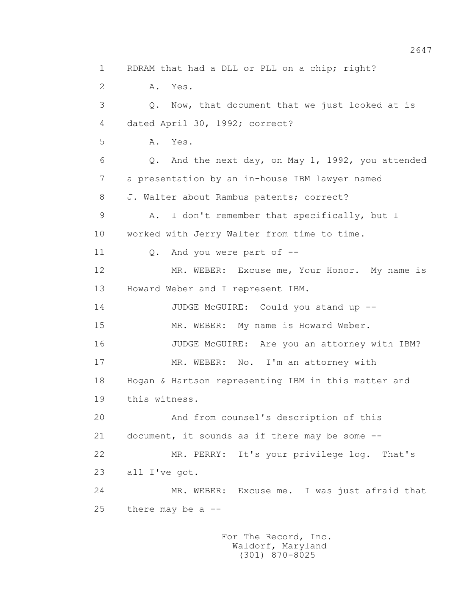1 RDRAM that had a DLL or PLL on a chip; right? 2 A. Yes. 3 Q. Now, that document that we just looked at is 4 dated April 30, 1992; correct? 5 A. Yes. 6 Q. And the next day, on May 1, 1992, you attended 7 a presentation by an in-house IBM lawyer named 8 J. Walter about Rambus patents; correct? 9 A. I don't remember that specifically, but I 10 worked with Jerry Walter from time to time. 11 0. And you were part of --12 MR. WEBER: Excuse me, Your Honor. My name is 13 Howard Weber and I represent IBM. 14 JUDGE McGUIRE: Could you stand up -- 15 MR. WEBER: My name is Howard Weber. 16 JUDGE McGUIRE: Are you an attorney with IBM? 17 MR. WEBER: No. I'm an attorney with 18 Hogan & Hartson representing IBM in this matter and 19 this witness. 20 And from counsel's description of this 21 document, it sounds as if there may be some -- 22 MR. PERRY: It's your privilege log. That's 23 all I've got. 24 MR. WEBER: Excuse me. I was just afraid that  $25$  there may be a  $-$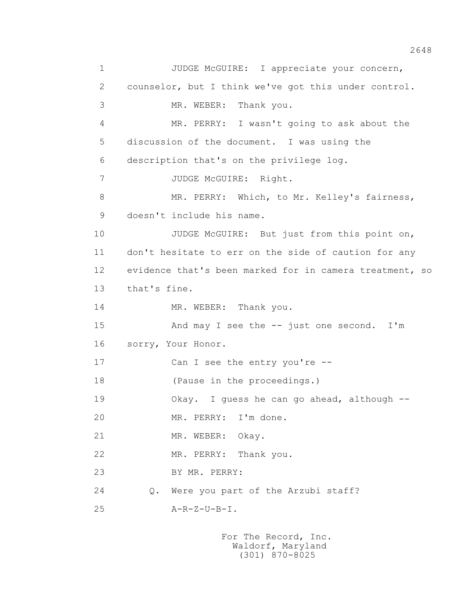1 JUDGE McGUIRE: I appreciate your concern, 2 counselor, but I think we've got this under control. 3 MR. WEBER: Thank you. 4 MR. PERRY: I wasn't going to ask about the 5 discussion of the document. I was using the 6 description that's on the privilege log. 7 JUDGE McGUIRE: Right. 8 MR. PERRY: Which, to Mr. Kelley's fairness, 9 doesn't include his name. 10 JUDGE McGUIRE: But just from this point on, 11 don't hesitate to err on the side of caution for any 12 evidence that's been marked for in camera treatment, so 13 that's fine. 14 MR. WEBER: Thank you. 15 And may I see the -- just one second. I'm 16 sorry, Your Honor. 17 Can I see the entry you're --18 (Pause in the proceedings.) 19 Okay. I guess he can go ahead, although -- 20 MR. PERRY: I'm done. 21 MR. WEBER: Okay. 22 MR. PERRY: Thank you. 23 BY MR. PERRY: 24 Q. Were you part of the Arzubi staff? 25 A-R-Z-U-B-I.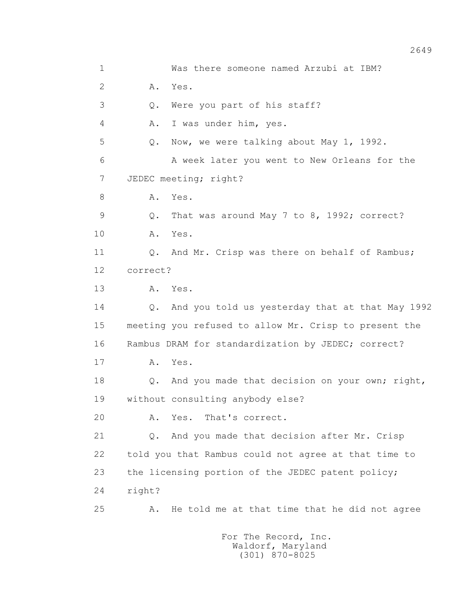1 Was there someone named Arzubi at IBM? 2 A. Yes. 3 Q. Were you part of his staff? 4 A. I was under him, yes. 5 Q. Now, we were talking about May 1, 1992. 6 A week later you went to New Orleans for the 7 JEDEC meeting; right? 8 A. Yes. 9 Q. That was around May 7 to 8, 1992; correct? 10 A. Yes. 11 0. And Mr. Crisp was there on behalf of Rambus; 12 correct? 13 A. Yes. 14 Q. And you told us yesterday that at that May 1992 15 meeting you refused to allow Mr. Crisp to present the 16 Rambus DRAM for standardization by JEDEC; correct? 17 A. Yes. 18 Q. And you made that decision on your own; right, 19 without consulting anybody else? 20 A. Yes. That's correct. 21 Q. And you made that decision after Mr. Crisp 22 told you that Rambus could not agree at that time to 23 the licensing portion of the JEDEC patent policy; 24 right? 25 A. He told me at that time that he did not agree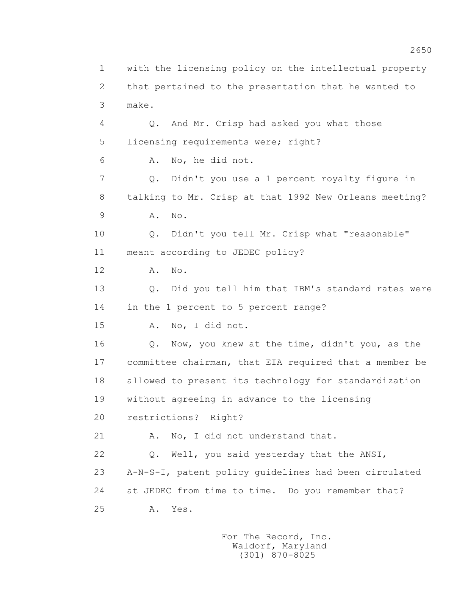1 with the licensing policy on the intellectual property 2 that pertained to the presentation that he wanted to 3 make. 4 Q. And Mr. Crisp had asked you what those 5 licensing requirements were; right? 6 A. No, he did not. 7 Q. Didn't you use a 1 percent royalty figure in 8 talking to Mr. Crisp at that 1992 New Orleans meeting? 9 A. No. 10 Q. Didn't you tell Mr. Crisp what "reasonable" 11 meant according to JEDEC policy? 12 A. No. 13 Q. Did you tell him that IBM's standard rates were 14 in the 1 percent to 5 percent range? 15 A. No, I did not. 16 Q. Now, you knew at the time, didn't you, as the 17 committee chairman, that EIA required that a member be 18 allowed to present its technology for standardization 19 without agreeing in advance to the licensing 20 restrictions? Right? 21 A. No, I did not understand that. 22 Q. Well, you said yesterday that the ANSI, 23 A-N-S-I, patent policy guidelines had been circulated 24 at JEDEC from time to time. Do you remember that? 25 A. Yes.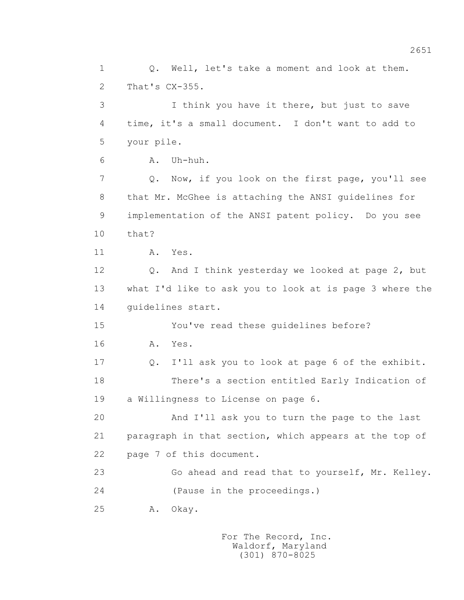1 0. Well, let's take a moment and look at them. 2 That's CX-355. 3 I think you have it there, but just to save 4 time, it's a small document. I don't want to add to 5 your pile. 6 A. Uh-huh. 7 Q. Now, if you look on the first page, you'll see 8 that Mr. McGhee is attaching the ANSI guidelines for 9 implementation of the ANSI patent policy. Do you see 10 that? 11 A. Yes. 12 Q. And I think yesterday we looked at page 2, but 13 what I'd like to ask you to look at is page 3 where the 14 guidelines start. 15 You've read these guidelines before? 16 A. Yes. 17 Q. I'll ask you to look at page 6 of the exhibit. 18 There's a section entitled Early Indication of 19 a Willingness to License on page 6. 20 And I'll ask you to turn the page to the last 21 paragraph in that section, which appears at the top of 22 page 7 of this document. 23 Go ahead and read that to yourself, Mr. Kelley. 24 (Pause in the proceedings.) 25 A. Okay.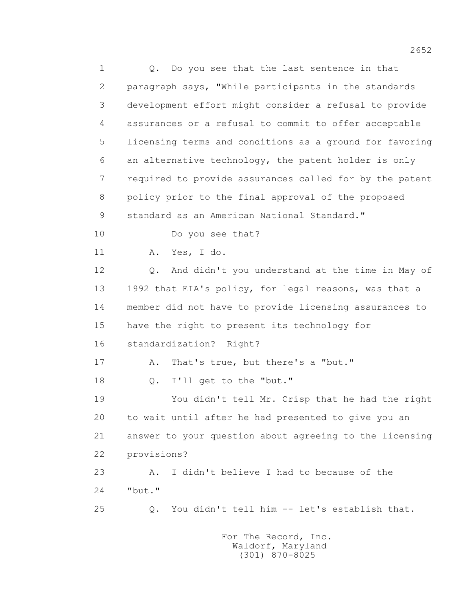1 0. Do you see that the last sentence in that 2 paragraph says, "While participants in the standards 3 development effort might consider a refusal to provide 4 assurances or a refusal to commit to offer acceptable 5 licensing terms and conditions as a ground for favoring 6 an alternative technology, the patent holder is only 7 required to provide assurances called for by the patent 8 policy prior to the final approval of the proposed 9 standard as an American National Standard." 10 Do you see that? 11 A. Yes, I do. 12 Q. And didn't you understand at the time in May of 13 1992 that EIA's policy, for legal reasons, was that a 14 member did not have to provide licensing assurances to 15 have the right to present its technology for 16 standardization? Right? 17 A. That's true, but there's a "but." 18 Q. I'll get to the "but." 19 You didn't tell Mr. Crisp that he had the right 20 to wait until after he had presented to give you an 21 answer to your question about agreeing to the licensing 22 provisions? 23 A. I didn't believe I had to because of the 24 "but." 25 Q. You didn't tell him -- let's establish that.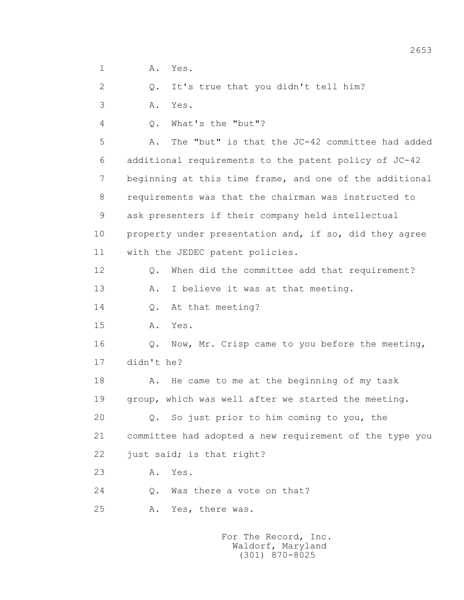1 A. Yes.

2 Q. It's true that you didn't tell him?

3 A. Yes.

4 Q. What's the "but"?

 5 A. The "but" is that the JC-42 committee had added 6 additional requirements to the patent policy of JC-42 7 beginning at this time frame, and one of the additional 8 requirements was that the chairman was instructed to 9 ask presenters if their company held intellectual 10 property under presentation and, if so, did they agree 11 with the JEDEC patent policies.

12 Q. When did the committee add that requirement?

13 A. I believe it was at that meeting.

14 Q. At that meeting?

15 A. Yes.

 16 Q. Now, Mr. Crisp came to you before the meeting, 17 didn't he?

 18 A. He came to me at the beginning of my task 19 group, which was well after we started the meeting.

 20 Q. So just prior to him coming to you, the 21 committee had adopted a new requirement of the type you 22 just said; is that right?

23 A. Yes.

24 Q. Was there a vote on that?

25 A. Yes, there was.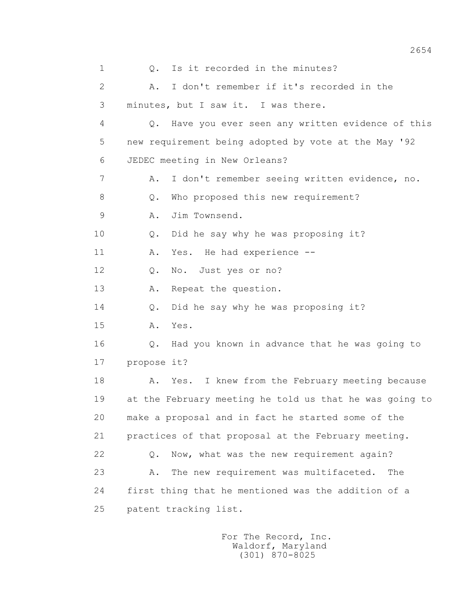1 0. Is it recorded in the minutes? 2 A. I don't remember if it's recorded in the 3 minutes, but I saw it. I was there. 4 Q. Have you ever seen any written evidence of this 5 new requirement being adopted by vote at the May '92 6 JEDEC meeting in New Orleans? 7 A. I don't remember seeing written evidence, no. 8 Q. Who proposed this new requirement? 9 A. Jim Townsend. 10 Q. Did he say why he was proposing it? 11 A. Yes. He had experience -- 12 Q. No. Just yes or no? 13 A. Repeat the question. 14 Q. Did he say why he was proposing it? 15 A. Yes. 16 Q. Had you known in advance that he was going to 17 propose it? 18 A. Yes. I knew from the February meeting because 19 at the February meeting he told us that he was going to 20 make a proposal and in fact he started some of the 21 practices of that proposal at the February meeting. 22 Q. Now, what was the new requirement again? 23 A. The new requirement was multifaceted. The 24 first thing that he mentioned was the addition of a 25 patent tracking list.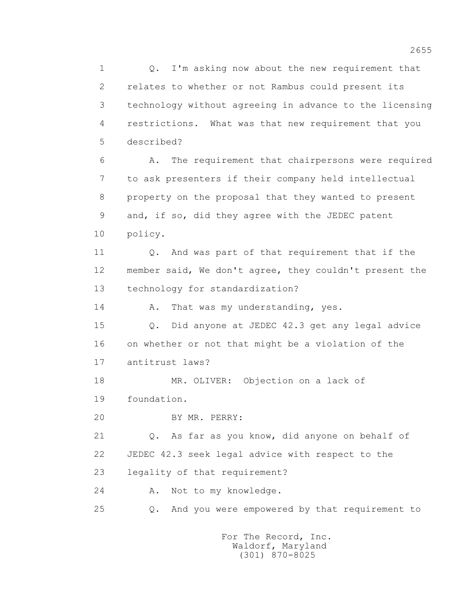1 0. I'm asking now about the new requirement that 2 relates to whether or not Rambus could present its 3 technology without agreeing in advance to the licensing 4 restrictions. What was that new requirement that you 5 described? 6 A. The requirement that chairpersons were required 7 to ask presenters if their company held intellectual 8 property on the proposal that they wanted to present 9 and, if so, did they agree with the JEDEC patent 10 policy. 11 Q. And was part of that requirement that if the 12 member said, We don't agree, they couldn't present the 13 technology for standardization? 14 A. That was my understanding, yes. 15 Q. Did anyone at JEDEC 42.3 get any legal advice 16 on whether or not that might be a violation of the 17 antitrust laws? 18 MR. OLIVER: Objection on a lack of 19 foundation.

20 BY MR. PERRY:

 21 Q. As far as you know, did anyone on behalf of 22 JEDEC 42.3 seek legal advice with respect to the 23 legality of that requirement?

24 A. Not to my knowledge.

25 Q. And you were empowered by that requirement to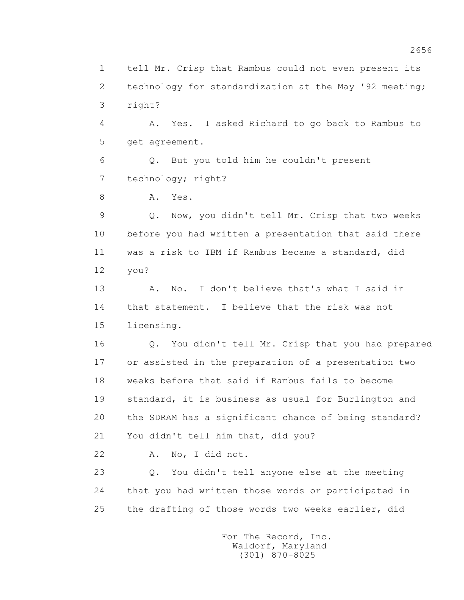1 tell Mr. Crisp that Rambus could not even present its 2 technology for standardization at the May '92 meeting; 3 right?

 4 A. Yes. I asked Richard to go back to Rambus to 5 get agreement.

 6 Q. But you told him he couldn't present 7 technology; right?

8 A. Yes.

 9 Q. Now, you didn't tell Mr. Crisp that two weeks 10 before you had written a presentation that said there 11 was a risk to IBM if Rambus became a standard, did 12 you?

 13 A. No. I don't believe that's what I said in 14 that statement. I believe that the risk was not 15 licensing.

 16 Q. You didn't tell Mr. Crisp that you had prepared 17 or assisted in the preparation of a presentation two 18 weeks before that said if Rambus fails to become 19 standard, it is business as usual for Burlington and 20 the SDRAM has a significant chance of being standard? 21 You didn't tell him that, did you?

22 A. No, I did not.

 23 Q. You didn't tell anyone else at the meeting 24 that you had written those words or participated in 25 the drafting of those words two weeks earlier, did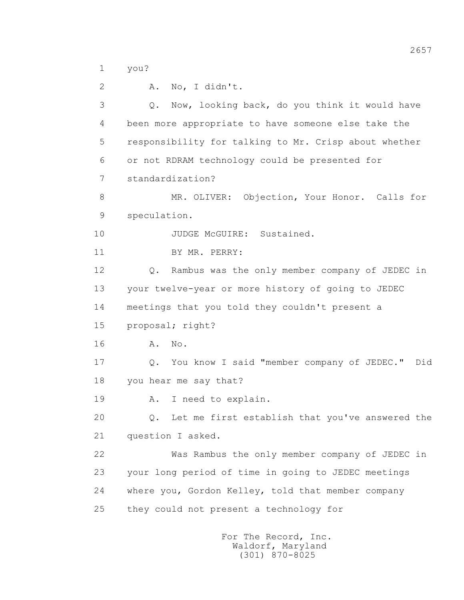1 you?

 2 A. No, I didn't. 3 Q. Now, looking back, do you think it would have 4 been more appropriate to have someone else take the 5 responsibility for talking to Mr. Crisp about whether 6 or not RDRAM technology could be presented for 7 standardization? 8 MR. OLIVER: Objection, Your Honor. Calls for 9 speculation. 10 JUDGE McGUIRE: Sustained. 11 BY MR. PERRY: 12 Q. Rambus was the only member company of JEDEC in 13 your twelve-year or more history of going to JEDEC 14 meetings that you told they couldn't present a 15 proposal; right? 16 A. No. 17 Q. You know I said "member company of JEDEC." Did 18 you hear me say that? 19 A. I need to explain. 20 Q. Let me first establish that you've answered the 21 question I asked. 22 Was Rambus the only member company of JEDEC in 23 your long period of time in going to JEDEC meetings 24 where you, Gordon Kelley, told that member company 25 they could not present a technology for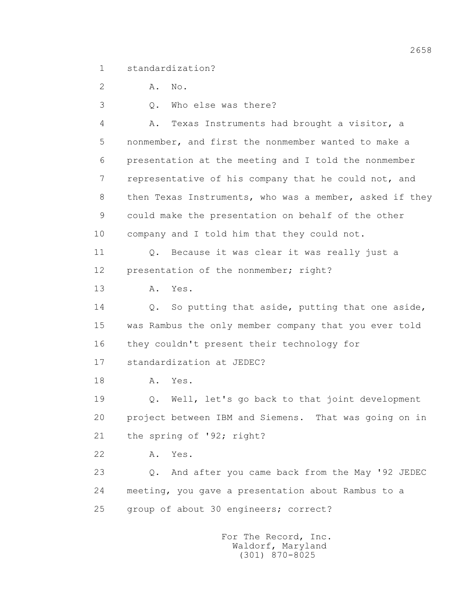1 standardization?

2 A. No.

3 Q. Who else was there?

 4 A. Texas Instruments had brought a visitor, a 5 nonmember, and first the nonmember wanted to make a 6 presentation at the meeting and I told the nonmember 7 representative of his company that he could not, and 8 then Texas Instruments, who was a member, asked if they 9 could make the presentation on behalf of the other 10 company and I told him that they could not. 11 0. Because it was clear it was really just a 12 presentation of the nonmember; right? 13 A. Yes. 14 Q. So putting that aside, putting that one aside, 15 was Rambus the only member company that you ever told 16 they couldn't present their technology for 17 standardization at JEDEC? 18 **A.** Yes. 19 Q. Well, let's go back to that joint development 20 project between IBM and Siemens. That was going on in 21 the spring of '92; right? 22 A. Yes. 23 Q. And after you came back from the May '92 JEDEC 24 meeting, you gave a presentation about Rambus to a 25 group of about 30 engineers; correct?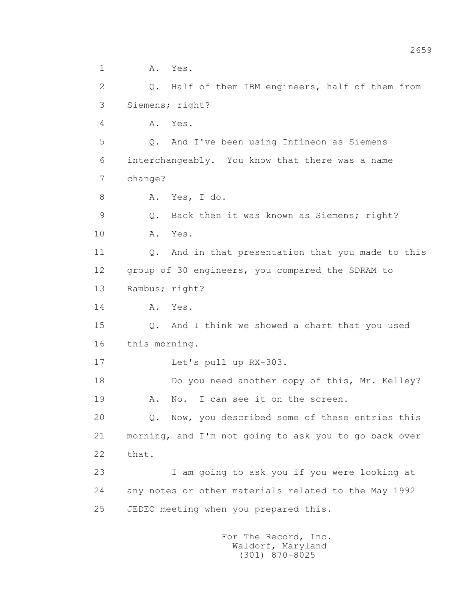1 A. Yes. 2 Q. Half of them IBM engineers, half of them from 3 Siemens; right? 4 A. Yes. 5 Q. And I've been using Infineon as Siemens 6 interchangeably. You know that there was a name 7 change? 8 A. Yes, I do. 9 Q. Back then it was known as Siemens; right? 10 A. Yes. 11 0. And in that presentation that you made to this 12 group of 30 engineers, you compared the SDRAM to 13 Rambus; right? 14 **A.** Yes. 15 Q. And I think we showed a chart that you used 16 this morning. 17 Let's pull up RX-303. 18 Do you need another copy of this, Mr. Kelley? 19 A. No. I can see it on the screen. 20 Q. Now, you described some of these entries this 21 morning, and I'm not going to ask you to go back over 22 that. 23 I am going to ask you if you were looking at 24 any notes or other materials related to the May 1992 25 JEDEC meeting when you prepared this.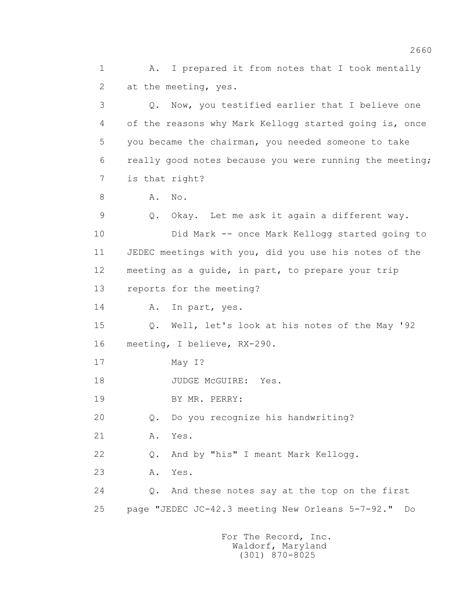1 A. I prepared it from notes that I took mentally 2 at the meeting, yes. 3 Q. Now, you testified earlier that I believe one 4 of the reasons why Mark Kellogg started going is, once 5 you became the chairman, you needed someone to take 6 really good notes because you were running the meeting; 7 is that right? 8 A. No. 9 Q. Okay. Let me ask it again a different way. 10 Did Mark -- once Mark Kellogg started going to 11 JEDEC meetings with you, did you use his notes of the 12 meeting as a guide, in part, to prepare your trip 13 reports for the meeting? 14 A. In part, yes. 15 Q. Well, let's look at his notes of the May '92 16 meeting, I believe, RX-290. 17 May I? 18 JUDGE McGUIRE: Yes. 19 BY MR. PERRY: 20 Q. Do you recognize his handwriting? 21 A. Yes. 22 Q. And by "his" I meant Mark Kellogg. 23 A. Yes. 24 Q. And these notes say at the top on the first 25 page "JEDEC JC-42.3 meeting New Orleans 5-7-92." Do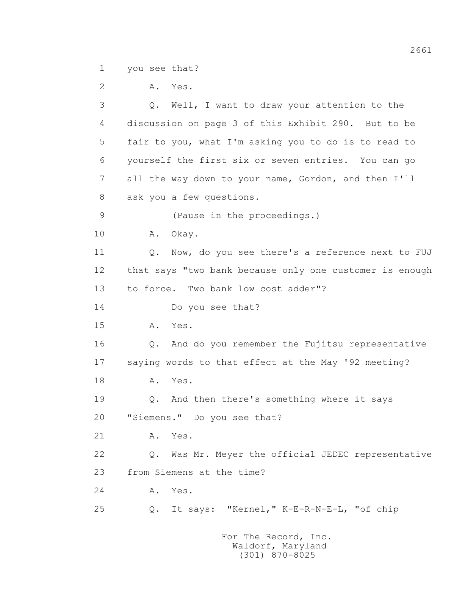1 you see that?

 2 A. Yes. 3 Q. Well, I want to draw your attention to the 4 discussion on page 3 of this Exhibit 290. But to be 5 fair to you, what I'm asking you to do is to read to 6 yourself the first six or seven entries. You can go 7 all the way down to your name, Gordon, and then I'll 8 ask you a few questions. 9 (Pause in the proceedings.) 10 A. Okay. 11 Q. Now, do you see there's a reference next to FUJ 12 that says "two bank because only one customer is enough 13 to force. Two bank low cost adder"? 14 Do you see that? 15 A. Yes. 16 Q. And do you remember the Fujitsu representative 17 saying words to that effect at the May '92 meeting? 18 **A.** Yes. 19 Q. And then there's something where it says 20 "Siemens." Do you see that? 21 A. Yes. 22 Q. Was Mr. Meyer the official JEDEC representative 23 from Siemens at the time? 24 A. Yes. 25 Q. It says: "Kernel," K-E-R-N-E-L, "of chip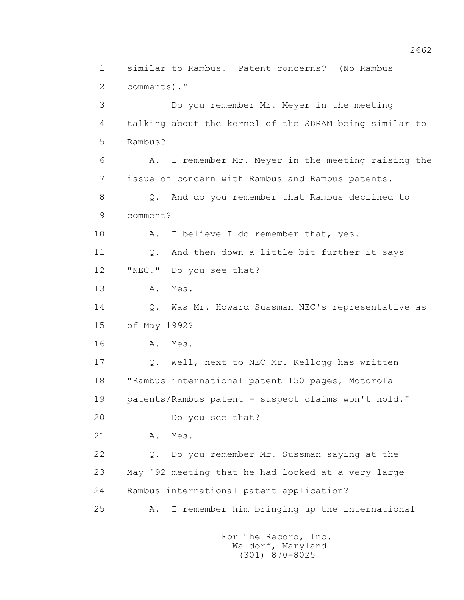1 similar to Rambus. Patent concerns? (No Rambus 2 comments)." 3 Do you remember Mr. Meyer in the meeting 4 talking about the kernel of the SDRAM being similar to 5 Rambus? 6 A. I remember Mr. Meyer in the meeting raising the 7 issue of concern with Rambus and Rambus patents. 8 Q. And do you remember that Rambus declined to 9 comment? 10 A. I believe I do remember that, yes. 11 0. And then down a little bit further it says 12 "NEC." Do you see that? 13 A. Yes. 14 Q. Was Mr. Howard Sussman NEC's representative as 15 of May 1992? 16 A. Yes. 17 Q. Well, next to NEC Mr. Kellogg has written 18 "Rambus international patent 150 pages, Motorola 19 patents/Rambus patent - suspect claims won't hold." 20 Do you see that? 21 A. Yes. 22 Q. Do you remember Mr. Sussman saying at the 23 May '92 meeting that he had looked at a very large 24 Rambus international patent application? 25 A. I remember him bringing up the international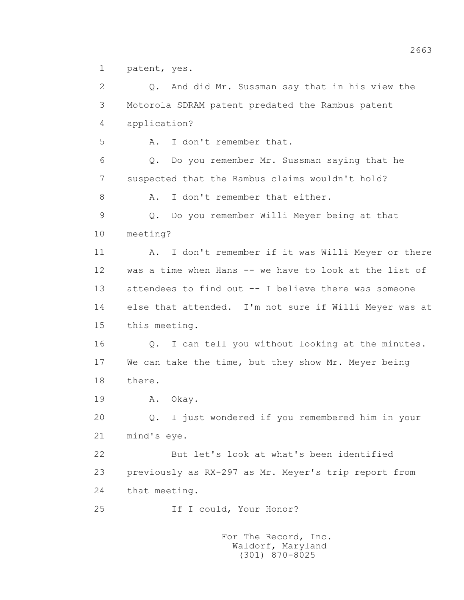1 patent, yes.

 2 Q. And did Mr. Sussman say that in his view the 3 Motorola SDRAM patent predated the Rambus patent 4 application? 5 A. I don't remember that. 6 Q. Do you remember Mr. Sussman saying that he 7 suspected that the Rambus claims wouldn't hold? 8 A. I don't remember that either. 9 Q. Do you remember Willi Meyer being at that 10 meeting? 11 A. I don't remember if it was Willi Meyer or there 12 was a time when Hans -- we have to look at the list of 13 attendees to find out -- I believe there was someone 14 else that attended. I'm not sure if Willi Meyer was at 15 this meeting. 16 0. I can tell you without looking at the minutes. 17 We can take the time, but they show Mr. Meyer being 18 there. 19 A. Okay. 20 Q. I just wondered if you remembered him in your 21 mind's eye. 22 But let's look at what's been identified 23 previously as RX-297 as Mr. Meyer's trip report from 24 that meeting. 25 If I could, Your Honor?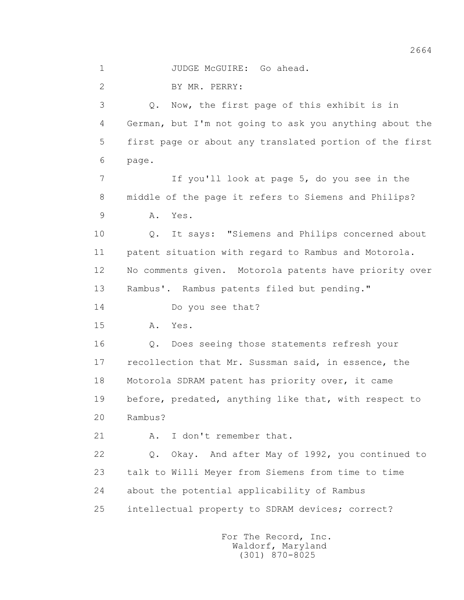1 JUDGE McGUIRE: Go ahead.

2 BY MR. PERRY:

 3 Q. Now, the first page of this exhibit is in 4 German, but I'm not going to ask you anything about the 5 first page or about any translated portion of the first 6 page.

 7 If you'll look at page 5, do you see in the 8 middle of the page it refers to Siemens and Philips? 9 A. Yes.

 10 Q. It says: "Siemens and Philips concerned about 11 patent situation with regard to Rambus and Motorola. 12 No comments given. Motorola patents have priority over 13 Rambus'. Rambus patents filed but pending."

14 Do you see that?

15 A. Yes.

 16 Q. Does seeing those statements refresh your 17 recollection that Mr. Sussman said, in essence, the 18 Motorola SDRAM patent has priority over, it came 19 before, predated, anything like that, with respect to 20 Rambus?

21 A. I don't remember that.

 22 Q. Okay. And after May of 1992, you continued to 23 talk to Willi Meyer from Siemens from time to time 24 about the potential applicability of Rambus 25 intellectual property to SDRAM devices; correct?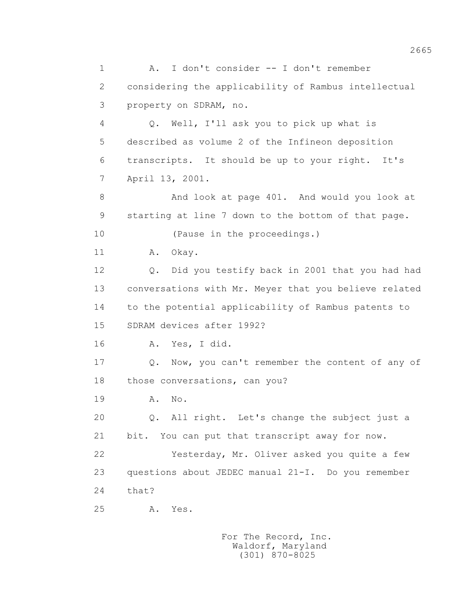1 A. I don't consider -- I don't remember 2 considering the applicability of Rambus intellectual 3 property on SDRAM, no. 4 Q. Well, I'll ask you to pick up what is 5 described as volume 2 of the Infineon deposition 6 transcripts. It should be up to your right. It's 7 April 13, 2001. 8 And look at page 401. And would you look at 9 starting at line 7 down to the bottom of that page. 10 (Pause in the proceedings.) 11 A. Okay. 12 Q. Did you testify back in 2001 that you had had 13 conversations with Mr. Meyer that you believe related 14 to the potential applicability of Rambus patents to 15 SDRAM devices after 1992? 16 A. Yes, I did. 17 Q. Now, you can't remember the content of any of 18 those conversations, can you? 19 A. No. 20 0. All right. Let's change the subject just a 21 bit. You can put that transcript away for now. 22 Yesterday, Mr. Oliver asked you quite a few 23 questions about JEDEC manual 21-I. Do you remember 24 that? 25 A. Yes.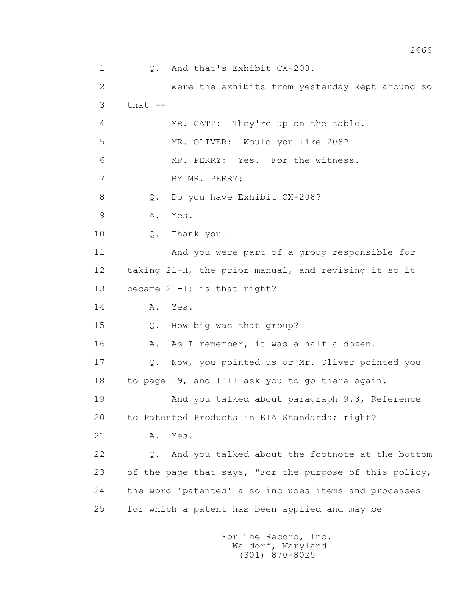1 Q. And that's Exhibit CX-208. 2 Were the exhibits from yesterday kept around so  $3$  that  $-$  4 MR. CATT: They're up on the table. 5 MR. OLIVER: Would you like 208? 6 MR. PERRY: Yes. For the witness. 7 BY MR. PERRY: 8 Q. Do you have Exhibit CX-208? 9 A. Yes. 10 Q. Thank you. 11 And you were part of a group responsible for 12 taking 21-H, the prior manual, and revising it so it 13 became 21-I; is that right? 14 **A.** Yes. 15 Q. How big was that group? 16 A. As I remember, it was a half a dozen. 17 Q. Now, you pointed us or Mr. Oliver pointed you 18 to page 19, and I'll ask you to go there again. 19 And you talked about paragraph 9.3, Reference 20 to Patented Products in EIA Standards; right? 21 A. Yes. 22 Q. And you talked about the footnote at the bottom 23 of the page that says, "For the purpose of this policy, 24 the word 'patented' also includes items and processes 25 for which a patent has been applied and may be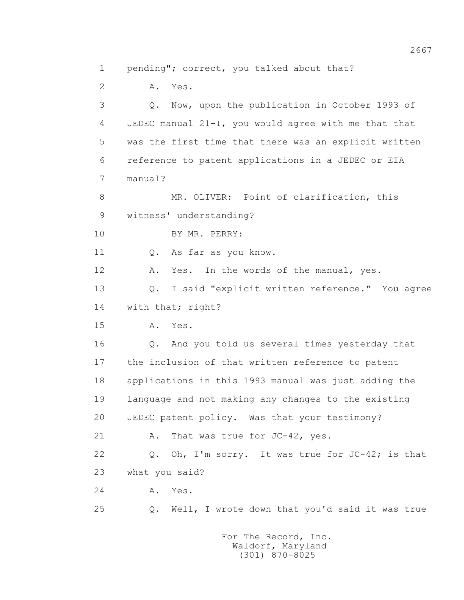1 pending"; correct, you talked about that?

 2 A. Yes. 3 Q. Now, upon the publication in October 1993 of 4 JEDEC manual 21-I, you would agree with me that that 5 was the first time that there was an explicit written 6 reference to patent applications in a JEDEC or EIA 7 manual? 8 MR. OLIVER: Point of clarification, this 9 witness' understanding? 10 BY MR. PERRY: 11 O. As far as you know. 12 A. Yes. In the words of the manual, yes. 13 Q. I said "explicit written reference." You agree 14 with that; right? 15 A. Yes. 16 Q. And you told us several times yesterday that 17 the inclusion of that written reference to patent 18 applications in this 1993 manual was just adding the 19 language and not making any changes to the existing 20 JEDEC patent policy. Was that your testimony? 21 A. That was true for JC-42, yes. 22 Q. Oh, I'm sorry. It was true for JC-42; is that 23 what you said? 24 A. Yes. 25 Q. Well, I wrote down that you'd said it was true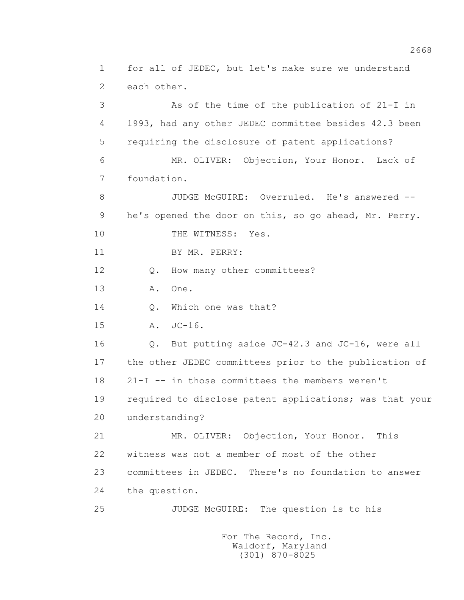1 for all of JEDEC, but let's make sure we understand 2 each other. 3 As of the time of the publication of 21-I in 4 1993, had any other JEDEC committee besides 42.3 been 5 requiring the disclosure of patent applications? 6 MR. OLIVER: Objection, Your Honor. Lack of 7 foundation. 8 JUDGE McGUIRE: Overruled. He's answered -- 9 he's opened the door on this, so go ahead, Mr. Perry. 10 THE WITNESS: Yes. 11 BY MR. PERRY: 12 Q. How many other committees? 13 A. One. 14 O. Which one was that? 15 A. JC-16. 16 Q. But putting aside JC-42.3 and JC-16, were all 17 the other JEDEC committees prior to the publication of 18 21-I -- in those committees the members weren't 19 required to disclose patent applications; was that your 20 understanding? 21 MR. OLIVER: Objection, Your Honor. This 22 witness was not a member of most of the other 23 committees in JEDEC. There's no foundation to answer 24 the question. 25 JUDGE McGUIRE: The question is to his For The Record, Inc.

 Waldorf, Maryland (301) 870-8025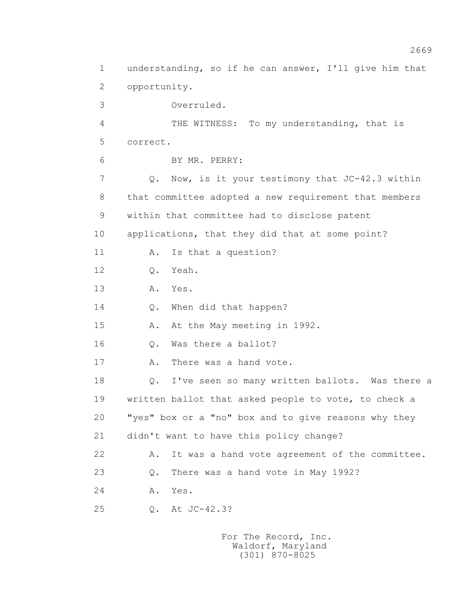1 understanding, so if he can answer, I'll give him that 2 opportunity. 3 Overruled. 4 THE WITNESS: To my understanding, that is 5 correct. 6 BY MR. PERRY: 7 Q. Now, is it your testimony that JC-42.3 within 8 that committee adopted a new requirement that members 9 within that committee had to disclose patent 10 applications, that they did that at some point? 11 A. Is that a question? 12 Q. Yeah. 13 A. Yes. 14 Q. When did that happen? 15 A. At the May meeting in 1992. 16 0. Was there a ballot? 17 A. There was a hand vote. 18 Q. I've seen so many written ballots. Was there a 19 written ballot that asked people to vote, to check a 20 "yes" box or a "no" box and to give reasons why they 21 didn't want to have this policy change? 22 A. It was a hand vote agreement of the committee. 23 Q. There was a hand vote in May 1992? 24 A. Yes. 25 Q. At JC-42.3?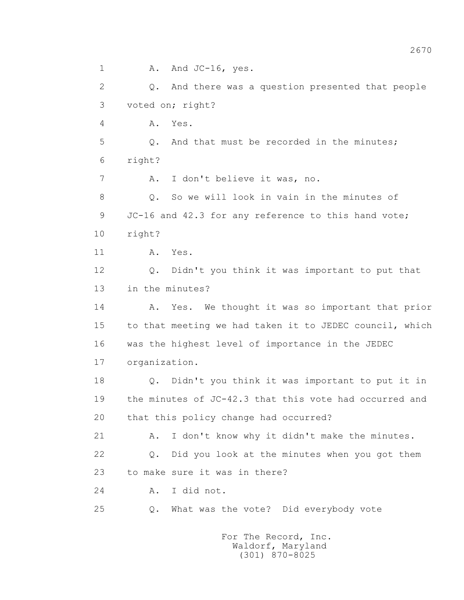1 A. And JC-16, yes. 2 Q. And there was a question presented that people 3 voted on; right? 4 A. Yes. 5 Q. And that must be recorded in the minutes; 6 right? 7 A. I don't believe it was, no. 8 0. So we will look in vain in the minutes of 9 JC-16 and 42.3 for any reference to this hand vote; 10 right? 11 A. Yes. 12 Q. Didn't you think it was important to put that 13 in the minutes? 14 A. Yes. We thought it was so important that prior 15 to that meeting we had taken it to JEDEC council, which 16 was the highest level of importance in the JEDEC 17 organization. 18 Q. Didn't you think it was important to put it in 19 the minutes of JC-42.3 that this vote had occurred and 20 that this policy change had occurred? 21 A. I don't know why it didn't make the minutes. 22 Q. Did you look at the minutes when you got them 23 to make sure it was in there? 24 A. I did not. 25 Q. What was the vote? Did everybody vote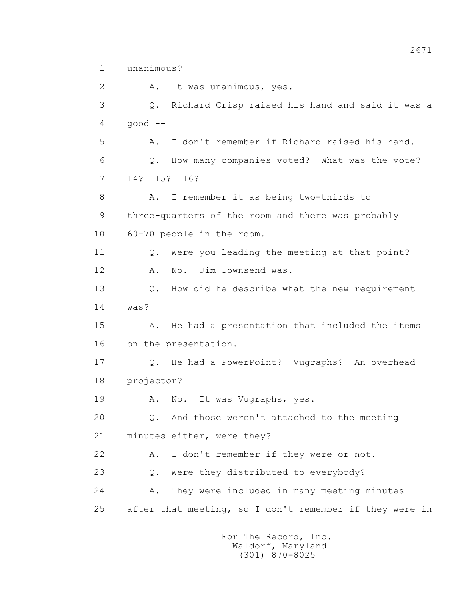1 unanimous?

2 A. It was unanimous, yes. 3 Q. Richard Crisp raised his hand and said it was a 4 good -- 5 A. I don't remember if Richard raised his hand. 6 Q. How many companies voted? What was the vote? 7 14? 15? 16? 8 A. I remember it as being two-thirds to 9 three-quarters of the room and there was probably 10 60-70 people in the room. 11 O. Were you leading the meeting at that point? 12 A. No. Jim Townsend was. 13 Q. How did he describe what the new requirement 14 was? 15 A. He had a presentation that included the items 16 on the presentation. 17 Q. He had a PowerPoint? Vugraphs? An overhead 18 projector? 19 A. No. It was Vugraphs, yes. 20 Q. And those weren't attached to the meeting 21 minutes either, were they? 22 A. I don't remember if they were or not. 23 0. Were they distributed to everybody? 24 A. They were included in many meeting minutes 25 after that meeting, so I don't remember if they were in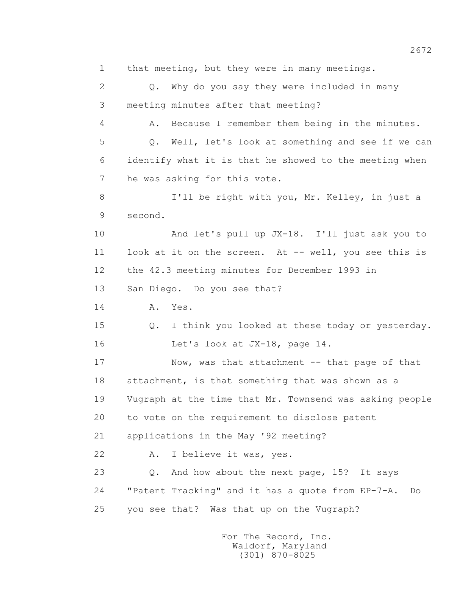1 that meeting, but they were in many meetings. 2 Q. Why do you say they were included in many 3 meeting minutes after that meeting? 4 A. Because I remember them being in the minutes. 5 Q. Well, let's look at something and see if we can 6 identify what it is that he showed to the meeting when 7 he was asking for this vote. 8 I'll be right with you, Mr. Kelley, in just a 9 second. 10 And let's pull up JX-18. I'll just ask you to 11 look at it on the screen. At -- well, you see this is 12 the 42.3 meeting minutes for December 1993 in 13 San Diego. Do you see that? 14 **A.** Yes. 15 Q. I think you looked at these today or yesterday. 16 Let's look at JX-18, page 14. 17 Now, was that attachment -- that page of that 18 attachment, is that something that was shown as a 19 Vugraph at the time that Mr. Townsend was asking people 20 to vote on the requirement to disclose patent 21 applications in the May '92 meeting? 22 A. I believe it was, yes. 23 0. And how about the next page, 15? It says 24 "Patent Tracking" and it has a quote from EP-7-A. Do 25 you see that? Was that up on the Vugraph?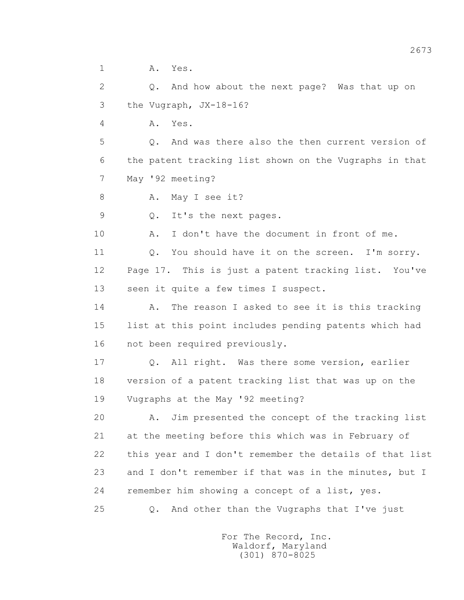1 A. Yes.

 2 Q. And how about the next page? Was that up on 3 the Vugraph, JX-18-16?

4 A. Yes.

 5 Q. And was there also the then current version of 6 the patent tracking list shown on the Vugraphs in that 7 May '92 meeting?

8 A. May I see it?

9 Q. It's the next pages.

10 A. I don't have the document in front of me.

11 O. You should have it on the screen. I'm sorry. 12 Page 17. This is just a patent tracking list. You've 13 seen it quite a few times I suspect.

 14 A. The reason I asked to see it is this tracking 15 list at this point includes pending patents which had 16 not been required previously.

 17 Q. All right. Was there some version, earlier 18 version of a patent tracking list that was up on the 19 Vugraphs at the May '92 meeting?

 20 A. Jim presented the concept of the tracking list 21 at the meeting before this which was in February of 22 this year and I don't remember the details of that list 23 and I don't remember if that was in the minutes, but I 24 remember him showing a concept of a list, yes.

25 Q. And other than the Vugraphs that I've just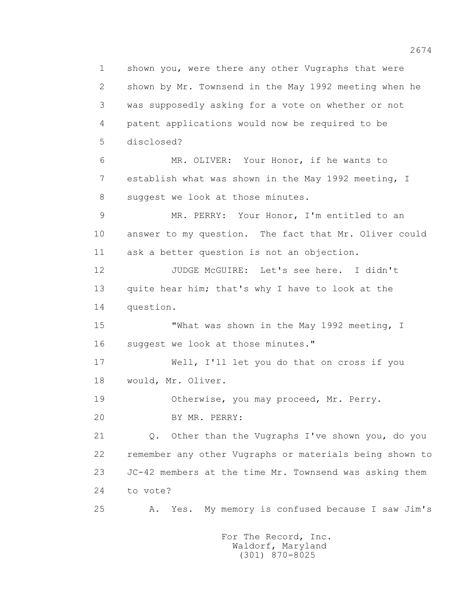1 shown you, were there any other Vugraphs that were 2 shown by Mr. Townsend in the May 1992 meeting when he 3 was supposedly asking for a vote on whether or not 4 patent applications would now be required to be 5 disclosed? 6 MR. OLIVER: Your Honor, if he wants to 7 establish what was shown in the May 1992 meeting, I 8 suggest we look at those minutes. 9 MR. PERRY: Your Honor, I'm entitled to an 10 answer to my question. The fact that Mr. Oliver could 11 ask a better question is not an objection. 12 JUDGE McGUIRE: Let's see here. I didn't 13 quite hear him; that's why I have to look at the 14 question. 15 "What was shown in the May 1992 meeting, I 16 suggest we look at those minutes." 17 Well, I'll let you do that on cross if you 18 would, Mr. Oliver. 19 Otherwise, you may proceed, Mr. Perry. 20 BY MR. PERRY: 21 Q. Other than the Vugraphs I've shown you, do you 22 remember any other Vugraphs or materials being shown to 23 JC-42 members at the time Mr. Townsend was asking them 24 to vote? 25 A. Yes. My memory is confused because I saw Jim's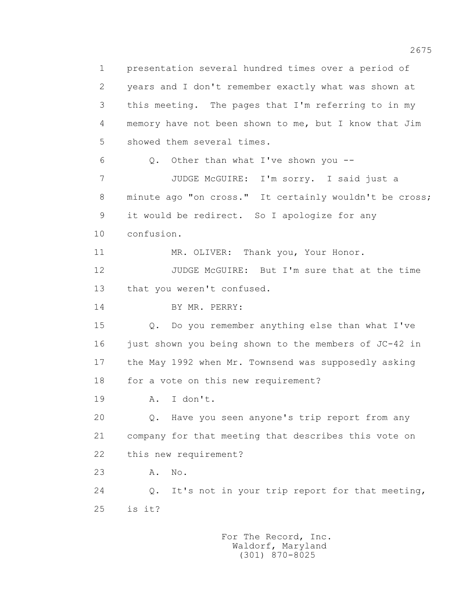1 presentation several hundred times over a period of 2 years and I don't remember exactly what was shown at 3 this meeting. The pages that I'm referring to in my 4 memory have not been shown to me, but I know that Jim 5 showed them several times. 6 Q. Other than what I've shown you -- 7 JUDGE McGUIRE: I'm sorry. I said just a 8 minute ago "on cross." It certainly wouldn't be cross; 9 it would be redirect. So I apologize for any 10 confusion. 11 MR. OLIVER: Thank you, Your Honor. 12 JUDGE McGUIRE: But I'm sure that at the time 13 that you weren't confused. 14 BY MR. PERRY: 15 Q. Do you remember anything else than what I've 16 just shown you being shown to the members of JC-42 in 17 the May 1992 when Mr. Townsend was supposedly asking 18 for a vote on this new requirement? 19 A. I don't. 20 Q. Have you seen anyone's trip report from any 21 company for that meeting that describes this vote on 22 this new requirement? 23 A. No. 24 Q. It's not in your trip report for that meeting, 25 is it?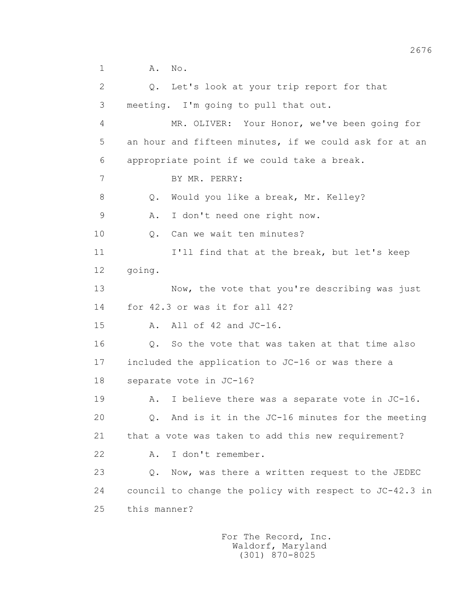| $\mathbf{2}$   |              | Q. Let's look at your trip report for that              |
|----------------|--------------|---------------------------------------------------------|
| 3              |              | meeting. I'm going to pull that out.                    |
| 4              |              | MR. OLIVER: Your Honor, we've been going for            |
| 5              |              | an hour and fifteen minutes, if we could ask for at an  |
| 6              |              | appropriate point if we could take a break.             |
| $\overline{7}$ |              | BY MR. PERRY:                                           |
| 8              | Q.           | Would you like a break, Mr. Kelley?                     |
| $\mathcal{G}$  | Α.           | I don't need one right now.                             |
| 10             | Q.           | Can we wait ten minutes?                                |
| 11             |              | I'll find that at the break, but let's keep             |
| 12             | going.       |                                                         |
| 13             |              | Now, the vote that you're describing was just           |
| 14             |              | for 42.3 or was it for all 42?                          |
| 15             | Α.           | All of 42 and JC-16.                                    |
| 16             |              | Q. So the vote that was taken at that time also         |
| 17             |              | included the application to JC-16 or was there a        |
| 18             |              | separate vote in JC-16?                                 |
| 19             | Α.           | I believe there was a separate vote in JC-16.           |
| 20             |              | $Q$ . And is it in the JC-16 minutes for the meeting    |
| 21             |              | that a vote was taken to add this new requirement?      |
| 22             | Α.           | I don't remember.                                       |
| 23             | Q.           | Now, was there a written request to the JEDEC           |
| 24             |              | council to change the policy with respect to JC-42.3 in |
| 25             | this manner? |                                                         |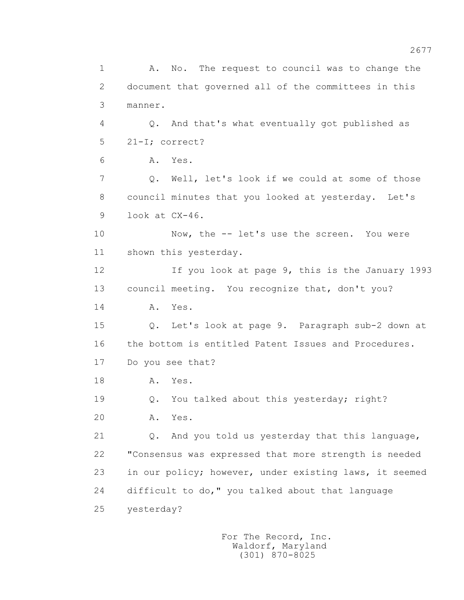1 A. No. The request to council was to change the 2 document that governed all of the committees in this 3 manner. 4 Q. And that's what eventually got published as 5 21-I; correct? 6 A. Yes. 7 Q. Well, let's look if we could at some of those 8 council minutes that you looked at yesterday. Let's 9 look at CX-46. 10 Now, the -- let's use the screen. You were 11 shown this yesterday. 12 If you look at page 9, this is the January 1993 13 council meeting. You recognize that, don't you? 14 **A.** Yes. 15 Q. Let's look at page 9. Paragraph sub-2 down at 16 the bottom is entitled Patent Issues and Procedures. 17 Do you see that? 18 **A.** Yes. 19 Q. You talked about this yesterday; right? 20 A. Yes. 21 Q. And you told us yesterday that this language, 22 "Consensus was expressed that more strength is needed 23 in our policy; however, under existing laws, it seemed 24 difficult to do," you talked about that language 25 yesterday?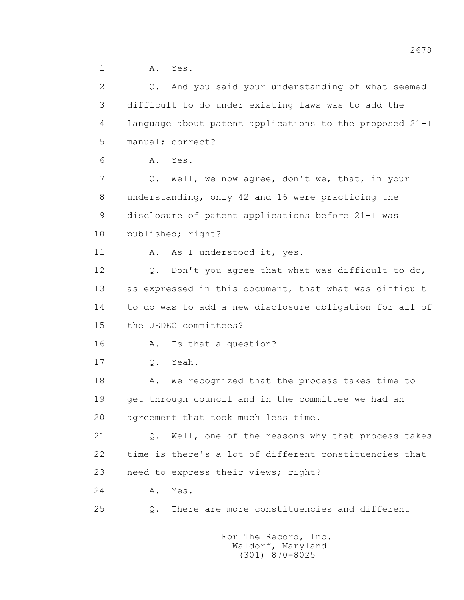1 A. Yes.

| $\overline{2}$ | Q. And you said your understanding of what seemed       |
|----------------|---------------------------------------------------------|
| 3              | difficult to do under existing laws was to add the      |
| 4              | language about patent applications to the proposed 21-I |
| 5              | manual; correct?                                        |
| 6              | Yes.<br>Α.                                              |
| 7              | Well, we now agree, don't we, that, in your<br>Q.       |
| 8              | understanding, only 42 and 16 were practicing the       |
| 9              | disclosure of patent applications before 21-I was       |
| 10             | published; right?                                       |
| 11             | As I understood it, yes.<br>Α.                          |
| 12             | Don't you agree that what was difficult to do,<br>Q.    |
| 13             | as expressed in this document, that what was difficult  |
| 14             | to do was to add a new disclosure obligation for all of |
| 15             | the JEDEC committees?                                   |
| 16             | Is that a question?<br>Α.                               |
| 17             | Yeah.<br>$Q$ .                                          |
| 18             | We recognized that the process takes time to<br>Α.      |
| 19             | get through council and in the committee we had an      |
| 20             | agreement that took much less time.                     |
| 21             | Q. Well, one of the reasons why that process takes      |
| 22             | time is there's a lot of different constituencies that  |
| 23             | need to express their views; right?                     |
| 24             | Yes.<br>Α.                                              |
| 25             | There are more constituencies and different<br>Q.       |
|                |                                                         |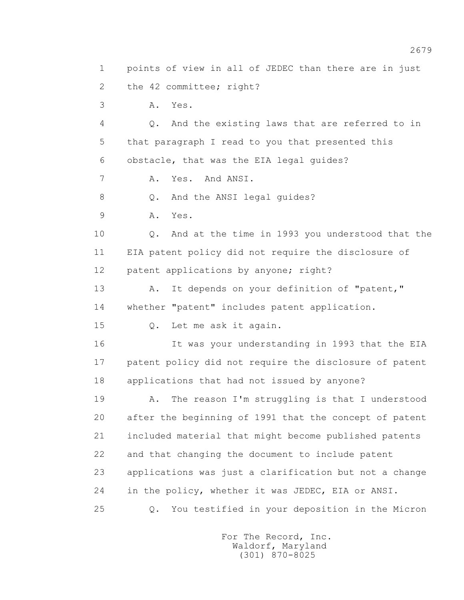1 points of view in all of JEDEC than there are in just 2 the 42 committee; right? 3 A. Yes. 4 Q. And the existing laws that are referred to in 5 that paragraph I read to you that presented this 6 obstacle, that was the EIA legal guides? 7 A. Yes. And ANSI. 8 Q. And the ANSI legal quides? 9 A. Yes. 10 Q. And at the time in 1993 you understood that the 11 EIA patent policy did not require the disclosure of 12 patent applications by anyone; right? 13 A. It depends on your definition of "patent," 14 whether "patent" includes patent application. 15 Q. Let me ask it again. 16 It was your understanding in 1993 that the EIA 17 patent policy did not require the disclosure of patent 18 applications that had not issued by anyone? 19 A. The reason I'm struggling is that I understood 20 after the beginning of 1991 that the concept of patent 21 included material that might become published patents 22 and that changing the document to include patent 23 applications was just a clarification but not a change 24 in the policy, whether it was JEDEC, EIA or ANSI. 25 Q. You testified in your deposition in the Micron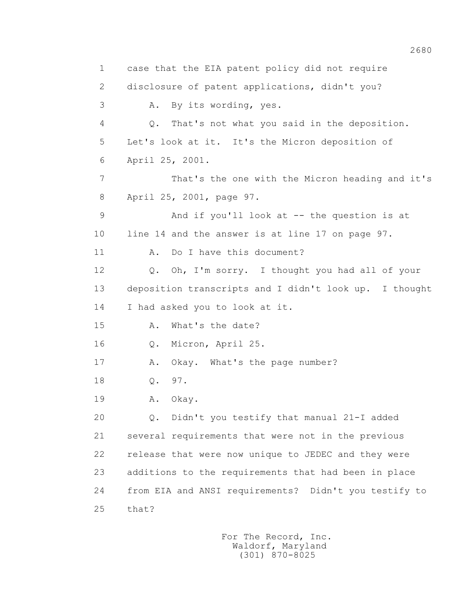1 case that the EIA patent policy did not require 2 disclosure of patent applications, didn't you? 3 A. By its wording, yes. 4 Q. That's not what you said in the deposition. 5 Let's look at it. It's the Micron deposition of 6 April 25, 2001. 7 That's the one with the Micron heading and it's 8 April 25, 2001, page 97. 9 And if you'll look at -- the question is at 10 line 14 and the answer is at line 17 on page 97. 11 A. Do I have this document? 12 Q. Oh, I'm sorry. I thought you had all of your 13 deposition transcripts and I didn't look up. I thought 14 I had asked you to look at it. 15 A. What's the date? 16 Q. Micron, April 25. 17 A. Okay. What's the page number? 18 Q. 97. 19 A. Okay. 20 Q. Didn't you testify that manual 21-I added 21 several requirements that were not in the previous 22 release that were now unique to JEDEC and they were 23 additions to the requirements that had been in place 24 from EIA and ANSI requirements? Didn't you testify to 25 that?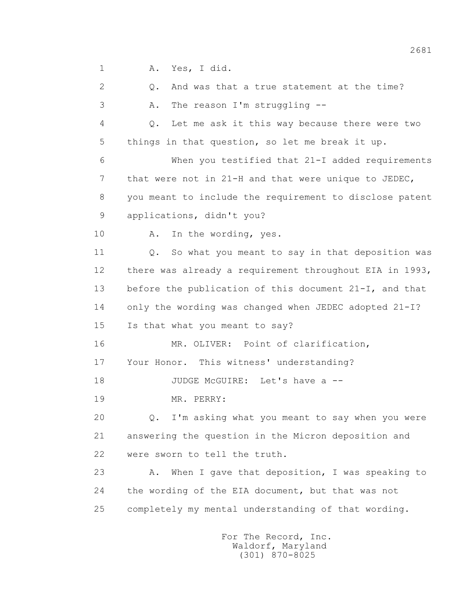1 A. Yes, I did.

 2 Q. And was that a true statement at the time? 3 A. The reason I'm struggling -- 4 Q. Let me ask it this way because there were two 5 things in that question, so let me break it up. 6 When you testified that 21-I added requirements 7 that were not in 21-H and that were unique to JEDEC, 8 you meant to include the requirement to disclose patent 9 applications, didn't you? 10 A. In the wording, yes. 11 Q. So what you meant to say in that deposition was 12 there was already a requirement throughout EIA in 1993, 13 before the publication of this document 21-I, and that 14 only the wording was changed when JEDEC adopted 21-I? 15 Is that what you meant to say? 16 MR. OLIVER: Point of clarification, 17 Your Honor. This witness' understanding? 18 JUDGE McGUIRE: Let's have a -- 19 MR. PERRY: 20 Q. I'm asking what you meant to say when you were 21 answering the question in the Micron deposition and 22 were sworn to tell the truth. 23 A. When I gave that deposition, I was speaking to 24 the wording of the EIA document, but that was not 25 completely my mental understanding of that wording.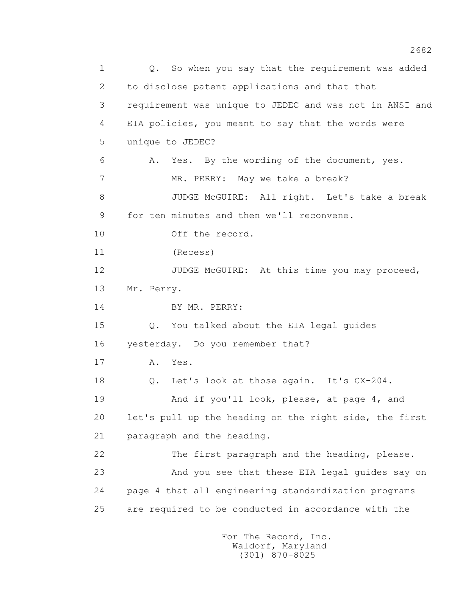1 0. So when you say that the requirement was added 2 to disclose patent applications and that that 3 requirement was unique to JEDEC and was not in ANSI and 4 EIA policies, you meant to say that the words were 5 unique to JEDEC? 6 A. Yes. By the wording of the document, yes. 7 MR. PERRY: May we take a break? 8 JUDGE McGUIRE: All right. Let's take a break 9 for ten minutes and then we'll reconvene. 10 Off the record. 11 (Recess) 12 JUDGE McGUIRE: At this time you may proceed, 13 Mr. Perry. 14 BY MR. PERRY: 15 Q. You talked about the EIA legal guides 16 yesterday. Do you remember that? 17 A. Yes. 18 Q. Let's look at those again. It's CX-204. 19 And if you'll look, please, at page 4, and 20 let's pull up the heading on the right side, the first 21 paragraph and the heading. 22 The first paragraph and the heading, please. 23 And you see that these EIA legal guides say on 24 page 4 that all engineering standardization programs 25 are required to be conducted in accordance with the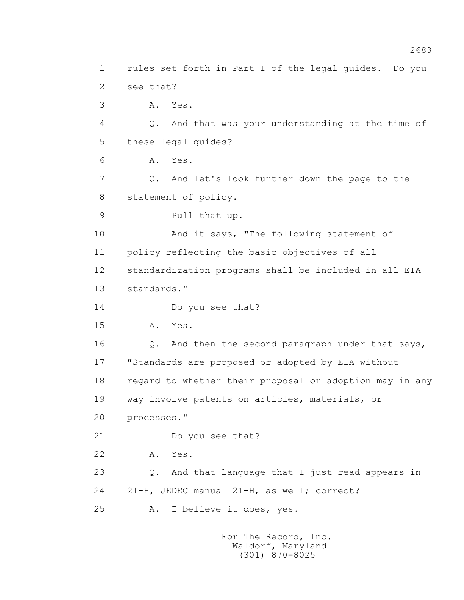1 rules set forth in Part I of the legal guides. Do you 2 see that? 3 A. Yes. 4 Q. And that was your understanding at the time of 5 these legal guides? 6 A. Yes. 7 Q. And let's look further down the page to the 8 statement of policy. 9 Pull that up. 10 And it says, "The following statement of 11 policy reflecting the basic objectives of all 12 standardization programs shall be included in all EIA 13 standards." 14 Do you see that? 15 A. Yes. 16 Q. And then the second paragraph under that says, 17 "Standards are proposed or adopted by EIA without 18 regard to whether their proposal or adoption may in any 19 way involve patents on articles, materials, or 20 processes." 21 Do you see that? 22 A. Yes. 23 Q. And that language that I just read appears in 24 21-H, JEDEC manual 21-H, as well; correct? 25 A. I believe it does, yes.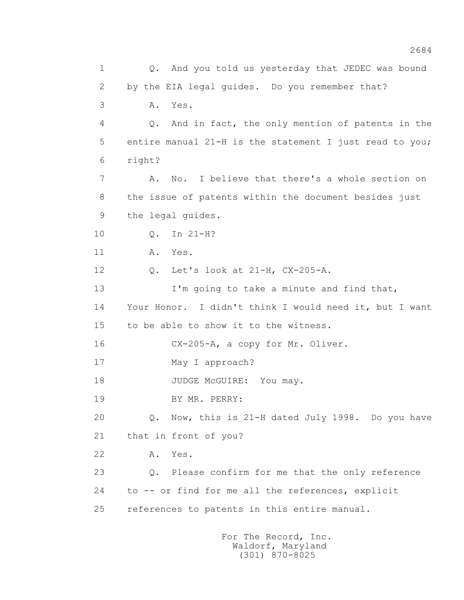1 Q. And you told us yesterday that JEDEC was bound 2 by the EIA legal guides. Do you remember that? 3 A. Yes. 4 Q. And in fact, the only mention of patents in the 5 entire manual 21-H is the statement I just read to you; 6 right? 7 A. No. I believe that there's a whole section on 8 the issue of patents within the document besides just 9 the legal guides. 10 Q. In 21-H? 11 A. Yes. 12 Q. Let's look at 21-H, CX-205-A. 13 I'm going to take a minute and find that, 14 Your Honor. I didn't think I would need it, but I want 15 to be able to show it to the witness. 16 CX-205-A, a copy for Mr. Oliver. 17 May I approach? 18 JUDGE McGUIRE: You may. 19 BY MR. PERRY: 20 Q. Now, this is 21-H dated July 1998. Do you have 21 that in front of you? 22 A. Yes. 23 Q. Please confirm for me that the only reference 24 to -- or find for me all the references, explicit 25 references to patents in this entire manual.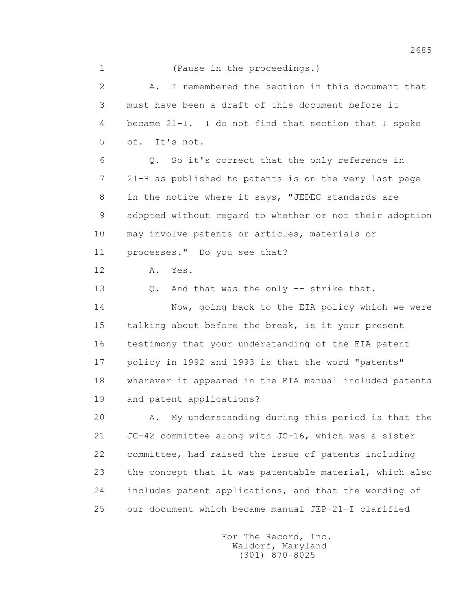1 (Pause in the proceedings.)

 2 A. I remembered the section in this document that 3 must have been a draft of this document before it 4 became 21-I. I do not find that section that I spoke 5 of. It's not. 6 Q. So it's correct that the only reference in 7 21-H as published to patents is on the very last page 8 in the notice where it says, "JEDEC standards are 9 adopted without regard to whether or not their adoption 10 may involve patents or articles, materials or 11 processes." Do you see that? 12 A. Yes. 13 Q. And that was the only -- strike that. 14 Now, going back to the EIA policy which we were 15 talking about before the break, is it your present 16 testimony that your understanding of the EIA patent 17 policy in 1992 and 1993 is that the word "patents" 18 wherever it appeared in the EIA manual included patents 19 and patent applications? 20 A. My understanding during this period is that the 21 JC-42 committee along with JC-16, which was a sister 22 committee, had raised the issue of patents including 23 the concept that it was patentable material, which also 24 includes patent applications, and that the wording of 25 our document which became manual JEP-21-I clarified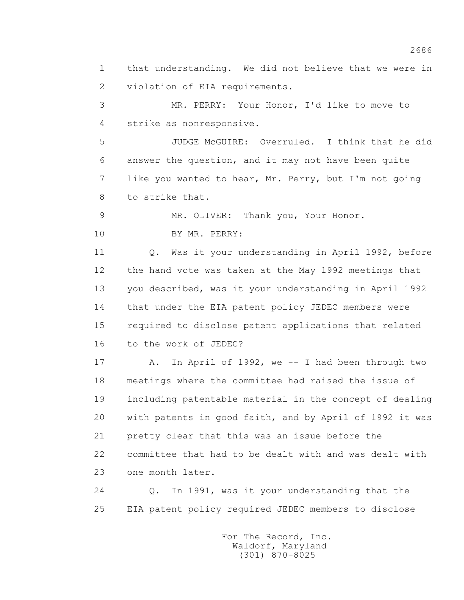1 that understanding. We did not believe that we were in 2 violation of EIA requirements.

 3 MR. PERRY: Your Honor, I'd like to move to 4 strike as nonresponsive.

 5 JUDGE McGUIRE: Overruled. I think that he did 6 answer the question, and it may not have been quite 7 like you wanted to hear, Mr. Perry, but I'm not going 8 to strike that.

9 MR. OLIVER: Thank you, Your Honor.

10 BY MR. PERRY:

 11 Q. Was it your understanding in April 1992, before 12 the hand vote was taken at the May 1992 meetings that 13 you described, was it your understanding in April 1992 14 that under the EIA patent policy JEDEC members were 15 required to disclose patent applications that related 16 to the work of JEDEC?

 17 A. In April of 1992, we -- I had been through two 18 meetings where the committee had raised the issue of 19 including patentable material in the concept of dealing 20 with patents in good faith, and by April of 1992 it was 21 pretty clear that this was an issue before the 22 committee that had to be dealt with and was dealt with 23 one month later.

 24 Q. In 1991, was it your understanding that the 25 EIA patent policy required JEDEC members to disclose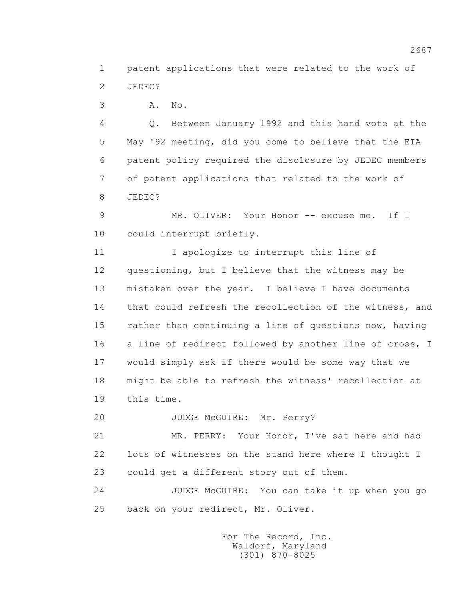1 patent applications that were related to the work of 2 JEDEC?

3 A. No.

 4 Q. Between January 1992 and this hand vote at the 5 May '92 meeting, did you come to believe that the EIA 6 patent policy required the disclosure by JEDEC members 7 of patent applications that related to the work of 8 JEDEC?

9 MR. OLIVER: Your Honor -- excuse me. If I 10 could interrupt briefly.

 11 I apologize to interrupt this line of 12 questioning, but I believe that the witness may be 13 mistaken over the year. I believe I have documents 14 that could refresh the recollection of the witness, and 15 rather than continuing a line of questions now, having 16 a line of redirect followed by another line of cross, I 17 would simply ask if there would be some way that we 18 might be able to refresh the witness' recollection at 19 this time.

20 JUDGE McGUIRE: Mr. Perry?

 21 MR. PERRY: Your Honor, I've sat here and had 22 lots of witnesses on the stand here where I thought I 23 could get a different story out of them.

 24 JUDGE McGUIRE: You can take it up when you go 25 back on your redirect, Mr. Oliver.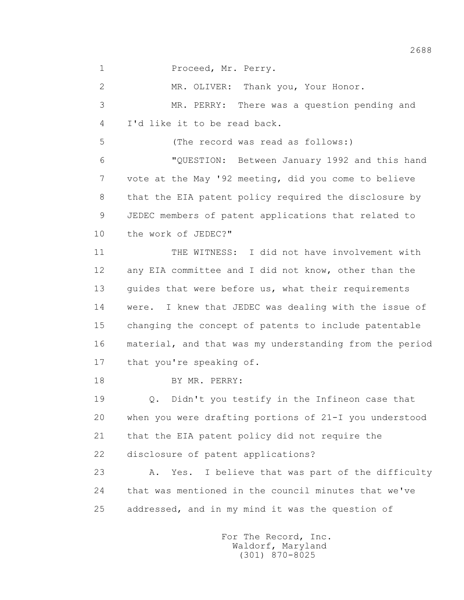1 Proceed, Mr. Perry.

 2 MR. OLIVER: Thank you, Your Honor. 3 MR. PERRY: There was a question pending and 4 I'd like it to be read back. 5 (The record was read as follows:) 6 "QUESTION: Between January 1992 and this hand 7 vote at the May '92 meeting, did you come to believe 8 that the EIA patent policy required the disclosure by 9 JEDEC members of patent applications that related to 10 the work of JEDEC?" 11 THE WITNESS: I did not have involvement with 12 any EIA committee and I did not know, other than the 13 quides that were before us, what their requirements 14 were. I knew that JEDEC was dealing with the issue of 15 changing the concept of patents to include patentable 16 material, and that was my understanding from the period 17 that you're speaking of. 18 BY MR. PERRY: 19 Q. Didn't you testify in the Infineon case that 20 when you were drafting portions of 21-I you understood 21 that the EIA patent policy did not require the 22 disclosure of patent applications? 23 A. Yes. I believe that was part of the difficulty 24 that was mentioned in the council minutes that we've 25 addressed, and in my mind it was the question of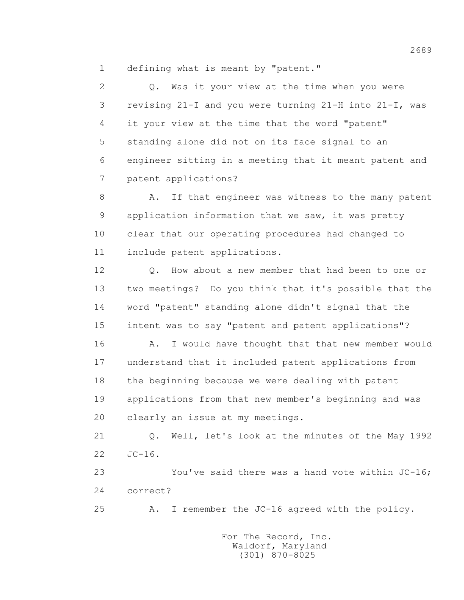1 defining what is meant by "patent."

 2 Q. Was it your view at the time when you were 3 revising 21-I and you were turning 21-H into 21-I, was 4 it your view at the time that the word "patent" 5 standing alone did not on its face signal to an 6 engineer sitting in a meeting that it meant patent and 7 patent applications?

8 A. If that engineer was witness to the many patent 9 application information that we saw, it was pretty 10 clear that our operating procedures had changed to 11 include patent applications.

12 0. How about a new member that had been to one or 13 two meetings? Do you think that it's possible that the 14 word "patent" standing alone didn't signal that the 15 intent was to say "patent and patent applications"?

16 A. I would have thought that that new member would 17 understand that it included patent applications from 18 the beginning because we were dealing with patent 19 applications from that new member's beginning and was 20 clearly an issue at my meetings.

 21 Q. Well, let's look at the minutes of the May 1992 22 JC-16.

 23 You've said there was a hand vote within JC-16; 24 correct?

25 A. I remember the JC-16 agreed with the policy.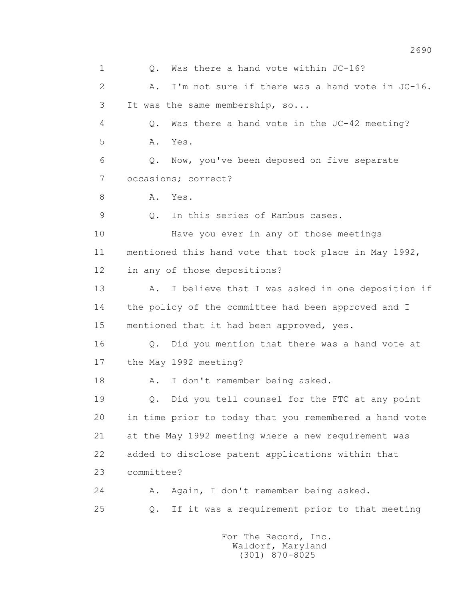1 Q. Was there a hand vote within JC-16? 2 A. I'm not sure if there was a hand vote in JC-16. 3 It was the same membership, so... 4 Q. Was there a hand vote in the JC-42 meeting? 5 A. Yes. 6 Q. Now, you've been deposed on five separate 7 occasions; correct? 8 A. Yes. 9 Q. In this series of Rambus cases. 10 Have you ever in any of those meetings 11 mentioned this hand vote that took place in May 1992, 12 in any of those depositions? 13 A. I believe that I was asked in one deposition if 14 the policy of the committee had been approved and I 15 mentioned that it had been approved, yes. 16 Q. Did you mention that there was a hand vote at 17 the May 1992 meeting? 18 A. I don't remember being asked. 19 Q. Did you tell counsel for the FTC at any point 20 in time prior to today that you remembered a hand vote 21 at the May 1992 meeting where a new requirement was 22 added to disclose patent applications within that 23 committee? 24 A. Again, I don't remember being asked. 25 Q. If it was a requirement prior to that meeting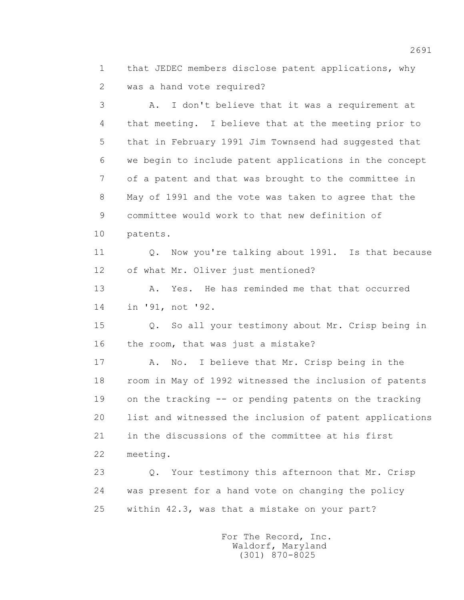1 that JEDEC members disclose patent applications, why 2 was a hand vote required?

 3 A. I don't believe that it was a requirement at 4 that meeting. I believe that at the meeting prior to 5 that in February 1991 Jim Townsend had suggested that 6 we begin to include patent applications in the concept 7 of a patent and that was brought to the committee in 8 May of 1991 and the vote was taken to agree that the 9 committee would work to that new definition of 10 patents. 11 Q. Now you're talking about 1991. Is that because 12 of what Mr. Oliver just mentioned? 13 A. Yes. He has reminded me that that occurred 14 in '91, not '92. 15 Q. So all your testimony about Mr. Crisp being in 16 the room, that was just a mistake? 17 A. No. I believe that Mr. Crisp being in the 18 room in May of 1992 witnessed the inclusion of patents 19 on the tracking -- or pending patents on the tracking 20 list and witnessed the inclusion of patent applications 21 in the discussions of the committee at his first 22 meeting. 23 Q. Your testimony this afternoon that Mr. Crisp 24 was present for a hand vote on changing the policy

25 within 42.3, was that a mistake on your part?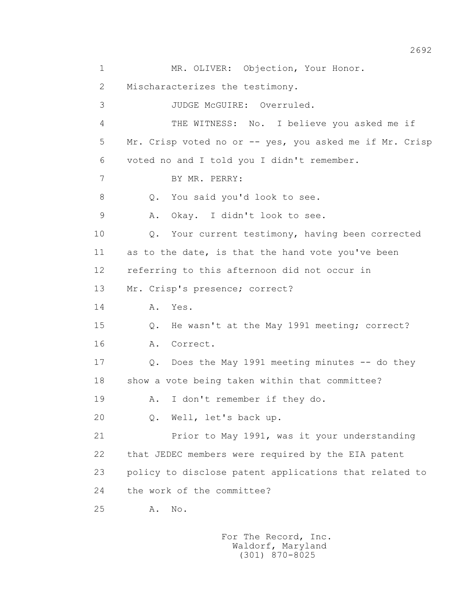1 MR. OLIVER: Objection, Your Honor. 2 Mischaracterizes the testimony. 3 JUDGE McGUIRE: Overruled. 4 THE WITNESS: No. I believe you asked me if 5 Mr. Crisp voted no or -- yes, you asked me if Mr. Crisp 6 voted no and I told you I didn't remember. 7 BY MR. PERRY: 8 Q. You said you'd look to see. 9 A. Okay. I didn't look to see. 10 Q. Your current testimony, having been corrected 11 as to the date, is that the hand vote you've been 12 referring to this afternoon did not occur in 13 Mr. Crisp's presence; correct? 14 **A.** Yes. 15 Q. He wasn't at the May 1991 meeting; correct? 16 A. Correct. 17 Q. Does the May 1991 meeting minutes -- do they 18 show a vote being taken within that committee? 19 A. I don't remember if they do. 20 Q. Well, let's back up. 21 Prior to May 1991, was it your understanding 22 that JEDEC members were required by the EIA patent 23 policy to disclose patent applications that related to 24 the work of the committee? 25 A. No.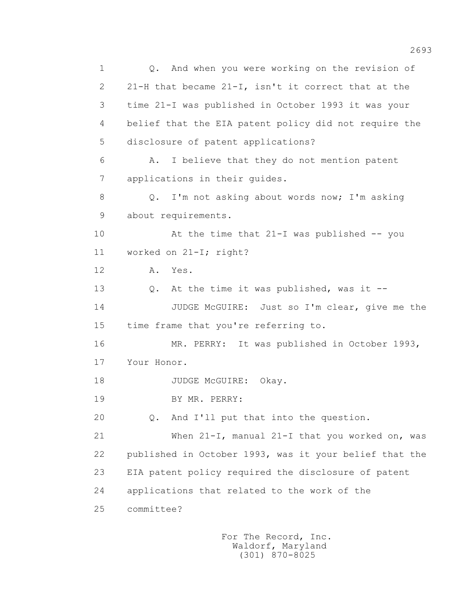1 Q. And when you were working on the revision of 2 21-H that became 21-I, isn't it correct that at the 3 time 21-I was published in October 1993 it was your 4 belief that the EIA patent policy did not require the 5 disclosure of patent applications? 6 A. I believe that they do not mention patent 7 applications in their guides. 8 Q. I'm not asking about words now; I'm asking 9 about requirements. 10 At the time that 21-I was published -- you 11 worked on 21-I; right? 12 A. Yes. 13 Q. At the time it was published, was it -- 14 JUDGE McGUIRE: Just so I'm clear, give me the 15 time frame that you're referring to. 16 MR. PERRY: It was published in October 1993, 17 Your Honor. 18 JUDGE McGUIRE: Okay. 19 BY MR. PERRY: 20 0. And I'll put that into the question. 21 When 21-I, manual 21-I that you worked on, was 22 published in October 1993, was it your belief that the 23 EIA patent policy required the disclosure of patent 24 applications that related to the work of the 25 committee?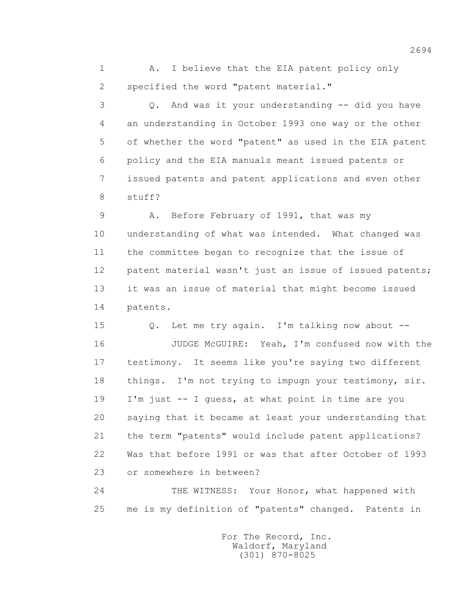1 A. I believe that the EIA patent policy only 2 specified the word "patent material."

 3 Q. And was it your understanding -- did you have 4 an understanding in October 1993 one way or the other 5 of whether the word "patent" as used in the EIA patent 6 policy and the EIA manuals meant issued patents or 7 issued patents and patent applications and even other 8 stuff?

 9 A. Before February of 1991, that was my 10 understanding of what was intended. What changed was 11 the committee began to recognize that the issue of 12 patent material wasn't just an issue of issued patents; 13 it was an issue of material that might become issued 14 patents.

 15 Q. Let me try again. I'm talking now about -- 16 JUDGE McGUIRE: Yeah, I'm confused now with the 17 testimony. It seems like you're saying two different 18 things. I'm not trying to impugn your testimony, sir. 19 I'm just -- I guess, at what point in time are you 20 saying that it became at least your understanding that 21 the term "patents" would include patent applications? 22 Was that before 1991 or was that after October of 1993 23 or somewhere in between?

 24 THE WITNESS: Your Honor, what happened with 25 me is my definition of "patents" changed. Patents in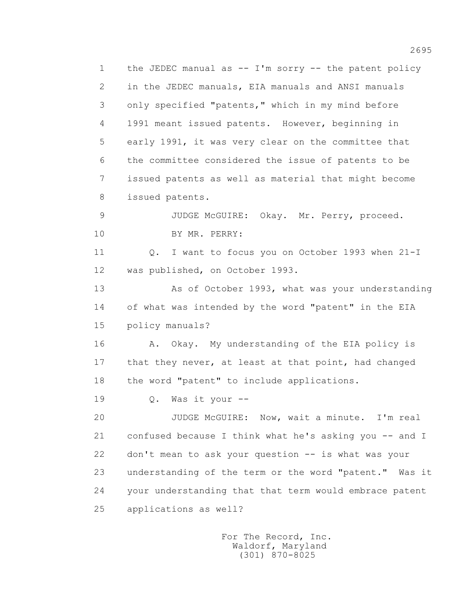1 the JEDEC manual as -- I'm sorry -- the patent policy 2 in the JEDEC manuals, EIA manuals and ANSI manuals 3 only specified "patents," which in my mind before 4 1991 meant issued patents. However, beginning in 5 early 1991, it was very clear on the committee that 6 the committee considered the issue of patents to be 7 issued patents as well as material that might become 8 issued patents. 9 JUDGE McGUIRE: Okay. Mr. Perry, proceed. 10 BY MR. PERRY: 11 Q. I want to focus you on October 1993 when 21-I 12 was published, on October 1993. 13 As of October 1993, what was your understanding 14 of what was intended by the word "patent" in the EIA 15 policy manuals? 16 A. Okay. My understanding of the EIA policy is 17 that they never, at least at that point, had changed 18 the word "patent" to include applications. 19 Q. Was it your -- 20 JUDGE McGUIRE: Now, wait a minute. I'm real 21 confused because I think what he's asking you -- and I 22 don't mean to ask your question -- is what was your 23 understanding of the term or the word "patent." Was it 24 your understanding that that term would embrace patent 25 applications as well?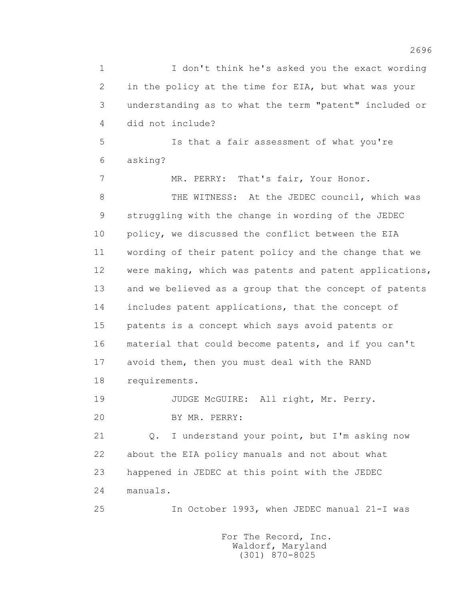1 I don't think he's asked you the exact wording 2 in the policy at the time for EIA, but what was your 3 understanding as to what the term "patent" included or 4 did not include? 5 Is that a fair assessment of what you're 6 asking? 7 MR. PERRY: That's fair, Your Honor. 8 THE WITNESS: At the JEDEC council, which was 9 struggling with the change in wording of the JEDEC 10 policy, we discussed the conflict between the EIA 11 wording of their patent policy and the change that we 12 were making, which was patents and patent applications, 13 and we believed as a group that the concept of patents 14 includes patent applications, that the concept of 15 patents is a concept which says avoid patents or 16 material that could become patents, and if you can't 17 avoid them, then you must deal with the RAND 18 requirements. 19 JUDGE McGUIRE: All right, Mr. Perry. 20 BY MR. PERRY: 21 Q. I understand your point, but I'm asking now 22 about the EIA policy manuals and not about what 23 happened in JEDEC at this point with the JEDEC 24 manuals. 25 In October 1993, when JEDEC manual 21-I was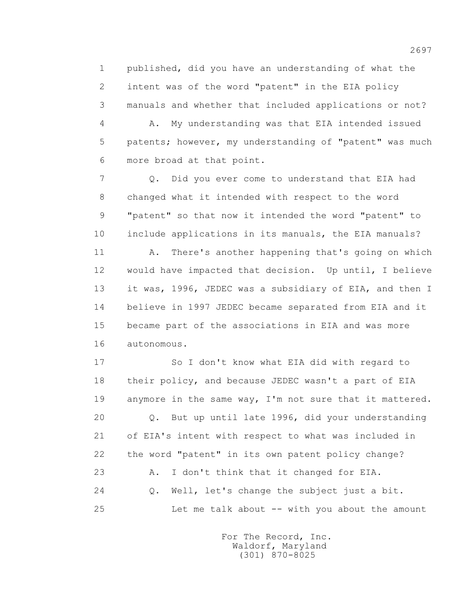1 published, did you have an understanding of what the 2 intent was of the word "patent" in the EIA policy 3 manuals and whether that included applications or not?

 4 A. My understanding was that EIA intended issued 5 patents; however, my understanding of "patent" was much 6 more broad at that point.

 7 Q. Did you ever come to understand that EIA had 8 changed what it intended with respect to the word 9 "patent" so that now it intended the word "patent" to 10 include applications in its manuals, the EIA manuals?

 11 A. There's another happening that's going on which 12 would have impacted that decision. Up until, I believe 13 it was, 1996, JEDEC was a subsidiary of EIA, and then I 14 believe in 1997 JEDEC became separated from EIA and it 15 became part of the associations in EIA and was more 16 autonomous.

 17 So I don't know what EIA did with regard to 18 their policy, and because JEDEC wasn't a part of EIA 19 anymore in the same way, I'm not sure that it mattered. 20 Q. But up until late 1996, did your understanding 21 of EIA's intent with respect to what was included in 22 the word "patent" in its own patent policy change? 23 A. I don't think that it changed for EIA. 24 Q. Well, let's change the subject just a bit. 25 Let me talk about -- with you about the amount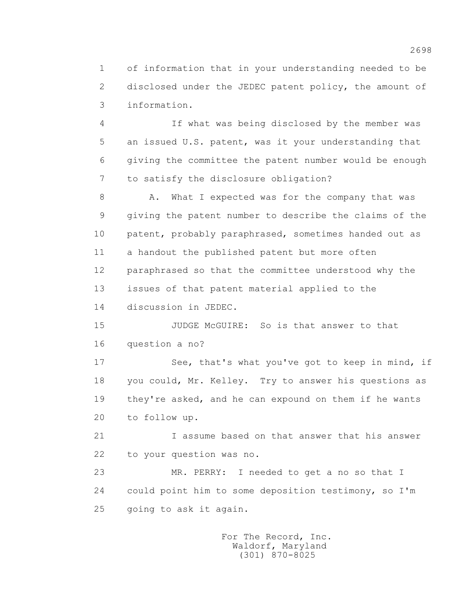1 of information that in your understanding needed to be 2 disclosed under the JEDEC patent policy, the amount of 3 information.

 4 If what was being disclosed by the member was 5 an issued U.S. patent, was it your understanding that 6 giving the committee the patent number would be enough 7 to satisfy the disclosure obligation?

8 A. What I expected was for the company that was 9 giving the patent number to describe the claims of the 10 patent, probably paraphrased, sometimes handed out as 11 a handout the published patent but more often 12 paraphrased so that the committee understood why the 13 issues of that patent material applied to the 14 discussion in JEDEC.

15 JUDGE McGUIRE: So is that answer to that 16 question a no?

17 See, that's what you've got to keep in mind, if 18 you could, Mr. Kelley. Try to answer his questions as 19 they're asked, and he can expound on them if he wants 20 to follow up.

 21 I assume based on that answer that his answer 22 to your question was no.

 23 MR. PERRY: I needed to get a no so that I 24 could point him to some deposition testimony, so I'm 25 going to ask it again.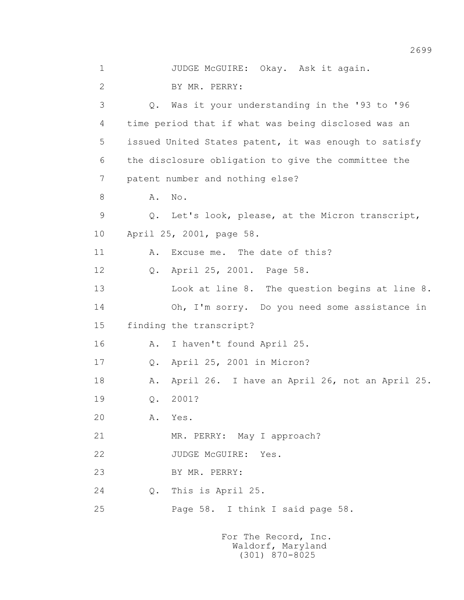| $\mathbf 1$    |       | JUDGE McGUIRE: Okay. Ask it again.                    |
|----------------|-------|-------------------------------------------------------|
| $\overline{2}$ |       | BY MR. PERRY:                                         |
| 3              |       | Q. Was it your understanding in the '93 to '96        |
| 4              |       | time period that if what was being disclosed was an   |
| 5              |       | issued United States patent, it was enough to satisfy |
| 6              |       | the disclosure obligation to give the committee the   |
| 7              |       | patent number and nothing else?                       |
| 8              | Α.    | No.                                                   |
| 9              | $Q$ . | Let's look, please, at the Micron transcript,         |
| 10             |       | April 25, 2001, page 58.                              |
| 11             | Α.    | Excuse me. The date of this?                          |
| 12             | Q.    | April 25, 2001. Page 58.                              |
| 13             |       | Look at line 8. The question begins at line 8.        |
| 14             |       | Oh, I'm sorry. Do you need some assistance in         |
| 15             |       | finding the transcript?                               |
| 16             | Α.    | I haven't found April 25.                             |
| 17             | $Q$ . | April 25, 2001 in Micron?                             |
| 18             | Α.    | April 26. I have an April 26, not an April 25.        |
| 19             | Q.    | 2001?                                                 |
| 20             | Α.    | Yes.                                                  |
| 21             |       | MR. PERRY: May I approach?                            |
| 22             |       | JUDGE McGUIRE: Yes.                                   |
| 23             |       | BY MR. PERRY:                                         |
| 24             | Q.    | This is April 25.                                     |
| 25             |       | Page 58. I think I said page 58.                      |
|                |       |                                                       |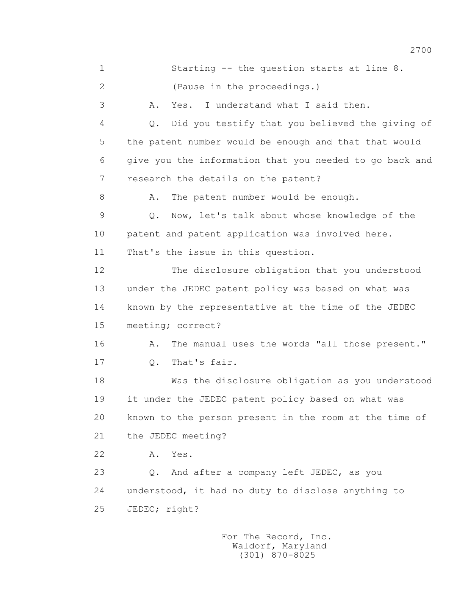1 Starting -- the question starts at line 8. 2 (Pause in the proceedings.) 3 A. Yes. I understand what I said then. 4 Q. Did you testify that you believed the giving of 5 the patent number would be enough and that that would 6 give you the information that you needed to go back and 7 research the details on the patent? 8 A. The patent number would be enough. 9 Q. Now, let's talk about whose knowledge of the 10 patent and patent application was involved here. 11 That's the issue in this question. 12 The disclosure obligation that you understood 13 under the JEDEC patent policy was based on what was 14 known by the representative at the time of the JEDEC 15 meeting; correct? 16 A. The manual uses the words "all those present." 17 Q. That's fair. 18 Was the disclosure obligation as you understood 19 it under the JEDEC patent policy based on what was 20 known to the person present in the room at the time of 21 the JEDEC meeting? 22 A. Yes. 23 Q. And after a company left JEDEC, as you 24 understood, it had no duty to disclose anything to 25 JEDEC; right?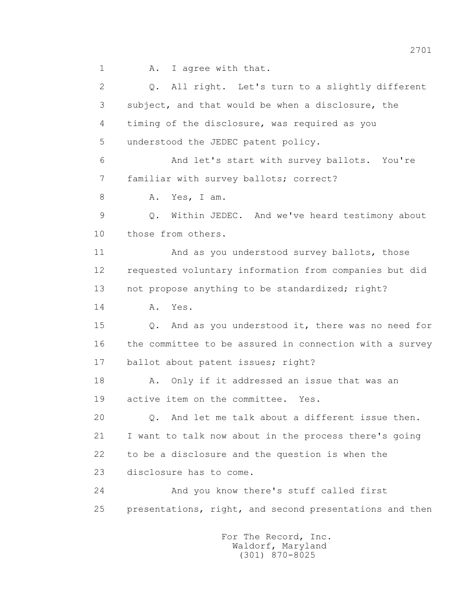1 A. I agree with that.

 2 Q. All right. Let's turn to a slightly different 3 subject, and that would be when a disclosure, the 4 timing of the disclosure, was required as you 5 understood the JEDEC patent policy. 6 And let's start with survey ballots. You're 7 familiar with survey ballots; correct? 8 A. Yes, I am. 9 Q. Within JEDEC. And we've heard testimony about 10 those from others. 11 And as you understood survey ballots, those 12 requested voluntary information from companies but did 13 not propose anything to be standardized; right? 14 A. Yes. 15 Q. And as you understood it, there was no need for 16 the committee to be assured in connection with a survey 17 ballot about patent issues; right? 18 A. Only if it addressed an issue that was an 19 active item on the committee. Yes. 20 Q. And let me talk about a different issue then. 21 I want to talk now about in the process there's going 22 to be a disclosure and the question is when the 23 disclosure has to come. 24 And you know there's stuff called first 25 presentations, right, and second presentations and then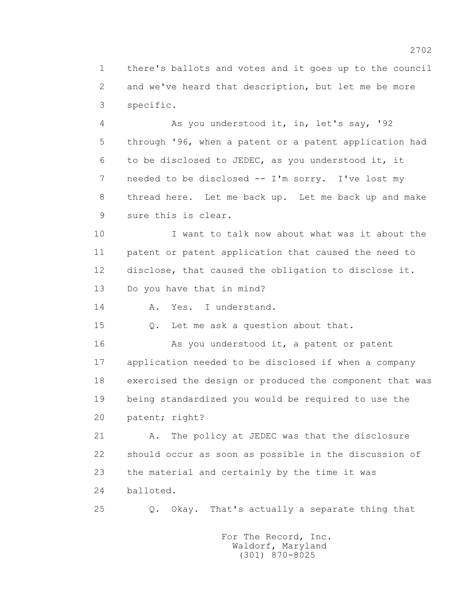1 there's ballots and votes and it goes up to the council 2 and we've heard that description, but let me be more 3 specific.

 4 As you understood it, in, let's say, '92 5 through '96, when a patent or a patent application had 6 to be disclosed to JEDEC, as you understood it, it 7 needed to be disclosed -- I'm sorry. I've lost my 8 thread here. Let me back up. Let me back up and make 9 sure this is clear.

 10 I want to talk now about what was it about the 11 patent or patent application that caused the need to 12 disclose, that caused the obligation to disclose it.

13 Do you have that in mind?

14 A. Yes. I understand.

15 Q. Let me ask a question about that.

16 As you understood it, a patent or patent 17 application needed to be disclosed if when a company 18 exercised the design or produced the component that was 19 being standardized you would be required to use the 20 patent; right?

 21 A. The policy at JEDEC was that the disclosure 22 should occur as soon as possible in the discussion of 23 the material and certainly by the time it was 24 balloted.

25 Q. Okay. That's actually a separate thing that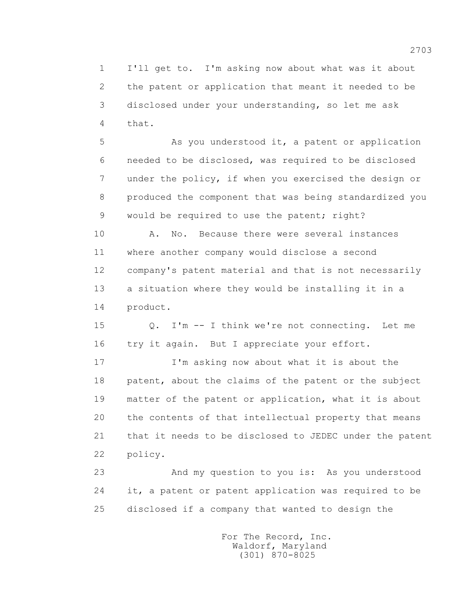1 I'll get to. I'm asking now about what was it about 2 the patent or application that meant it needed to be 3 disclosed under your understanding, so let me ask 4 that.

5 As you understood it, a patent or application 6 needed to be disclosed, was required to be disclosed 7 under the policy, if when you exercised the design or 8 produced the component that was being standardized you 9 would be required to use the patent; right?

 10 A. No. Because there were several instances 11 where another company would disclose a second 12 company's patent material and that is not necessarily 13 a situation where they would be installing it in a 14 product.

 15 Q. I'm -- I think we're not connecting. Let me 16 try it again. But I appreciate your effort.

 17 I'm asking now about what it is about the 18 patent, about the claims of the patent or the subject 19 matter of the patent or application, what it is about 20 the contents of that intellectual property that means 21 that it needs to be disclosed to JEDEC under the patent 22 policy.

 23 And my question to you is: As you understood 24 it, a patent or patent application was required to be 25 disclosed if a company that wanted to design the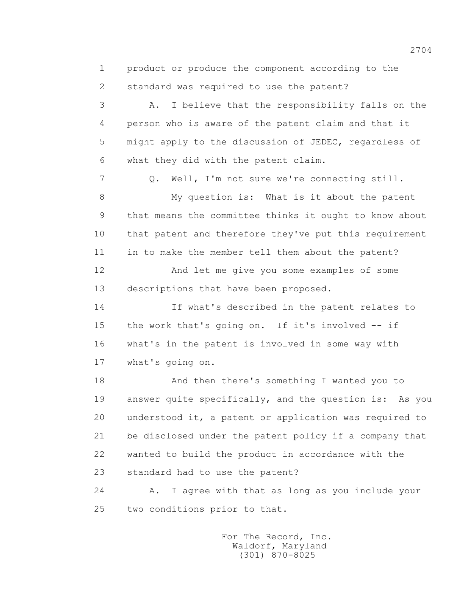1 product or produce the component according to the 2 standard was required to use the patent?

 3 A. I believe that the responsibility falls on the 4 person who is aware of the patent claim and that it 5 might apply to the discussion of JEDEC, regardless of 6 what they did with the patent claim.

 7 Q. Well, I'm not sure we're connecting still. 8 My question is: What is it about the patent 9 that means the committee thinks it ought to know about 10 that patent and therefore they've put this requirement 11 in to make the member tell them about the patent? 12 And let me give you some examples of some 13 descriptions that have been proposed. 14 If what's described in the patent relates to

 15 the work that's going on. If it's involved -- if 16 what's in the patent is involved in some way with 17 what's going on.

 18 And then there's something I wanted you to 19 answer quite specifically, and the question is: As you 20 understood it, a patent or application was required to 21 be disclosed under the patent policy if a company that 22 wanted to build the product in accordance with the 23 standard had to use the patent?

 24 A. I agree with that as long as you include your 25 two conditions prior to that.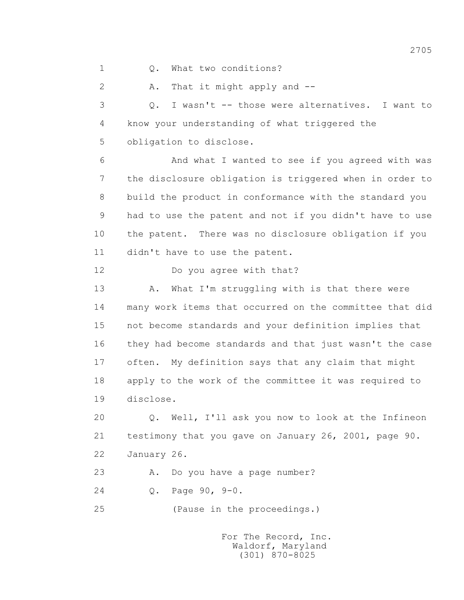1 Q. What two conditions?

2 A. That it might apply and --

 3 Q. I wasn't -- those were alternatives. I want to 4 know your understanding of what triggered the 5 obligation to disclose.

 6 And what I wanted to see if you agreed with was 7 the disclosure obligation is triggered when in order to 8 build the product in conformance with the standard you 9 had to use the patent and not if you didn't have to use 10 the patent. There was no disclosure obligation if you 11 didn't have to use the patent.

12 Do you agree with that?

13 A. What I'm struggling with is that there were 14 many work items that occurred on the committee that did 15 not become standards and your definition implies that 16 they had become standards and that just wasn't the case 17 often. My definition says that any claim that might 18 apply to the work of the committee it was required to 19 disclose.

 20 Q. Well, I'll ask you now to look at the Infineon 21 testimony that you gave on January 26, 2001, page 90. 22 January 26.

23 A. Do you have a page number?

24 Q. Page 90, 9-0.

25 (Pause in the proceedings.)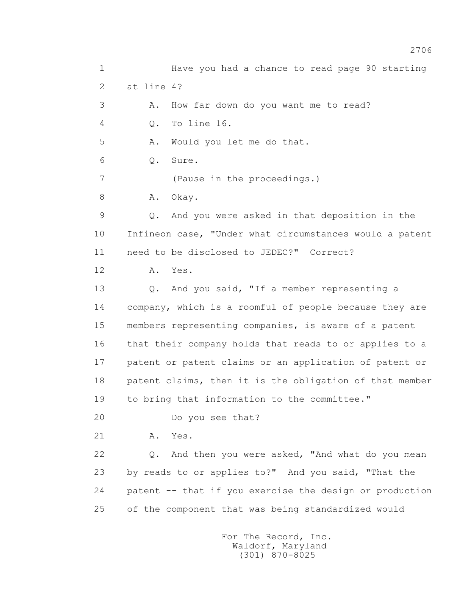1 Have you had a chance to read page 90 starting 2 at line 4? 3 A. How far down do you want me to read? 4 Q. To line 16. 5 A. Would you let me do that. 6 Q. Sure. 7 (Pause in the proceedings.) 8 A. Okay. 9 Q. And you were asked in that deposition in the 10 Infineon case, "Under what circumstances would a patent 11 need to be disclosed to JEDEC?" Correct? 12 A. Yes. 13 Q. And you said, "If a member representing a 14 company, which is a roomful of people because they are 15 members representing companies, is aware of a patent 16 that their company holds that reads to or applies to a 17 patent or patent claims or an application of patent or 18 patent claims, then it is the obligation of that member 19 to bring that information to the committee." 20 Do you see that? 21 A. Yes. 22 Q. And then you were asked, "And what do you mean 23 by reads to or applies to?" And you said, "That the 24 patent -- that if you exercise the design or production 25 of the component that was being standardized would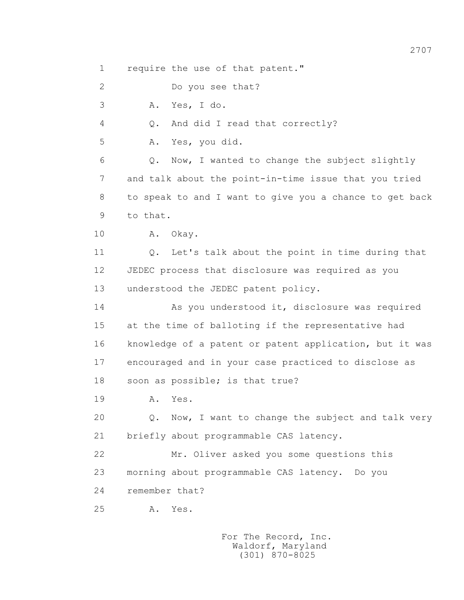1 require the use of that patent."

2 Do you see that?

3 A. Yes, I do.

4 Q. And did I read that correctly?

5 A. Yes, you did.

 6 Q. Now, I wanted to change the subject slightly 7 and talk about the point-in-time issue that you tried 8 to speak to and I want to give you a chance to get back 9 to that.

10 A. Okay.

 11 Q. Let's talk about the point in time during that 12 JEDEC process that disclosure was required as you 13 understood the JEDEC patent policy.

 14 As you understood it, disclosure was required 15 at the time of balloting if the representative had 16 knowledge of a patent or patent application, but it was 17 encouraged and in your case practiced to disclose as 18 soon as possible; is that true?

19 **A.** Yes.

20 0. Now, I want to change the subject and talk very 21 briefly about programmable CAS latency.

 22 Mr. Oliver asked you some questions this 23 morning about programmable CAS latency. Do you 24 remember that?

25 A. Yes.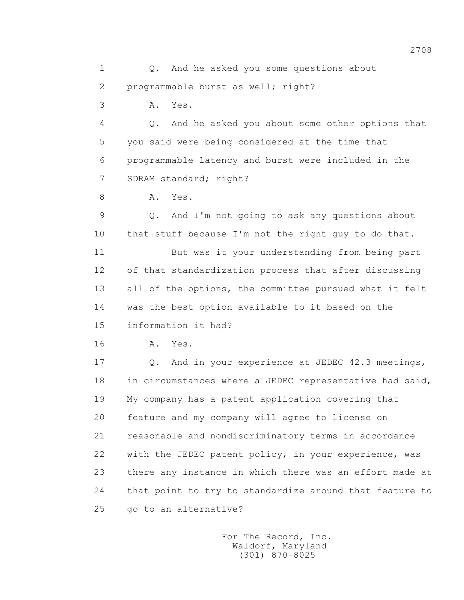1 0. And he asked you some questions about 2 programmable burst as well; right?

3 A. Yes.

 4 Q. And he asked you about some other options that 5 you said were being considered at the time that 6 programmable latency and burst were included in the 7 SDRAM standard; right?

8 A. Yes.

 9 Q. And I'm not going to ask any questions about 10 that stuff because I'm not the right guy to do that.

 11 But was it your understanding from being part 12 of that standardization process that after discussing 13 all of the options, the committee pursued what it felt 14 was the best option available to it based on the 15 information it had?

16 **A.** Yes.

 17 Q. And in your experience at JEDEC 42.3 meetings, 18 in circumstances where a JEDEC representative had said, 19 My company has a patent application covering that 20 feature and my company will agree to license on 21 reasonable and nondiscriminatory terms in accordance 22 with the JEDEC patent policy, in your experience, was 23 there any instance in which there was an effort made at 24 that point to try to standardize around that feature to 25 go to an alternative?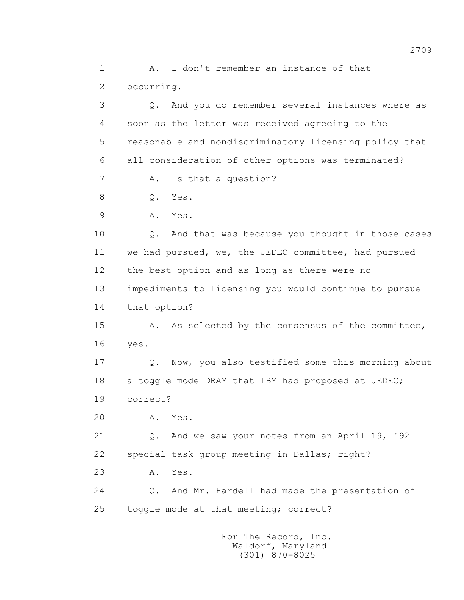1 A. I don't remember an instance of that 2 occurring. 3 Q. And you do remember several instances where as 4 soon as the letter was received agreeing to the 5 reasonable and nondiscriminatory licensing policy that

6 all consideration of other options was terminated?

7 A. Is that a question?

8 0. Yes.

9 A. Yes.

 10 Q. And that was because you thought in those cases 11 we had pursued, we, the JEDEC committee, had pursued 12 the best option and as long as there were no 13 impediments to licensing you would continue to pursue 14 that option?

 15 A. As selected by the consensus of the committee, 16 yes.

 17 Q. Now, you also testified some this morning about 18 a toggle mode DRAM that IBM had proposed at JEDEC; 19 correct?

20 A. Yes.

 21 Q. And we saw your notes from an April 19, '92 22 special task group meeting in Dallas; right?

23 A. Yes.

 24 Q. And Mr. Hardell had made the presentation of 25 toggle mode at that meeting; correct?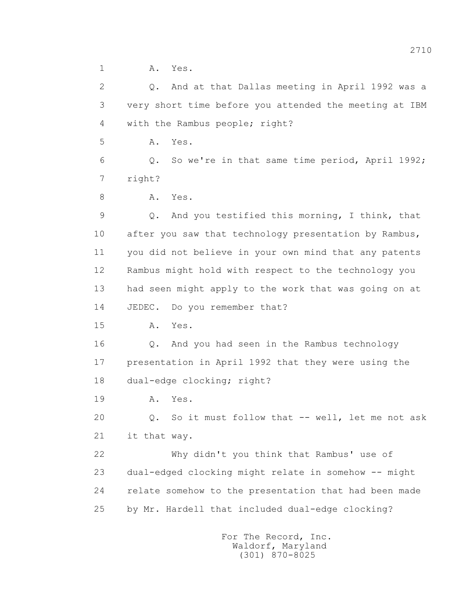1 A. Yes.

 2 Q. And at that Dallas meeting in April 1992 was a 3 very short time before you attended the meeting at IBM 4 with the Rambus people; right? 5 A. Yes. 6 Q. So we're in that same time period, April 1992; 7 right? 8 A. Yes. 9 Q. And you testified this morning, I think, that 10 after you saw that technology presentation by Rambus, 11 you did not believe in your own mind that any patents 12 Rambus might hold with respect to the technology you 13 had seen might apply to the work that was going on at 14 JEDEC. Do you remember that? 15 A. Yes. 16 Q. And you had seen in the Rambus technology 17 presentation in April 1992 that they were using the 18 dual-edge clocking; right? 19 **A.** Yes. 20 0. So it must follow that -- well, let me not ask 21 it that way. 22 Why didn't you think that Rambus' use of 23 dual-edged clocking might relate in somehow -- might 24 relate somehow to the presentation that had been made 25 by Mr. Hardell that included dual-edge clocking?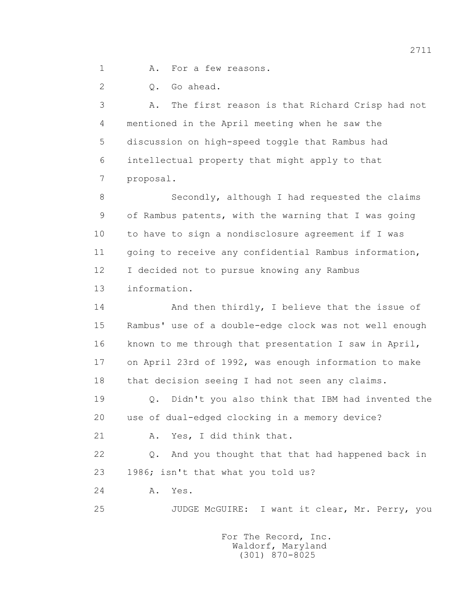1 A. For a few reasons.

2 Q. Go ahead.

 3 A. The first reason is that Richard Crisp had not 4 mentioned in the April meeting when he saw the 5 discussion on high-speed toggle that Rambus had 6 intellectual property that might apply to that 7 proposal.

 8 Secondly, although I had requested the claims 9 of Rambus patents, with the warning that I was going 10 to have to sign a nondisclosure agreement if I was 11 going to receive any confidential Rambus information, 12 I decided not to pursue knowing any Rambus 13 information.

14 And then thirdly, I believe that the issue of 15 Rambus' use of a double-edge clock was not well enough 16 known to me through that presentation I saw in April, 17 on April 23rd of 1992, was enough information to make 18 that decision seeing I had not seen any claims.

 19 Q. Didn't you also think that IBM had invented the 20 use of dual-edged clocking in a memory device?

21 A. Yes, I did think that.

 22 Q. And you thought that that had happened back in 23 1986; isn't that what you told us?

24 A. Yes.

25 JUDGE McGUIRE: I want it clear, Mr. Perry, you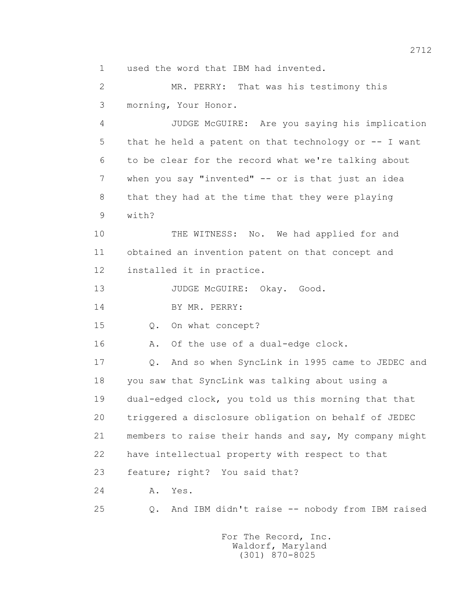1 used the word that IBM had invented.

 2 MR. PERRY: That was his testimony this 3 morning, Your Honor.

 4 JUDGE McGUIRE: Are you saying his implication 5 that he held a patent on that technology or -- I want 6 to be clear for the record what we're talking about 7 when you say "invented" -- or is that just an idea 8 that they had at the time that they were playing 9 with?

 10 THE WITNESS: No. We had applied for and 11 obtained an invention patent on that concept and 12 installed it in practice.

13 JUDGE McGUIRE: Okay. Good.

14 BY MR. PERRY:

15 Q. On what concept?

16 A. Of the use of a dual-edge clock.

 17 Q. And so when SyncLink in 1995 came to JEDEC and 18 you saw that SyncLink was talking about using a 19 dual-edged clock, you told us this morning that that 20 triggered a disclosure obligation on behalf of JEDEC 21 members to raise their hands and say, My company might 22 have intellectual property with respect to that

23 feature; right? You said that?

24 A. Yes.

25 Q. And IBM didn't raise -- nobody from IBM raised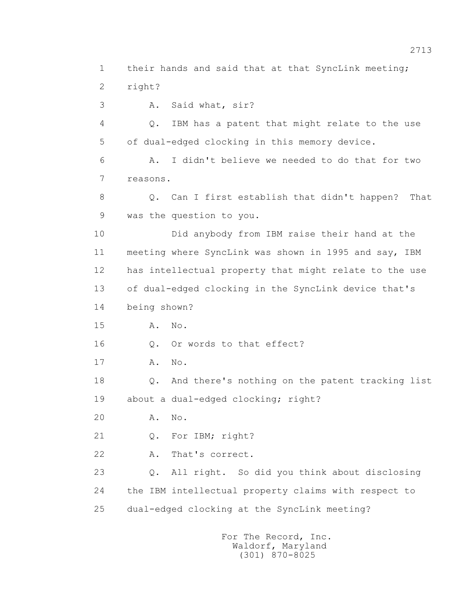1 their hands and said that at that SyncLink meeting; 2 right? 3 A. Said what, sir? 4 Q. IBM has a patent that might relate to the use 5 of dual-edged clocking in this memory device. 6 A. I didn't believe we needed to do that for two 7 reasons. 8 Q. Can I first establish that didn't happen? That 9 was the question to you. 10 Did anybody from IBM raise their hand at the 11 meeting where SyncLink was shown in 1995 and say, IBM 12 has intellectual property that might relate to the use 13 of dual-edged clocking in the SyncLink device that's 14 being shown? 15 A. No. 16 0. Or words to that effect? 17 A. No. 18 Q. And there's nothing on the patent tracking list 19 about a dual-edged clocking; right? 20 A. No. 21 Q. For IBM; right? 22 A. That's correct. 23 Q. All right. So did you think about disclosing 24 the IBM intellectual property claims with respect to 25 dual-edged clocking at the SyncLink meeting?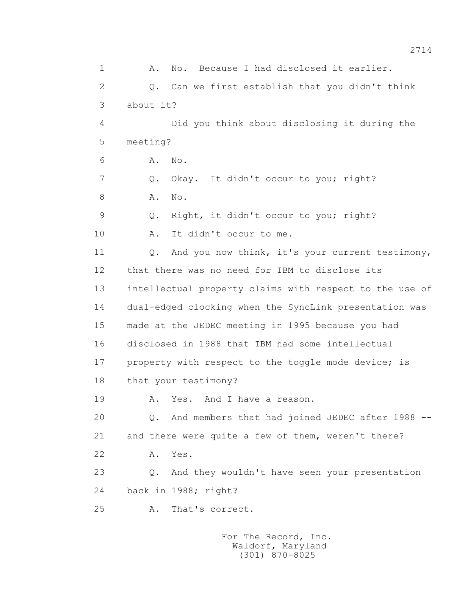1 A. No. Because I had disclosed it earlier. 2 Q. Can we first establish that you didn't think 3 about it? 4 Did you think about disclosing it during the 5 meeting? 6 A. No. 7 Q. Okay. It didn't occur to you; right? 8 A. No. 9 Q. Right, it didn't occur to you; right? 10 A. It didn't occur to me. 11 0. And you now think, it's your current testimony, 12 that there was no need for IBM to disclose its 13 intellectual property claims with respect to the use of 14 dual-edged clocking when the SyncLink presentation was 15 made at the JEDEC meeting in 1995 because you had 16 disclosed in 1988 that IBM had some intellectual 17 property with respect to the toggle mode device; is 18 that your testimony? 19 A. Yes. And I have a reason. 20 Q. And members that had joined JEDEC after 1988 -- 21 and there were quite a few of them, weren't there? 22 A. Yes. 23 Q. And they wouldn't have seen your presentation 24 back in 1988; right? 25 A. That's correct.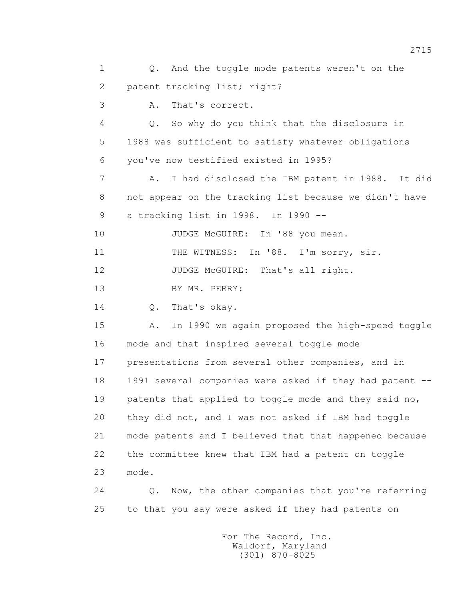1 0. And the toggle mode patents weren't on the 2 patent tracking list; right? 3 A. That's correct. 4 Q. So why do you think that the disclosure in 5 1988 was sufficient to satisfy whatever obligations 6 you've now testified existed in 1995? 7 A. I had disclosed the IBM patent in 1988. It did 8 not appear on the tracking list because we didn't have 9 a tracking list in 1998. In 1990 -- 10 JUDGE McGUIRE: In '88 you mean. 11 THE WITNESS: In '88. I'm sorry, sir. 12 JUDGE McGUIRE: That's all right. 13 BY MR. PERRY: 14 0. That's okay. 15 A. In 1990 we again proposed the high-speed toggle 16 mode and that inspired several toggle mode 17 presentations from several other companies, and in 18 1991 several companies were asked if they had patent -- 19 patents that applied to toggle mode and they said no, 20 they did not, and I was not asked if IBM had toggle 21 mode patents and I believed that that happened because 22 the committee knew that IBM had a patent on toggle 23 mode. 24 Q. Now, the other companies that you're referring 25 to that you say were asked if they had patents on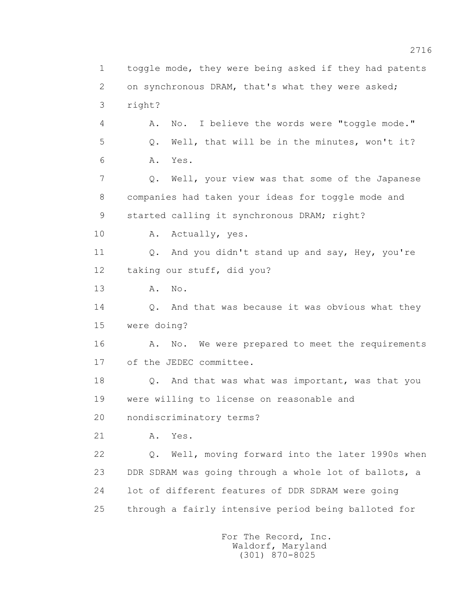1 toggle mode, they were being asked if they had patents 2 on synchronous DRAM, that's what they were asked; 3 right? 4 A. No. I believe the words were "toggle mode." 5 Q. Well, that will be in the minutes, won't it? 6 A. Yes. 7 Q. Well, your view was that some of the Japanese 8 companies had taken your ideas for toggle mode and 9 started calling it synchronous DRAM; right? 10 A. Actually, yes. 11 Q. And you didn't stand up and say, Hey, you're 12 taking our stuff, did you? 13 A. No. 14 Q. And that was because it was obvious what they 15 were doing? 16 A. No. We were prepared to meet the requirements 17 of the JEDEC committee. 18 Q. And that was what was important, was that you 19 were willing to license on reasonable and 20 nondiscriminatory terms? 21 A. Yes. 22 Q. Well, moving forward into the later 1990s when 23 DDR SDRAM was going through a whole lot of ballots, a 24 lot of different features of DDR SDRAM were going 25 through a fairly intensive period being balloted for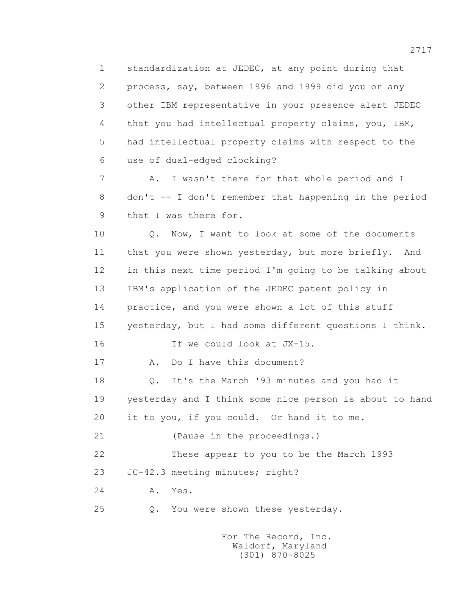1 standardization at JEDEC, at any point during that 2 process, say, between 1996 and 1999 did you or any 3 other IBM representative in your presence alert JEDEC 4 that you had intellectual property claims, you, IBM, 5 had intellectual property claims with respect to the 6 use of dual-edged clocking?

 7 A. I wasn't there for that whole period and I 8 don't -- I don't remember that happening in the period 9 that I was there for.

 10 Q. Now, I want to look at some of the documents 11 that you were shown yesterday, but more briefly. And 12 in this next time period I'm going to be talking about 13 IBM's application of the JEDEC patent policy in 14 practice, and you were shown a lot of this stuff 15 yesterday, but I had some different questions I think. 16 If we could look at JX-15. 17 A. Do I have this document? 18 Q. It's the March '93 minutes and you had it 19 yesterday and I think some nice person is about to hand 20 it to you, if you could. Or hand it to me. 21 (Pause in the proceedings.) 22 These appear to you to be the March 1993 23 JC-42.3 meeting minutes; right?

24 A. Yes.

25 Q. You were shown these yesterday.

 For The Record, Inc. Waldorf, Maryland (301) 870-8025

2717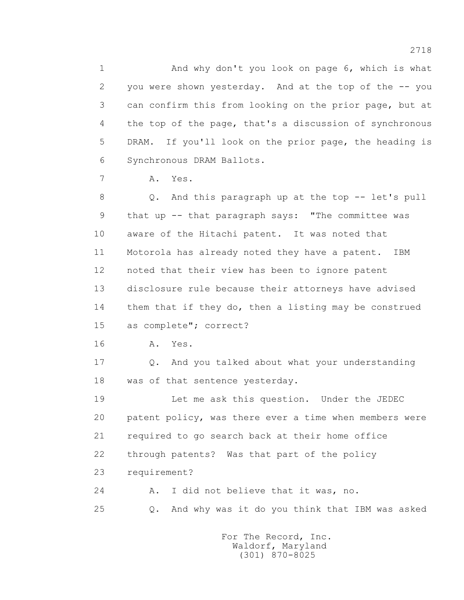1 And why don't you look on page 6, which is what 2 you were shown yesterday. And at the top of the -- you 3 can confirm this from looking on the prior page, but at 4 the top of the page, that's a discussion of synchronous 5 DRAM. If you'll look on the prior page, the heading is 6 Synchronous DRAM Ballots.

7 A. Yes.

 8 Q. And this paragraph up at the top -- let's pull 9 that up -- that paragraph says: "The committee was 10 aware of the Hitachi patent. It was noted that 11 Motorola has already noted they have a patent. IBM 12 noted that their view has been to ignore patent 13 disclosure rule because their attorneys have advised 14 them that if they do, then a listing may be construed 15 as complete"; correct?

16 A. Yes.

17 0. And you talked about what your understanding 18 was of that sentence yesterday.

 19 Let me ask this question. Under the JEDEC 20 patent policy, was there ever a time when members were 21 required to go search back at their home office 22 through patents? Was that part of the policy 23 requirement?

 24 A. I did not believe that it was, no. 25 Q. And why was it do you think that IBM was asked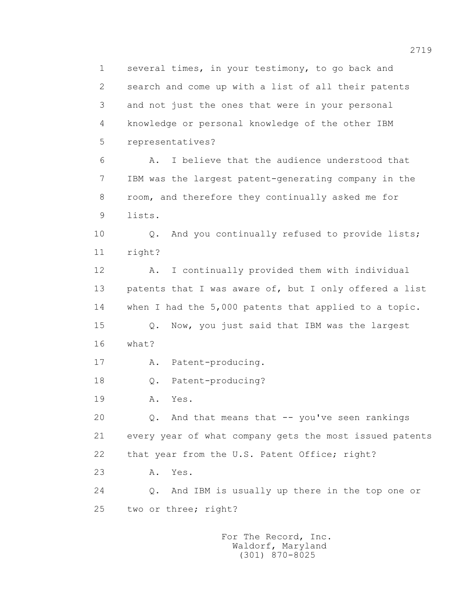1 several times, in your testimony, to go back and 2 search and come up with a list of all their patents 3 and not just the ones that were in your personal 4 knowledge or personal knowledge of the other IBM 5 representatives? 6 A. I believe that the audience understood that 7 IBM was the largest patent-generating company in the 8 room, and therefore they continually asked me for 9 lists. 10 Q. And you continually refused to provide lists; 11 right? 12 A. I continually provided them with individual 13 patents that I was aware of, but I only offered a list 14 when I had the 5,000 patents that applied to a topic. 15 Q. Now, you just said that IBM was the largest 16 what? 17 A. Patent-producing. 18 Q. Patent-producing? 19 **A.** Yes. 20  $Q.$  And that means that  $-$  you've seen rankings 21 every year of what company gets the most issued patents 22 that year from the U.S. Patent Office; right? 23 A. Yes. 24 Q. And IBM is usually up there in the top one or 25 two or three; right?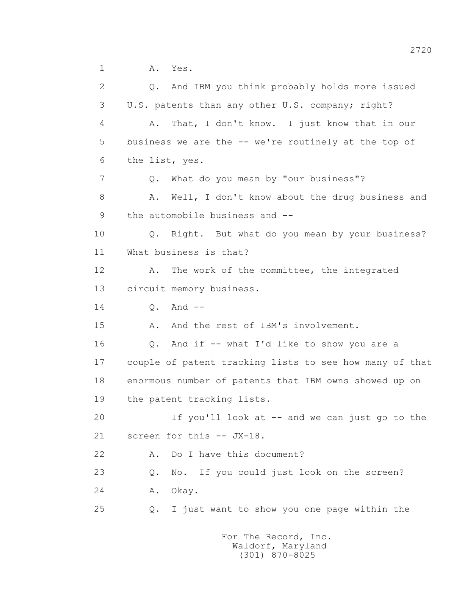1 A. Yes.

 2 Q. And IBM you think probably holds more issued 3 U.S. patents than any other U.S. company; right? 4 A. That, I don't know. I just know that in our 5 business we are the -- we're routinely at the top of 6 the list, yes. 7 Q. What do you mean by "our business"? 8 A. Well, I don't know about the drug business and 9 the automobile business and -- 10 Q. Right. But what do you mean by your business? 11 What business is that? 12 A. The work of the committee, the integrated 13 circuit memory business. 14 0. And --15 A. And the rest of IBM's involvement. 16 Q. And if -- what I'd like to show you are a 17 couple of patent tracking lists to see how many of that 18 enormous number of patents that IBM owns showed up on 19 the patent tracking lists. 20 If you'll look at -- and we can just go to the 21 screen for this -- JX-18. 22 A. Do I have this document? 23 Q. No. If you could just look on the screen? 24 A. Okay. 25 Q. I just want to show you one page within the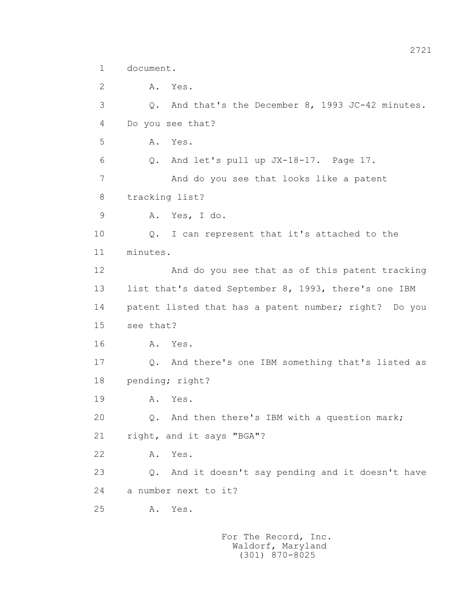```
 1 document.
```
 2 A. Yes. 3 Q. And that's the December 8, 1993 JC-42 minutes. 4 Do you see that? 5 A. Yes. 6 Q. And let's pull up JX-18-17. Page 17. 7 And do you see that looks like a patent 8 tracking list? 9 A. Yes, I do. 10 Q. I can represent that it's attached to the 11 minutes. 12 And do you see that as of this patent tracking 13 list that's dated September 8, 1993, there's one IBM 14 patent listed that has a patent number; right? Do you 15 see that? 16 A. Yes. 17 Q. And there's one IBM something that's listed as 18 pending; right? 19 **A.** Yes. 20 0. And then there's IBM with a question mark; 21 right, and it says "BGA"? 22 A. Yes. 23 Q. And it doesn't say pending and it doesn't have 24 a number next to it? 25 A. Yes.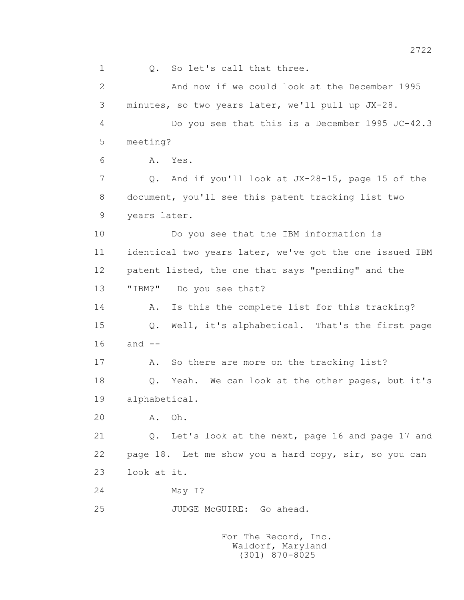1 0. So let's call that three. 2 And now if we could look at the December 1995 3 minutes, so two years later, we'll pull up JX-28. 4 Do you see that this is a December 1995 JC-42.3 5 meeting? 6 A. Yes. 7 Q. And if you'll look at JX-28-15, page 15 of the 8 document, you'll see this patent tracking list two 9 years later. 10 Do you see that the IBM information is 11 identical two years later, we've got the one issued IBM 12 patent listed, the one that says "pending" and the 13 "IBM?" Do you see that? 14 A. Is this the complete list for this tracking? 15 Q. Well, it's alphabetical. That's the first page  $16$  and  $-$  17 A. So there are more on the tracking list? 18 Q. Yeah. We can look at the other pages, but it's 19 alphabetical. 20 A. Oh. 21 Q. Let's look at the next, page 16 and page 17 and 22 page 18. Let me show you a hard copy, sir, so you can 23 look at it. 24 May I? 25 JUDGE McGUIRE: Go ahead.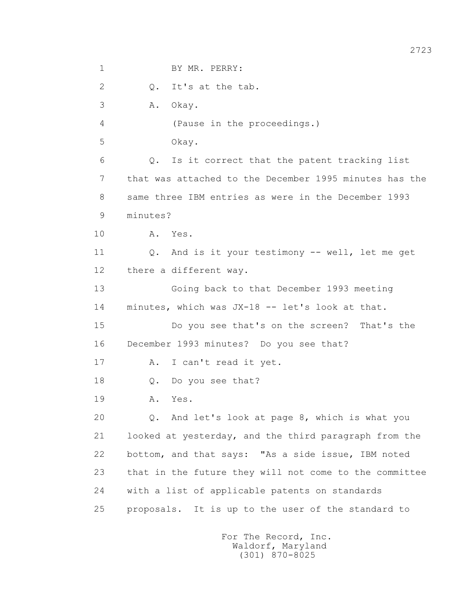1 BY MR. PERRY: 2 Q. It's at the tab. 3 A. Okay. 4 (Pause in the proceedings.) 5 Okay. 6 Q. Is it correct that the patent tracking list 7 that was attached to the December 1995 minutes has the 8 same three IBM entries as were in the December 1993 9 minutes? 10 A. Yes. 11 Q. And is it your testimony -- well, let me get 12 there a different way. 13 Going back to that December 1993 meeting 14 minutes, which was JX-18 -- let's look at that. 15 Do you see that's on the screen? That's the 16 December 1993 minutes? Do you see that? 17 A. I can't read it yet. 18 Q. Do you see that? 19 A. Yes. 20 Q. And let's look at page 8, which is what you 21 looked at yesterday, and the third paragraph from the 22 bottom, and that says: "As a side issue, IBM noted 23 that in the future they will not come to the committee 24 with a list of applicable patents on standards 25 proposals. It is up to the user of the standard to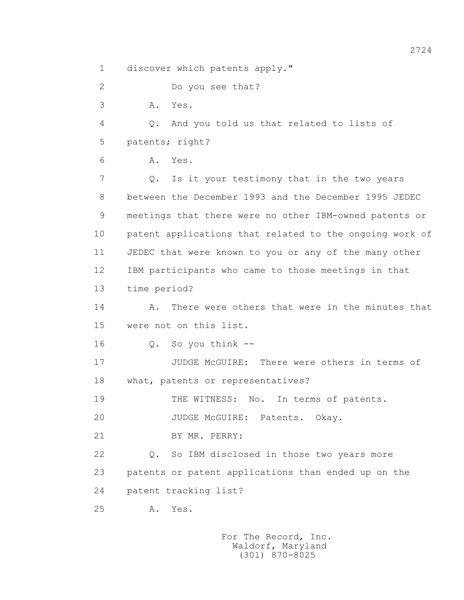1 discover which patents apply."

2 Do you see that?

3 A. Yes.

 4 Q. And you told us that related to lists of 5 patents; right?

6 A. Yes.

 7 Q. Is it your testimony that in the two years 8 between the December 1993 and the December 1995 JEDEC 9 meetings that there were no other IBM-owned patents or 10 patent applications that related to the ongoing work of 11 JEDEC that were known to you or any of the many other 12 IBM participants who came to those meetings in that

13 time period?

 14 A. There were others that were in the minutes that 15 were not on this list.

16 Q. So you think --

 17 JUDGE McGUIRE: There were others in terms of 18 what, patents or representatives?

19 THE WITNESS: No. In terms of patents.

20 JUDGE McGUIRE: Patents. Okay.

21 BY MR. PERRY:

 22 Q. So IBM disclosed in those two years more 23 patents or patent applications than ended up on the 24 patent tracking list?

25 A. Yes.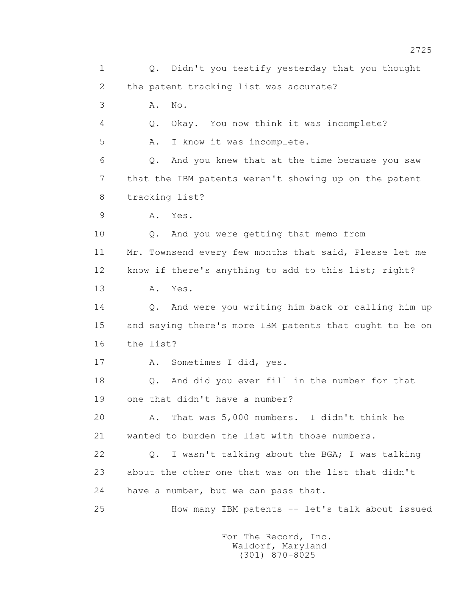1 Q. Didn't you testify yesterday that you thought 2 the patent tracking list was accurate? 3 A. No. 4 Q. Okay. You now think it was incomplete? 5 A. I know it was incomplete. 6 Q. And you knew that at the time because you saw 7 that the IBM patents weren't showing up on the patent 8 tracking list? 9 A. Yes. 10 Q. And you were getting that memo from 11 Mr. Townsend every few months that said, Please let me 12 know if there's anything to add to this list; right? 13 A. Yes. 14 Q. And were you writing him back or calling him up 15 and saying there's more IBM patents that ought to be on 16 the list? 17 A. Sometimes I did, yes. 18 Q. And did you ever fill in the number for that 19 one that didn't have a number? 20 A. That was 5,000 numbers. I didn't think he 21 wanted to burden the list with those numbers. 22 Q. I wasn't talking about the BGA; I was talking 23 about the other one that was on the list that didn't 24 have a number, but we can pass that. 25 How many IBM patents -- let's talk about issued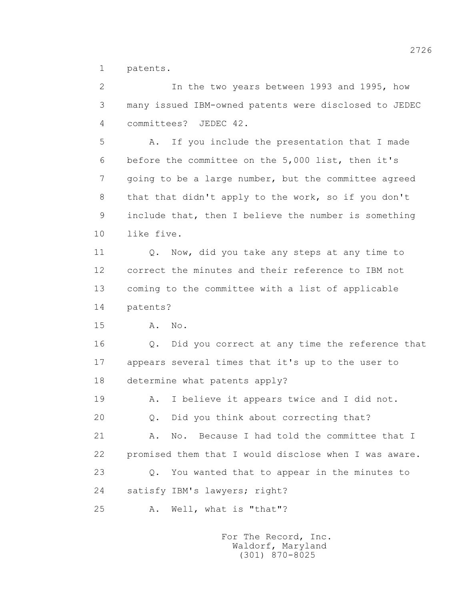1 patents.

 2 In the two years between 1993 and 1995, how 3 many issued IBM-owned patents were disclosed to JEDEC 4 committees? JEDEC 42.

 5 A. If you include the presentation that I made 6 before the committee on the 5,000 list, then it's 7 going to be a large number, but the committee agreed 8 that that didn't apply to the work, so if you don't 9 include that, then I believe the number is something 10 like five.

11 0. Now, did you take any steps at any time to 12 correct the minutes and their reference to IBM not 13 coming to the committee with a list of applicable 14 patents?

15 A. No.

 16 Q. Did you correct at any time the reference that 17 appears several times that it's up to the user to 18 determine what patents apply?

19 A. I believe it appears twice and I did not.

20 Q. Did you think about correcting that?

21 A. No. Because I had told the committee that I 22 promised them that I would disclose when I was aware. 23 Q. You wanted that to appear in the minutes to 24 satisfy IBM's lawyers; right?

25 A. Well, what is "that"?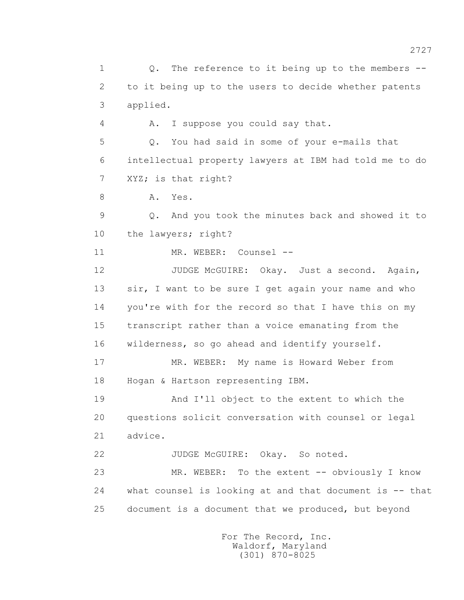1 Q. The reference to it being up to the members -- 2 to it being up to the users to decide whether patents 3 applied. 4 A. I suppose you could say that. 5 Q. You had said in some of your e-mails that 6 intellectual property lawyers at IBM had told me to do 7 XYZ; is that right? 8 A. Yes. 9 Q. And you took the minutes back and showed it to 10 the lawyers; right? 11 MR. WEBER: Counsel -- 12 JUDGE McGUIRE: Okay. Just a second. Again, 13 sir, I want to be sure I get again your name and who 14 you're with for the record so that I have this on my 15 transcript rather than a voice emanating from the 16 wilderness, so go ahead and identify yourself. 17 MR. WEBER: My name is Howard Weber from 18 Hogan & Hartson representing IBM. 19 And I'll object to the extent to which the 20 questions solicit conversation with counsel or legal 21 advice. 22 JUDGE McGUIRE: Okay. So noted. 23 MR. WEBER: To the extent -- obviously I know 24 what counsel is looking at and that document is -- that 25 document is a document that we produced, but beyond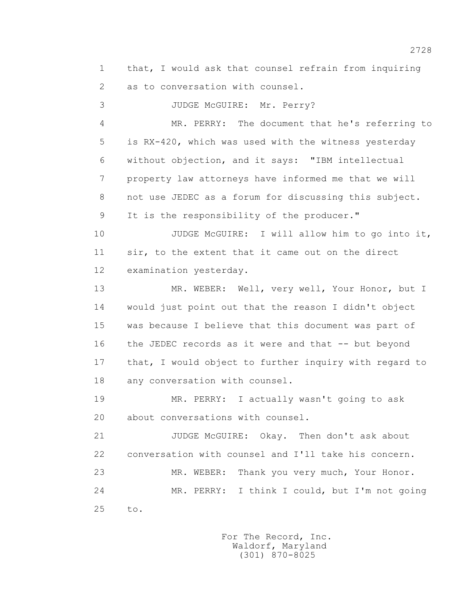1 that, I would ask that counsel refrain from inquiring 2 as to conversation with counsel.

3 JUDGE McGUIRE: Mr. Perry?

 4 MR. PERRY: The document that he's referring to 5 is RX-420, which was used with the witness yesterday 6 without objection, and it says: "IBM intellectual 7 property law attorneys have informed me that we will 8 not use JEDEC as a forum for discussing this subject. 9 It is the responsibility of the producer."

 10 JUDGE McGUIRE: I will allow him to go into it, 11 sir, to the extent that it came out on the direct 12 examination yesterday.

 13 MR. WEBER: Well, very well, Your Honor, but I 14 would just point out that the reason I didn't object 15 was because I believe that this document was part of 16 the JEDEC records as it were and that -- but beyond 17 that, I would object to further inquiry with regard to 18 any conversation with counsel.

 19 MR. PERRY: I actually wasn't going to ask 20 about conversations with counsel.

 21 JUDGE McGUIRE: Okay. Then don't ask about 22 conversation with counsel and I'll take his concern. 23 MR. WEBER: Thank you very much, Your Honor. 24 MR. PERRY: I think I could, but I'm not going 25 to.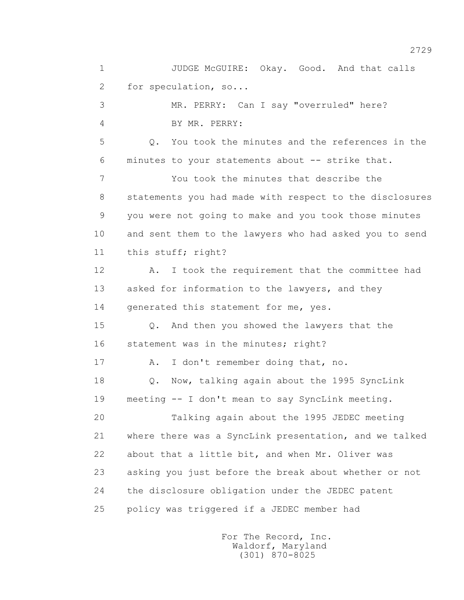1 JUDGE McGUIRE: Okay. Good. And that calls 2 for speculation, so...

 3 MR. PERRY: Can I say "overruled" here? 4 BY MR. PERRY:

 5 Q. You took the minutes and the references in the 6 minutes to your statements about -- strike that.

 7 You took the minutes that describe the 8 statements you had made with respect to the disclosures 9 you were not going to make and you took those minutes 10 and sent them to the lawyers who had asked you to send 11 this stuff; right?

12 A. I took the requirement that the committee had 13 asked for information to the lawyers, and they 14 generated this statement for me, yes.

 15 Q. And then you showed the lawyers that the 16 statement was in the minutes; right?

17 A. I don't remember doing that, no.

 18 Q. Now, talking again about the 1995 SyncLink 19 meeting -- I don't mean to say SyncLink meeting.

 20 Talking again about the 1995 JEDEC meeting 21 where there was a SyncLink presentation, and we talked 22 about that a little bit, and when Mr. Oliver was 23 asking you just before the break about whether or not 24 the disclosure obligation under the JEDEC patent 25 policy was triggered if a JEDEC member had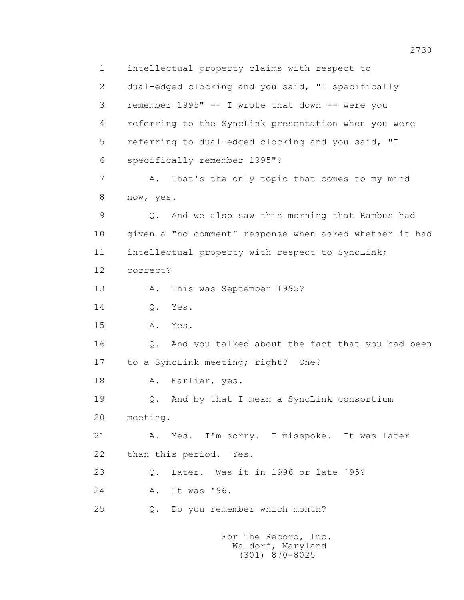1 intellectual property claims with respect to 2 dual-edged clocking and you said, "I specifically 3 remember 1995" -- I wrote that down -- were you 4 referring to the SyncLink presentation when you were 5 referring to dual-edged clocking and you said, "I 6 specifically remember 1995"? 7 A. That's the only topic that comes to my mind 8 now, yes. 9 Q. And we also saw this morning that Rambus had 10 given a "no comment" response when asked whether it had 11 intellectual property with respect to SyncLink; 12 correct? 13 A. This was September 1995? 14 Q. Yes. 15 A. Yes. 16 Q. And you talked about the fact that you had been 17 to a SyncLink meeting; right? One? 18 A. Earlier, yes. 19 Q. And by that I mean a SyncLink consortium 20 meeting. 21 A. Yes. I'm sorry. I misspoke. It was later 22 than this period. Yes. 23 Q. Later. Was it in 1996 or late '95? 24 A. It was '96. 25 Q. Do you remember which month? For The Record, Inc.

 Waldorf, Maryland (301) 870-8025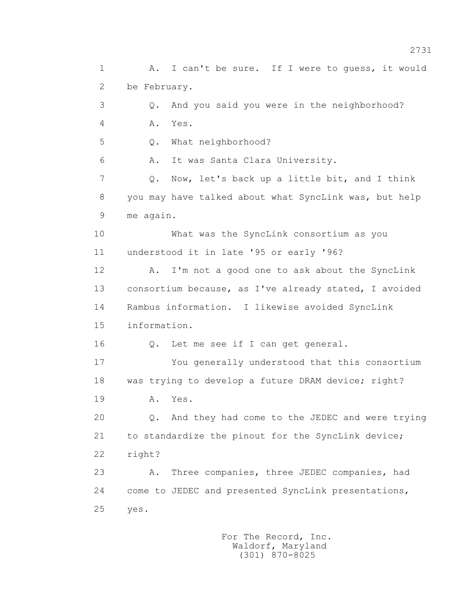1 A. I can't be sure. If I were to guess, it would 2 be February. 3 Q. And you said you were in the neighborhood? 4 A. Yes. 5 Q. What neighborhood? 6 A. It was Santa Clara University. 7 Q. Now, let's back up a little bit, and I think 8 you may have talked about what SyncLink was, but help 9 me again. 10 What was the SyncLink consortium as you 11 understood it in late '95 or early '96? 12 A. I'm not a good one to ask about the SyncLink 13 consortium because, as I've already stated, I avoided 14 Rambus information. I likewise avoided SyncLink 15 information. 16 Q. Let me see if I can get general. 17 You generally understood that this consortium 18 was trying to develop a future DRAM device; right? 19 **A.** Yes. 20 Q. And they had come to the JEDEC and were trying 21 to standardize the pinout for the SyncLink device; 22 right? 23 A. Three companies, three JEDEC companies, had 24 come to JEDEC and presented SyncLink presentations, 25 yes.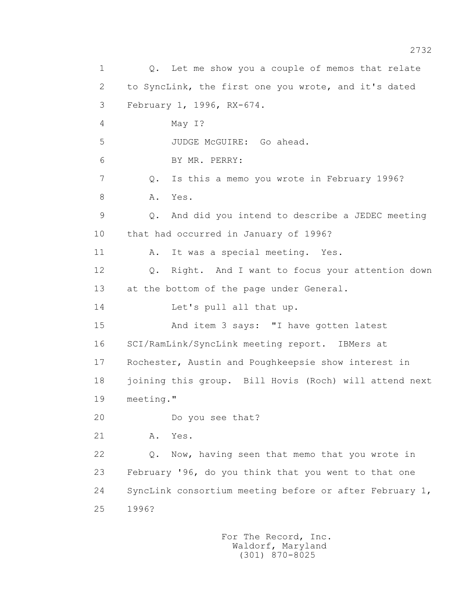1 0. Let me show you a couple of memos that relate 2 to SyncLink, the first one you wrote, and it's dated 3 February 1, 1996, RX-674. 4 May I? 5 JUDGE McGUIRE: Go ahead. 6 BY MR. PERRY: 7 Q. Is this a memo you wrote in February 1996? 8 A. Yes. 9 Q. And did you intend to describe a JEDEC meeting 10 that had occurred in January of 1996? 11 A. It was a special meeting. Yes. 12 Q. Right. And I want to focus your attention down 13 at the bottom of the page under General. 14 Let's pull all that up. 15 And item 3 says: "I have gotten latest 16 SCI/RamLink/SyncLink meeting report. IBMers at 17 Rochester, Austin and Poughkeepsie show interest in 18 joining this group. Bill Hovis (Roch) will attend next 19 meeting." 20 Do you see that? 21 A. Yes. 22 Q. Now, having seen that memo that you wrote in 23 February '96, do you think that you went to that one 24 SyncLink consortium meeting before or after February 1, 25 1996?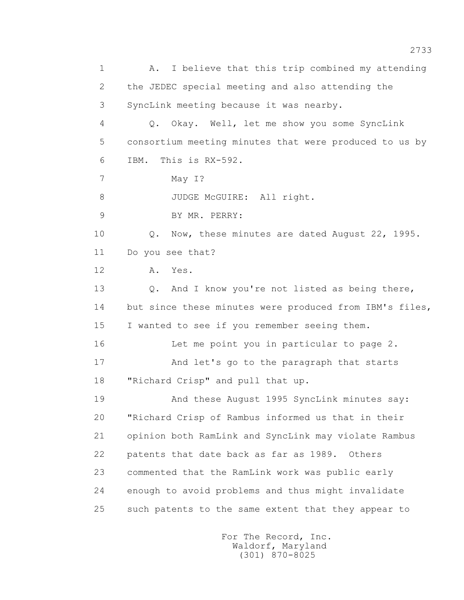1 A. I believe that this trip combined my attending 2 the JEDEC special meeting and also attending the 3 SyncLink meeting because it was nearby. 4 Q. Okay. Well, let me show you some SyncLink 5 consortium meeting minutes that were produced to us by 6 IBM. This is RX-592. 7 May I? 8 JUDGE McGUIRE: All right. 9 BY MR. PERRY: 10 Q. Now, these minutes are dated August 22, 1995. 11 Do you see that? 12 A. Yes. 13 O. And I know you're not listed as being there, 14 but since these minutes were produced from IBM's files, 15 I wanted to see if you remember seeing them. 16 Let me point you in particular to page 2. 17 And let's go to the paragraph that starts 18 "Richard Crisp" and pull that up. 19 And these August 1995 SyncLink minutes say: 20 "Richard Crisp of Rambus informed us that in their 21 opinion both RamLink and SyncLink may violate Rambus 22 patents that date back as far as 1989. Others 23 commented that the RamLink work was public early 24 enough to avoid problems and thus might invalidate 25 such patents to the same extent that they appear to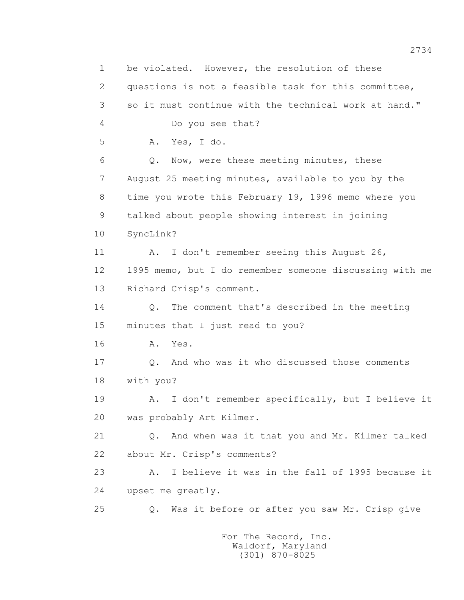1 be violated. However, the resolution of these 2 questions is not a feasible task for this committee, 3 so it must continue with the technical work at hand." 4 Do you see that? 5 A. Yes, I do. 6 Q. Now, were these meeting minutes, these 7 August 25 meeting minutes, available to you by the 8 time you wrote this February 19, 1996 memo where you 9 talked about people showing interest in joining 10 SyncLink? 11 A. I don't remember seeing this August 26, 12 1995 memo, but I do remember someone discussing with me 13 Richard Crisp's comment. 14 Q. The comment that's described in the meeting 15 minutes that I just read to you? 16 **A.** Yes. 17 Q. And who was it who discussed those comments 18 with you? 19 A. I don't remember specifically, but I believe it 20 was probably Art Kilmer. 21 Q. And when was it that you and Mr. Kilmer talked 22 about Mr. Crisp's comments? 23 A. I believe it was in the fall of 1995 because it 24 upset me greatly. 25 Q. Was it before or after you saw Mr. Crisp give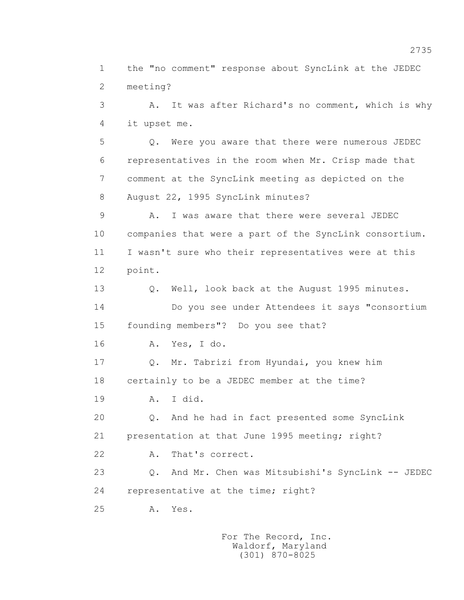1 the "no comment" response about SyncLink at the JEDEC 2 meeting?

 3 A. It was after Richard's no comment, which is why 4 it upset me.

 5 Q. Were you aware that there were numerous JEDEC 6 representatives in the room when Mr. Crisp made that 7 comment at the SyncLink meeting as depicted on the 8 August 22, 1995 SyncLink minutes?

 9 A. I was aware that there were several JEDEC 10 companies that were a part of the SyncLink consortium. 11 I wasn't sure who their representatives were at this 12 point.

 13 Q. Well, look back at the August 1995 minutes. 14 Do you see under Attendees it says "consortium 15 founding members"? Do you see that?

16 A. Yes, I do.

 17 Q. Mr. Tabrizi from Hyundai, you knew him 18 certainly to be a JEDEC member at the time?

19 A. I did.

 20 Q. And he had in fact presented some SyncLink 21 presentation at that June 1995 meeting; right?

22 A. That's correct.

 23 Q. And Mr. Chen was Mitsubishi's SyncLink -- JEDEC 24 representative at the time; right?

25 A. Yes.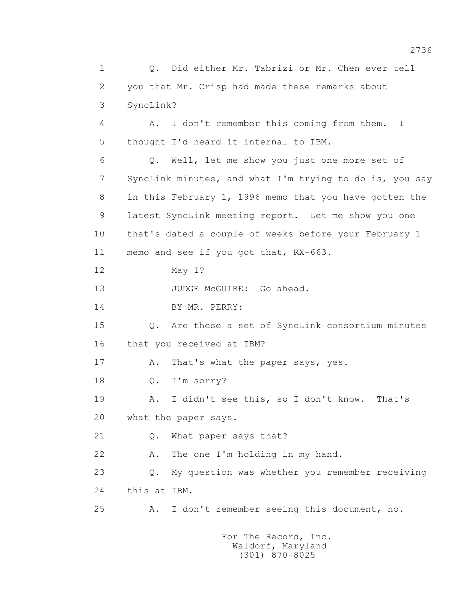1 Q. Did either Mr. Tabrizi or Mr. Chen ever tell 2 you that Mr. Crisp had made these remarks about 3 SyncLink? 4 A. I don't remember this coming from them. I 5 thought I'd heard it internal to IBM. 6 Q. Well, let me show you just one more set of 7 SyncLink minutes, and what I'm trying to do is, you say 8 in this February 1, 1996 memo that you have gotten the 9 latest SyncLink meeting report. Let me show you one 10 that's dated a couple of weeks before your February 1 11 memo and see if you got that, RX-663. 12 May I? 13 JUDGE McGUIRE: Go ahead. 14 BY MR. PERRY: 15 Q. Are these a set of SyncLink consortium minutes 16 that you received at IBM? 17 A. That's what the paper says, yes. 18 Q. I'm sorry? 19 A. I didn't see this, so I don't know. That's 20 what the paper says. 21 Q. What paper says that? 22 A. The one I'm holding in my hand. 23 Q. My question was whether you remember receiving 24 this at IBM. 25 A. I don't remember seeing this document, no.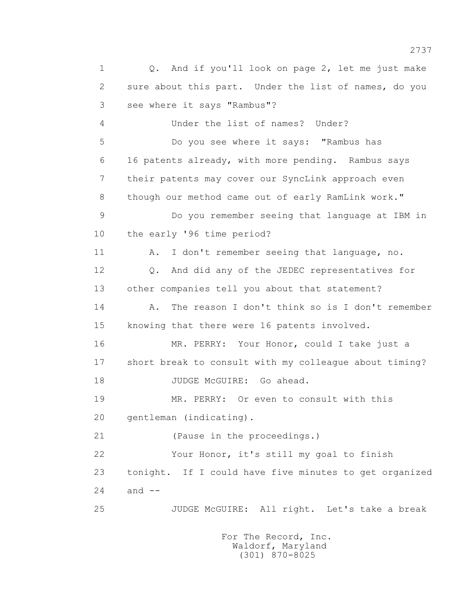1 Q. And if you'll look on page 2, let me just make 2 sure about this part. Under the list of names, do you 3 see where it says "Rambus"? 4 Under the list of names? Under? 5 Do you see where it says: "Rambus has 6 16 patents already, with more pending. Rambus says 7 their patents may cover our SyncLink approach even 8 though our method came out of early RamLink work." 9 Do you remember seeing that language at IBM in 10 the early '96 time period? 11 A. I don't remember seeing that language, no. 12 Q. And did any of the JEDEC representatives for 13 other companies tell you about that statement? 14 A. The reason I don't think so is I don't remember 15 knowing that there were 16 patents involved. 16 MR. PERRY: Your Honor, could I take just a 17 short break to consult with my colleague about timing? 18 JUDGE McGUIRE: Go ahead. 19 MR. PERRY: Or even to consult with this 20 gentleman (indicating). 21 (Pause in the proceedings.) 22 Your Honor, it's still my goal to finish 23 tonight. If I could have five minutes to get organized 24 and -- 25 JUDGE McGUIRE: All right. Let's take a break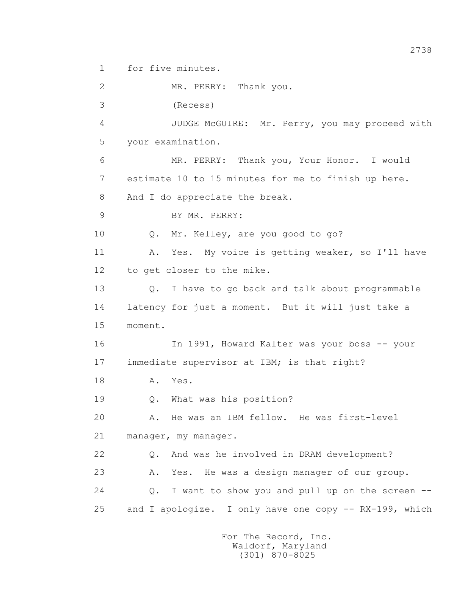1 for five minutes.

 2 MR. PERRY: Thank you. 3 (Recess) 4 JUDGE McGUIRE: Mr. Perry, you may proceed with 5 your examination. 6 MR. PERRY: Thank you, Your Honor. I would 7 estimate 10 to 15 minutes for me to finish up here. 8 And I do appreciate the break. 9 BY MR. PERRY: 10 Q. Mr. Kelley, are you good to go? 11 A. Yes. My voice is getting weaker, so I'll have 12 to get closer to the mike. 13 Q. I have to go back and talk about programmable 14 latency for just a moment. But it will just take a 15 moment. 16 In 1991, Howard Kalter was your boss -- your 17 immediate supervisor at IBM; is that right? 18 A. Yes. 19 Q. What was his position? 20 A. He was an IBM fellow. He was first-level 21 manager, my manager. 22 Q. And was he involved in DRAM development? 23 A. Yes. He was a design manager of our group. 24 Q. I want to show you and pull up on the screen -- 25 and I apologize. I only have one copy -- RX-199, which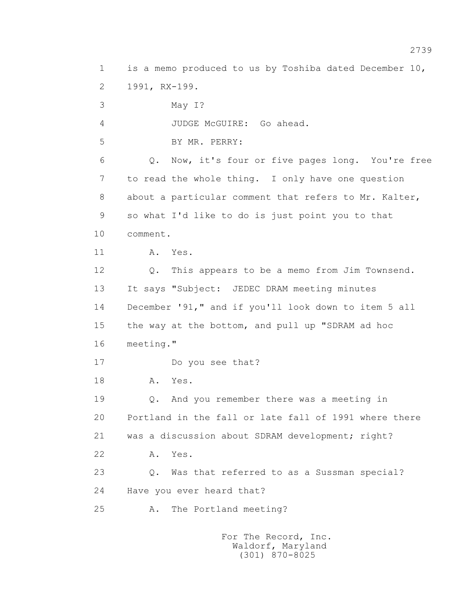1 is a memo produced to us by Toshiba dated December 10, 2 1991, RX-199. 3 May I? 4 JUDGE McGUIRE: Go ahead. 5 BY MR. PERRY: 6 Q. Now, it's four or five pages long. You're free 7 to read the whole thing. I only have one question 8 about a particular comment that refers to Mr. Kalter, 9 so what I'd like to do is just point you to that 10 comment. 11 A. Yes. 12 Q. This appears to be a memo from Jim Townsend. 13 It says "Subject: JEDEC DRAM meeting minutes 14 December '91," and if you'll look down to item 5 all 15 the way at the bottom, and pull up "SDRAM ad hoc 16 meeting." 17 Do you see that? 18 **A.** Yes. 19 Q. And you remember there was a meeting in 20 Portland in the fall or late fall of 1991 where there 21 was a discussion about SDRAM development; right? 22 A. Yes. 23 Q. Was that referred to as a Sussman special? 24 Have you ever heard that? 25 A. The Portland meeting?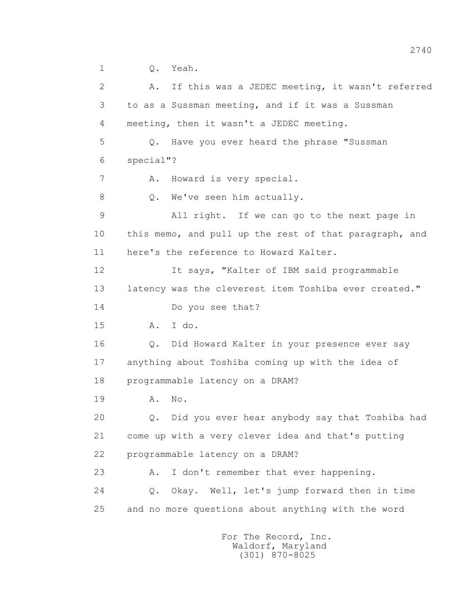1 Q. Yeah.

 2 A. If this was a JEDEC meeting, it wasn't referred 3 to as a Sussman meeting, and if it was a Sussman 4 meeting, then it wasn't a JEDEC meeting. 5 Q. Have you ever heard the phrase "Sussman 6 special"? 7 A. Howard is very special. 8 Q. We've seen him actually. 9 All right. If we can go to the next page in 10 this memo, and pull up the rest of that paragraph, and 11 here's the reference to Howard Kalter. 12 It says, "Kalter of IBM said programmable 13 latency was the cleverest item Toshiba ever created." 14 Do you see that? 15 A. I do. 16 Q. Did Howard Kalter in your presence ever say 17 anything about Toshiba coming up with the idea of 18 programmable latency on a DRAM? 19 A. No. 20 Q. Did you ever hear anybody say that Toshiba had 21 come up with a very clever idea and that's putting 22 programmable latency on a DRAM? 23 A. I don't remember that ever happening. 24 Q. Okay. Well, let's jump forward then in time 25 and no more questions about anything with the word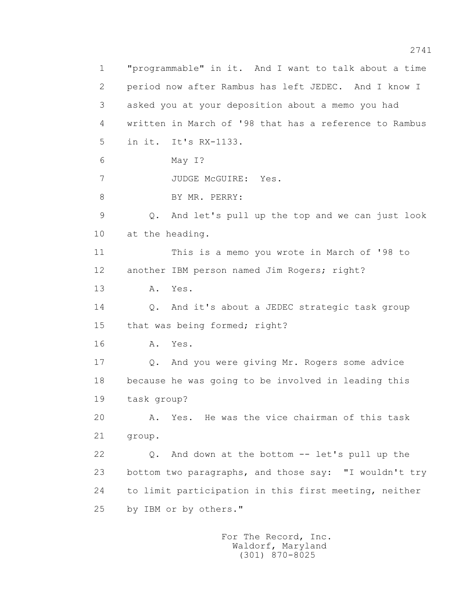1 "programmable" in it. And I want to talk about a time 2 period now after Rambus has left JEDEC. And I know I 3 asked you at your deposition about a memo you had 4 written in March of '98 that has a reference to Rambus 5 in it. It's RX-1133. 6 May I? 7 JUDGE McGUIRE: Yes. 8 BY MR. PERRY: 9 Q. And let's pull up the top and we can just look 10 at the heading. 11 This is a memo you wrote in March of '98 to 12 another IBM person named Jim Rogers; right? 13 A. Yes. 14 Q. And it's about a JEDEC strategic task group 15 that was being formed; right? 16 A. Yes. 17 Q. And you were giving Mr. Rogers some advice 18 because he was going to be involved in leading this 19 task group? 20 A. Yes. He was the vice chairman of this task 21 group. 22 Q. And down at the bottom -- let's pull up the 23 bottom two paragraphs, and those say: "I wouldn't try 24 to limit participation in this first meeting, neither 25 by IBM or by others."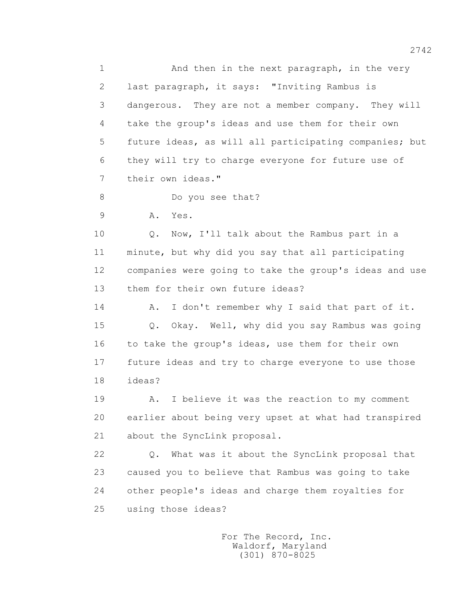1 And then in the next paragraph, in the very 2 last paragraph, it says: "Inviting Rambus is 3 dangerous. They are not a member company. They will 4 take the group's ideas and use them for their own 5 future ideas, as will all participating companies; but 6 they will try to charge everyone for future use of 7 their own ideas." 8 Do you see that? 9 A. Yes. 10 Q. Now, I'll talk about the Rambus part in a 11 minute, but why did you say that all participating 12 companies were going to take the group's ideas and use 13 them for their own future ideas? 14 A. I don't remember why I said that part of it. 15 Q. Okay. Well, why did you say Rambus was going 16 to take the group's ideas, use them for their own

 17 future ideas and try to charge everyone to use those 18 ideas?

 19 A. I believe it was the reaction to my comment 20 earlier about being very upset at what had transpired 21 about the SyncLink proposal.

 22 Q. What was it about the SyncLink proposal that 23 caused you to believe that Rambus was going to take 24 other people's ideas and charge them royalties for 25 using those ideas?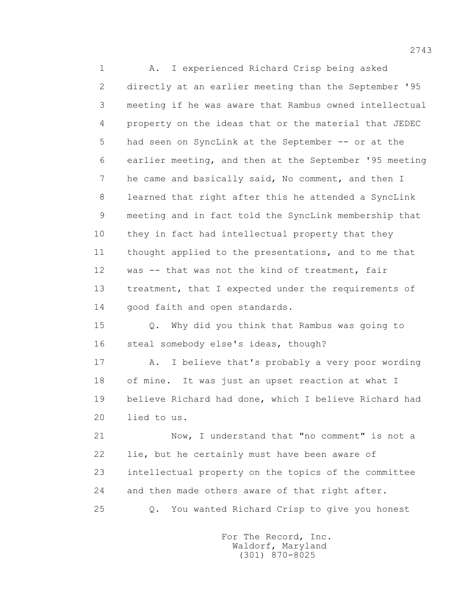1 A. I experienced Richard Crisp being asked 2 directly at an earlier meeting than the September '95 3 meeting if he was aware that Rambus owned intellectual 4 property on the ideas that or the material that JEDEC 5 had seen on SyncLink at the September -- or at the 6 earlier meeting, and then at the September '95 meeting 7 he came and basically said, No comment, and then I 8 learned that right after this he attended a SyncLink 9 meeting and in fact told the SyncLink membership that 10 they in fact had intellectual property that they 11 thought applied to the presentations, and to me that 12 was -- that was not the kind of treatment, fair 13 treatment, that I expected under the requirements of 14 good faith and open standards.

 15 Q. Why did you think that Rambus was going to 16 steal somebody else's ideas, though?

 17 A. I believe that's probably a very poor wording 18 of mine. It was just an upset reaction at what I 19 believe Richard had done, which I believe Richard had 20 lied to us.

 21 Now, I understand that "no comment" is not a 22 lie, but he certainly must have been aware of 23 intellectual property on the topics of the committee 24 and then made others aware of that right after.

25 Q. You wanted Richard Crisp to give you honest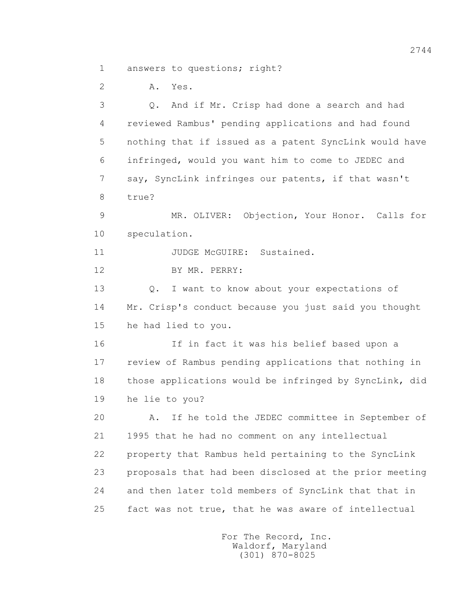1 answers to questions; right?

2 A. Yes.

 3 Q. And if Mr. Crisp had done a search and had 4 reviewed Rambus' pending applications and had found 5 nothing that if issued as a patent SyncLink would have 6 infringed, would you want him to come to JEDEC and 7 say, SyncLink infringes our patents, if that wasn't 8 true? 9 MR. OLIVER: Objection, Your Honor. Calls for 10 speculation. 11 JUDGE McGUIRE: Sustained. 12 BY MR. PERRY: 13 Q. I want to know about your expectations of 14 Mr. Crisp's conduct because you just said you thought 15 he had lied to you. 16 If in fact it was his belief based upon a 17 review of Rambus pending applications that nothing in 18 those applications would be infringed by SyncLink, did 19 he lie to you? 20 A. If he told the JEDEC committee in September of 21 1995 that he had no comment on any intellectual 22 property that Rambus held pertaining to the SyncLink 23 proposals that had been disclosed at the prior meeting 24 and then later told members of SyncLink that that in 25 fact was not true, that he was aware of intellectual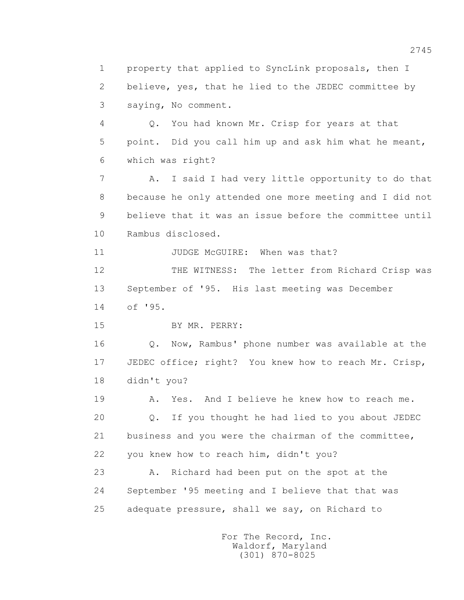1 property that applied to SyncLink proposals, then I 2 believe, yes, that he lied to the JEDEC committee by 3 saying, No comment. 4 Q. You had known Mr. Crisp for years at that 5 point. Did you call him up and ask him what he meant, 6 which was right? 7 A. I said I had very little opportunity to do that 8 because he only attended one more meeting and I did not 9 believe that it was an issue before the committee until 10 Rambus disclosed. 11 JUDGE McGUIRE: When was that? 12 THE WITNESS: The letter from Richard Crisp was 13 September of '95. His last meeting was December 14 of '95. 15 BY MR. PERRY: 16 Q. Now, Rambus' phone number was available at the 17 JEDEC office; right? You knew how to reach Mr. Crisp, 18 didn't you? 19 A. Yes. And I believe he knew how to reach me. 20 Q. If you thought he had lied to you about JEDEC 21 business and you were the chairman of the committee, 22 you knew how to reach him, didn't you? 23 A. Richard had been put on the spot at the 24 September '95 meeting and I believe that that was 25 adequate pressure, shall we say, on Richard to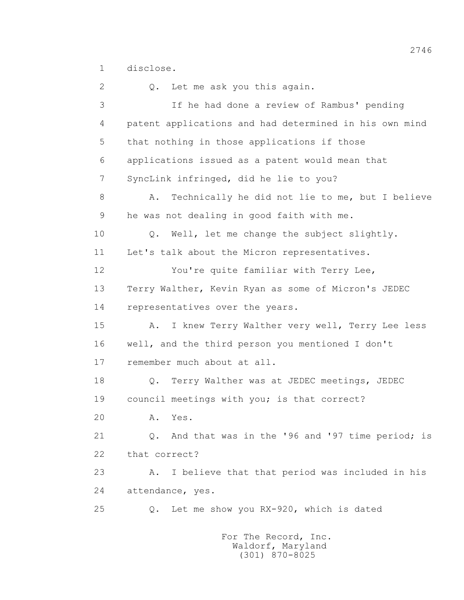1 disclose.

 2 Q. Let me ask you this again. 3 If he had done a review of Rambus' pending 4 patent applications and had determined in his own mind 5 that nothing in those applications if those 6 applications issued as a patent would mean that 7 SyncLink infringed, did he lie to you? 8 A. Technically he did not lie to me, but I believe 9 he was not dealing in good faith with me. 10 Q. Well, let me change the subject slightly. 11 Let's talk about the Micron representatives. 12 You're quite familiar with Terry Lee, 13 Terry Walther, Kevin Ryan as some of Micron's JEDEC 14 representatives over the years. 15 A. I knew Terry Walther very well, Terry Lee less 16 well, and the third person you mentioned I don't 17 remember much about at all. 18 Q. Terry Walther was at JEDEC meetings, JEDEC 19 council meetings with you; is that correct? 20 A. Yes. 21 Q. And that was in the '96 and '97 time period; is 22 that correct? 23 A. I believe that that period was included in his 24 attendance, yes. 25 Q. Let me show you RX-920, which is dated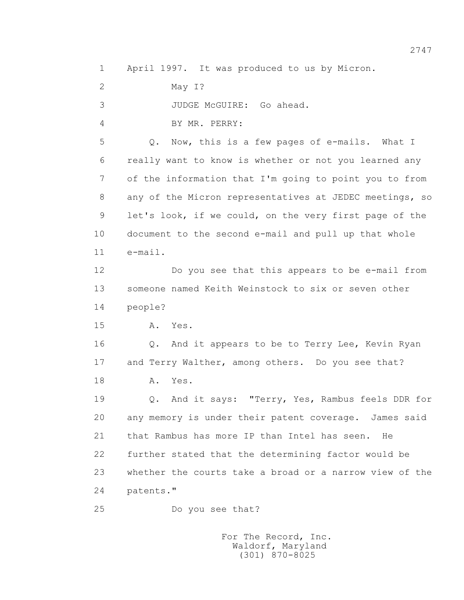1 April 1997. It was produced to us by Micron.

2 May I?

3 JUDGE McGUIRE: Go ahead.

4 BY MR. PERRY:

 5 Q. Now, this is a few pages of e-mails. What I 6 really want to know is whether or not you learned any 7 of the information that I'm going to point you to from 8 any of the Micron representatives at JEDEC meetings, so 9 let's look, if we could, on the very first page of the 10 document to the second e-mail and pull up that whole 11 e-mail.

 12 Do you see that this appears to be e-mail from 13 someone named Keith Weinstock to six or seven other 14 people?

15 A. Yes.

 16 Q. And it appears to be to Terry Lee, Kevin Ryan 17 and Terry Walther, among others. Do you see that? 18 **A.** Yes.

> 19 Q. And it says: "Terry, Yes, Rambus feels DDR for 20 any memory is under their patent coverage. James said 21 that Rambus has more IP than Intel has seen. He 22 further stated that the determining factor would be 23 whether the courts take a broad or a narrow view of the 24 patents."

25 Do you see that?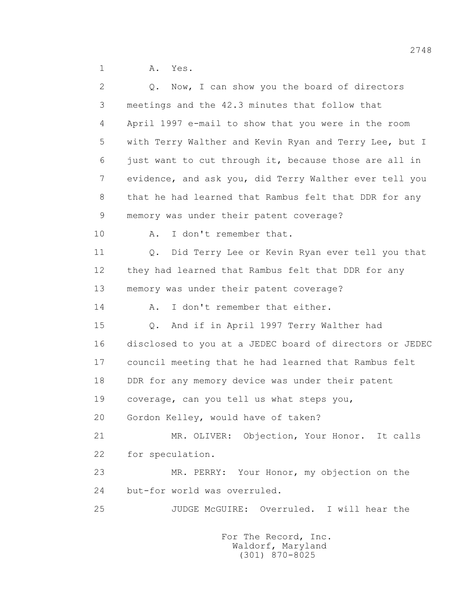1 A. Yes.

| 2  | Q. Now, I can show you the board of directors           |
|----|---------------------------------------------------------|
| 3  | meetings and the 42.3 minutes that follow that          |
| 4  | April 1997 e-mail to show that you were in the room     |
| 5  | with Terry Walther and Kevin Ryan and Terry Lee, but I  |
| 6  | just want to cut through it, because those are all in   |
| 7  | evidence, and ask you, did Terry Walther ever tell you  |
| 8  | that he had learned that Rambus felt that DDR for any   |
| 9  | memory was under their patent coverage?                 |
| 10 | I don't remember that.<br>Α.                            |
| 11 | Q. Did Terry Lee or Kevin Ryan ever tell you that       |
| 12 | they had learned that Rambus felt that DDR for any      |
| 13 | memory was under their patent coverage?                 |
| 14 | I don't remember that either.<br>Α.                     |
| 15 | And if in April 1997 Terry Walther had<br>Q.            |
| 16 | disclosed to you at a JEDEC board of directors or JEDEC |
| 17 | council meeting that he had learned that Rambus felt    |
| 18 | DDR for any memory device was under their patent        |
| 19 | coverage, can you tell us what steps you,               |
| 20 | Gordon Kelley, would have of taken?                     |
| 21 | MR. OLIVER: Objection, Your Honor. It calls             |
| 22 | for speculation.                                        |
| 23 | MR. PERRY: Your Honor, my objection on the              |
| 24 | but-for world was overruled.                            |
| 25 | JUDGE McGUIRE: Overruled. I will hear the               |
|    |                                                         |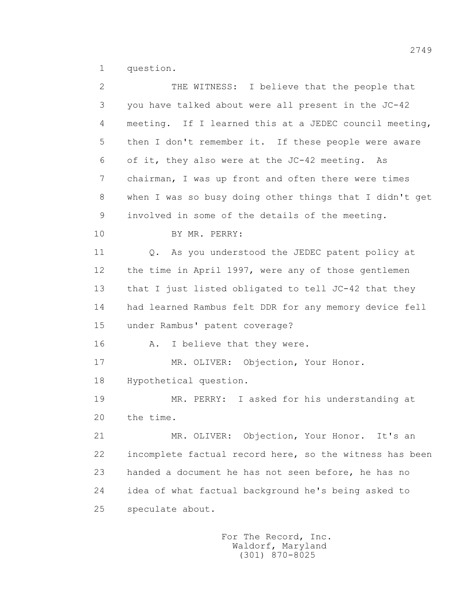1 question.

| $\mathbf{2}$ | THE WITNESS: I believe that the people that             |
|--------------|---------------------------------------------------------|
| 3            | you have talked about were all present in the JC-42     |
| 4            | meeting. If I learned this at a JEDEC council meeting,  |
| 5            | then I don't remember it. If these people were aware    |
| 6            | of it, they also were at the JC-42 meeting. As          |
| 7            | chairman, I was up front and often there were times     |
| 8            | when I was so busy doing other things that I didn't get |
| 9            | involved in some of the details of the meeting.         |
| 10           | BY MR. PERRY:                                           |
| 11           | Q. As you understood the JEDEC patent policy at         |
| 12           | the time in April 1997, were any of those gentlemen     |
| 13           | that I just listed obligated to tell JC-42 that they    |
| 14           | had learned Rambus felt DDR for any memory device fell  |
| 15           | under Rambus' patent coverage?                          |
| 16           | I believe that they were.<br>Α.                         |
| 17           | MR. OLIVER: Objection, Your Honor.                      |
| 18           | Hypothetical question.                                  |
| 19           | MR. PERRY: I asked for his understanding at             |
| 20           | the time.                                               |
| 21           | MR. OLIVER: Objection, Your Honor. It's an              |
| 22           | incomplete factual record here, so the witness has been |
| 23           | handed a document he has not seen before, he has no     |
| 24           | idea of what factual background he's being asked to     |
| 25           | speculate about.                                        |
|              |                                                         |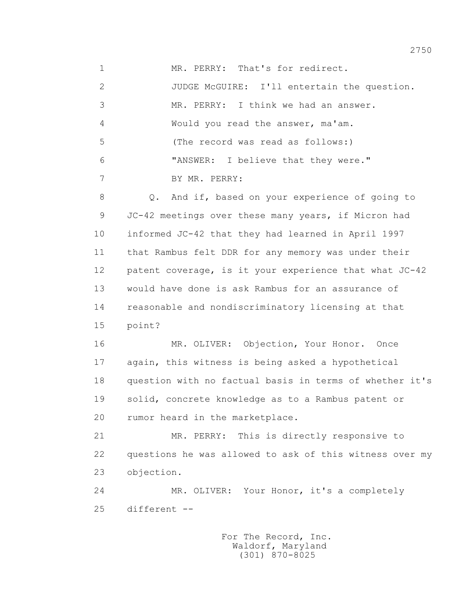1 MR. PERRY: That's for redirect. 2 JUDGE McGUIRE: I'll entertain the question. 3 MR. PERRY: I think we had an answer. 4 Would you read the answer, ma'am. 5 (The record was read as follows:) 6 "ANSWER: I believe that they were." 7 BY MR. PERRY: 8 Q. And if, based on your experience of going to 9 JC-42 meetings over these many years, if Micron had 10 informed JC-42 that they had learned in April 1997 11 that Rambus felt DDR for any memory was under their 12 patent coverage, is it your experience that what JC-42 13 would have done is ask Rambus for an assurance of 14 reasonable and nondiscriminatory licensing at that 15 point? 16 MR. OLIVER: Objection, Your Honor. Once 17 again, this witness is being asked a hypothetical 18 question with no factual basis in terms of whether it's 19 solid, concrete knowledge as to a Rambus patent or 20 rumor heard in the marketplace. 21 MR. PERRY: This is directly responsive to 22 questions he was allowed to ask of this witness over my 23 objection. 24 MR. OLIVER: Your Honor, it's a completely 25 different --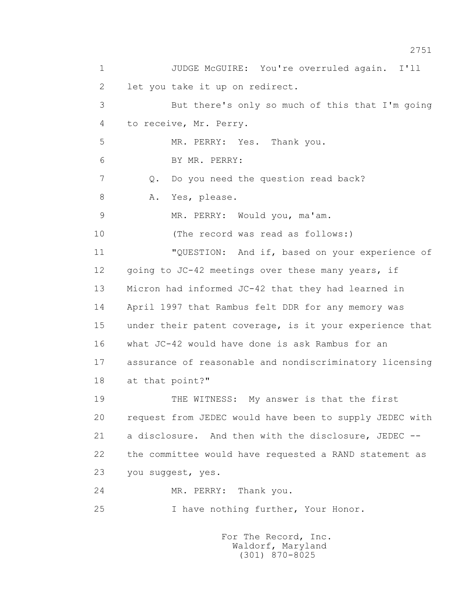1 JUDGE McGUIRE: You're overruled again. I'll 2 let you take it up on redirect. 3 But there's only so much of this that I'm going 4 to receive, Mr. Perry. 5 MR. PERRY: Yes. Thank you. 6 BY MR. PERRY: 7 Q. Do you need the question read back? 8 A. Yes, please. 9 MR. PERRY: Would you, ma'am. 10 (The record was read as follows:) 11 "QUESTION: And if, based on your experience of 12 going to JC-42 meetings over these many years, if 13 Micron had informed JC-42 that they had learned in 14 April 1997 that Rambus felt DDR for any memory was 15 under their patent coverage, is it your experience that 16 what JC-42 would have done is ask Rambus for an 17 assurance of reasonable and nondiscriminatory licensing 18 at that point?" 19 THE WITNESS: My answer is that the first 20 request from JEDEC would have been to supply JEDEC with 21 a disclosure. And then with the disclosure, JEDEC -- 22 the committee would have requested a RAND statement as 23 you suggest, yes. 24 MR. PERRY: Thank you. 25 I have nothing further, Your Honor.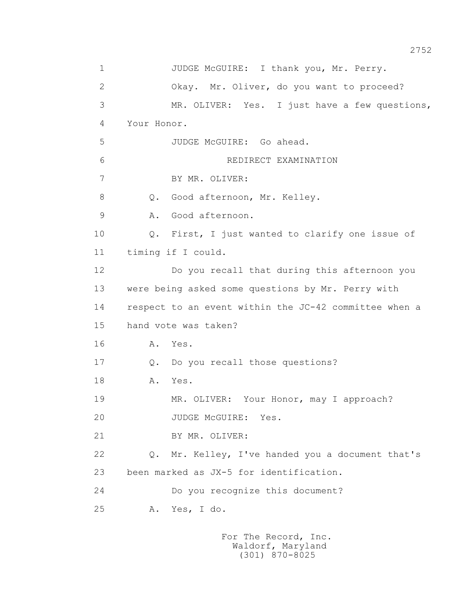| $\mathbf 1$    | JUDGE McGUIRE: I thank you, Mr. Perry.                |
|----------------|-------------------------------------------------------|
| $\overline{2}$ | Okay. Mr. Oliver, do you want to proceed?             |
| 3              | MR. OLIVER: Yes. I just have a few questions,         |
| 4              | Your Honor.                                           |
| 5              | JUDGE McGUIRE: Go ahead.                              |
| 6              | REDIRECT EXAMINATION                                  |
| $\overline{7}$ | BY MR. OLIVER:                                        |
| 8              | Good afternoon, Mr. Kelley.<br>Q.                     |
| $\mathcal{G}$  | Good afternoon.<br>Α.                                 |
| 10             | Q. First, I just wanted to clarify one issue of       |
| 11             | timing if I could.                                    |
| 12             | Do you recall that during this afternoon you          |
| 13             | were being asked some questions by Mr. Perry with     |
| 14             | respect to an event within the JC-42 committee when a |
| 15             | hand vote was taken?                                  |
| 16             | Yes.<br>Α.                                            |
| 17             | Do you recall those questions?<br>$Q$ .               |
| 18             | Yes.<br>Α.                                            |
| 19             | MR. OLIVER: Your Honor, may I approach?               |
| 20             | JUDGE McGUIRE: Yes.                                   |
| 21             | BY MR. OLIVER:                                        |
| 22             | Q. Mr. Kelley, I've handed you a document that's      |
| 23             | been marked as JX-5 for identification.               |
| 24             | Do you recognize this document?                       |
| 25             | Yes, I do.<br>Α.                                      |
|                |                                                       |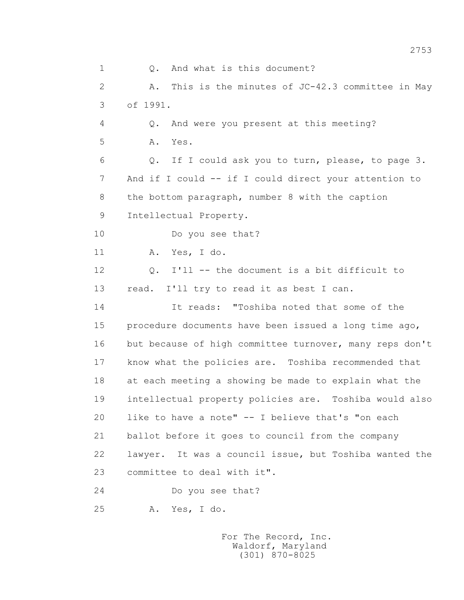1 0. And what is this document? 2 A. This is the minutes of JC-42.3 committee in May 3 of 1991. 4 Q. And were you present at this meeting? 5 A. Yes. 6 Q. If I could ask you to turn, please, to page 3. 7 And if I could -- if I could direct your attention to 8 the bottom paragraph, number 8 with the caption 9 Intellectual Property. 10 Do you see that? 11 A. Yes, I do. 12 Q. I'll -- the document is a bit difficult to 13 read. I'll try to read it as best I can. 14 It reads: "Toshiba noted that some of the 15 procedure documents have been issued a long time ago, 16 but because of high committee turnover, many reps don't 17 know what the policies are. Toshiba recommended that 18 at each meeting a showing be made to explain what the 19 intellectual property policies are. Toshiba would also 20 like to have a note" -- I believe that's "on each 21 ballot before it goes to council from the company 22 lawyer. It was a council issue, but Toshiba wanted the 23 committee to deal with it". 24 Do you see that? 25 A. Yes, I do.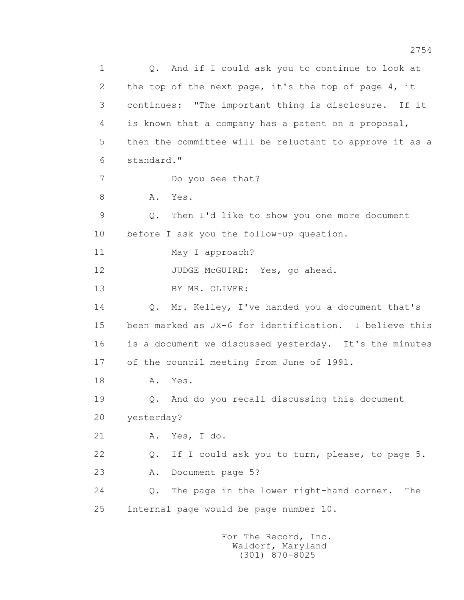1 0. And if I could ask you to continue to look at 2 the top of the next page, it's the top of page 4, it 3 continues: "The important thing is disclosure. If it 4 is known that a company has a patent on a proposal, 5 then the committee will be reluctant to approve it as a 6 standard." 7 Do you see that? 8 A. Yes. 9 Q. Then I'd like to show you one more document 10 before I ask you the follow-up question. 11 May I approach? 12 JUDGE McGUIRE: Yes, go ahead. 13 BY MR. OLIVER: 14 Q. Mr. Kelley, I've handed you a document that's 15 been marked as JX-6 for identification. I believe this 16 is a document we discussed yesterday. It's the minutes 17 of the council meeting from June of 1991. 18 **A.** Yes. 19 Q. And do you recall discussing this document 20 yesterday? 21 A. Yes, I do. 22 Q. If I could ask you to turn, please, to page 5. 23 A. Document page 5? 24 Q. The page in the lower right-hand corner. The 25 internal page would be page number 10.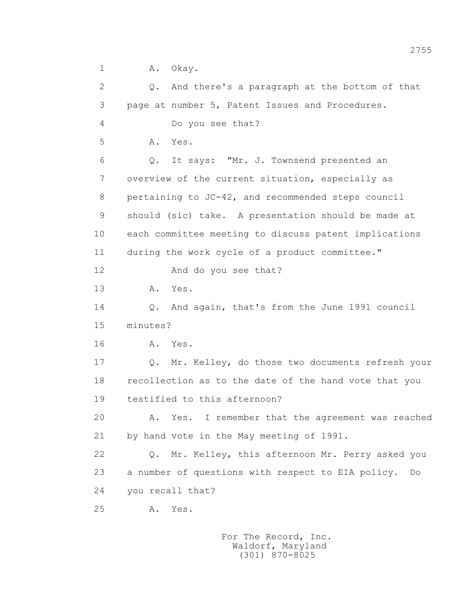1 A. Okay.

 2 Q. And there's a paragraph at the bottom of that 3 page at number 5, Patent Issues and Procedures. 4 Do you see that? 5 A. Yes. 6 Q. It says: "Mr. J. Townsend presented an 7 overview of the current situation, especially as 8 pertaining to JC-42, and recommended steps council 9 should (sic) take. A presentation should be made at 10 each committee meeting to discuss patent implications 11 during the work cycle of a product committee." 12 And do you see that? 13 A. Yes. 14 Q. And again, that's from the June 1991 council 15 minutes? 16 **A.** Yes. 17 Q. Mr. Kelley, do those two documents refresh your 18 recollection as to the date of the hand vote that you 19 testified to this afternoon? 20 A. Yes. I remember that the agreement was reached 21 by hand vote in the May meeting of 1991. 22 Q. Mr. Kelley, this afternoon Mr. Perry asked you 23 a number of questions with respect to EIA policy. Do 24 you recall that? 25 A. Yes.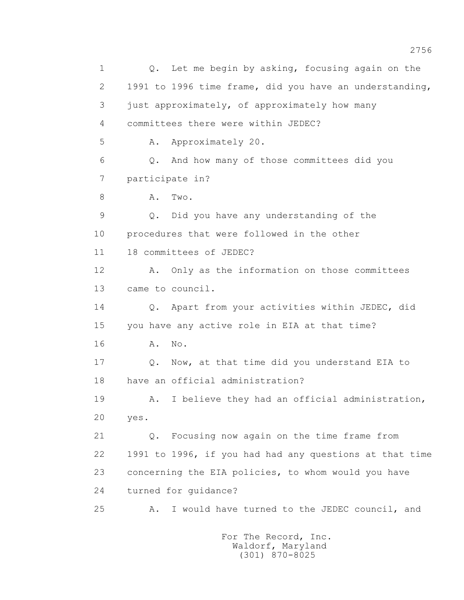1 Q. Let me begin by asking, focusing again on the 2 1991 to 1996 time frame, did you have an understanding, 3 just approximately, of approximately how many 4 committees there were within JEDEC? 5 A. Approximately 20. 6 Q. And how many of those committees did you 7 participate in? 8 A. Two. 9 Q. Did you have any understanding of the 10 procedures that were followed in the other 11 18 committees of JEDEC? 12 A. Only as the information on those committees 13 came to council. 14 Q. Apart from your activities within JEDEC, did 15 you have any active role in EIA at that time? 16 A. No. 17 Q. Now, at that time did you understand EIA to 18 have an official administration? 19 A. I believe they had an official administration, 20 yes. 21 Q. Focusing now again on the time frame from 22 1991 to 1996, if you had had any questions at that time 23 concerning the EIA policies, to whom would you have 24 turned for guidance? 25 A. I would have turned to the JEDEC council, and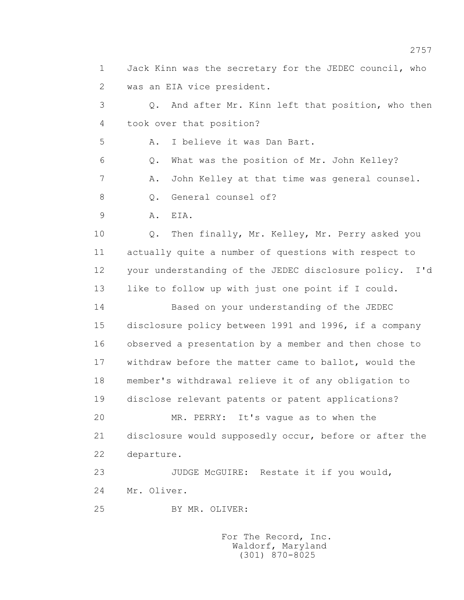1 Jack Kinn was the secretary for the JEDEC council, who 2 was an EIA vice president. 3 Q. And after Mr. Kinn left that position, who then 4 took over that position? 5 A. I believe it was Dan Bart. 6 Q. What was the position of Mr. John Kelley? 7 A. John Kelley at that time was general counsel. 8 0. General counsel of? 9 A. EIA. 10 Q. Then finally, Mr. Kelley, Mr. Perry asked you 11 actually quite a number of questions with respect to 12 your understanding of the JEDEC disclosure policy. I'd 13 like to follow up with just one point if I could. 14 Based on your understanding of the JEDEC 15 disclosure policy between 1991 and 1996, if a company 16 observed a presentation by a member and then chose to 17 withdraw before the matter came to ballot, would the 18 member's withdrawal relieve it of any obligation to 19 disclose relevant patents or patent applications? 20 MR. PERRY: It's vague as to when the 21 disclosure would supposedly occur, before or after the 22 departure. 23 JUDGE McGUIRE: Restate it if you would, 24 Mr. Oliver. 25 BY MR. OLIVER: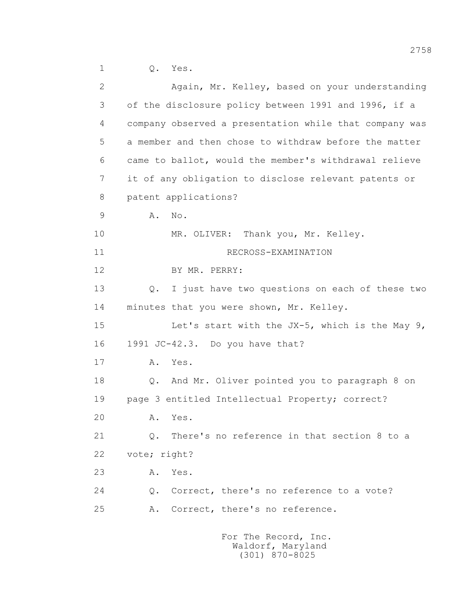| 2  | Again, Mr. Kelley, based on your understanding               |
|----|--------------------------------------------------------------|
| 3  | of the disclosure policy between 1991 and 1996, if a         |
| 4  | company observed a presentation while that company was       |
| 5  | a member and then chose to withdraw before the matter        |
| 6  | came to ballot, would the member's withdrawal relieve        |
| 7  | it of any obligation to disclose relevant patents or         |
| 8  | patent applications?                                         |
| 9  | Α.<br>No.                                                    |
| 10 | MR. OLIVER:<br>Thank you, Mr. Kelley.                        |
| 11 | RECROSS-EXAMINATION                                          |
| 12 | BY MR. PERRY:                                                |
| 13 | I just have two questions on each of these two<br>Q.         |
| 14 | minutes that you were shown, Mr. Kelley.                     |
| 15 | Let's start with the $JX-5$ , which is the May 9,            |
| 16 | 1991 JC-42.3. Do you have that?                              |
| 17 | Yes.<br>Α.                                                   |
| 18 | And Mr. Oliver pointed you to paragraph 8 on<br>Q.           |
| 19 | page 3 entitled Intellectual Property; correct?              |
| 20 | Yes.<br>Α.                                                   |
| 21 | There's no reference in that section 8 to a<br>$Q_{\bullet}$ |
| 22 | vote; right?                                                 |
| 23 | Α.<br>Yes.                                                   |
| 24 | Correct, there's no reference to a vote?<br>$Q$ .            |
| 25 | A. Correct, there's no reference.                            |
|    |                                                              |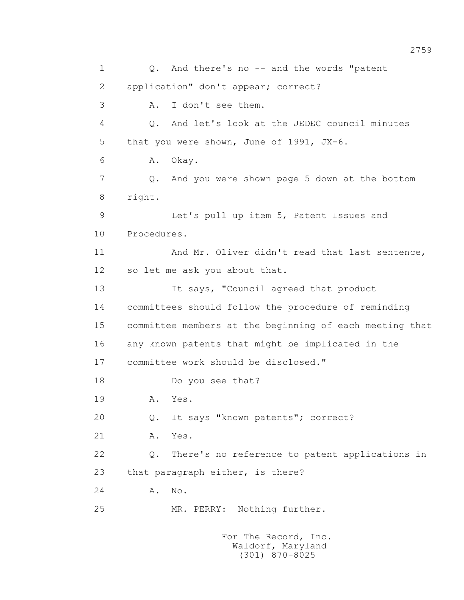1 Q. And there's no -- and the words "patent 2 application" don't appear; correct? 3 A. I don't see them. 4 Q. And let's look at the JEDEC council minutes 5 that you were shown, June of 1991, JX-6. 6 A. Okay. 7 Q. And you were shown page 5 down at the bottom 8 right. 9 Let's pull up item 5, Patent Issues and 10 Procedures. 11 And Mr. Oliver didn't read that last sentence, 12 so let me ask you about that. 13 It says, "Council agreed that product 14 committees should follow the procedure of reminding 15 committee members at the beginning of each meeting that 16 any known patents that might be implicated in the 17 committee work should be disclosed." 18 Do you see that? 19 **A.** Yes. 20 Q. It says "known patents"; correct? 21 A. Yes. 22 Q. There's no reference to patent applications in 23 that paragraph either, is there? 24 A. No. 25 MR. PERRY: Nothing further.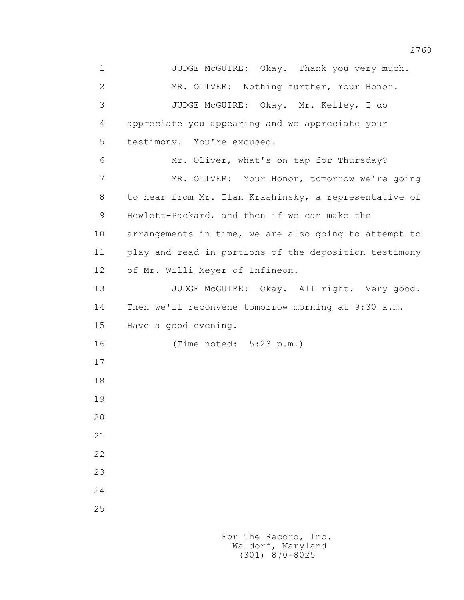1 JUDGE McGUIRE: Okay. Thank you very much. 2 MR. OLIVER: Nothing further, Your Honor. 3 JUDGE McGUIRE: Okay. Mr. Kelley, I do 4 appreciate you appearing and we appreciate your 5 testimony. You're excused. 6 Mr. Oliver, what's on tap for Thursday? 7 MR. OLIVER: Your Honor, tomorrow we're going 8 to hear from Mr. Ilan Krashinsky, a representative of 9 Hewlett-Packard, and then if we can make the 10 arrangements in time, we are also going to attempt to 11 play and read in portions of the deposition testimony 12 of Mr. Willi Meyer of Infineon. 13 JUDGE McGUIRE: Okay. All right. Very good. 14 Then we'll reconvene tomorrow morning at 9:30 a.m. 15 Have a good evening. 16 (Time noted: 5:23 p.m.) 17 18 19 20 21 22 23 24 25